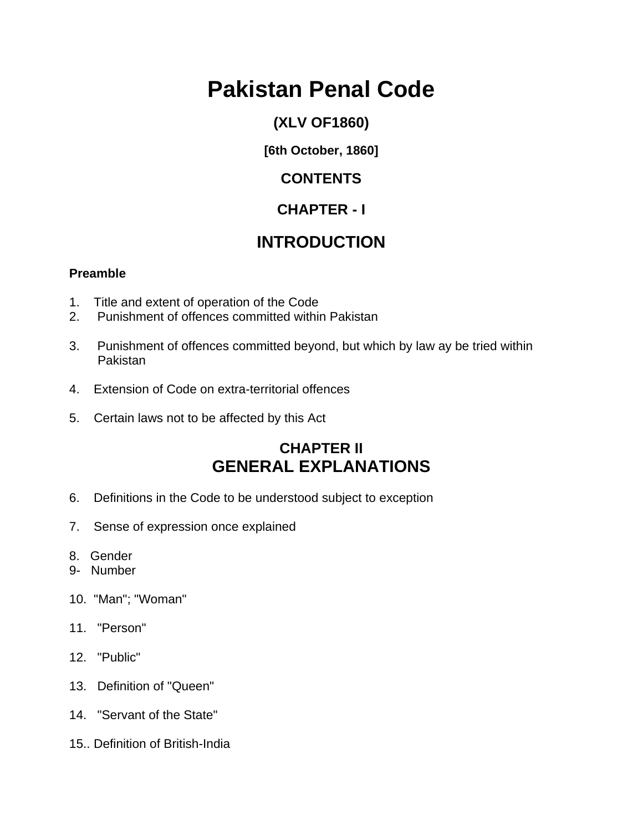# **Pakistan Penal Code**

**(XLV OF1860)** 

**[6th October, 1860]** 

### **CONTENTS**

## **CHAPTER - I**

## **INTRODUCTION**

#### **Preamble**

- 1. Title and extent of operation of the Code
- 2. Punishment of offences committed within Pakistan
- 3. Punishment of offences committed beyond, but which by law ay be tried within Pakistan
- 4. Extension of Code on extra-territorial offences
- 5. Certain laws not to be affected by this Act

## **CHAPTER II GENERAL EXPLANATIONS**

- 6. Definitions in the Code to be understood subject to exception
- 7. Sense of expression once explained
- 8. Gender
- 9- Number
- 10. "Man"; "Woman"
- 11. "Person"
- 12. "Public"
- 13. Definition of "Queen"
- 14. "Servant of the State"
- 15.. Definition of British-India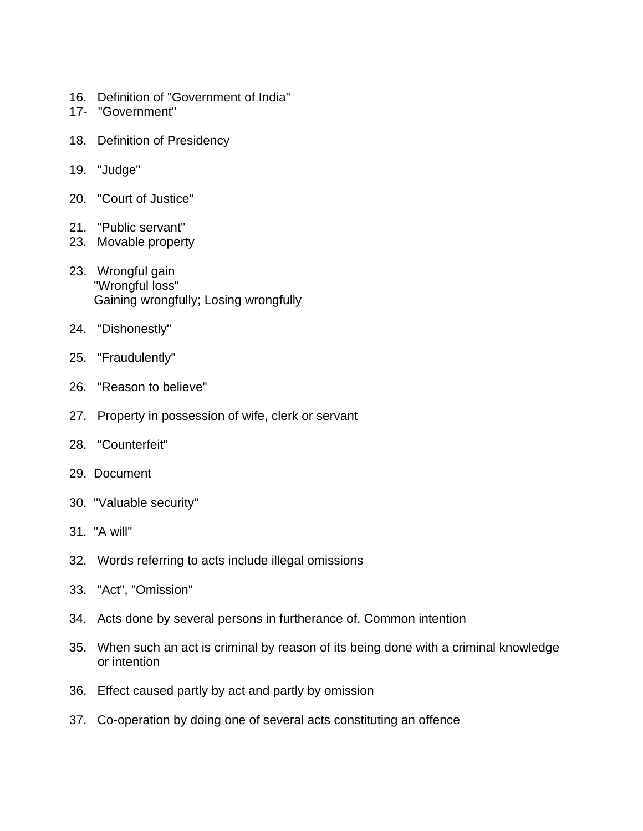- 16. Definition of "Government of India"
- 17- "Government"
- 18. Definition of Presidency
- 19. "Judge"
- 20. "Court of Justice"
- 21. "Public servant"
- 23. Movable property
- 23. Wrongful gain "Wrongful loss" Gaining wrongfully; Losing wrongfully
- 24. "Dishonestly"
- 25. "Fraudulently"
- 26. "Reason to believe"
- 27. Property in possession of wife, clerk or servant
- 28. "Counterfeit"
- 29. Document
- 30. "Valuable security"
- 31. "A will"
- 32. Words referring to acts include illegal omissions
- 33. "Act", "Omission"
- 34. Acts done by several persons in furtherance of. Common intention
- 35. When such an act is criminal by reason of its being done with a criminal knowledge or intention
- 36. Effect caused partly by act and partly by omission
- 37. Co-operation by doing one of several acts constituting an offence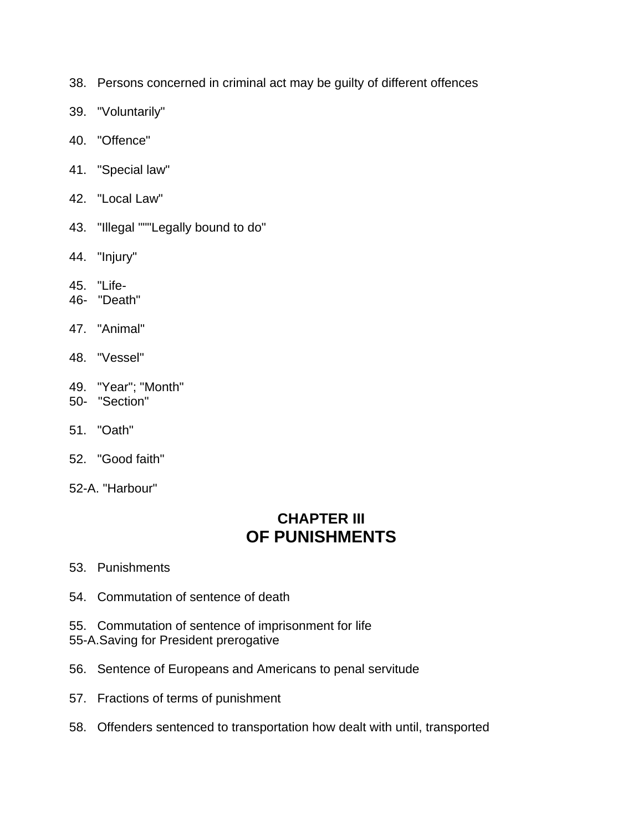- 38. Persons concerned in criminal act may be guilty of different offences
- 39. "Voluntarily"
- 40. "Offence"
- 41. "Special law"
- 42. "Local Law"
- 43. "Illegal """Legally bound to do"
- 44. "Injury"
- 45. "Life-
- 46- "Death"
- 47. "Animal"
- 48. "Vessel"
- 49. "Year"; "Month"
- 50- "Section"
- 51. "Oath"
- 52. "Good faith"
- 52-A. "Harbour"

#### **CHAPTER III OF PUNISHMENTS**

- 53. Punishments
- 54. Commutation of sentence of death
- 55. Commutation of sentence of imprisonment for life 55-A.Saving for President prerogative
- 56. Sentence of Europeans and Americans to penal servitude
- 57. Fractions of terms of punishment
- 58. Offenders sentenced to transportation how dealt with until, transported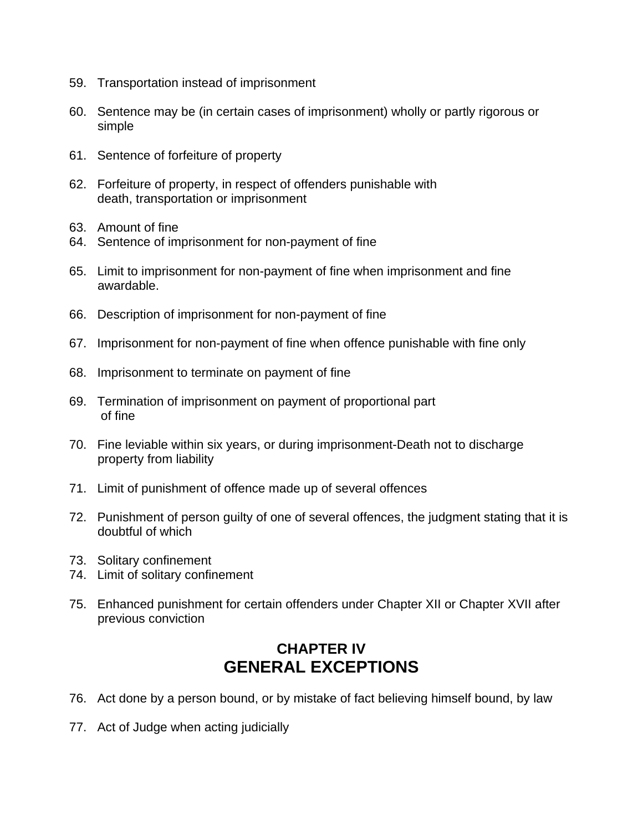- 59. Transportation instead of imprisonment
- 60. Sentence may be (in certain cases of imprisonment) wholly or partly rigorous or simple
- 61. Sentence of forfeiture of property
- 62. Forfeiture of property, in respect of offenders punishable with death, transportation or imprisonment
- 63. Amount of fine
- 64. Sentence of imprisonment for non-payment of fine
- 65. Limit to imprisonment for non-payment of fine when imprisonment and fine awardable.
- 66. Description of imprisonment for non-payment of fine
- 67. Imprisonment for non-payment of fine when offence punishable with fine only
- 68. Imprisonment to terminate on payment of fine
- 69. Termination of imprisonment on payment of proportional part of fine
- 70. Fine leviable within six years, or during imprisonment-Death not to discharge property from liability
- 71. Limit of punishment of offence made up of several offences
- 72. Punishment of person guilty of one of several offences, the judgment stating that it is doubtful of which
- 73. Solitary confinement
- 74. Limit of solitary confinement
- 75. Enhanced punishment for certain offenders under Chapter XII or Chapter XVII after previous conviction

### **CHAPTER IV GENERAL EXCEPTIONS**

- 76. Act done by a person bound, or by mistake of fact believing himself bound, by law
- 77. Act of Judge when acting judicially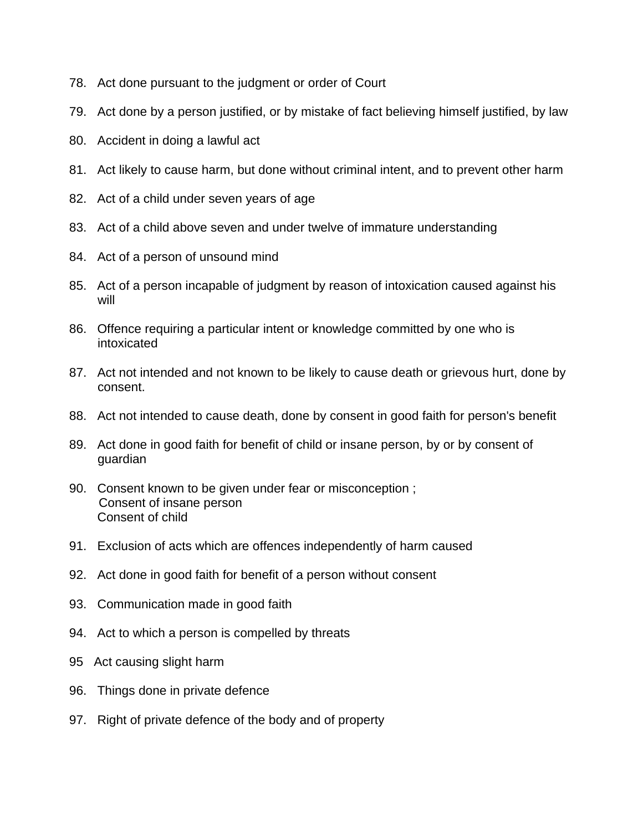- 78. Act done pursuant to the judgment or order of Court
- 79. Act done by a person justified, or by mistake of fact believing himself justified, by law
- 80. Accident in doing a lawful act
- 81. Act likely to cause harm, but done without criminal intent, and to prevent other harm
- 82. Act of a child under seven years of age
- 83. Act of a child above seven and under twelve of immature understanding
- 84. Act of a person of unsound mind
- 85. Act of a person incapable of judgment by reason of intoxication caused against his will
- 86. Offence requiring a particular intent or knowledge committed by one who is intoxicated
- 87. Act not intended and not known to be likely to cause death or grievous hurt, done by consent.
- 88. Act not intended to cause death, done by consent in good faith for person's benefit
- 89. Act done in good faith for benefit of child or insane person, by or by consent of guardian
- 90. Consent known to be given under fear or misconception ; Consent of insane person Consent of child
- 91. Exclusion of acts which are offences independently of harm caused
- 92. Act done in good faith for benefit of a person without consent
- 93. Communication made in good faith
- 94. Act to which a person is compelled by threats
- 95 Act causing slight harm
- 96. Things done in private defence
- 97. Right of private defence of the body and of property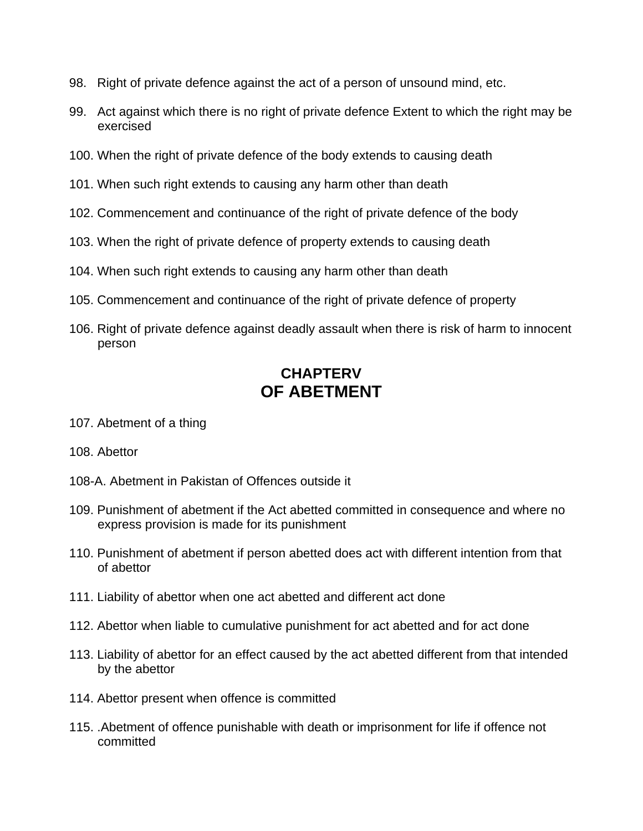- 98. Right of private defence against the act of a person of unsound mind, etc.
- 99. Act against which there is no right of private defence Extent to which the right may be exercised
- 100. When the right of private defence of the body extends to causing death
- 101. When such right extends to causing any harm other than death
- 102. Commencement and continuance of the right of private defence of the body
- 103. When the right of private defence of property extends to causing death
- 104. When such right extends to causing any harm other than death
- 105. Commencement and continuance of the right of private defence of property
- 106. Right of private defence against deadly assault when there is risk of harm to innocent person

### **CHAPTERV OF ABETMENT**

- 107. Abetment of a thing
- 108. Abettor
- 108-A. Abetment in Pakistan of Offences outside it
- 109. Punishment of abetment if the Act abetted committed in consequence and where no express provision is made for its punishment
- 110. Punishment of abetment if person abetted does act with different intention from that of abettor
- 111. Liability of abettor when one act abetted and different act done
- 112. Abettor when liable to cumulative punishment for act abetted and for act done
- 113. Liability of abettor for an effect caused by the act abetted different from that intended by the abettor
- 114. Abettor present when offence is committed
- 115. .Abetment of offence punishable with death or imprisonment for life if offence not committed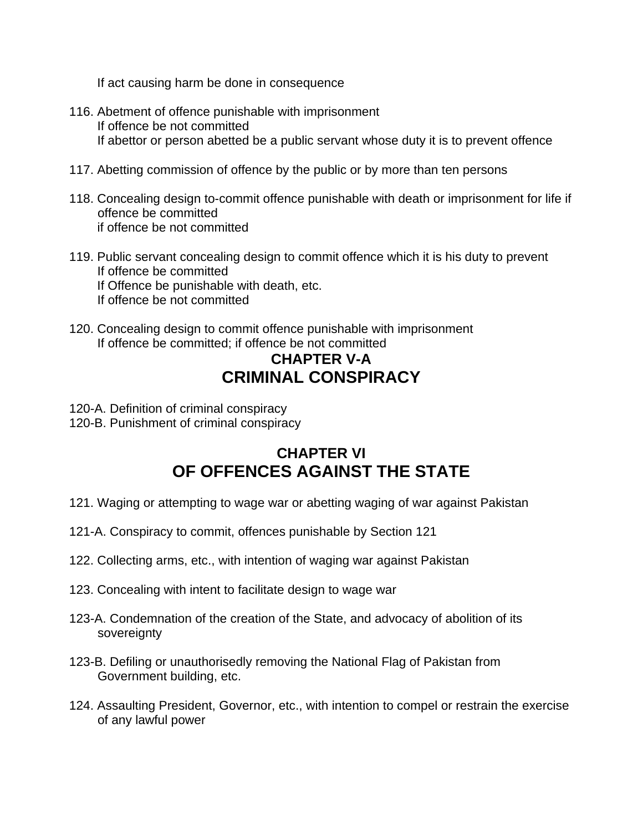If act causing harm be done in consequence

- 116. Abetment of offence punishable with imprisonment If offence be not committed If abettor or person abetted be a public servant whose duty it is to prevent offence
- 117. Abetting commission of offence by the public or by more than ten persons
- 118. Concealing design to-commit offence punishable with death or imprisonment for life if offence be committed if offence be not committed
- 119. Public servant concealing design to commit offence which it is his duty to prevent If offence be committed If Offence be punishable with death, etc. If offence be not committed
- 120. Concealing design to commit offence punishable with imprisonment If offence be committed; if offence be not committed

#### **CHAPTER V-A CRIMINAL CONSPIRACY**

120-A. Definition of criminal conspiracy 120-B. Punishment of criminal conspiracy

## **CHAPTER VI OF OFFENCES AGAINST THE STATE**

- 121. Waging or attempting to wage war or abetting waging of war against Pakistan
- 121-A. Conspiracy to commit, offences punishable by Section 121
- 122. Collecting arms, etc., with intention of waging war against Pakistan
- 123. Concealing with intent to facilitate design to wage war
- 123-A. Condemnation of the creation of the State, and advocacy of abolition of its sovereignty
- 123-B. Defiling or unauthorisedly removing the National Flag of Pakistan from Government building, etc.
- 124. Assaulting President, Governor, etc., with intention to compel or restrain the exercise of any lawful power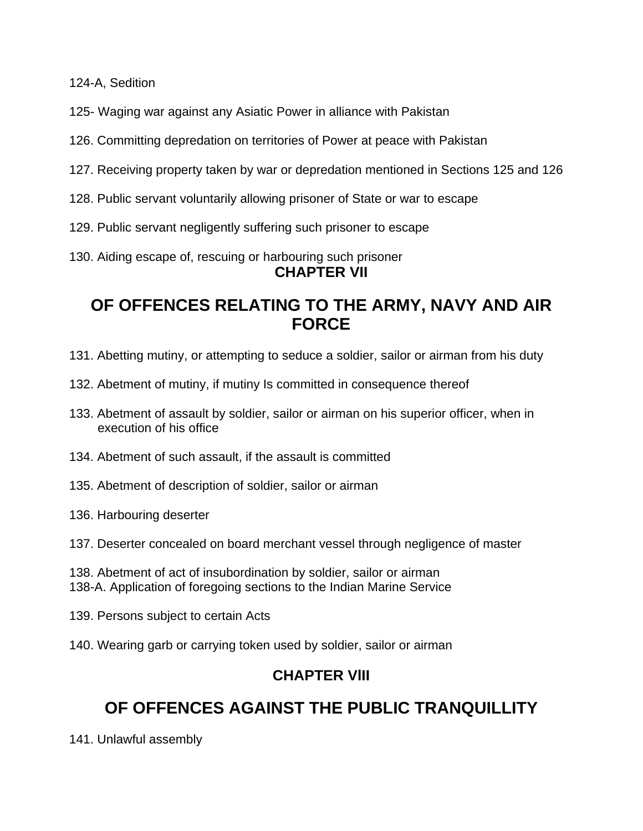124-A, Sedition

- 125- Waging war against any Asiatic Power in alliance with Pakistan
- 126. Committing depredation on territories of Power at peace with Pakistan
- 127. Receiving property taken by war or depredation mentioned in Sections 125 and 126
- 128. Public servant voluntarily allowing prisoner of State or war to escape
- 129. Public servant negligently suffering such prisoner to escape
- 130. Aiding escape of, rescuing or harbouring such prisoner **CHAPTER VII**

## **OF OFFENCES RELATING TO THE ARMY, NAVY AND AIR FORCE**

- 131. Abetting mutiny, or attempting to seduce a soldier, sailor or airman from his duty
- 132. Abetment of mutiny, if mutiny Is committed in consequence thereof
- 133. Abetment of assault by soldier, sailor or airman on his superior officer, when in execution of his office
- 134. Abetment of such assault, if the assault is committed
- 135. Abetment of description of soldier, sailor or airman
- 136. Harbouring deserter
- 137. Deserter concealed on board merchant vessel through negligence of master
- 138. Abetment of act of insubordination by soldier, sailor or airman 138-A. Application of foregoing sections to the Indian Marine Service
- 139. Persons subject to certain Acts
- 140. Wearing garb or carrying token used by soldier, sailor or airman

#### **CHAPTER VlII**

## **OF OFFENCES AGAINST THE PUBLIC TRANQUILLITY**

141. Unlawful assembly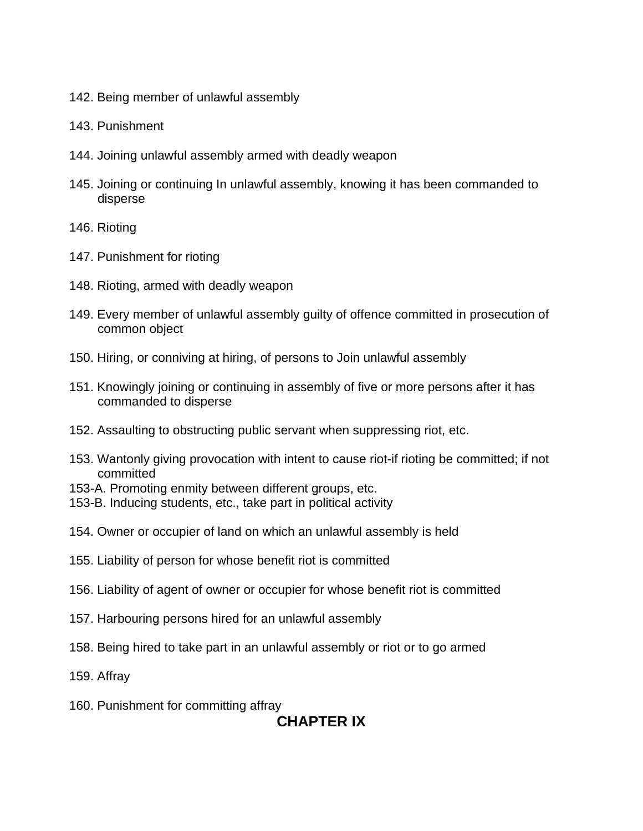- 142. Being member of unlawful assembly
- 143. Punishment
- 144. Joining unlawful assembly armed with deadly weapon
- 145. Joining or continuing In unlawful assembly, knowing it has been commanded to disperse
- 146. Rioting
- 147. Punishment for rioting
- 148. Rioting, armed with deadly weapon
- 149. Every member of unlawful assembly guilty of offence committed in prosecution of common object
- 150. Hiring, or conniving at hiring, of persons to Join unlawful assembly
- 151. Knowingly joining or continuing in assembly of five or more persons after it has commanded to disperse
- 152. Assaulting to obstructing public servant when suppressing riot, etc.
- 153. Wantonly giving provocation with intent to cause riot-if rioting be committed; if not committed
- 153-A. Promoting enmity between different groups, etc.
- 153-B. Inducing students, etc., take part in political activity
- 154. Owner or occupier of land on which an unlawful assembly is held
- 155. Liability of person for whose benefit riot is committed
- 156. Liability of agent of owner or occupier for whose benefit riot is committed
- 157. Harbouring persons hired for an unlawful assembly
- 158. Being hired to take part in an unlawful assembly or riot or to go armed
- 159. Affray
- 160. Punishment for committing affray

## **CHAPTER IX**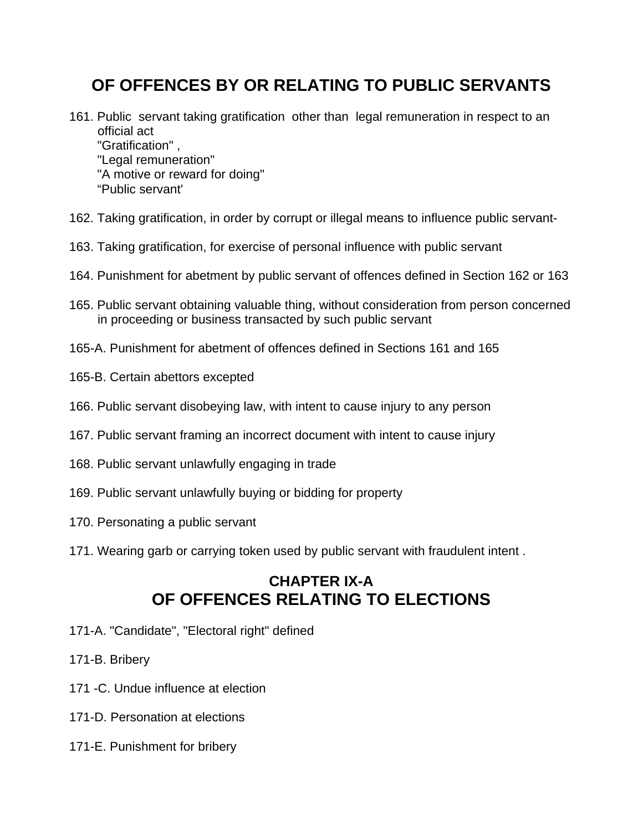## **OF OFFENCES BY OR RELATING TO PUBLIC SERVANTS**

161. Public servant taking gratification other than legal remuneration in respect to an official act "Gratification" , "Legal remuneration" "A motive or reward for doing" "Public servant'

162. Taking gratification, in order by corrupt or illegal means to influence public servant-

- 163. Taking gratification, for exercise of personal influence with public servant
- 164. Punishment for abetment by public servant of offences defined in Section 162 or 163
- 165. Public servant obtaining valuable thing, without consideration from person concerned in proceeding or business transacted by such public servant
- 165-A. Punishment for abetment of offences defined in Sections 161 and 165
- 165-B. Certain abettors excepted
- 166. Public servant disobeying law, with intent to cause injury to any person
- 167. Public servant framing an incorrect document with intent to cause injury
- 168. Public servant unlawfully engaging in trade
- 169. Public servant unlawfully buying or bidding for property
- 170. Personating a public servant
- 171. Wearing garb or carrying token used by public servant with fraudulent intent .

## **CHAPTER IX-A OF OFFENCES RELATING TO ELECTIONS**

- 171-A. "Candidate", "Electoral right" defined
- 171-B. Bribery
- 171 -C. Undue influence at election
- 171-D. Personation at elections
- 171-E. Punishment for bribery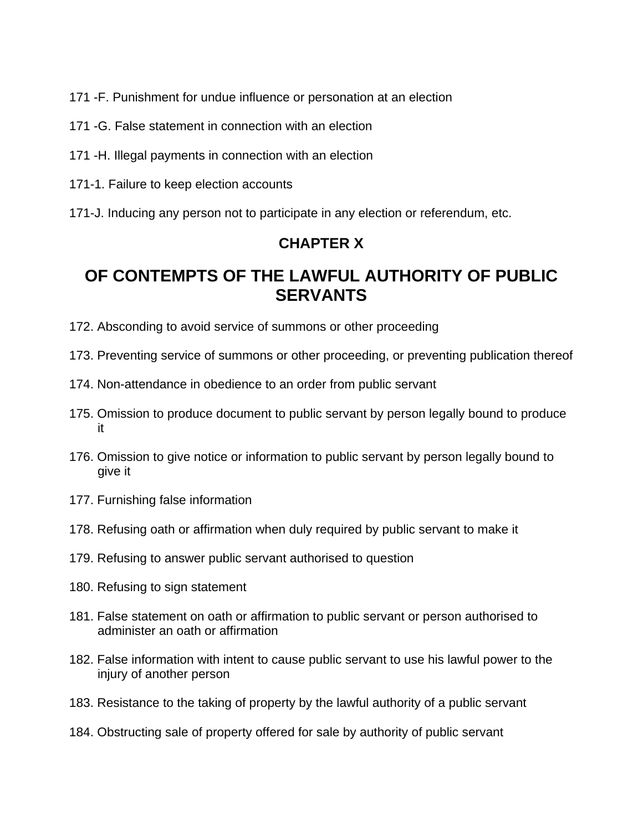171 -F. Punishment for undue influence or personation at an election

- 171 -G. False statement in connection with an election
- 171 -H. Illegal payments in connection with an election
- 171-1. Failure to keep election accounts
- 171-J. Inducing any person not to participate in any election or referendum, etc.

#### **CHAPTER X**

## **OF CONTEMPTS OF THE LAWFUL AUTHORITY OF PUBLIC SERVANTS**

- 172. Absconding to avoid service of summons or other proceeding
- 173. Preventing service of summons or other proceeding, or preventing publication thereof
- 174. Non-attendance in obedience to an order from public servant
- 175. Omission to produce document to public servant by person legally bound to produce it
- 176. Omission to give notice or information to public servant by person legally bound to give it
- 177. Furnishing false information
- 178. Refusing oath or affirmation when duly required by public servant to make it
- 179. Refusing to answer public servant authorised to question
- 180. Refusing to sign statement
- 181. False statement on oath or affirmation to public servant or person authorised to administer an oath or affirmation
- 182. False information with intent to cause public servant to use his lawful power to the injury of another person
- 183. Resistance to the taking of property by the lawful authority of a public servant
- 184. Obstructing sale of property offered for sale by authority of public servant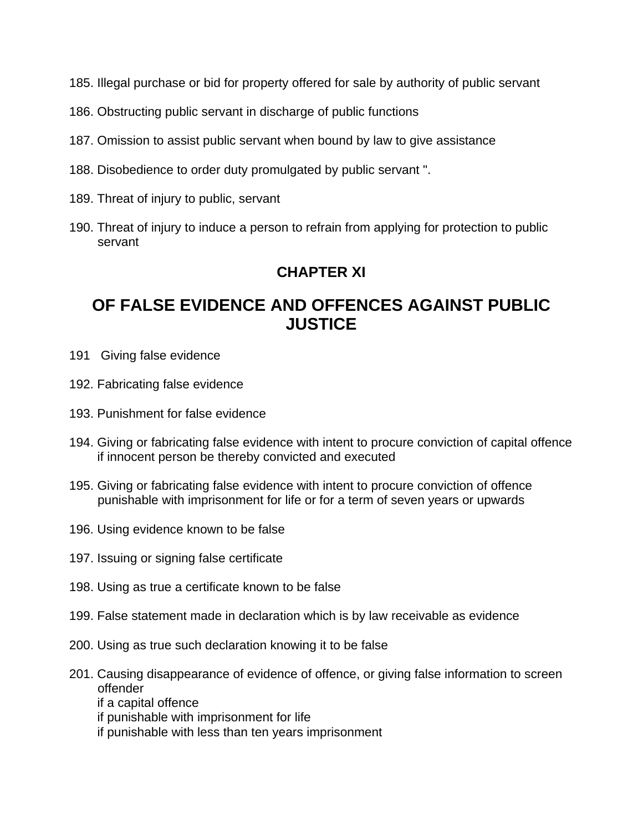- 185. Illegal purchase or bid for property offered for sale by authority of public servant
- 186. Obstructing public servant in discharge of public functions
- 187. Omission to assist public servant when bound by law to give assistance
- 188. Disobedience to order duty promulgated by public servant ".
- 189. Threat of injury to public, servant
- 190. Threat of injury to induce a person to refrain from applying for protection to public servant

### **CHAPTER XI**

## **OF FALSE EVIDENCE AND OFFENCES AGAINST PUBLIC JUSTICE**

- 191 Giving false evidence
- 192. Fabricating false evidence
- 193. Punishment for false evidence
- 194. Giving or fabricating false evidence with intent to procure conviction of capital offence if innocent person be thereby convicted and executed
- 195. Giving or fabricating false evidence with intent to procure conviction of offence punishable with imprisonment for life or for a term of seven years or upwards
- 196. Using evidence known to be false
- 197. Issuing or signing false certificate
- 198. Using as true a certificate known to be false
- 199. False statement made in declaration which is by law receivable as evidence
- 200. Using as true such declaration knowing it to be false
- 201. Causing disappearance of evidence of offence, or giving false information to screen offender if a capital offence
	- if punishable with imprisonment for life
	- if punishable with less than ten years imprisonment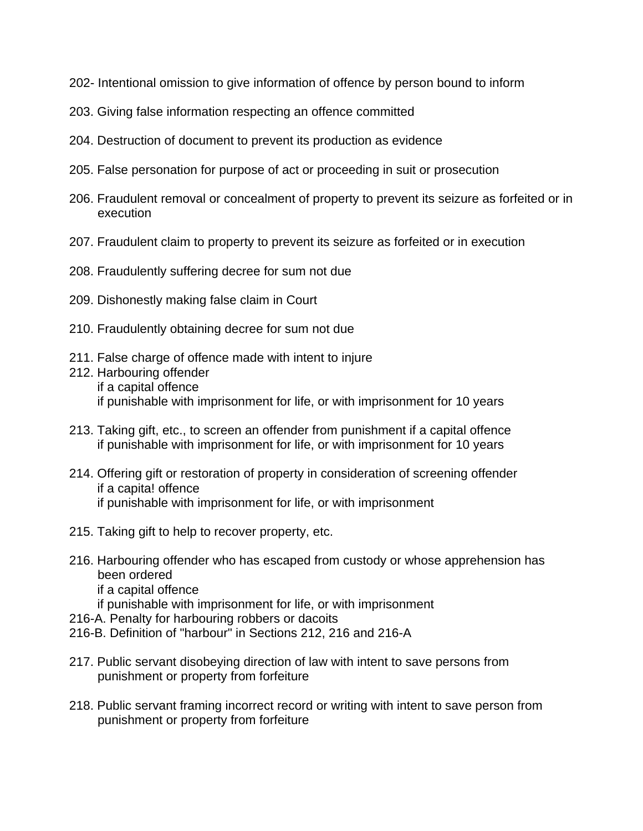- 202- Intentional omission to give information of offence by person bound to inform
- 203. Giving false information respecting an offence committed
- 204. Destruction of document to prevent its production as evidence
- 205. False personation for purpose of act or proceeding in suit or prosecution
- 206. Fraudulent removal or concealment of property to prevent its seizure as forfeited or in execution
- 207. Fraudulent claim to property to prevent its seizure as forfeited or in execution
- 208. Fraudulently suffering decree for sum not due
- 209. Dishonestly making false claim in Court
- 210. Fraudulently obtaining decree for sum not due
- 211. False charge of offence made with intent to injure
- 212. Harbouring offender if a capital offence if punishable with imprisonment for life, or with imprisonment for 10 years
- 213. Taking gift, etc., to screen an offender from punishment if a capital offence if punishable with imprisonment for life, or with imprisonment for 10 years
- 214. Offering gift or restoration of property in consideration of screening offender if a capita! offence if punishable with imprisonment for life, or with imprisonment
- 215. Taking gift to help to recover property, etc.
- 216. Harbouring offender who has escaped from custody or whose apprehension has been ordered
	- if a capital offence
	- if punishable with imprisonment for life, or with imprisonment
- 216-A. Penalty for harbouring robbers or dacoits
- 216-B. Definition of "harbour" in Sections 212, 216 and 216-A
- 217. Public servant disobeying direction of law with intent to save persons from punishment or property from forfeiture
- 218. Public servant framing incorrect record or writing with intent to save person from punishment or property from forfeiture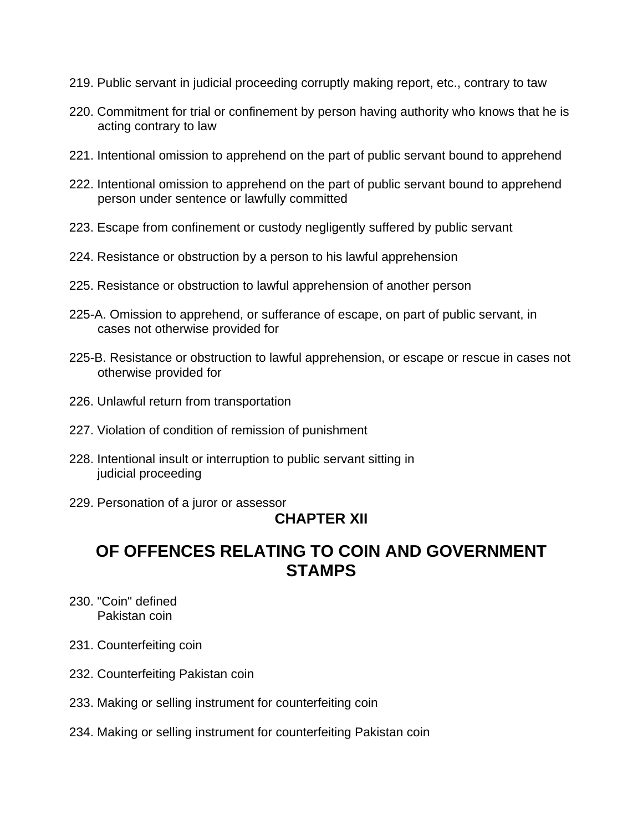- 219. Public servant in judicial proceeding corruptly making report, etc., contrary to taw
- 220. Commitment for trial or confinement by person having authority who knows that he is acting contrary to law
- 221. Intentional omission to apprehend on the part of public servant bound to apprehend
- 222. Intentional omission to apprehend on the part of public servant bound to apprehend person under sentence or lawfully committed
- 223. Escape from confinement or custody negligently suffered by public servant
- 224. Resistance or obstruction by a person to his lawful apprehension
- 225. Resistance or obstruction to lawful apprehension of another person
- 225-A. Omission to apprehend, or sufferance of escape, on part of public servant, in cases not otherwise provided for
- 225-B. Resistance or obstruction to lawful apprehension, or escape or rescue in cases not otherwise provided for
- 226. Unlawful return from transportation
- 227. Violation of condition of remission of punishment
- 228. Intentional insult or interruption to public servant sitting in judicial proceeding
- 229. Personation of a juror or assessor

#### **CHAPTER XII**

### **OF OFFENCES RELATING TO COIN AND GOVERNMENT STAMPS**

- 230. "Coin" defined Pakistan coin
- 231. Counterfeiting coin
- 232. Counterfeiting Pakistan coin
- 233. Making or selling instrument for counterfeiting coin
- 234. Making or selling instrument for counterfeiting Pakistan coin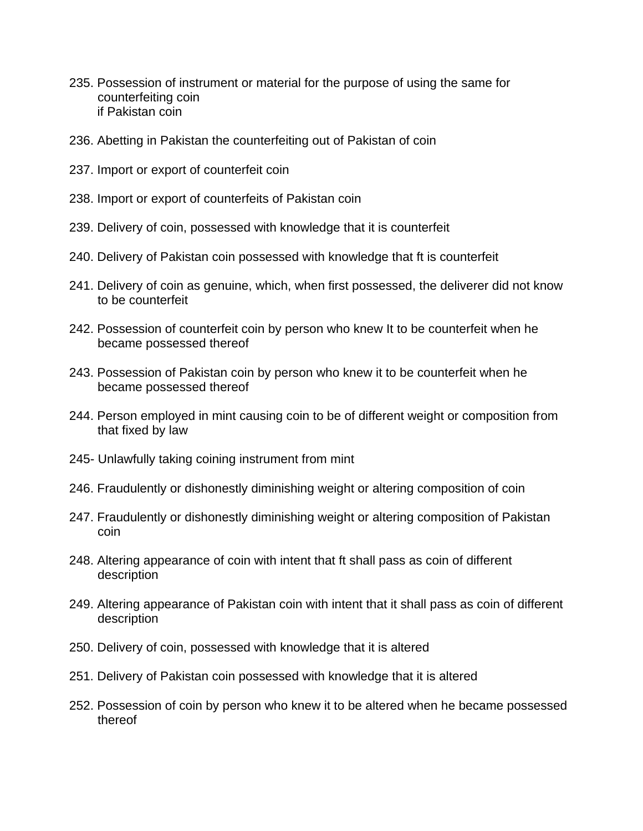- 235. Possession of instrument or material for the purpose of using the same for counterfeiting coin if Pakistan coin
- 236. Abetting in Pakistan the counterfeiting out of Pakistan of coin
- 237. Import or export of counterfeit coin
- 238. Import or export of counterfeits of Pakistan coin
- 239. Delivery of coin, possessed with knowledge that it is counterfeit
- 240. Delivery of Pakistan coin possessed with knowledge that ft is counterfeit
- 241. Delivery of coin as genuine, which, when first possessed, the deliverer did not know to be counterfeit
- 242. Possession of counterfeit coin by person who knew It to be counterfeit when he became possessed thereof
- 243. Possession of Pakistan coin by person who knew it to be counterfeit when he became possessed thereof
- 244. Person employed in mint causing coin to be of different weight or composition from that fixed by law
- 245- Unlawfully taking coining instrument from mint
- 246. Fraudulently or dishonestly diminishing weight or altering composition of coin
- 247. Fraudulently or dishonestly diminishing weight or altering composition of Pakistan coin
- 248. Altering appearance of coin with intent that ft shall pass as coin of different description
- 249. Altering appearance of Pakistan coin with intent that it shall pass as coin of different description
- 250. Delivery of coin, possessed with knowledge that it is altered
- 251. Delivery of Pakistan coin possessed with knowledge that it is altered
- 252. Possession of coin by person who knew it to be altered when he became possessed thereof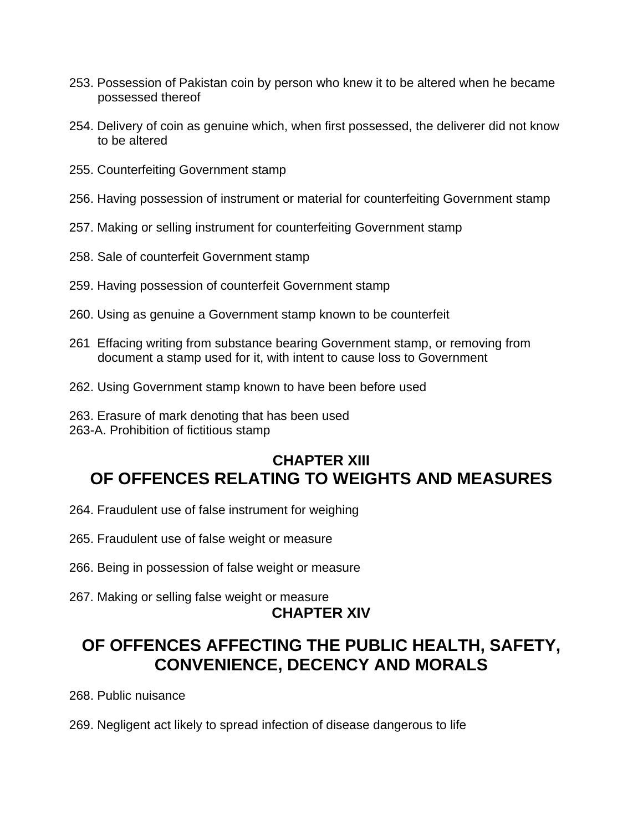- 253. Possession of Pakistan coin by person who knew it to be altered when he became possessed thereof
- 254. Delivery of coin as genuine which, when first possessed, the deliverer did not know to be altered
- 255. Counterfeiting Government stamp
- 256. Having possession of instrument or material for counterfeiting Government stamp
- 257. Making or selling instrument for counterfeiting Government stamp
- 258. Sale of counterfeit Government stamp
- 259. Having possession of counterfeit Government stamp
- 260. Using as genuine a Government stamp known to be counterfeit
- 261 Effacing writing from substance bearing Government stamp, or removing from document a stamp used for it, with intent to cause loss to Government
- 262. Using Government stamp known to have been before used
- 263. Erasure of mark denoting that has been used 263-A. Prohibition of fictitious stamp

### **CHAPTER XIII OF OFFENCES RELATING TO WEIGHTS AND MEASURES**

- 264. Fraudulent use of false instrument for weighing
- 265. Fraudulent use of false weight or measure
- 266. Being in possession of false weight or measure
- 267. Making or selling false weight or measure

### **CHAPTER XIV**

## **OF OFFENCES AFFECTING THE PUBLIC HEALTH, SAFETY, CONVENIENCE, DECENCY AND MORALS**

268. Public nuisance

269. Negligent act likely to spread infection of disease dangerous to life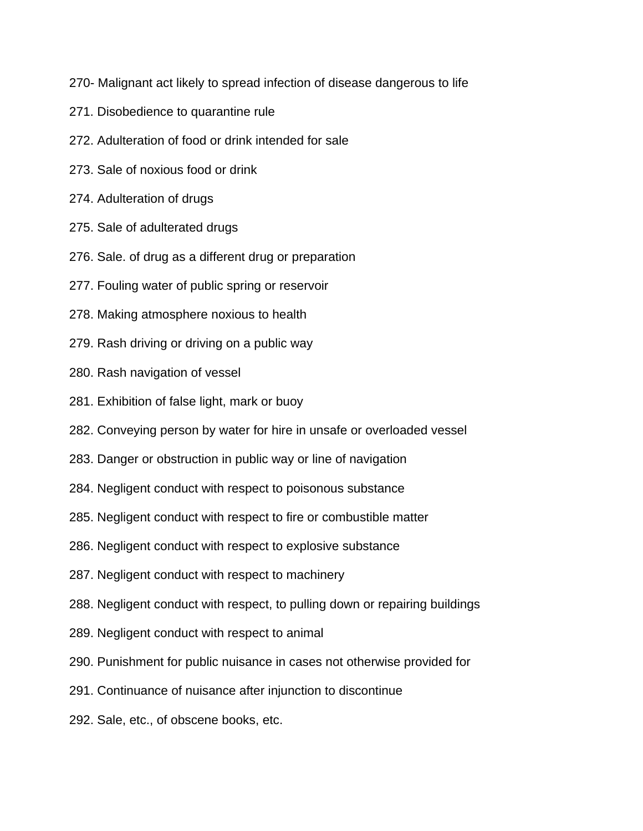- 270- Malignant act likely to spread infection of disease dangerous to life
- 271. Disobedience to quarantine rule
- 272. Adulteration of food or drink intended for sale
- 273. Sale of noxious food or drink
- 274. Adulteration of drugs
- 275. Sale of adulterated drugs
- 276. Sale. of drug as a different drug or preparation
- 277. Fouling water of public spring or reservoir
- 278. Making atmosphere noxious to health
- 279. Rash driving or driving on a public way
- 280. Rash navigation of vessel
- 281. Exhibition of false light, mark or buoy
- 282. Conveying person by water for hire in unsafe or overloaded vessel
- 283. Danger or obstruction in public way or line of navigation
- 284. Negligent conduct with respect to poisonous substance
- 285. Negligent conduct with respect to fire or combustible matter
- 286. Negligent conduct with respect to explosive substance
- 287. Negligent conduct with respect to machinery
- 288. Negligent conduct with respect, to pulling down or repairing buildings
- 289. Negligent conduct with respect to animal
- 290. Punishment for public nuisance in cases not otherwise provided for
- 291. Continuance of nuisance after injunction to discontinue
- 292. Sale, etc., of obscene books, etc.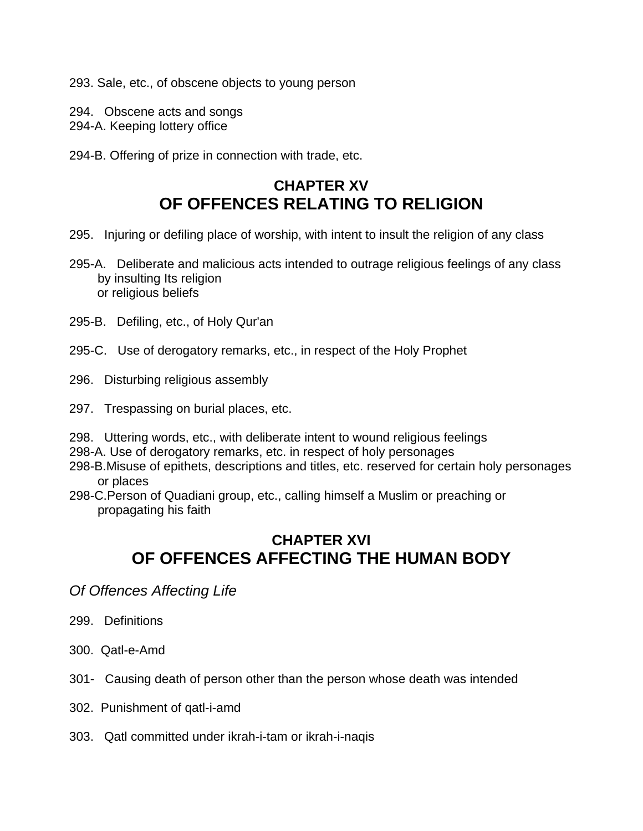293. Sale, etc., of obscene objects to young person

294. Obscene acts and songs

294-A. Keeping lottery office

294-B. Offering of prize in connection with trade, etc.

### **CHAPTER XV OF OFFENCES RELATING TO RELIGION**

- 295. Injuring or defiling place of worship, with intent to insult the religion of any class
- 295-A. Deliberate and malicious acts intended to outrage religious feelings of any class by insulting Its religion or religious beliefs
- 295-B. Defiling, etc., of Holy Qur'an
- 295-C. Use of derogatory remarks, etc., in respect of the Holy Prophet
- 296. Disturbing religious assembly
- 297. Trespassing on burial places, etc.
- 298. Uttering words, etc., with deliberate intent to wound religious feelings
- 298-A. Use of derogatory remarks, etc. in respect of holy personages
- 298-B.Misuse of epithets, descriptions and titles, etc. reserved for certain holy personages or places
- 298-C.Person of Quadiani group, etc., calling himself a Muslim or preaching or propagating his faith

### **CHAPTER XVI OF OFFENCES AFFECTING THE HUMAN BODY**

#### *Of Offences Affecting Life*

- 299. Definitions
- 300. Qatl-e-Amd
- 301- Causing death of person other than the person whose death was intended
- 302. Punishment of qatl-i-amd
- 303. Qatl committed under ikrah-i-tam or ikrah-i-naqis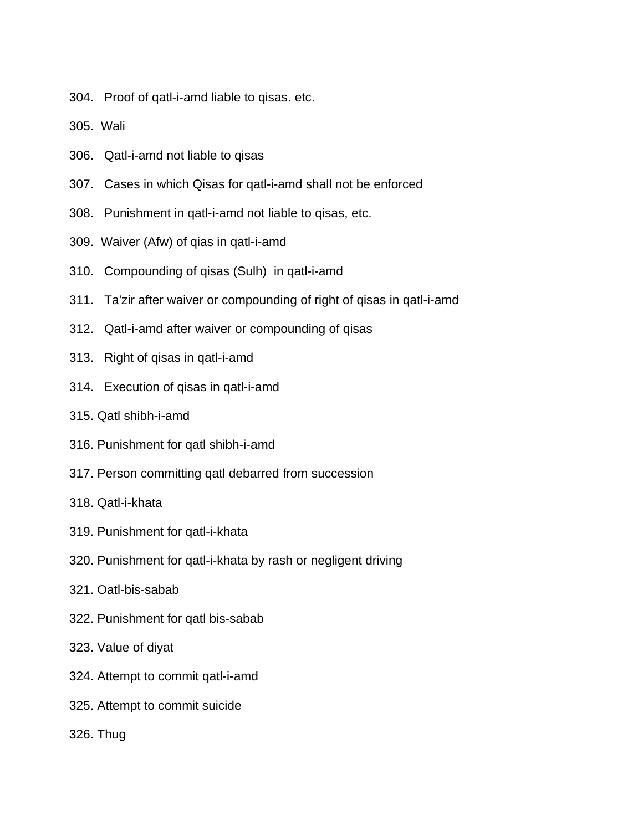- 304. Proof of qatl-i-amd liable to qisas. etc.
- 305. Wali
- 306. Qatl-i-amd not liable to qisas
- 307. Cases in which Qisas for qatl-i-amd shall not be enforced
- 308. Punishment in qatl-i-amd not liable to qisas, etc.
- 309. Waiver (Afw) of qias in qatl-i-amd
- 310. Compounding of qisas (Sulh) in qatl-i-amd
- 311. Ta'zir after waiver or compounding of right of qisas in qatl-i-amd
- 312. Qatl-i-amd after waiver or compounding of qisas
- 313. Right of qisas in qatl-i-amd
- 314. Execution of qisas in qatl-i-amd
- 315. Qatl shibh-i-amd
- 316. Punishment for qatl shibh-i-amd
- 317. Person committing qatl debarred from succession
- 318. Qatl-i-khata
- 319. Punishment for qatl-i-khata
- 320. Punishment for qatl-i-khata by rash or negligent driving
- 321. Oatl-bis-sabab
- 322. Punishment for qatl bis-sabab
- 323. Value of diyat
- 324. Attempt to commit qatl-i-amd
- 325. Attempt to commit suicide
- 326. Thug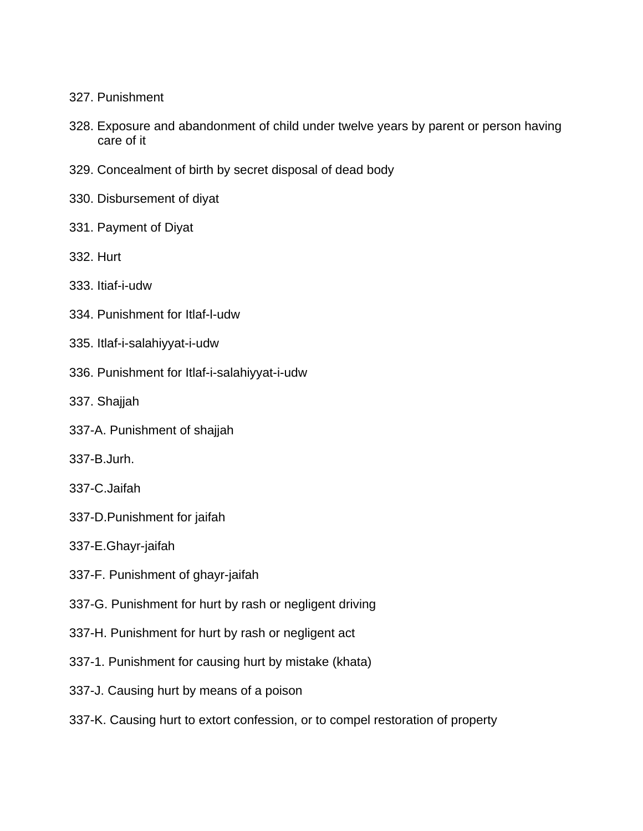- 327. Punishment
- 328. Exposure and abandonment of child under twelve years by parent or person having care of it
- 329. Concealment of birth by secret disposal of dead body
- 330. Disbursement of diyat
- 331. Payment of Diyat
- 332. Hurt
- 333. Itiaf-i-udw
- 334. Punishment for Itlaf-l-udw
- 335. Itlaf-i-salahiyyat-i-udw
- 336. Punishment for Itlaf-i-salahiyyat-i-udw
- 337. Shajjah
- 337-A. Punishment of shajjah
- 337-B.Jurh.
- 337-C.Jaifah
- 337-D.Punishment for jaifah
- 337-E.Ghayr-jaifah
- 337-F. Punishment of ghayr-jaifah
- 337-G. Punishment for hurt by rash or negligent driving
- 337-H. Punishment for hurt by rash or negligent act
- 337-1. Punishment for causing hurt by mistake (khata)
- 337-J. Causing hurt by means of a poison
- 337-K. Causing hurt to extort confession, or to compel restoration of property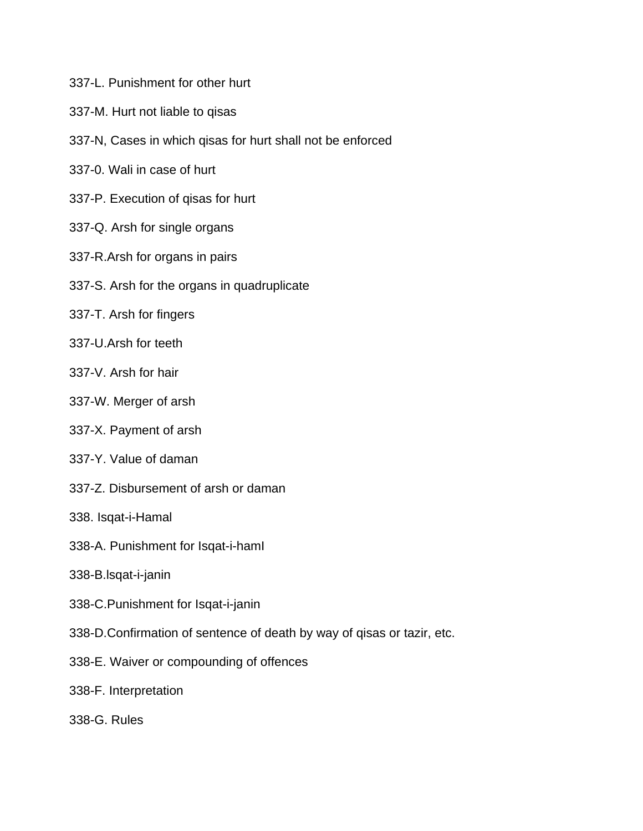- 337-L. Punishment for other hurt
- 337-M. Hurt not liable to qisas
- 337-N, Cases in which qisas for hurt shall not be enforced
- 337-0. Wali in case of hurt
- 337-P. Execution of qisas for hurt
- 337-Q. Arsh for single organs
- 337-R.Arsh for organs in pairs
- 337-S. Arsh for the organs in quadruplicate
- 337-T. Arsh for fingers
- 337-U.Arsh for teeth
- 337-V. Arsh for hair
- 337-W. Merger of arsh
- 337-X. Payment of arsh
- 337-Y. Value of daman
- 337-Z. Disbursement of arsh or daman
- 338. Isqat-i-Hamal
- 338-A. Punishment for Isqat-i-hamI
- 338-B.lsqat-i-janin
- 338-C.Punishment for Isqat-i-janin
- 338-D.Confirmation of sentence of death by way of qisas or tazir, etc.
- 338-E. Waiver or compounding of offences
- 338-F. Interpretation
- 338-G. Rules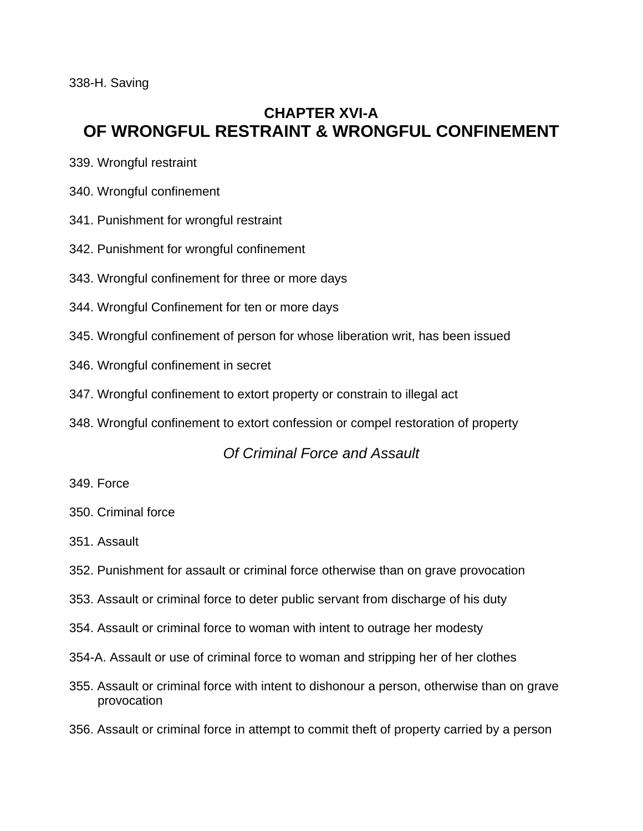338-H. Saving

#### **CHAPTER XVI-A OF WRONGFUL RESTRAINT & WRONGFUL CONFINEMENT**

339. Wrongful restraint

- 340. Wrongful confinement
- 341. Punishment for wrongful restraint
- 342. Punishment for wrongful confinement
- 343. Wrongful confinement for three or more days
- 344. Wrongful Confinement for ten or more days
- 345. Wrongful confinement of person for whose liberation writ, has been issued
- 346. Wrongful confinement in secret
- 347. Wrongful confinement to extort property or constrain to illegal act
- 348. Wrongful confinement to extort confession or compel restoration of property

#### *Of Criminal Force and Assault*

- 349. Force
- 350. Criminal force
- 351. Assault
- 352. Punishment for assault or criminal force otherwise than on grave provocation
- 353. Assault or criminal force to deter public servant from discharge of his duty
- 354. Assault or criminal force to woman with intent to outrage her modesty
- 354-A. Assault or use of criminal force to woman and stripping her of her clothes
- 355. Assault or criminal force with intent to dishonour a person, otherwise than on grave provocation
- 356. Assault or criminal force in attempt to commit theft of property carried by a person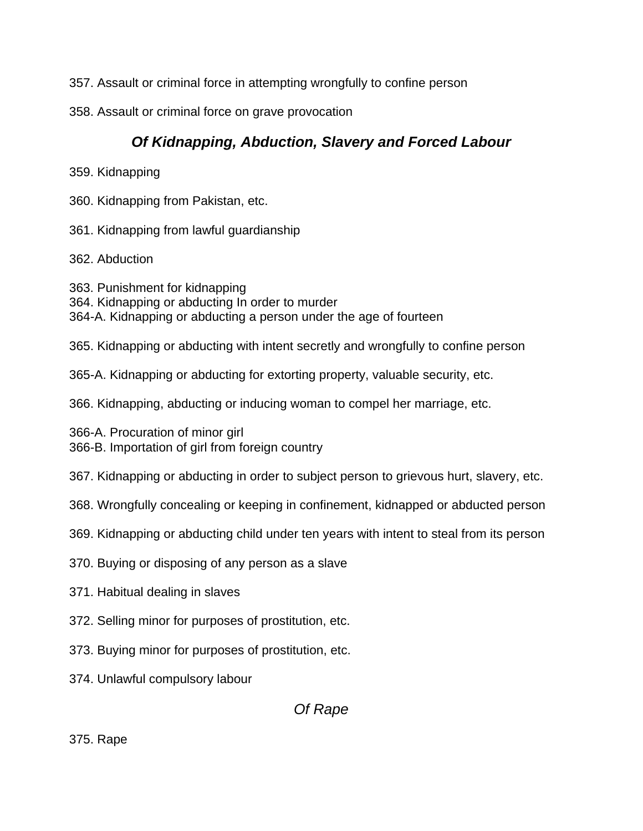- 357. Assault or criminal force in attempting wrongfully to confine person
- 358. Assault or criminal force on grave provocation

### *Of Kidnapping, Abduction, Slavery and Forced Labour*

359. Kidnapping

- 360. Kidnapping from Pakistan, etc.
- 361. Kidnapping from lawful guardianship

362. Abduction

363. Punishment for kidnapping

364. Kidnapping or abducting In order to murder

364-A. Kidnapping or abducting a person under the age of fourteen

365. Kidnapping or abducting with intent secretly and wrongfully to confine person

365-A. Kidnapping or abducting for extorting property, valuable security, etc.

366. Kidnapping, abducting or inducing woman to compel her marriage, etc.

- 366-A. Procuration of minor girl
- 366-B. Importation of girl from foreign country

367. Kidnapping or abducting in order to subject person to grievous hurt, slavery, etc.

368. Wrongfully concealing or keeping in confinement, kidnapped or abducted person

- 369. Kidnapping or abducting child under ten years with intent to steal from its person
- 370. Buying or disposing of any person as a slave
- 371. Habitual dealing in slaves
- 372. Selling minor for purposes of prostitution, etc.
- 373. Buying minor for purposes of prostitution, etc.
- 374. Unlawful compulsory labour

*Of Rape* 

375. Rape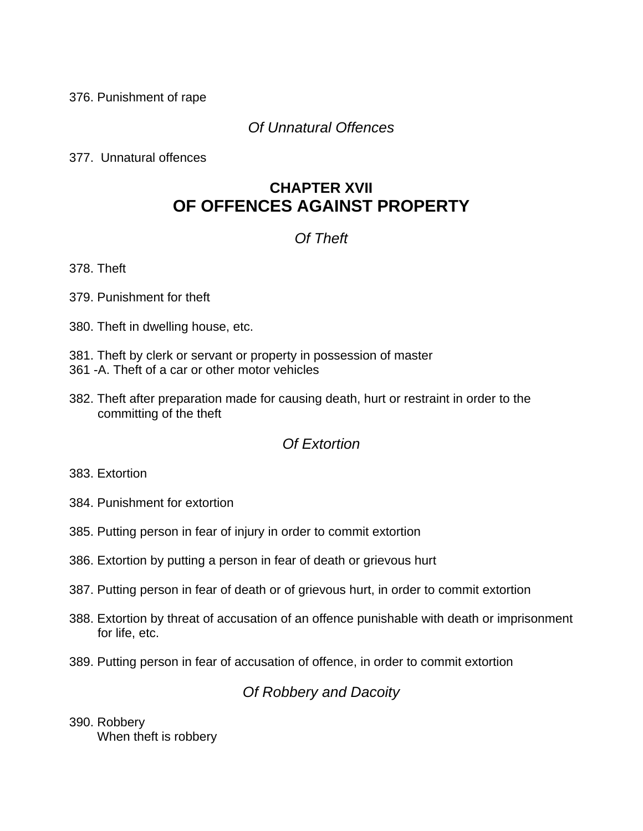376. Punishment of rape

#### *Of Unnatural Offences*

377. Unnatural offences

### **CHAPTER XVII OF OFFENCES AGAINST PROPERTY**

#### *Of Theft*

378. Theft

- 379. Punishment for theft
- 380. Theft in dwelling house, etc.
- 381. Theft by clerk or servant or property in possession of master
- 361 -A. Theft of a car or other motor vehicles
- 382. Theft after preparation made for causing death, hurt or restraint in order to the committing of the theft

#### *Of Extortion*

383. Extortion

- 384. Punishment for extortion
- 385. Putting person in fear of injury in order to commit extortion
- 386. Extortion by putting a person in fear of death or grievous hurt
- 387. Putting person in fear of death or of grievous hurt, in order to commit extortion
- 388. Extortion by threat of accusation of an offence punishable with death or imprisonment for life, etc.
- 389. Putting person in fear of accusation of offence, in order to commit extortion

#### *Of Robbery and Dacoity*

390. Robbery When theft is robbery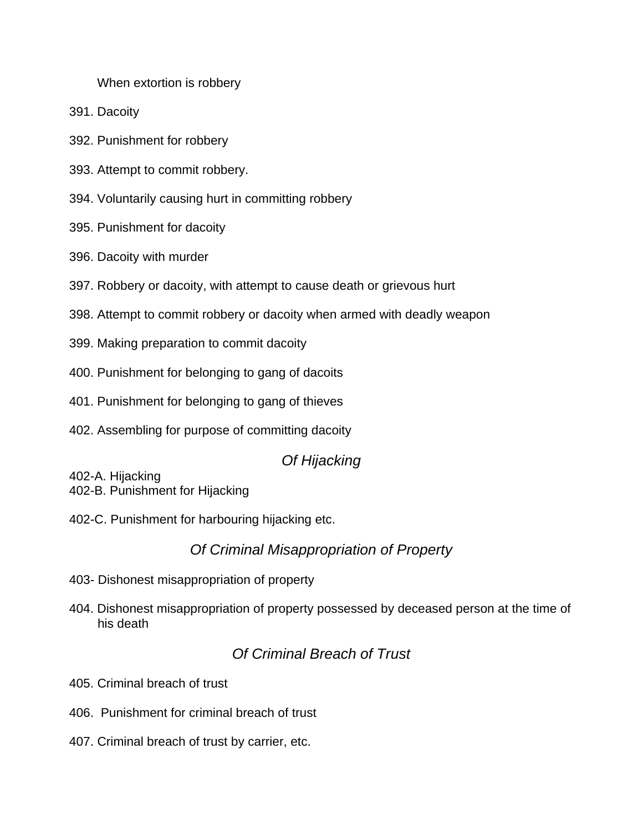When extortion is robbery

391. Dacoity

392. Punishment for robbery

- 393. Attempt to commit robbery.
- 394. Voluntarily causing hurt in committing robbery
- 395. Punishment for dacoity
- 396. Dacoity with murder
- 397. Robbery or dacoity, with attempt to cause death or grievous hurt
- 398. Attempt to commit robbery or dacoity when armed with deadly weapon
- 399. Making preparation to commit dacoity
- 400. Punishment for belonging to gang of dacoits
- 401. Punishment for belonging to gang of thieves
- 402. Assembling for purpose of committing dacoity

#### *Of Hijacking*

402-A. Hijacking

- 402-B. Punishment for Hijacking
- 402-C. Punishment for harbouring hijacking etc.

#### *Of Criminal Misappropriation of Property*

- 403- Dishonest misappropriation of property
- 404. Dishonest misappropriation of property possessed by deceased person at the time of his death

#### *Of Criminal Breach of Trust*

- 405. Criminal breach of trust
- 406. Punishment for criminal breach of trust
- 407. Criminal breach of trust by carrier, etc.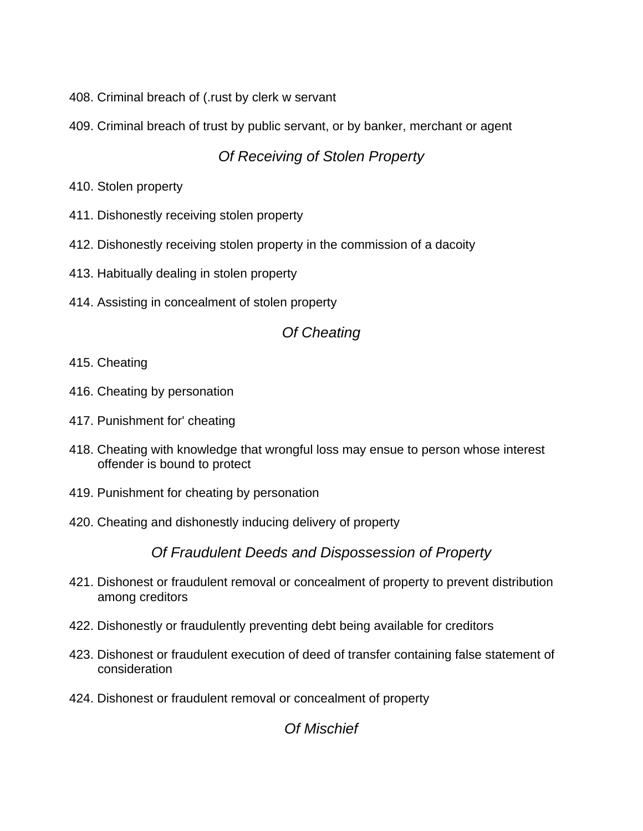- 408. Criminal breach of (.rust by clerk w servant
- 409. Criminal breach of trust by public servant, or by banker, merchant or agent

#### *Of Receiving of Stolen Property*

- 410. Stolen property
- 411. Dishonestly receiving stolen property
- 412. Dishonestly receiving stolen property in the commission of a dacoity
- 413. Habitually dealing in stolen property
- 414. Assisting in concealment of stolen property

#### *Of Cheating*

- 415. Cheating
- 416. Cheating by personation
- 417. Punishment for' cheating
- 418. Cheating with knowledge that wrongful loss may ensue to person whose interest offender is bound to protect
- 419. Punishment for cheating by personation
- 420. Cheating and dishonestly inducing delivery of property

*Of Fraudulent Deeds and Dispossession of Property* 

- 421. Dishonest or fraudulent removal or concealment of property to prevent distribution among creditors
- 422. Dishonestly or fraudulently preventing debt being available for creditors
- 423. Dishonest or fraudulent execution of deed of transfer containing false statement of consideration
- 424. Dishonest or fraudulent removal or concealment of property

*Of Mischief*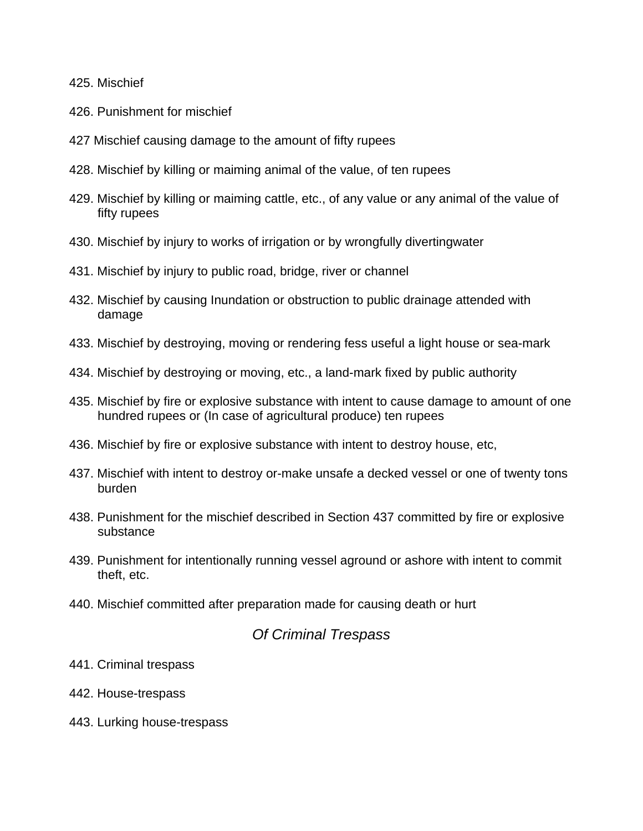425. Mischief

- 426. Punishment for mischief
- 427 Mischief causing damage to the amount of fifty rupees
- 428. Mischief by killing or maiming animal of the value, of ten rupees
- 429. Mischief by killing or maiming cattle, etc., of any value or any animal of the value of fifty rupees
- 430. Mischief by injury to works of irrigation or by wrongfully divertingwater
- 431. Mischief by injury to public road, bridge, river or channel
- 432. Mischief by causing Inundation or obstruction to public drainage attended with damage
- 433. Mischief by destroying, moving or rendering fess useful a light house or sea-mark
- 434. Mischief by destroying or moving, etc., a land-mark fixed by public authority
- 435. Mischief by fire or explosive substance with intent to cause damage to amount of one hundred rupees or (In case of agricultural produce) ten rupees
- 436. Mischief by fire or explosive substance with intent to destroy house, etc,
- 437. Mischief with intent to destroy or-make unsafe a decked vessel or one of twenty tons burden
- 438. Punishment for the mischief described in Section 437 committed by fire or explosive substance
- 439. Punishment for intentionally running vessel aground or ashore with intent to commit theft, etc.
- 440. Mischief committed after preparation made for causing death or hurt

#### *Of Criminal Trespass*

- 441. Criminal trespass
- 442. House-trespass
- 443. Lurking house-trespass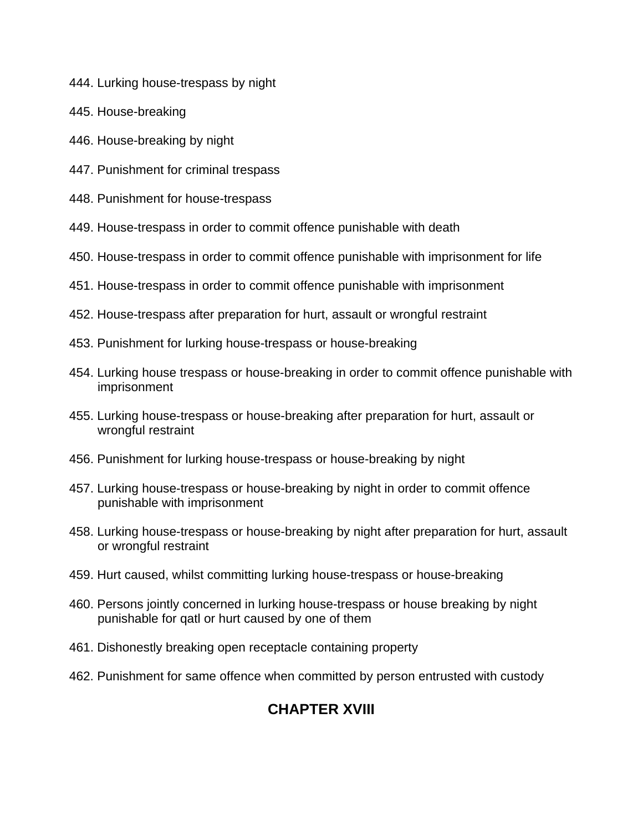- 444. Lurking house-trespass by night
- 445. House-breaking
- 446. House-breaking by night
- 447. Punishment for criminal trespass
- 448. Punishment for house-trespass
- 449. House-trespass in order to commit offence punishable with death
- 450. House-trespass in order to commit offence punishable with imprisonment for life
- 451. House-trespass in order to commit offence punishable with imprisonment
- 452. House-trespass after preparation for hurt, assault or wrongful restraint
- 453. Punishment for lurking house-trespass or house-breaking
- 454. Lurking house trespass or house-breaking in order to commit offence punishable with imprisonment
- 455. Lurking house-trespass or house-breaking after preparation for hurt, assault or wrongful restraint
- 456. Punishment for lurking house-trespass or house-breaking by night
- 457. Lurking house-trespass or house-breaking by night in order to commit offence punishable with imprisonment
- 458. Lurking house-trespass or house-breaking by night after preparation for hurt, assault or wrongful restraint
- 459. Hurt caused, whilst committing lurking house-trespass or house-breaking
- 460. Persons jointly concerned in lurking house-trespass or house breaking by night punishable for qatl or hurt caused by one of them
- 461. Dishonestly breaking open receptacle containing property
- 462. Punishment for same offence when committed by person entrusted with custody

#### **CHAPTER XVIII**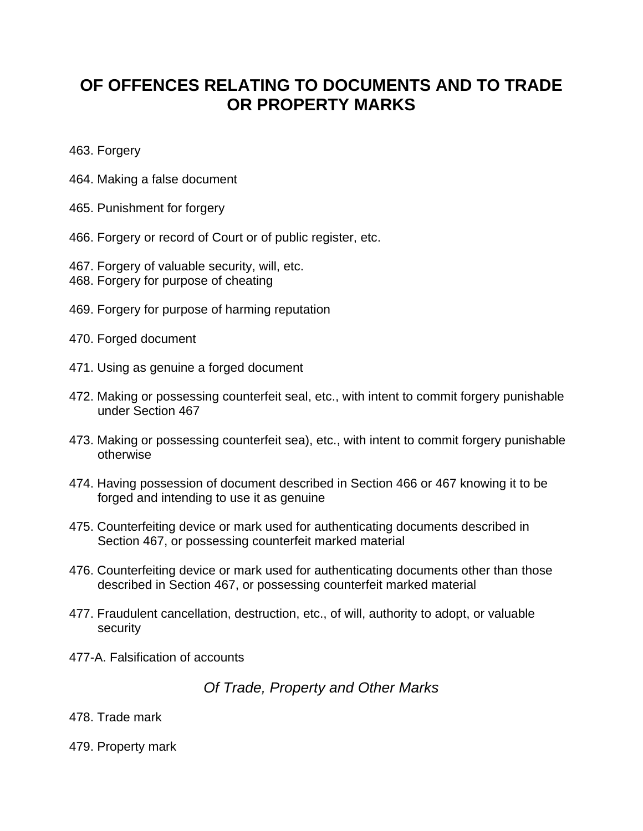## **OF OFFENCES RELATING TO DOCUMENTS AND TO TRADE OR PROPERTY MARKS**

463. Forgery

- 464. Making a false document
- 465. Punishment for forgery
- 466. Forgery or record of Court or of public register, etc.
- 467. Forgery of valuable security, will, etc.
- 468. Forgery for purpose of cheating
- 469. Forgery for purpose of harming reputation
- 470. Forged document
- 471. Using as genuine a forged document
- 472. Making or possessing counterfeit seal, etc., with intent to commit forgery punishable under Section 467
- 473. Making or possessing counterfeit sea), etc., with intent to commit forgery punishable otherwise
- 474. Having possession of document described in Section 466 or 467 knowing it to be forged and intending to use it as genuine
- 475. Counterfeiting device or mark used for authenticating documents described in Section 467, or possessing counterfeit marked material
- 476. Counterfeiting device or mark used for authenticating documents other than those described in Section 467, or possessing counterfeit marked material
- 477. Fraudulent cancellation, destruction, etc., of will, authority to adopt, or valuable security
- 477-A. Falsification of accounts

*Of Trade, Property and Other Marks* 

- 478. Trade mark
- 479. Property mark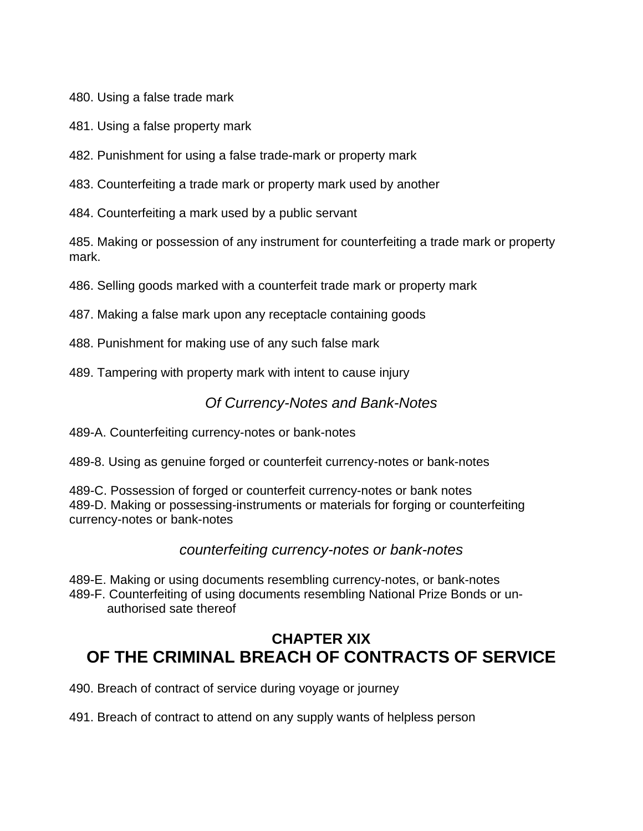480. Using a false trade mark

481. Using a false property mark

482. Punishment for using a false trade-mark or property mark

483. Counterfeiting a trade mark or property mark used by another

484. Counterfeiting a mark used by a public servant

485. Making or possession of any instrument for counterfeiting a trade mark or property mark.

486. Selling goods marked with a counterfeit trade mark or property mark

487. Making a false mark upon any receptacle containing goods

488. Punishment for making use of any such false mark

489. Tampering with property mark with intent to cause injury

#### *Of Currency-Notes and Bank-Notes*

489-A. Counterfeiting currency-notes or bank-notes

489-8. Using as genuine forged or counterfeit currency-notes or bank-notes

489-C. Possession of forged or counterfeit currency-notes or bank notes 489-D. Making or possessing-instruments or materials for forging or counterfeiting currency-notes or bank-notes

#### *counterfeiting currency-notes or bank-notes*

489-E. Making or using documents resembling currency-notes, or bank-notes 489-F. Counterfeiting of using documents resembling National Prize Bonds or unauthorised sate thereof

### **CHAPTER XIX OF THE CRIMINAL BREACH OF CONTRACTS OF SERVICE**

490. Breach of contract of service during voyage or journey

491. Breach of contract to attend on any supply wants of helpless person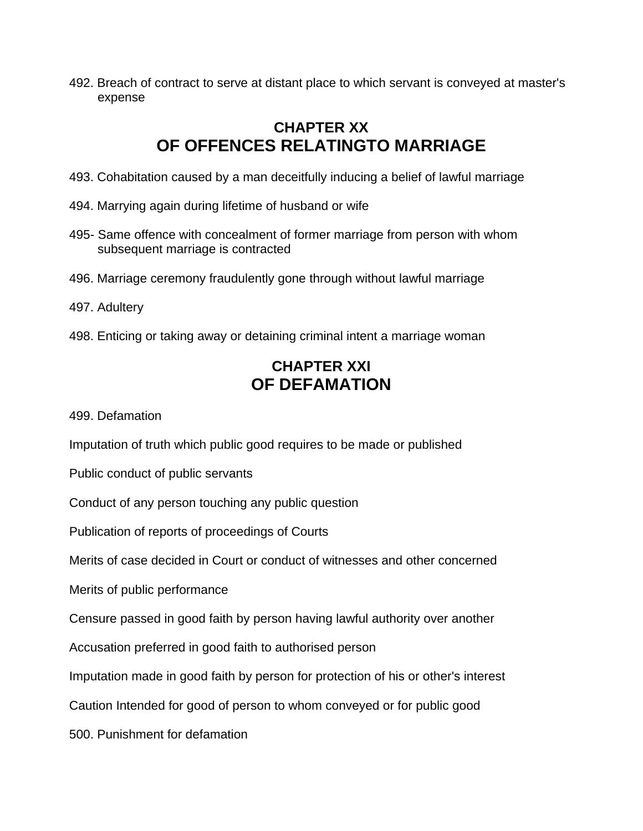492. Breach of contract to serve at distant place to which servant is conveyed at master's expense

### **CHAPTER XX OF OFFENCES RELATINGTO MARRIAGE**

- 493. Cohabitation caused by a man deceitfully inducing a belief of lawful marriage
- 494. Marrying again during lifetime of husband or wife
- 495- Same offence with concealment of former marriage from person with whom subsequent marriage is contracted
- 496. Marriage ceremony fraudulently gone through without lawful marriage
- 497. Adultery
- 498. Enticing or taking away or detaining criminal intent a marriage woman

### **CHAPTER XXI OF DEFAMATION**

499. Defamation

Imputation of truth which public good requires to be made or published

Public conduct of public servants

Conduct of any person touching any public question

Publication of reports of proceedings of Courts

Merits of case decided in Court or conduct of witnesses and other concerned

Merits of public performance

Censure passed in good faith by person having lawful authority over another

Accusation preferred in good faith to authorised person

Imputation made in good faith by person for protection of his or other's interest

Caution Intended for good of person to whom conveyed or for public good

500. Punishment for defamation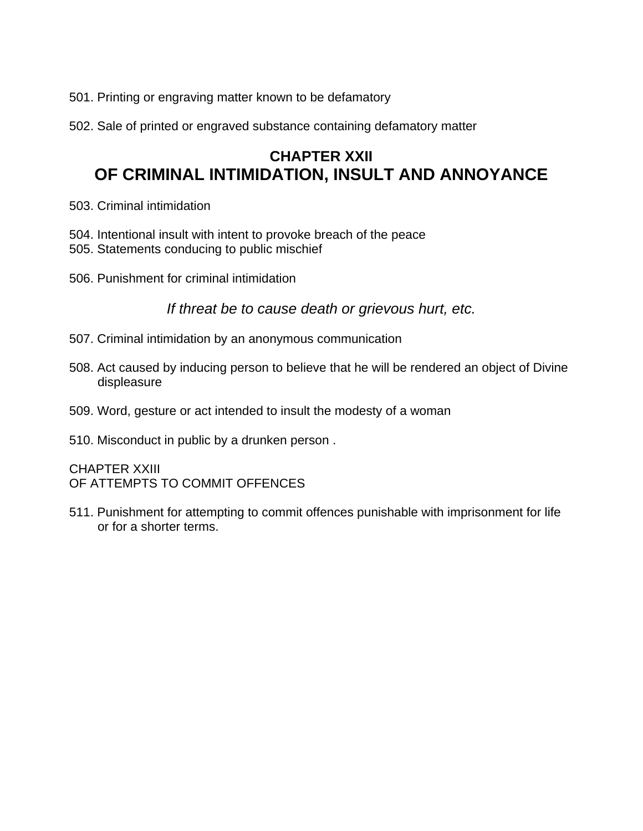- 501. Printing or engraving matter known to be defamatory
- 502. Sale of printed or engraved substance containing defamatory matter

#### **CHAPTER XXII OF CRIMINAL INTIMIDATION, INSULT AND ANNOYANCE**

- 503. Criminal intimidation
- 504. Intentional insult with intent to provoke breach of the peace
- 505. Statements conducing to public mischief
- 506. Punishment for criminal intimidation

*If threat be to cause death or grievous hurt, etc.* 

- 507. Criminal intimidation by an anonymous communication
- 508. Act caused by inducing person to believe that he will be rendered an object of Divine displeasure
- 509. Word, gesture or act intended to insult the modesty of a woman
- 510. Misconduct in public by a drunken person .

CHAPTER XXIII OF ATTEMPTS TO COMMIT OFFENCES

511. Punishment for attempting to commit offences punishable with imprisonment for life or for a shorter terms.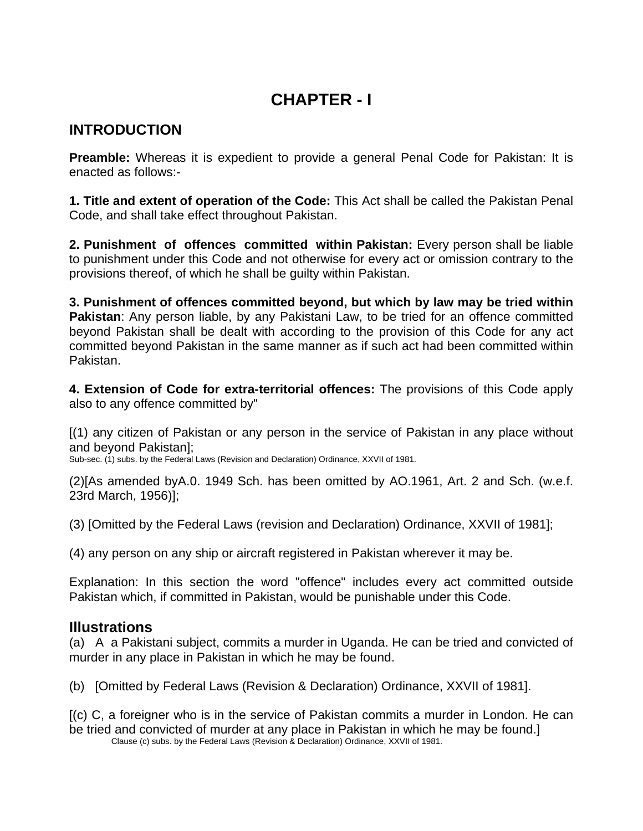## **CHAPTER - I**

#### **INTRODUCTION**

**Preamble:** Whereas it is expedient to provide a general Penal Code for Pakistan: It is enacted as follows:-

**1. Title and extent of operation of the Code:** This Act shall be called the Pakistan Penal Code, and shall take effect throughout Pakistan.

**2. Punishment of offences committed within Pakistan:** Every person shall be liable to punishment under this Code and not otherwise for every act or omission contrary to the provisions thereof, of which he shall be guilty within Pakistan.

**3. Punishment of offences committed beyond, but which by law may be tried within Pakistan**: Any person liable, by any Pakistani Law, to be tried for an offence committed beyond Pakistan shall be dealt with according to the provision of this Code for any act committed beyond Pakistan in the same manner as if such act had been committed within Pakistan.

**4. Extension of Code for extra-territorial offences:** The provisions of this Code apply also to any offence committed by"

[(1) any citizen of Pakistan or any person in the service of Pakistan in any place without and beyond Pakistan];

Sub-sec. (1) subs. by the Federal Laws (Revision and Declaration) Ordinance, XXVII of 1981.

(2)[As amended byA.0. 1949 Sch. has been omitted by AO.1961, Art. 2 and Sch. (w.e.f. 23rd March, 1956)];

(3) [Omitted by the Federal Laws (revision and Declaration) Ordinance, XXVII of 1981];

(4) any person on any ship or aircraft registered in Pakistan wherever it may be.

Explanation: In this section the word "offence" includes every act committed outside Pakistan which, if committed in Pakistan, would be punishable under this Code.

#### **Illustrations**

(a) A a Pakistani subject, commits a murder in Uganda. He can be tried and convicted of murder in any place in Pakistan in which he may be found.

(b) [Omitted by Federal Laws (Revision & Declaration) Ordinance, XXVII of 1981].

[(c) C, a foreigner who is in the service of Pakistan commits a murder in London. He can be tried and convicted of murder at any place in Pakistan in which he may be found.]<br>Clause (c) subs. by the Federal Laws (Revision & Declaration) Ordinance, XXVII of 1981.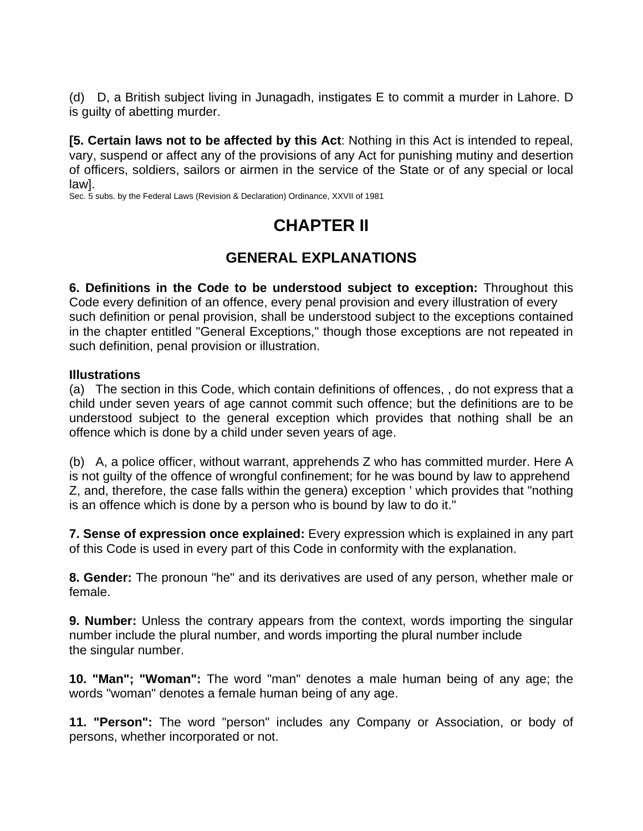(d) D, a British subject living in Junagadh, instigates E to commit a murder in Lahore. D is guilty of abetting murder.

**[5. Certain laws not to be affected by this Act**: Nothing in this Act is intended to repeal, vary, suspend or affect any of the provisions of any Act for punishing mutiny and desertion of officers, soldiers, sailors or airmen in the service of the State or of any special or local law].

Sec. 5 subs. by the Federal Laws (Revision & Declaration) Ordinance, XXVII of 1981

## **CHAPTER II**

### **GENERAL EXPLANATIONS**

**6. Definitions in the Code to be understood subject to exception:** Throughout this Code every definition of an offence, every penal provision and every illustration of every such definition or penal provision, shall be understood subject to the exceptions contained in the chapter entitled "General Exceptions," though those exceptions are not repeated in such definition, penal provision or illustration.

#### **Illustrations**

(a) The section in this Code, which contain definitions of offences, , do not express that a child under seven years of age cannot commit such offence; but the definitions are to be understood subject to the general exception which provides that nothing shall be an offence which is done by a child under seven years of age.

(b) A, a police officer, without warrant, apprehends Z who has committed murder. Here A is not guilty of the offence of wrongful confinement; for he was bound by law to apprehend Z, and, therefore, the case falls within the genera) exception ' which provides that "nothing is an offence which is done by a person who is bound by law to do it."

**7. Sense of expression once explained:** Every expression which is explained in any part of this Code is used in every part of this Code in conformity with the explanation.

**8. Gender:** The pronoun "he" and its derivatives are used of any person, whether male or female.

**9. Number:** Unless the contrary appears from the context, words importing the singular number include the plural number, and words importing the plural number include the singular number.

**10. "Man"; "Woman":** The word "man" denotes a male human being of any age; the words "woman" denotes a female human being of any age.

**11. "Person":** The word "person" includes any Company or Association, or body of persons, whether incorporated or not.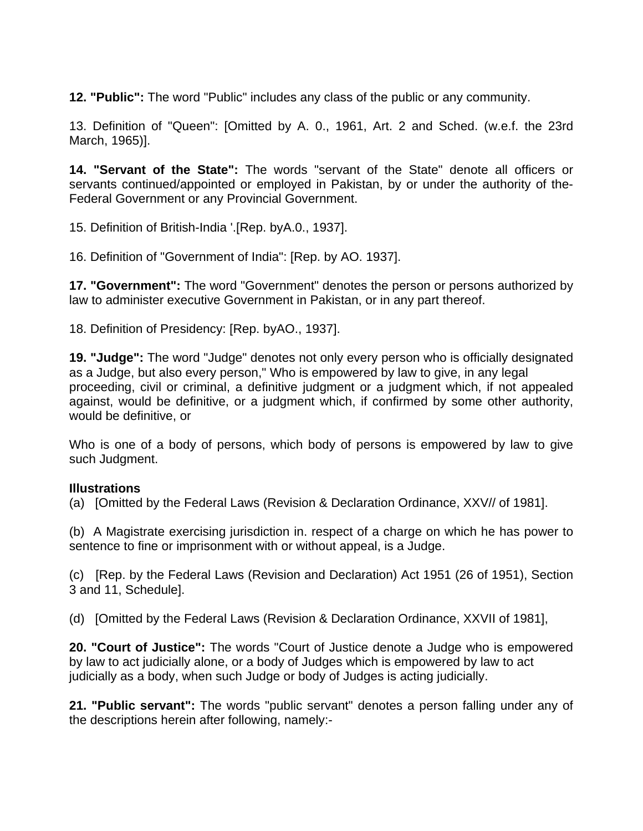**12. "Public":** The word "Public" includes any class of the public or any community.

13. Definition of "Queen": [Omitted by A. 0., 1961, Art. 2 and Sched. (w.e.f. the 23rd March, 1965)].

**14. "Servant of the State":** The words "servant of the State" denote all officers or servants continued/appointed or employed in Pakistan, by or under the authority of the-Federal Government or any Provincial Government.

15. Definition of British-India '.[Rep. byA.0., 1937].

16. Definition of "Government of India": [Rep. by AO. 1937].

**17. "Government":** The word "Government" denotes the person or persons authorized by law to administer executive Government in Pakistan, or in any part thereof.

18. Definition of Presidency: [Rep. byAO., 1937].

**19. "Judge":** The word "Judge" denotes not only every person who is officially designated as a Judge, but also every person," Who is empowered by law to give, in any legal proceeding, civil or criminal, a definitive judgment or a judgment which, if not appealed against, would be definitive, or a judgment which, if confirmed by some other authority, would be definitive, or

Who is one of a body of persons, which body of persons is empowered by law to give such Judgment.

#### **Illustrations**

(a) [Omitted by the Federal Laws (Revision & Declaration Ordinance, XXV// of 1981].

(b) A Magistrate exercising jurisdiction in. respect of a charge on which he has power to sentence to fine or imprisonment with or without appeal, is a Judge.

(c) [Rep. by the Federal Laws (Revision and Declaration) Act 1951 (26 of 1951), Section 3 and 11, Schedule].

(d) [Omitted by the Federal Laws (Revision & Declaration Ordinance, XXVII of 1981],

**20. "Court of Justice":** The words "Court of Justice denote a Judge who is empowered by law to act judicially alone, or a body of Judges which is empowered by law to act judicially as a body, when such Judge or body of Judges is acting judicially.

**21. "Public servant":** The words "public servant" denotes a person falling under any of the descriptions herein after following, namely:-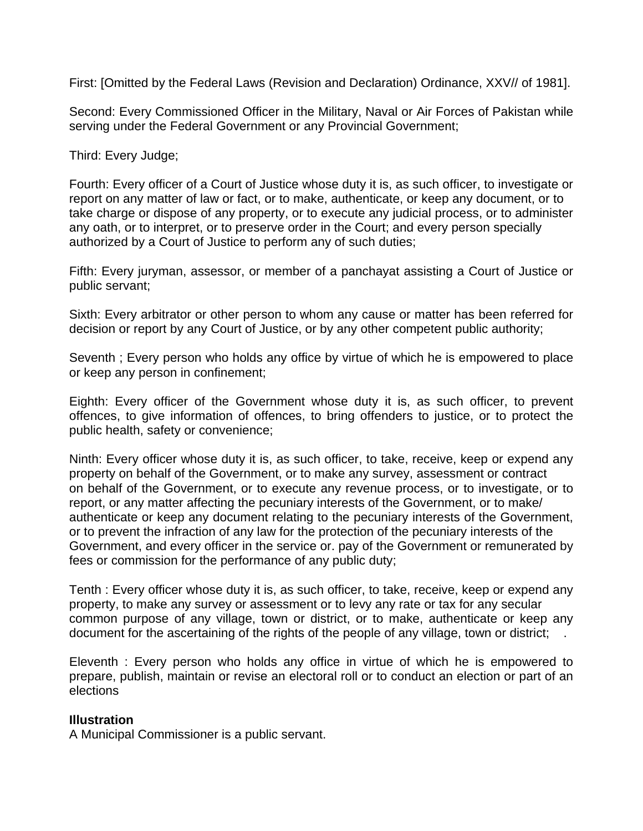First: [Omitted by the Federal Laws (Revision and Declaration) Ordinance, XXV// of 1981].

Second: Every Commissioned Officer in the Military, Naval or Air Forces of Pakistan while serving under the Federal Government or any Provincial Government;

Third: Every Judge;

Fourth: Every officer of a Court of Justice whose duty it is, as such officer, to investigate or report on any matter of law or fact, or to make, authenticate, or keep any document, or to take charge or dispose of any property, or to execute any judicial process, or to administer any oath, or to interpret, or to preserve order in the Court; and every person specially authorized by a Court of Justice to perform any of such duties;

Fifth: Every juryman, assessor, or member of a panchayat assisting a Court of Justice or public servant;

Sixth: Every arbitrator or other person to whom any cause or matter has been referred for decision or report by any Court of Justice, or by any other competent public authority;

Seventh ; Every person who holds any office by virtue of which he is empowered to place or keep any person in confinement;

Eighth: Every officer of the Government whose duty it is, as such officer, to prevent offences, to give information of offences, to bring offenders to justice, or to protect the public health, safety or convenience;

Ninth: Every officer whose duty it is, as such officer, to take, receive, keep or expend any property on behalf of the Government, or to make any survey, assessment or contract on behalf of the Government, or to execute any revenue process, or to investigate, or to report, or any matter affecting the pecuniary interests of the Government, or to make/ authenticate or keep any document relating to the pecuniary interests of the Government, or to prevent the infraction of any law for the protection of the pecuniary interests of the Government, and every officer in the service or. pay of the Government or remunerated by fees or commission for the performance of any public duty;

Tenth : Every officer whose duty it is, as such officer, to take, receive, keep or expend any property, to make any survey or assessment or to levy any rate or tax for any secular common purpose of any village, town or district, or to make, authenticate or keep any document for the ascertaining of the rights of the people of any village, town or district;

Eleventh : Every person who holds any office in virtue of which he is empowered to prepare, publish, maintain or revise an electoral roll or to conduct an election or part of an elections

#### **Illustration**

A Municipal Commissioner is a public servant.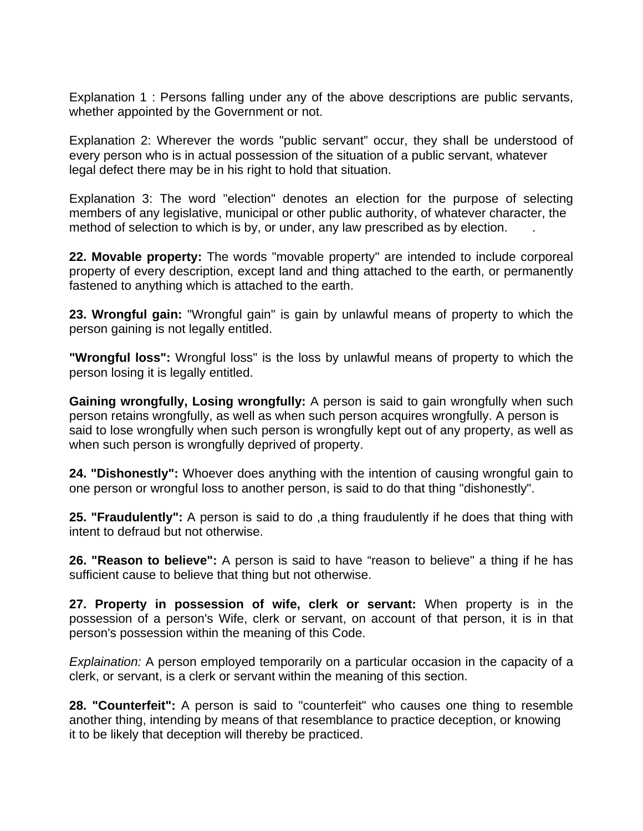Explanation 1 : Persons falling under any of the above descriptions are public servants, whether appointed by the Government or not.

Explanation 2: Wherever the words "public servant" occur, they shall be understood of every person who is in actual possession of the situation of a public servant, whatever legal defect there may be in his right to hold that situation.

Explanation 3: The word "election" denotes an election for the purpose of selecting members of any legislative, municipal or other public authority, of whatever character, the method of selection to which is by, or under, any law prescribed as by election. .

**22. Movable property:** The words "movable property" are intended to include corporeal property of every description, except land and thing attached to the earth, or permanently fastened to anything which is attached to the earth.

**23. Wrongful gain:** "Wrongful gain" is gain by unlawful means of property to which the person gaining is not legally entitled.

**"Wrongful loss":** Wrongful loss" is the loss by unlawful means of property to which the person losing it is legally entitled.

**Gaining wrongfully, Losing wrongfully:** A person is said to gain wrongfully when such person retains wrongfully, as well as when such person acquires wrongfully. A person is said to lose wrongfully when such person is wrongfully kept out of any property, as well as when such person is wrongfully deprived of property.

**24. "Dishonestly":** Whoever does anything with the intention of causing wrongful gain to one person or wrongful loss to another person, is said to do that thing "dishonestly".

**25. "Fraudulently":** A person is said to do ,a thing fraudulently if he does that thing with intent to defraud but not otherwise.

**26. "Reason to believe":** A person is said to have "reason to believe" a thing if he has sufficient cause to believe that thing but not otherwise.

**27. Property in possession of wife, clerk or servant:** When property is in the possession of a person's Wife, clerk or servant, on account of that person, it is in that person's possession within the meaning of this Code.

*Explaination:* A person employed temporarily on a particular occasion in the capacity of a clerk, or servant, is a clerk or servant within the meaning of this section.

**28. "Counterfeit":** A person is said to "counterfeit" who causes one thing to resemble another thing, intending by means of that resemblance to practice deception, or knowing it to be likely that deception will thereby be practiced.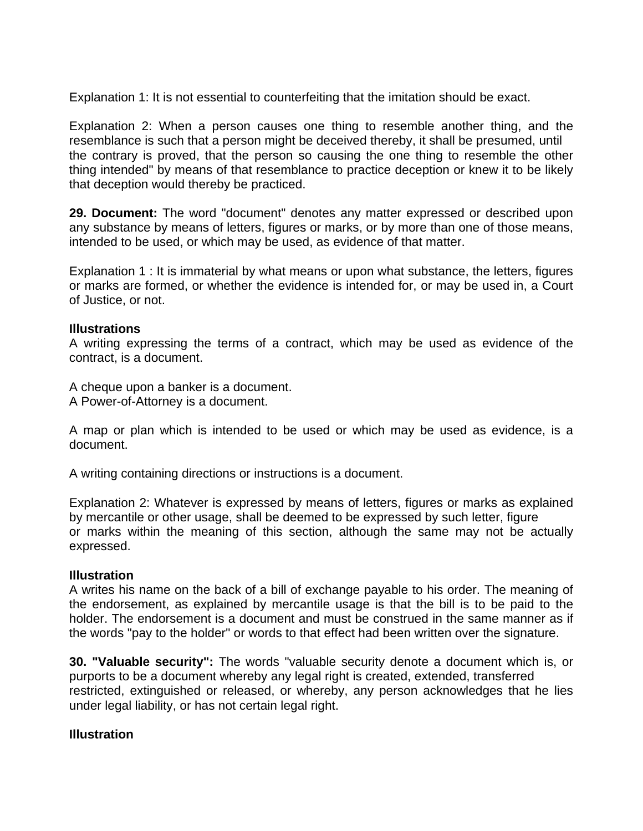Explanation 1: It is not essential to counterfeiting that the imitation should be exact.

Explanation 2: When a person causes one thing to resemble another thing, and the resemblance is such that a person might be deceived thereby, it shall be presumed, until the contrary is proved, that the person so causing the one thing to resemble the other thing intended" by means of that resemblance to practice deception or knew it to be likely that deception would thereby be practiced.

**29. Document:** The word "document" denotes any matter expressed or described upon any substance by means of letters, figures or marks, or by more than one of those means, intended to be used, or which may be used, as evidence of that matter.

Explanation 1 : It is immaterial by what means or upon what substance, the letters, figures or marks are formed, or whether the evidence is intended for, or may be used in, a Court of Justice, or not.

#### **Illustrations**

A writing expressing the terms of a contract, which may be used as evidence of the contract, is a document.

A cheque upon a banker is a document. A Power-of-Attorney is a document.

A map or plan which is intended to be used or which may be used as evidence, is a document.

A writing containing directions or instructions is a document.

Explanation 2: Whatever is expressed by means of letters, figures or marks as explained by mercantile or other usage, shall be deemed to be expressed by such letter, figure or marks within the meaning of this section, although the same may not be actually expressed.

## **Illustration**

A writes his name on the back of a bill of exchange payable to his order. The meaning of the endorsement, as explained by mercantile usage is that the bill is to be paid to the holder. The endorsement is a document and must be construed in the same manner as if the words "pay to the holder" or words to that effect had been written over the signature.

**30. "Valuable security":** The words "valuable security denote a document which is, or purports to be a document whereby any legal right is created, extended, transferred restricted, extinguished or released, or whereby, any person acknowledges that he lies under legal liability, or has not certain legal right.

## **Illustration**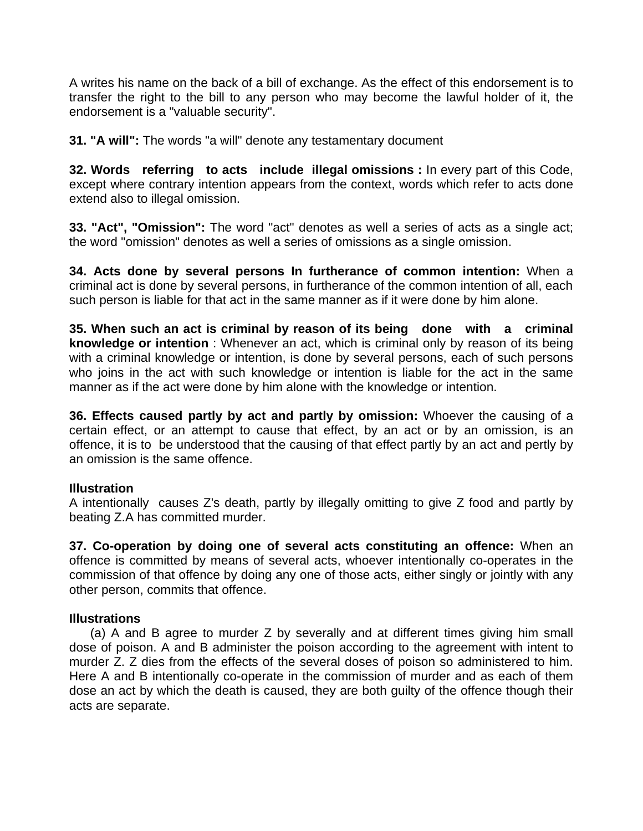A writes his name on the back of a bill of exchange. As the effect of this endorsement is to transfer the right to the bill to any person who may become the lawful holder of it, the endorsement is a "valuable security".

**31. "A will":** The words "a will" denote any testamentary document

**32. Words referring to acts include illegal omissions :** In every part of this Code, except where contrary intention appears from the context, words which refer to acts done extend also to illegal omission.

**33. "Act", "Omission":** The word "act" denotes as well a series of acts as a single act; the word "omission" denotes as well a series of omissions as a single omission.

**34. Acts done by several persons In furtherance of common intention:** When a criminal act is done by several persons, in furtherance of the common intention of all, each such person is liable for that act in the same manner as if it were done by him alone.

**35. When such an act is criminal by reason of its being done with a criminal knowledge or intention** : Whenever an act, which is criminal only by reason of its being with a criminal knowledge or intention, is done by several persons, each of such persons who joins in the act with such knowledge or intention is liable for the act in the same manner as if the act were done by him alone with the knowledge or intention.

**36. Effects caused partly by act and partly by omission:** Whoever the causing of a certain effect, or an attempt to cause that effect, by an act or by an omission, is an offence, it is to be understood that the causing of that effect partly by an act and pertly by an omission is the same offence.

## **Illustration**

A intentionally causes Z's death, partly by illegally omitting to give Z food and partly by beating Z.A has committed murder.

**37. Co-operation by doing one of several acts constituting an offence:** When an offence is committed by means of several acts, whoever intentionally co-operates in the commission of that offence by doing any one of those acts, either singly or jointly with any other person, commits that offence.

## **Illustrations**

 (a) A and B agree to murder Z by severally and at different times giving him small dose of poison. A and B administer the poison according to the agreement with intent to murder Z. Z dies from the effects of the several doses of poison so administered to him. Here A and B intentionally co-operate in the commission of murder and as each of them dose an act by which the death is caused, they are both guilty of the offence though their acts are separate.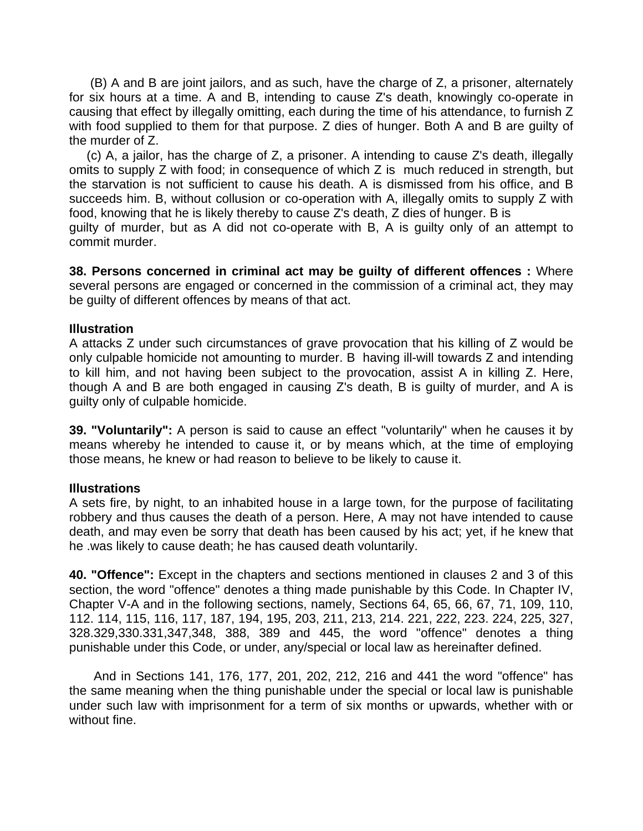(B) A and B are joint jailors, and as such, have the charge of Z, a prisoner, alternately for six hours at a time. A and B, intending to cause Z's death, knowingly co-operate in causing that effect by illegally omitting, each during the time of his attendance, to furnish Z with food supplied to them for that purpose. Z dies of hunger. Both A and B are guilty of the murder of Z.

 (c) A, a jailor, has the charge of Z, a prisoner. A intending to cause Z's death, illegally omits to supply Z with food; in consequence of which Z is much reduced in strength, but the starvation is not sufficient to cause his death. A is dismissed from his office, and B succeeds him. B, without collusion or co-operation with A, illegally omits to supply Z with food, knowing that he is likely thereby to cause Z's death, Z dies of hunger. B is guilty of murder, but as A did not co-operate with B, A is guilty only of an attempt to commit murder.

**38. Persons concerned in criminal act may be guilty of different offences :** Where several persons are engaged or concerned in the commission of a criminal act, they may be guilty of different offences by means of that act.

#### **Illustration**

A attacks Z under such circumstances of grave provocation that his killing of Z would be only culpable homicide not amounting to murder. B having ill-will towards Z and intending to kill him, and not having been subject to the provocation, assist A in killing Z. Here, though A and B are both engaged in causing Z's death, B is guilty of murder, and A is guilty only of culpable homicide.

**39. "Voluntarily":** A person is said to cause an effect "voluntarily" when he causes it by means whereby he intended to cause it, or by means which, at the time of employing those means, he knew or had reason to believe to be likely to cause it.

#### **Illustrations**

A sets fire, by night, to an inhabited house in a large town, for the purpose of facilitating robbery and thus causes the death of a person. Here, A may not have intended to cause death, and may even be sorry that death has been caused by his act; yet, if he knew that he .was likely to cause death; he has caused death voluntarily.

**40. "Offence":** Except in the chapters and sections mentioned in clauses 2 and 3 of this section, the word "offence" denotes a thing made punishable by this Code. In Chapter IV, Chapter V-A and in the following sections, namely, Sections 64, 65, 66, 67, 71, 109, 110, 112. 114, 115, 116, 117, 187, 194, 195, 203, 211, 213, 214. 221, 222, 223. 224, 225, 327, 328.329,330.331,347,348, 388, 389 and 445, the word "offence" denotes a thing punishable under this Code, or under, any/special or local law as hereinafter defined.

 And in Sections 141, 176, 177, 201, 202, 212, 216 and 441 the word "offence" has the same meaning when the thing punishable under the special or local law is punishable under such law with imprisonment for a term of six months or upwards, whether with or without fine.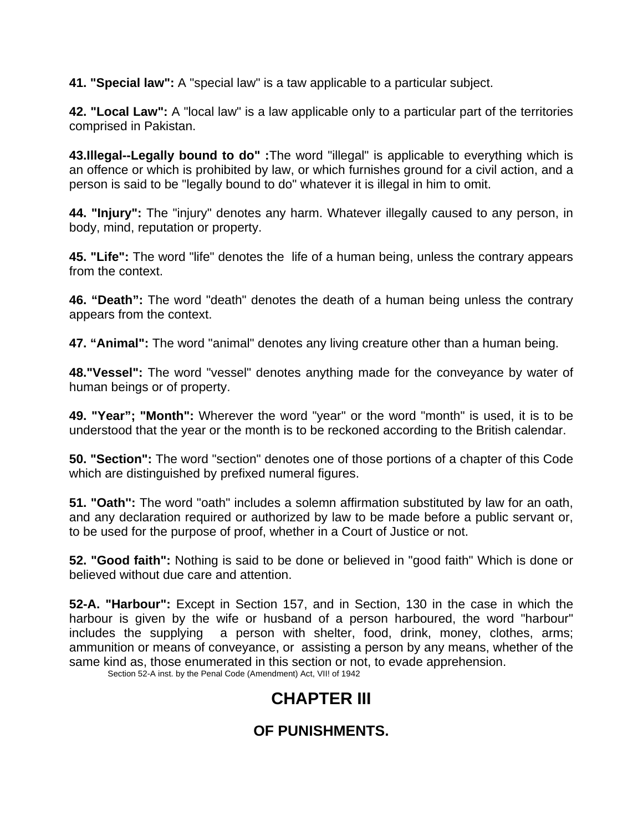**41. "Special law":** A "special law" is a taw applicable to a particular subject.

**42. "Local Law":** A "local law" is a law applicable only to a particular part of the territories comprised in Pakistan.

**43.Illegal--Legally bound to do" :**The word "illegal" is applicable to everything which is an offence or which is prohibited by law, or which furnishes ground for a civil action, and a person is said to be "legally bound to do" whatever it is illegal in him to omit.

**44. "Injury":** The "injury" denotes any harm. Whatever illegally caused to any person, in body, mind, reputation or property.

**45. "Life":** The word "life" denotes the life of a human being, unless the contrary appears from the context.

**46. "Death":** The word "death" denotes the death of a human being unless the contrary appears from the context.

**47. "Animal":** The word "animal" denotes any living creature other than a human being.

**48."Vessel":** The word "vessel" denotes anything made for the conveyance by water of human beings or of property.

**49. "Year"; "Month":** Wherever the word "year" or the word "month" is used, it is to be understood that the year or the month is to be reckoned according to the British calendar.

**50. "Section":** The word "section" denotes one of those portions of a chapter of this Code which are distinguished by prefixed numeral figures.

**51. "Oath'':** The word "oath" includes a solemn affirmation substituted by law for an oath, and any declaration required or authorized by law to be made before a public servant or, to be used for the purpose of proof, whether in a Court of Justice or not.

**52. "Good faith":** Nothing is said to be done or believed in "good faith" Which is done or believed without due care and attention.

**52-A. "Harbour":** Except in Section 157, and in Section, 130 in the case in which the harbour is given by the wife or husband of a person harboured, the word "harbour" includes the supplying a person with shelter, food, drink, money, clothes, arms; ammunition or means of conveyance, or assisting a person by any means, whether of the same kind as, those enumerated in this section or not, to evade apprehension.<br>Section 52-A inst. by the Penal Code (Amendment) Act, VII! of 1942

# **CHAPTER III**

## **OF PUNISHMENTS.**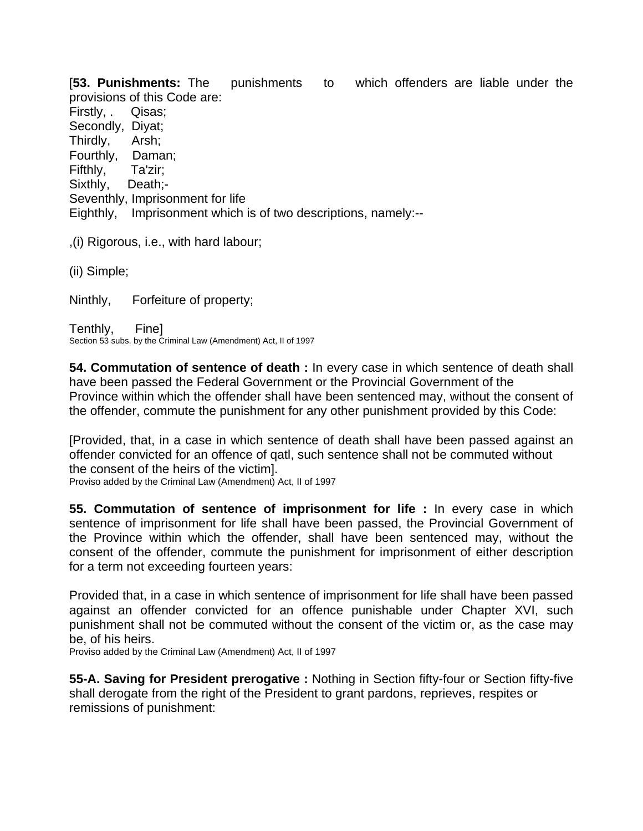[**53. Punishments:** The punishments to which offenders are liable under the provisions of this Code are: Firstly, . Qisas; Secondly, Diyat; Thirdly, Arsh; Fourthly, Daman; Fifthly, Ta'zir; Sixthly, Death;- Seventhly, Imprisonment for life Eighthly, Imprisonment which is of two descriptions, namely:--

,(i) Rigorous, i.e., with hard labour;

(ii) Simple;

Ninthly, Forfeiture of property;

Tenthly, Fine] Section 53 subs. by the Criminal Law (Amendment) Act, II of 1997

**54. Commutation of sentence of death :** In every case in which sentence of death shall have been passed the Federal Government or the Provincial Government of the Province within which the offender shall have been sentenced may, without the consent of the offender, commute the punishment for any other punishment provided by this Code:

[Provided, that, in a case in which sentence of death shall have been passed against an offender convicted for an offence of qatl, such sentence shall not be commuted without the consent of the heirs of the victim].

Proviso added by the Criminal Law (Amendment) Act, II of 1997

**55. Commutation of sentence of imprisonment for life :** In every case in which sentence of imprisonment for life shall have been passed, the Provincial Government of the Province within which the offender, shall have been sentenced may, without the consent of the offender, commute the punishment for imprisonment of either description for a term not exceeding fourteen years:

Provided that, in a case in which sentence of imprisonment for life shall have been passed against an offender convicted for an offence punishable under Chapter XVI, such punishment shall not be commuted without the consent of the victim or, as the case may be, of his heirs.

Proviso added by the Criminal Law (Amendment) Act, II of 1997

**55-A. Saving for President prerogative :** Nothing in Section fifty-four or Section fifty-five shall derogate from the right of the President to grant pardons, reprieves, respites or remissions of punishment: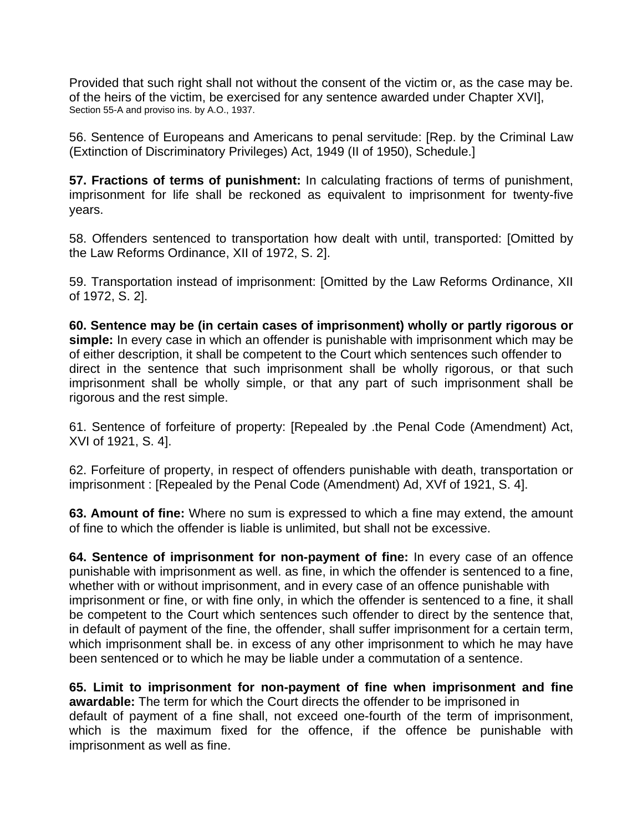Provided that such right shall not without the consent of the victim or, as the case may be. of the heirs of the victim, be exercised for any sentence awarded under Chapter XVI], Section 55-A and proviso ins. by A.O., 1937.

56. Sentence of Europeans and Americans to penal servitude: [Rep. by the Criminal Law (Extinction of Discriminatory Privileges) Act, 1949 (II of 1950), Schedule.]

**57. Fractions of terms of punishment:** In calculating fractions of terms of punishment, imprisonment for life shall be reckoned as equivalent to imprisonment for twenty-five years.

58. Offenders sentenced to transportation how dealt with until, transported: [Omitted by the Law Reforms Ordinance, XII of 1972, S. 2].

59. Transportation instead of imprisonment: [Omitted by the Law Reforms Ordinance, XII of 1972, S. 2].

**60. Sentence may be (in certain cases of imprisonment) wholly or partly rigorous or simple:** In every case in which an offender is punishable with imprisonment which may be of either description, it shall be competent to the Court which sentences such offender to direct in the sentence that such imprisonment shall be wholly rigorous, or that such imprisonment shall be wholly simple, or that any part of such imprisonment shall be rigorous and the rest simple.

61. Sentence of forfeiture of property: [Repealed by .the Penal Code (Amendment) Act, XVI of 1921, S. 4].

62. Forfeiture of property, in respect of offenders punishable with death, transportation or imprisonment : [Repealed by the Penal Code (Amendment) Ad, XVf of 1921, S. 4].

**63. Amount of fine:** Where no sum is expressed to which a fine may extend, the amount of fine to which the offender is liable is unlimited, but shall not be excessive.

**64. Sentence of imprisonment for non-payment of fine:** In every case of an offence punishable with imprisonment as well. as fine, in which the offender is sentenced to a fine, whether with or without imprisonment, and in every case of an offence punishable with imprisonment or fine, or with fine only, in which the offender is sentenced to a fine, it shall be competent to the Court which sentences such offender to direct by the sentence that, in default of payment of the fine, the offender, shall suffer imprisonment for a certain term, which imprisonment shall be. in excess of any other imprisonment to which he may have been sentenced or to which he may be liable under a commutation of a sentence.

**65. Limit to imprisonment for non-payment of fine when imprisonment and fine awardable:** The term for which the Court directs the offender to be imprisoned in default of payment of a fine shall, not exceed one-fourth of the term of imprisonment, which is the maximum fixed for the offence, if the offence be punishable with imprisonment as well as fine.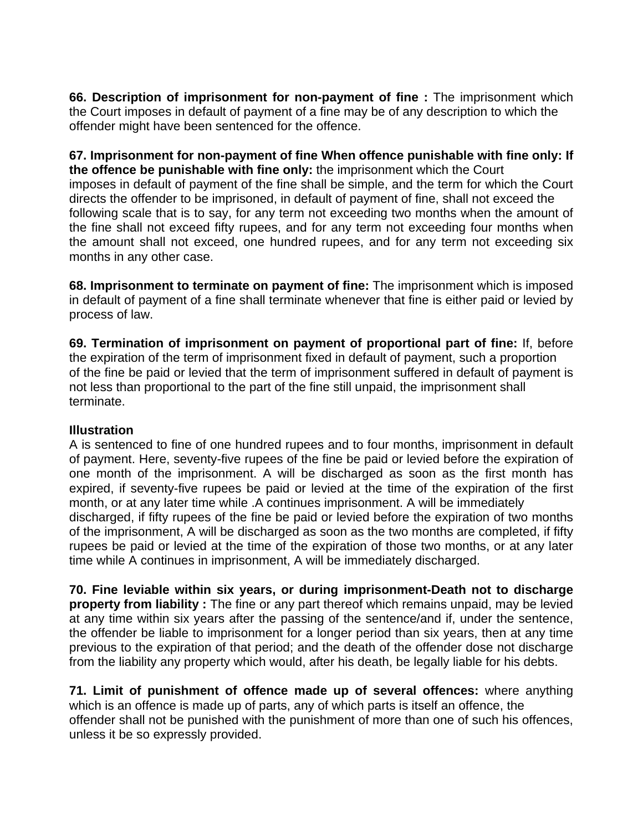**66. Description of imprisonment for non-payment of fine :** The imprisonment which the Court imposes in default of payment of a fine may be of any description to which the offender might have been sentenced for the offence.

**67. Imprisonment for non-payment of fine When offence punishable with fine only: If the offence be punishable with fine only:** the imprisonment which the Court imposes in default of payment of the fine shall be simple, and the term for which the Court directs the offender to be imprisoned, in default of payment of fine, shall not exceed the following scale that is to say, for any term not exceeding two months when the amount of the fine shall not exceed fifty rupees, and for any term not exceeding four months when the amount shall not exceed, one hundred rupees, and for any term not exceeding six months in any other case.

**68. Imprisonment to terminate on payment of fine:** The imprisonment which is imposed in default of payment of a fine shall terminate whenever that fine is either paid or levied by process of law.

**69. Termination of imprisonment on payment of proportional part of fine:** If, before the expiration of the term of imprisonment fixed in default of payment, such a proportion of the fine be paid or levied that the term of imprisonment suffered in default of payment is not less than proportional to the part of the fine still unpaid, the imprisonment shall terminate.

## **Illustration**

A is sentenced to fine of one hundred rupees and to four months, imprisonment in default of payment. Here, seventy-five rupees of the fine be paid or levied before the expiration of one month of the imprisonment. A will be discharged as soon as the first month has expired, if seventy-five rupees be paid or levied at the time of the expiration of the first month, or at any later time while .A continues imprisonment. A will be immediately discharged, if fifty rupees of the fine be paid or levied before the expiration of two months of the imprisonment, A will be discharged as soon as the two months are completed, if fifty rupees be paid or levied at the time of the expiration of those two months, or at any later time while A continues in imprisonment, A will be immediately discharged.

**70. Fine leviable within six years, or during imprisonment-Death not to discharge property from liability :** The fine or any part thereof which remains unpaid, may be levied at any time within six years after the passing of the sentence/and if, under the sentence, the offender be liable to imprisonment for a longer period than six years, then at any time previous to the expiration of that period; and the death of the offender dose not discharge from the liability any property which would, after his death, be legally liable for his debts.

**71. Limit of punishment of offence made up of several offences:** where anything which is an offence is made up of parts, any of which parts is itself an offence, the offender shall not be punished with the punishment of more than one of such his offences, unless it be so expressly provided.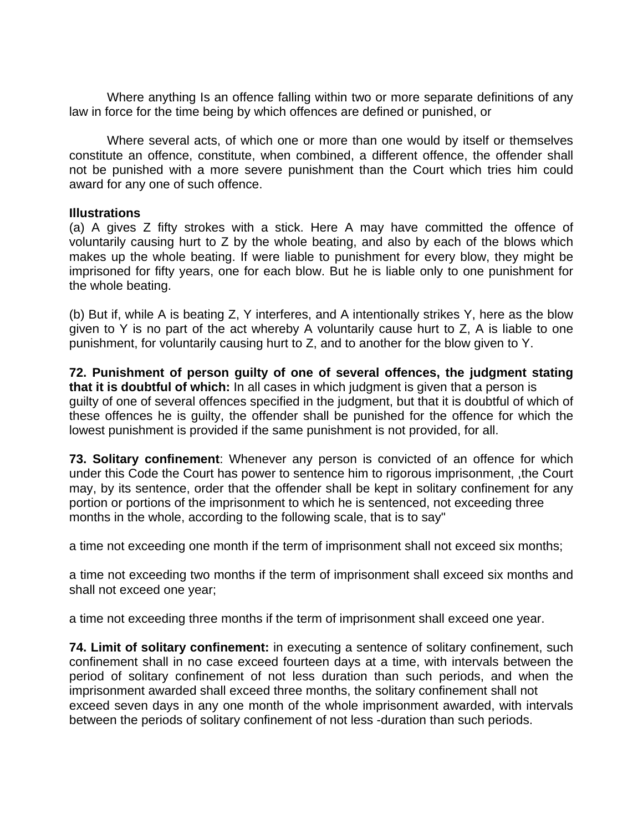Where anything Is an offence falling within two or more separate definitions of any law in force for the time being by which offences are defined or punished, or

Where several acts, of which one or more than one would by itself or themselves constitute an offence, constitute, when combined, a different offence, the offender shall not be punished with a more severe punishment than the Court which tries him could award for any one of such offence.

#### **Illustrations**

(a) A gives Z fifty strokes with a stick. Here A may have committed the offence of voluntarily causing hurt to Z by the whole beating, and also by each of the blows which makes up the whole beating. If were liable to punishment for every blow, they might be imprisoned for fifty years, one for each blow. But he is liable only to one punishment for the whole beating.

(b) But if, while A is beating Z, Y interferes, and A intentionally strikes Y, here as the blow given to Y is no part of the act whereby A voluntarily cause hurt to Z, A is liable to one punishment, for voluntarily causing hurt to Z, and to another for the blow given to Y.

**72. Punishment of person guilty of one of several offences, the judgment stating that it is doubtful of which:** In all cases in which judgment is given that a person is guilty of one of several offences specified in the judgment, but that it is doubtful of which of these offences he is guilty, the offender shall be punished for the offence for which the lowest punishment is provided if the same punishment is not provided, for all.

**73. Solitary confinement**: Whenever any person is convicted of an offence for which under this Code the Court has power to sentence him to rigorous imprisonment, ,the Court may, by its sentence, order that the offender shall be kept in solitary confinement for any portion or portions of the imprisonment to which he is sentenced, not exceeding three months in the whole, according to the following scale, that is to say"

a time not exceeding one month if the term of imprisonment shall not exceed six months;

a time not exceeding two months if the term of imprisonment shall exceed six months and shall not exceed one year;

a time not exceeding three months if the term of imprisonment shall exceed one year.

**74. Limit of solitary confinement:** in executing a sentence of solitary confinement, such confinement shall in no case exceed fourteen days at a time, with intervals between the period of solitary confinement of not less duration than such periods, and when the imprisonment awarded shall exceed three months, the solitary confinement shall not exceed seven days in any one month of the whole imprisonment awarded, with intervals between the periods of solitary confinement of not less -duration than such periods.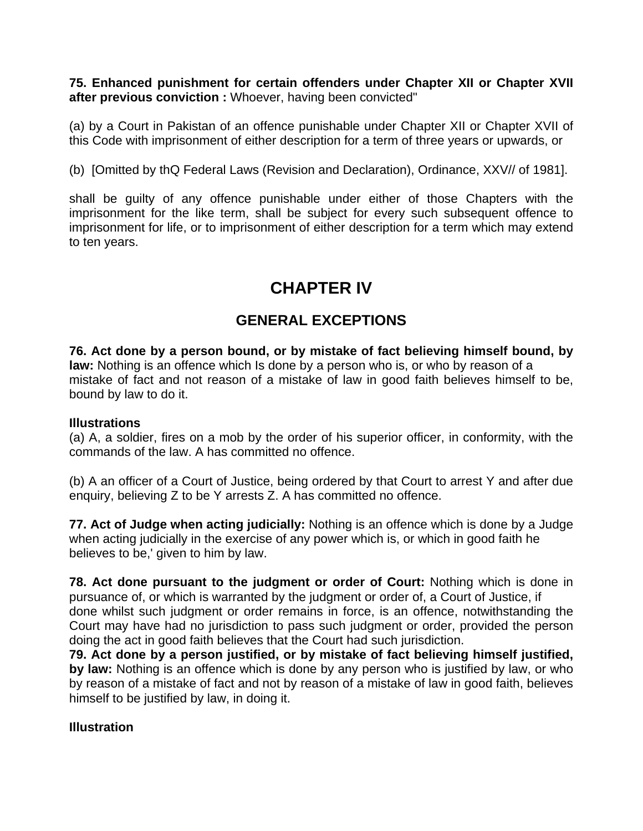### **75. Enhanced punishment for certain offenders under Chapter XII or Chapter XVII after previous conviction :** Whoever, having been convicted"

(a) by a Court in Pakistan of an offence punishable under Chapter XII or Chapter XVII of this Code with imprisonment of either description for a term of three years or upwards, or

(b) [Omitted by thQ Federal Laws (Revision and Declaration), Ordinance, XXV// of 1981].

shall be guilty of any offence punishable under either of those Chapters with the imprisonment for the like term, shall be subject for every such subsequent offence to imprisonment for life, or to imprisonment of either description for a term which may extend to ten years.

# **CHAPTER IV**

## **GENERAL EXCEPTIONS**

**76. Act done by a person bound, or by mistake of fact believing himself bound, by law:** Nothing is an offence which Is done by a person who is, or who by reason of a mistake of fact and not reason of a mistake of law in good faith believes himself to be, bound by law to do it.

## **Illustrations**

(a) A, a soldier, fires on a mob by the order of his superior officer, in conformity, with the commands of the law. A has committed no offence.

(b) A an officer of a Court of Justice, being ordered by that Court to arrest Y and after due enquiry, believing Z to be Y arrests Z. A has committed no offence.

**77. Act of Judge when acting judicially:** Nothing is an offence which is done by a Judge when acting judicially in the exercise of any power which is, or which in good faith he believes to be,' given to him by law.

**78. Act done pursuant to the judgment or order of Court:** Nothing which is done in pursuance of, or which is warranted by the judgment or order of, a Court of Justice, if done whilst such judgment or order remains in force, is an offence, notwithstanding the Court may have had no jurisdiction to pass such judgment or order, provided the person doing the act in good faith believes that the Court had such jurisdiction.

**79. Act done by a person justified, or by mistake of fact believing himself justified, by law:** Nothing is an offence which is done by any person who is justified by law, or who by reason of a mistake of fact and not by reason of a mistake of law in good faith, believes himself to be justified by law, in doing it.

## **Illustration**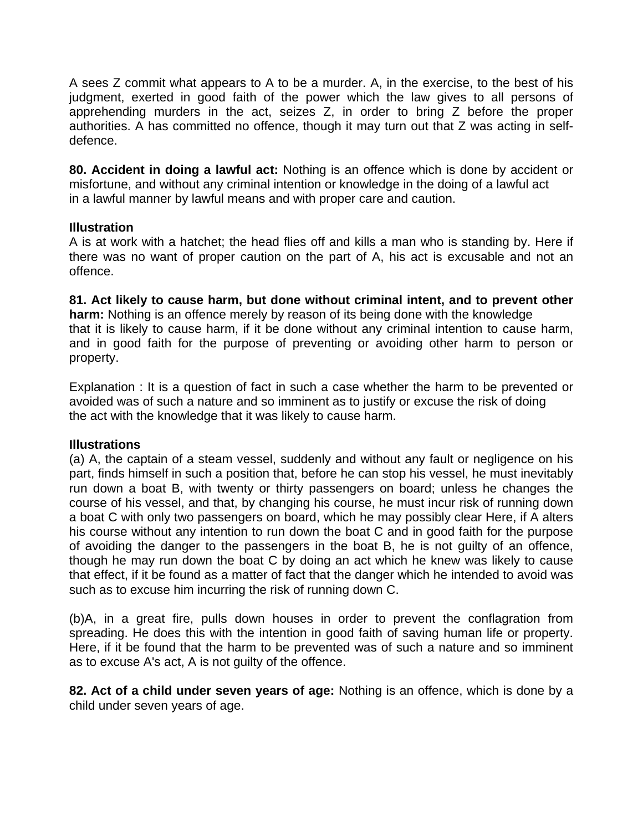A sees Z commit what appears to A to be a murder. A, in the exercise, to the best of his judgment, exerted in good faith of the power which the law gives to all persons of apprehending murders in the act, seizes Z, in order to bring Z before the proper authorities. A has committed no offence, though it may turn out that Z was acting in selfdefence.

**80. Accident in doing a lawful act:** Nothing is an offence which is done by accident or misfortune, and without any criminal intention or knowledge in the doing of a lawful act in a lawful manner by lawful means and with proper care and caution.

## **Illustration**

A is at work with a hatchet; the head flies off and kills a man who is standing by. Here if there was no want of proper caution on the part of A, his act is excusable and not an offence.

**81. Act likely to cause harm, but done without criminal intent, and to prevent other harm:** Nothing is an offence merely by reason of its being done with the knowledge that it is likely to cause harm, if it be done without any criminal intention to cause harm, and in good faith for the purpose of preventing or avoiding other harm to person or property.

Explanation : It is a question of fact in such a case whether the harm to be prevented or avoided was of such a nature and so imminent as to justify or excuse the risk of doing the act with the knowledge that it was likely to cause harm.

## **Illustrations**

(a) A, the captain of a steam vessel, suddenly and without any fault or negligence on his part, finds himself in such a position that, before he can stop his vessel, he must inevitably run down a boat B, with twenty or thirty passengers on board; unless he changes the course of his vessel, and that, by changing his course, he must incur risk of running down a boat C with only two passengers on board, which he may possibly clear Here, if A alters his course without any intention to run down the boat C and in good faith for the purpose of avoiding the danger to the passengers in the boat B, he is not guilty of an offence, though he may run down the boat C by doing an act which he knew was likely to cause that effect, if it be found as a matter of fact that the danger which he intended to avoid was such as to excuse him incurring the risk of running down C.

(b)A, in a great fire, pulls down houses in order to prevent the conflagration from spreading. He does this with the intention in good faith of saving human life or property. Here, if it be found that the harm to be prevented was of such a nature and so imminent as to excuse A's act, A is not guilty of the offence.

**82. Act of a child under seven years of age:** Nothing is an offence, which is done by a child under seven years of age.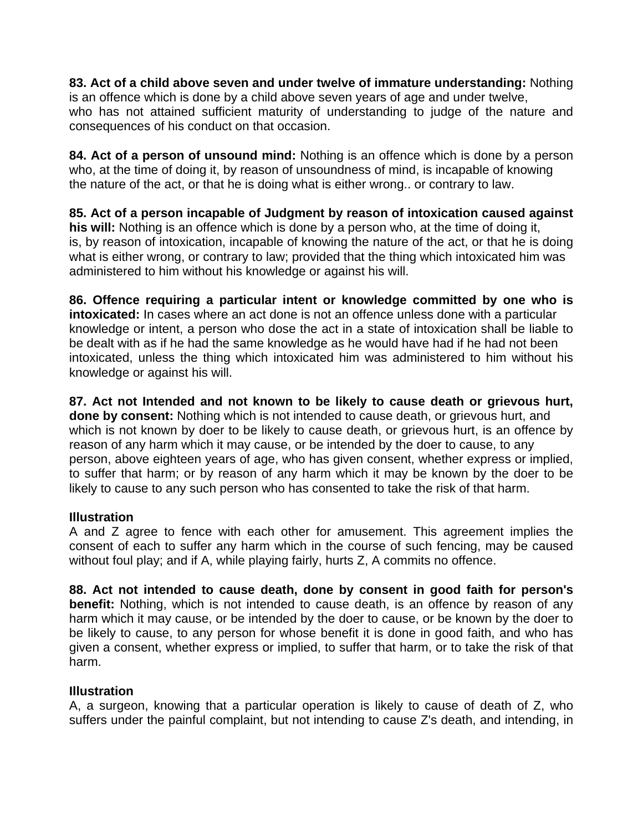**83. Act of a child above seven and under twelve of immature understanding:** Nothing is an offence which is done by a child above seven years of age and under twelve, who has not attained sufficient maturity of understanding to judge of the nature and consequences of his conduct on that occasion.

**84. Act of a person of unsound mind:** Nothing is an offence which is done by a person who, at the time of doing it, by reason of unsoundness of mind, is incapable of knowing the nature of the act, or that he is doing what is either wrong.. or contrary to law.

**85. Act of a person incapable of Judgment by reason of intoxication caused against his will:** Nothing is an offence which is done by a person who, at the time of doing it, is, by reason of intoxication, incapable of knowing the nature of the act, or that he is doing what is either wrong, or contrary to law; provided that the thing which intoxicated him was administered to him without his knowledge or against his will.

**86. Offence requiring a particular intent or knowledge committed by one who is intoxicated:** In cases where an act done is not an offence unless done with a particular knowledge or intent, a person who dose the act in a state of intoxication shall be liable to be dealt with as if he had the same knowledge as he would have had if he had not been intoxicated, unless the thing which intoxicated him was administered to him without his knowledge or against his will.

**87. Act not Intended and not known to be likely to cause death or grievous hurt, done by consent:** Nothing which is not intended to cause death, or grievous hurt, and which is not known by doer to be likely to cause death, or grievous hurt, is an offence by reason of any harm which it may cause, or be intended by the doer to cause, to any person, above eighteen years of age, who has given consent, whether express or implied, to suffer that harm; or by reason of any harm which it may be known by the doer to be likely to cause to any such person who has consented to take the risk of that harm.

## **Illustration**

A and Z agree to fence with each other for amusement. This agreement implies the consent of each to suffer any harm which in the course of such fencing, may be caused without foul play; and if A, while playing fairly, hurts Z, A commits no offence.

**88. Act not intended to cause death, done by consent in good faith for person's benefit:** Nothing, which is not intended to cause death, is an offence by reason of any harm which it may cause, or be intended by the doer to cause, or be known by the doer to be likely to cause, to any person for whose benefit it is done in good faith, and who has given a consent, whether express or implied, to suffer that harm, or to take the risk of that harm.

## **Illustration**

A, a surgeon, knowing that a particular operation is likely to cause of death of Z, who suffers under the painful complaint, but not intending to cause Z's death, and intending, in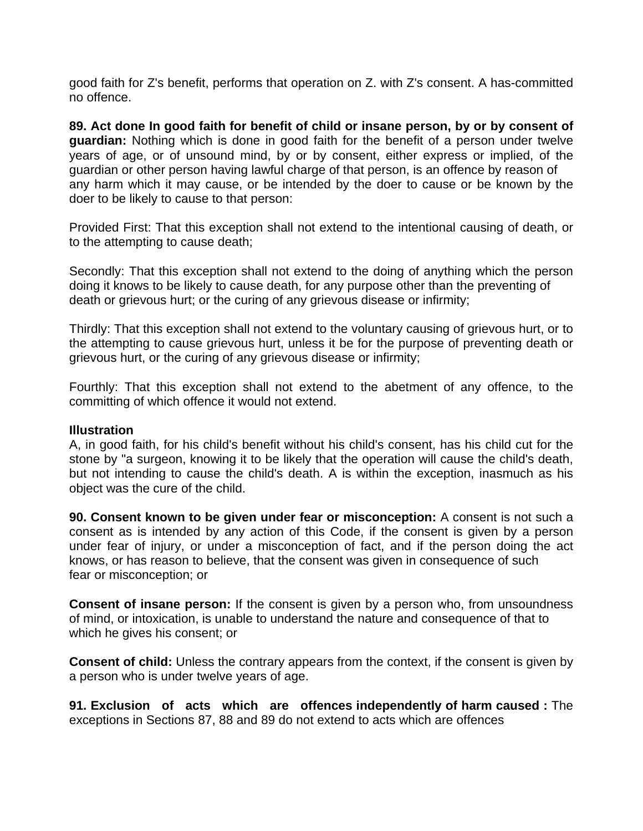good faith for Z's benefit, performs that operation on Z. with Z's consent. A has-committed no offence.

**89. Act done In good faith for benefit of child or insane person, by or by consent of guardian:** Nothing which is done in good faith for the benefit of a person under twelve years of age, or of unsound mind, by or by consent, either express or implied, of the guardian or other person having lawful charge of that person, is an offence by reason of any harm which it may cause, or be intended by the doer to cause or be known by the doer to be likely to cause to that person:

Provided First: That this exception shall not extend to the intentional causing of death, or to the attempting to cause death;

Secondly: That this exception shall not extend to the doing of anything which the person doing it knows to be likely to cause death, for any purpose other than the preventing of death or grievous hurt; or the curing of any grievous disease or infirmity;

Thirdly: That this exception shall not extend to the voluntary causing of grievous hurt, or to the attempting to cause grievous hurt, unless it be for the purpose of preventing death or grievous hurt, or the curing of any grievous disease or infirmity;

Fourthly: That this exception shall not extend to the abetment of any offence, to the committing of which offence it would not extend.

## **Illustration**

A, in good faith, for his child's benefit without his child's consent, has his child cut for the stone by "a surgeon, knowing it to be likely that the operation will cause the child's death, but not intending to cause the child's death. A is within the exception, inasmuch as his object was the cure of the child.

**90. Consent known to be given under fear or misconception:** A consent is not such a consent as is intended by any action of this Code, if the consent is given by a person under fear of injury, or under a misconception of fact, and if the person doing the act knows, or has reason to believe, that the consent was given in consequence of such fear or misconception; or

**Consent of insane person:** If the consent is given by a person who, from unsoundness of mind, or intoxication, is unable to understand the nature and consequence of that to which he gives his consent; or

**Consent of child:** Unless the contrary appears from the context, if the consent is given by a person who is under twelve years of age.

**91. Exclusion of acts which are offences independently of harm caused :** The exceptions in Sections 87, 88 and 89 do not extend to acts which are offences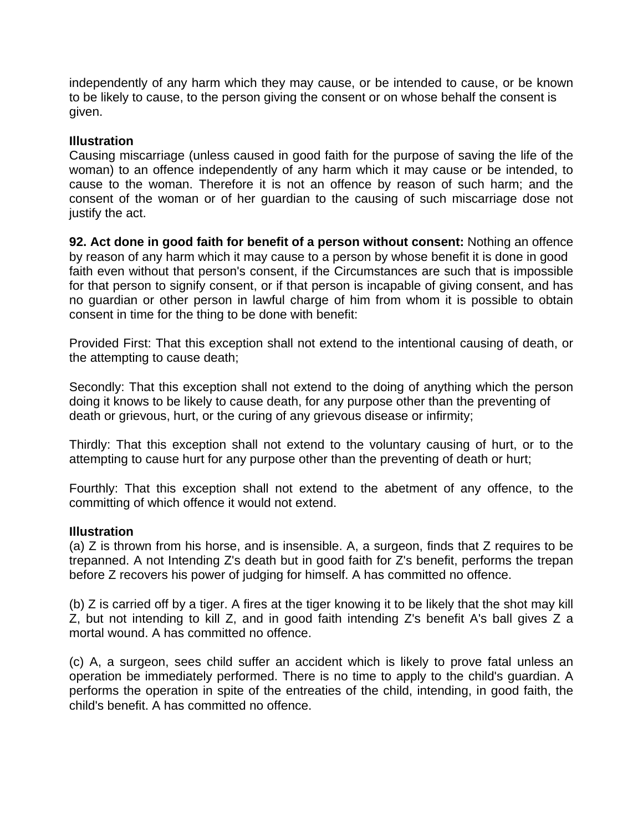independently of any harm which they may cause, or be intended to cause, or be known to be likely to cause, to the person giving the consent or on whose behalf the consent is given.

## **Illustration**

Causing miscarriage (unless caused in good faith for the purpose of saving the life of the woman) to an offence independently of any harm which it may cause or be intended, to cause to the woman. Therefore it is not an offence by reason of such harm; and the consent of the woman or of her guardian to the causing of such miscarriage dose not justify the act.

**92. Act done in good faith for benefit of a person without consent:** Nothing an offence by reason of any harm which it may cause to a person by whose benefit it is done in good faith even without that person's consent, if the Circumstances are such that is impossible for that person to signify consent, or if that person is incapable of giving consent, and has no guardian or other person in lawful charge of him from whom it is possible to obtain consent in time for the thing to be done with benefit:

Provided First: That this exception shall not extend to the intentional causing of death, or the attempting to cause death;

Secondly: That this exception shall not extend to the doing of anything which the person doing it knows to be likely to cause death, for any purpose other than the preventing of death or grievous, hurt, or the curing of any grievous disease or infirmity;

Thirdly: That this exception shall not extend to the voluntary causing of hurt, or to the attempting to cause hurt for any purpose other than the preventing of death or hurt;

Fourthly: That this exception shall not extend to the abetment of any offence, to the committing of which offence it would not extend.

## **Illustration**

(a) Z is thrown from his horse, and is insensible. A, a surgeon, finds that Z requires to be trepanned. A not Intending Z's death but in good faith for Z's benefit, performs the trepan before Z recovers his power of judging for himself. A has committed no offence.

(b) Z is carried off by a tiger. A fires at the tiger knowing it to be likely that the shot may kill Z, but not intending to kill Z, and in good faith intending Z's benefit A's ball gives Z a mortal wound. A has committed no offence.

(c) A, a surgeon, sees child suffer an accident which is likely to prove fatal unless an operation be immediately performed. There is no time to apply to the child's guardian. A performs the operation in spite of the entreaties of the child, intending, in good faith, the child's benefit. A has committed no offence.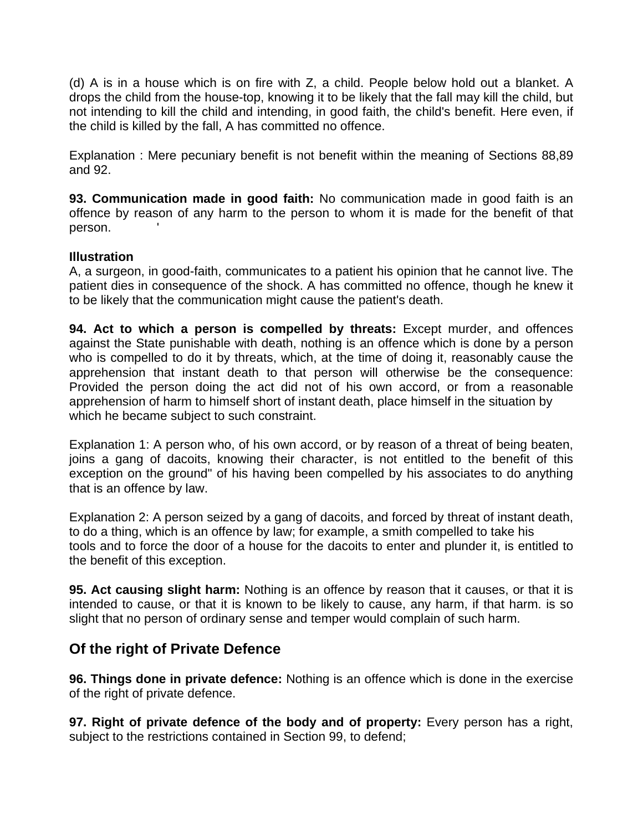(d) A is in a house which is on fire with Z, a child. People below hold out a blanket. A drops the child from the house-top, knowing it to be likely that the fall may kill the child, but not intending to kill the child and intending, in good faith, the child's benefit. Here even, if the child is killed by the fall, A has committed no offence.

Explanation : Mere pecuniary benefit is not benefit within the meaning of Sections 88,89 and 92.

**93. Communication made in good faith:** No communication made in good faith is an offence by reason of any harm to the person to whom it is made for the benefit of that person.

## **Illustration**

A, a surgeon, in good-faith, communicates to a patient his opinion that he cannot live. The patient dies in consequence of the shock. A has committed no offence, though he knew it to be likely that the communication might cause the patient's death.

**94. Act to which a person is compelled by threats:** Except murder, and offences against the State punishable with death, nothing is an offence which is done by a person who is compelled to do it by threats, which, at the time of doing it, reasonably cause the apprehension that instant death to that person will otherwise be the consequence: Provided the person doing the act did not of his own accord, or from a reasonable apprehension of harm to himself short of instant death, place himself in the situation by which he became subject to such constraint.

Explanation 1: A person who, of his own accord, or by reason of a threat of being beaten, joins a gang of dacoits, knowing their character, is not entitled to the benefit of this exception on the ground" of his having been compelled by his associates to do anything that is an offence by law.

Explanation 2: A person seized by a gang of dacoits, and forced by threat of instant death, to do a thing, which is an offence by law; for example, a smith compelled to take his tools and to force the door of a house for the dacoits to enter and plunder it, is entitled to the benefit of this exception.

**95. Act causing slight harm:** Nothing is an offence by reason that it causes, or that it is intended to cause, or that it is known to be likely to cause, any harm, if that harm. is so slight that no person of ordinary sense and temper would complain of such harm.

## **Of the right of Private Defence**

**96. Things done in private defence:** Nothing is an offence which is done in the exercise of the right of private defence.

**97. Right of private defence of the body and of property:** Every person has a right, subject to the restrictions contained in Section 99, to defend;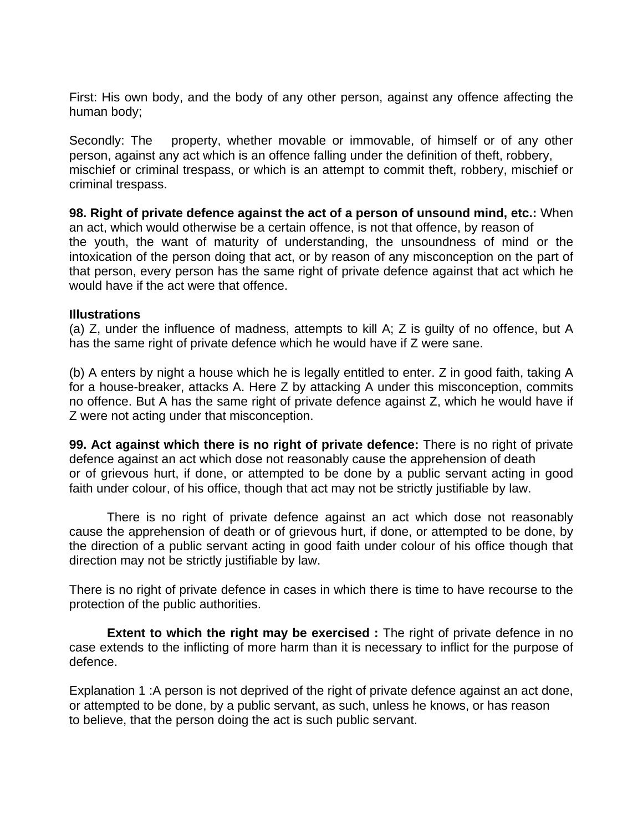First: His own body, and the body of any other person, against any offence affecting the human body;

Secondly: The property, whether movable or immovable, of himself or of any other person, against any act which is an offence falling under the definition of theft, robbery, mischief or criminal trespass, or which is an attempt to commit theft, robbery, mischief or criminal trespass.

**98. Right of private defence against the act of a person of unsound mind, etc.:** When an act, which would otherwise be a certain offence, is not that offence, by reason of the youth, the want of maturity of understanding, the unsoundness of mind or the intoxication of the person doing that act, or by reason of any misconception on the part of that person, every person has the same right of private defence against that act which he would have if the act were that offence.

#### **Illustrations**

(a) Z, under the influence of madness, attempts to kill A; Z is guilty of no offence, but A has the same right of private defence which he would have if Z were sane.

(b) A enters by night a house which he is legally entitled to enter. Z in good faith, taking A for a house-breaker, attacks A. Here Z by attacking A under this misconception, commits no offence. But A has the same right of private defence against Z, which he would have if Z were not acting under that misconception.

**99. Act against which there is no right of private defence:** There is no right of private defence against an act which dose not reasonably cause the apprehension of death or of grievous hurt, if done, or attempted to be done by a public servant acting in good faith under colour, of his office, though that act may not be strictly justifiable by law.

There is no right of private defence against an act which dose not reasonably cause the apprehension of death or of grievous hurt, if done, or attempted to be done, by the direction of a public servant acting in good faith under colour of his office though that direction may not be strictly justifiable by law.

There is no right of private defence in cases in which there is time to have recourse to the protection of the public authorities.

**Extent to which the right may be exercised :** The right of private defence in no case extends to the inflicting of more harm than it is necessary to inflict for the purpose of defence.

Explanation 1 :A person is not deprived of the right of private defence against an act done, or attempted to be done, by a public servant, as such, unless he knows, or has reason to believe, that the person doing the act is such public servant.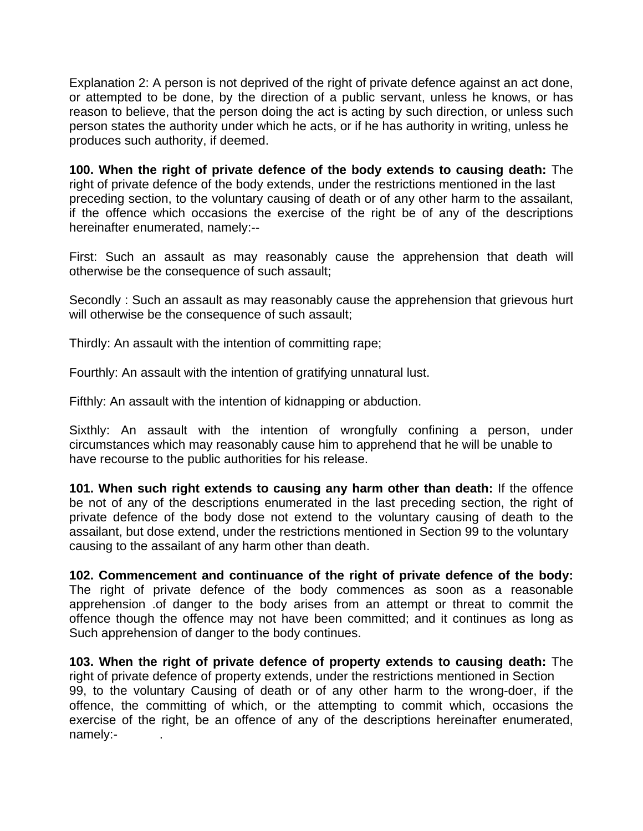Explanation 2: A person is not deprived of the right of private defence against an act done, or attempted to be done, by the direction of a public servant, unless he knows, or has reason to believe, that the person doing the act is acting by such direction, or unless such person states the authority under which he acts, or if he has authority in writing, unless he produces such authority, if deemed.

**100. When the right of private defence of the body extends to causing death:** The right of private defence of the body extends, under the restrictions mentioned in the last preceding section, to the voluntary causing of death or of any other harm to the assailant, if the offence which occasions the exercise of the right be of any of the descriptions hereinafter enumerated, namely:--

First: Such an assault as may reasonably cause the apprehension that death will otherwise be the consequence of such assault;

Secondly : Such an assault as may reasonably cause the apprehension that grievous hurt will otherwise be the consequence of such assault;

Thirdly: An assault with the intention of committing rape;

Fourthly: An assault with the intention of gratifying unnatural lust.

Fifthly: An assault with the intention of kidnapping or abduction.

Sixthly: An assault with the intention of wrongfully confining a person, under circumstances which may reasonably cause him to apprehend that he will be unable to have recourse to the public authorities for his release.

**101. When such right extends to causing any harm other than death:** If the offence be not of any of the descriptions enumerated in the last preceding section, the right of private defence of the body dose not extend to the voluntary causing of death to the assailant, but dose extend, under the restrictions mentioned in Section 99 to the voluntary causing to the assailant of any harm other than death.

**102. Commencement and continuance of the right of private defence of the body:** The right of private defence of the body commences as soon as a reasonable apprehension .of danger to the body arises from an attempt or threat to commit the offence though the offence may not have been committed; and it continues as long as Such apprehension of danger to the body continues.

**103. When the right of private defence of property extends to causing death:** The right of private defence of property extends, under the restrictions mentioned in Section 99, to the voluntary Causing of death or of any other harm to the wrong-doer, if the offence, the committing of which, or the attempting to commit which, occasions the exercise of the right, be an offence of any of the descriptions hereinafter enumerated, namely:- .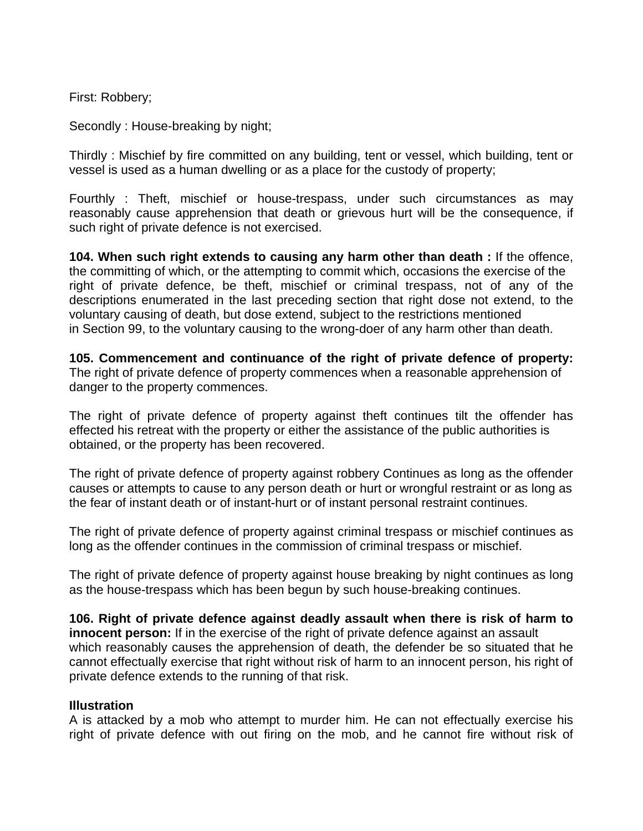First: Robbery;

Secondly : House-breaking by night;

Thirdly : Mischief by fire committed on any building, tent or vessel, which building, tent or vessel is used as a human dwelling or as a place for the custody of property;

Fourthly : Theft, mischief or house-trespass, under such circumstances as may reasonably cause apprehension that death or grievous hurt will be the consequence, if such right of private defence is not exercised.

**104. When such right extends to causing any harm other than death :** If the offence, the committing of which, or the attempting to commit which, occasions the exercise of the right of private defence, be theft, mischief or criminal trespass, not of any of the descriptions enumerated in the last preceding section that right dose not extend, to the voluntary causing of death, but dose extend, subject to the restrictions mentioned in Section 99, to the voluntary causing to the wrong-doer of any harm other than death.

**105. Commencement and continuance of the right of private defence of property:** The right of private defence of property commences when a reasonable apprehension of danger to the property commences.

The right of private defence of property against theft continues tilt the offender has effected his retreat with the property or either the assistance of the public authorities is obtained, or the property has been recovered.

The right of private defence of property against robbery Continues as long as the offender causes or attempts to cause to any person death or hurt or wrongful restraint or as long as the fear of instant death or of instant-hurt or of instant personal restraint continues.

The right of private defence of property against criminal trespass or mischief continues as long as the offender continues in the commission of criminal trespass or mischief.

The right of private defence of property against house breaking by night continues as long as the house-trespass which has been begun by such house-breaking continues.

**106. Right of private defence against deadly assault when there is risk of harm to innocent person:** If in the exercise of the right of private defence against an assault which reasonably causes the apprehension of death, the defender be so situated that he cannot effectually exercise that right without risk of harm to an innocent person, his right of private defence extends to the running of that risk.

## **Illustration**

A is attacked by a mob who attempt to murder him. He can not effectually exercise his right of private defence with out firing on the mob, and he cannot fire without risk of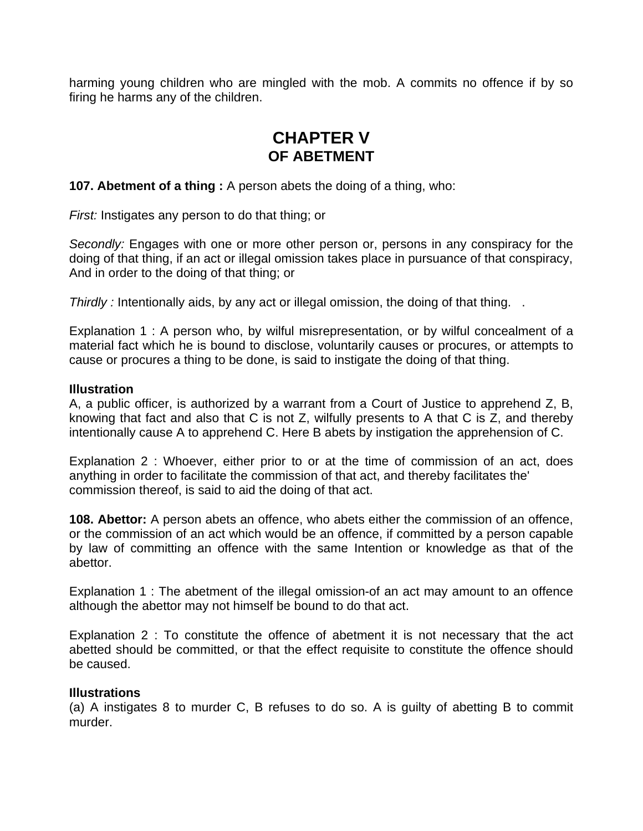harming young children who are mingled with the mob. A commits no offence if by so firing he harms any of the children.

## **CHAPTER V OF ABETMENT**

**107. Abetment of a thing :** A person abets the doing of a thing, who:

*First:* Instigates any person to do that thing; or

*Secondly:* Engages with one or more other person or, persons in any conspiracy for the doing of that thing, if an act or illegal omission takes place in pursuance of that conspiracy, And in order to the doing of that thing; or

*Thirdly :* Intentionally aids, by any act or illegal omission, the doing of that thing. .

Explanation 1 : A person who, by wilful misrepresentation, or by wilful concealment of a material fact which he is bound to disclose, voluntarily causes or procures, or attempts to cause or procures a thing to be done, is said to instigate the doing of that thing.

#### **Illustration**

A, a public officer, is authorized by a warrant from a Court of Justice to apprehend Z, B, knowing that fact and also that C is not Z, wilfully presents to A that C is Z, and thereby intentionally cause A to apprehend C. Here B abets by instigation the apprehension of C.

Explanation 2 : Whoever, either prior to or at the time of commission of an act, does anything in order to facilitate the commission of that act, and thereby facilitates the' commission thereof, is said to aid the doing of that act.

**108. Abettor:** A person abets an offence, who abets either the commission of an offence, or the commission of an act which would be an offence, if committed by a person capable by law of committing an offence with the same Intention or knowledge as that of the abettor.

Explanation 1 : The abetment of the illegal omission-of an act may amount to an offence although the abettor may not himself be bound to do that act.

Explanation 2 : To constitute the offence of abetment it is not necessary that the act abetted should be committed, or that the effect requisite to constitute the offence should be caused.

#### **Illustrations**

(a) A instigates 8 to murder C, B refuses to do so. A is guilty of abetting B to commit murder.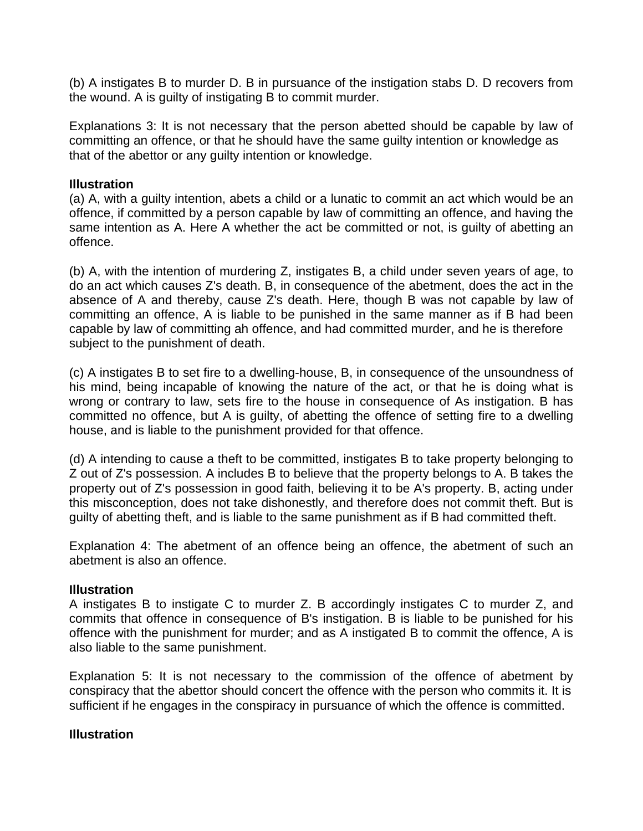(b) A instigates B to murder D. B in pursuance of the instigation stabs D. D recovers from the wound. A is guilty of instigating B to commit murder.

Explanations 3: It is not necessary that the person abetted should be capable by law of committing an offence, or that he should have the same guilty intention or knowledge as that of the abettor or any guilty intention or knowledge.

#### **Illustration**

(a) A, with a guilty intention, abets a child or a lunatic to commit an act which would be an offence, if committed by a person capable by law of committing an offence, and having the same intention as A. Here A whether the act be committed or not, is guilty of abetting an offence.

(b) A, with the intention of murdering Z, instigates B, a child under seven years of age, to do an act which causes Z's death. B, in consequence of the abetment, does the act in the absence of A and thereby, cause Z's death. Here, though B was not capable by law of committing an offence, A is liable to be punished in the same manner as if B had been capable by law of committing ah offence, and had committed murder, and he is therefore subject to the punishment of death.

(c) A instigates B to set fire to a dwelling-house, B, in consequence of the unsoundness of his mind, being incapable of knowing the nature of the act, or that he is doing what is wrong or contrary to law, sets fire to the house in consequence of As instigation. B has committed no offence, but A is guilty, of abetting the offence of setting fire to a dwelling house, and is liable to the punishment provided for that offence.

(d) A intending to cause a theft to be committed, instigates B to take property belonging to Z out of Z's possession. A includes B to believe that the property belongs to A. B takes the property out of Z's possession in good faith, believing it to be A's property. B, acting under this misconception, does not take dishonestly, and therefore does not commit theft. But is guilty of abetting theft, and is liable to the same punishment as if B had committed theft.

Explanation 4: The abetment of an offence being an offence, the abetment of such an abetment is also an offence.

#### **Illustration**

A instigates B to instigate C to murder Z. B accordingly instigates C to murder Z, and commits that offence in consequence of B's instigation. B is liable to be punished for his offence with the punishment for murder; and as A instigated B to commit the offence, A is also liable to the same punishment.

Explanation 5: It is not necessary to the commission of the offence of abetment by conspiracy that the abettor should concert the offence with the person who commits it. It is sufficient if he engages in the conspiracy in pursuance of which the offence is committed.

## **Illustration**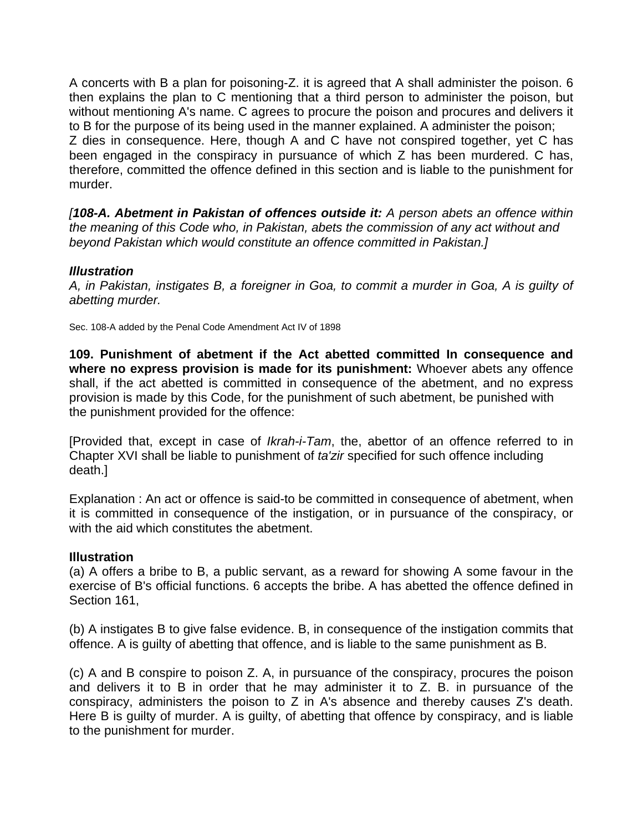A concerts with B a plan for poisoning-Z. it is agreed that A shall administer the poison. 6 then explains the plan to C mentioning that a third person to administer the poison, but without mentioning A's name. C agrees to procure the poison and procures and delivers it to B for the purpose of its being used in the manner explained. A administer the poison; Z dies in consequence. Here, though A and C have not conspired together, yet C has been engaged in the conspiracy in pursuance of which Z has been murdered. C has, therefore, committed the offence defined in this section and is liable to the punishment for murder.

*[108-A. Abetment in Pakistan of offences outside it: A person abets an offence within the meaning of this Code who, in Pakistan, abets the commission of any act without and beyond Pakistan which would constitute an offence committed in Pakistan.]* 

## *Illustration*

*A, in Pakistan, instigates B, a foreigner in Goa, to commit a murder in Goa, A is guilty of abetting murder.* 

Sec. 108-A added by the Penal Code Amendment Act IV of 1898

**109. Punishment of abetment if the Act abetted committed In consequence and where no express provision is made for its punishment:** Whoever abets any offence shall, if the act abetted is committed in consequence of the abetment, and no express provision is made by this Code, for the punishment of such abetment, be punished with the punishment provided for the offence:

[Provided that, except in case of *Ikrah-i-Tam*, the, abettor of an offence referred to in Chapter XVI shall be liable to punishment of *ta'zir* specified for such offence including death.]

Explanation : An act or offence is said-to be committed in consequence of abetment, when it is committed in consequence of the instigation, or in pursuance of the conspiracy, or with the aid which constitutes the abetment.

## **Illustration**

(a) A offers a bribe to B, a public servant, as a reward for showing A some favour in the exercise of B's official functions. 6 accepts the bribe. A has abetted the offence defined in Section 161,

(b) A instigates B to give false evidence. B, in consequence of the instigation commits that offence. A is guilty of abetting that offence, and is liable to the same punishment as B.

(c) A and B conspire to poison Z. A, in pursuance of the conspiracy, procures the poison and delivers it to B in order that he may administer it to Z. B. in pursuance of the conspiracy, administers the poison to Z in A's absence and thereby causes Z's death. Here B is guilty of murder. A is guilty, of abetting that offence by conspiracy, and is liable to the punishment for murder.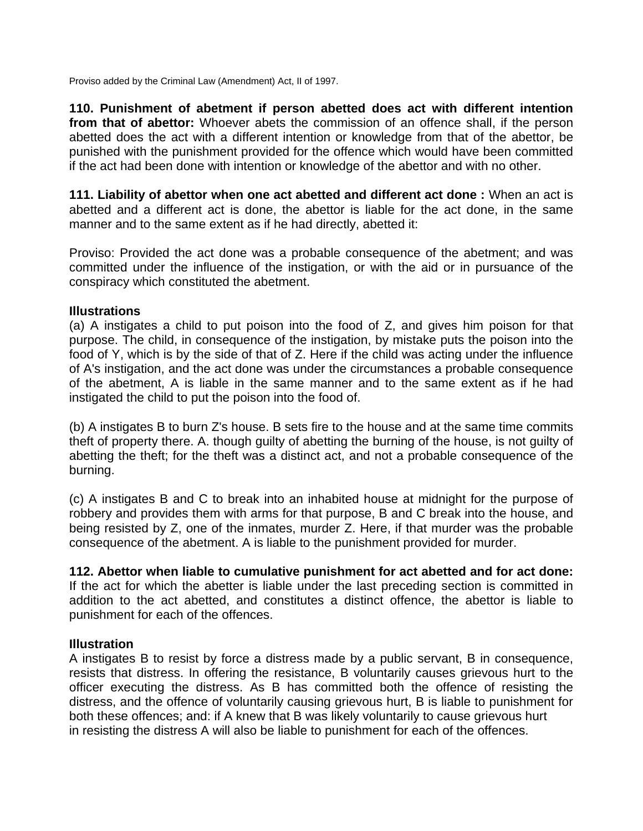Proviso added by the Criminal Law (Amendment) Act, II of 1997.

**110. Punishment of abetment if person abetted does act with different intention from that of abettor:** Whoever abets the commission of an offence shall, if the person abetted does the act with a different intention or knowledge from that of the abettor, be punished with the punishment provided for the offence which would have been committed if the act had been done with intention or knowledge of the abettor and with no other.

**111. Liability of abettor when one act abetted and different act done :** When an act is abetted and a different act is done, the abettor is liable for the act done, in the same manner and to the same extent as if he had directly, abetted it:

Proviso: Provided the act done was a probable consequence of the abetment; and was committed under the influence of the instigation, or with the aid or in pursuance of the conspiracy which constituted the abetment.

#### **Illustrations**

(a) A instigates a child to put poison into the food of Z, and gives him poison for that purpose. The child, in consequence of the instigation, by mistake puts the poison into the food of Y, which is by the side of that of Z. Here if the child was acting under the influence of A's instigation, and the act done was under the circumstances a probable consequence of the abetment, A is liable in the same manner and to the same extent as if he had instigated the child to put the poison into the food of.

(b) A instigates B to burn Z's house. B sets fire to the house and at the same time commits theft of property there. A. though guilty of abetting the burning of the house, is not guilty of abetting the theft; for the theft was a distinct act, and not a probable consequence of the burning.

(c) A instigates B and C to break into an inhabited house at midnight for the purpose of robbery and provides them with arms for that purpose, B and C break into the house, and being resisted by Z, one of the inmates, murder Z. Here, if that murder was the probable consequence of the abetment. A is liable to the punishment provided for murder.

**112. Abettor when liable to cumulative punishment for act abetted and for act done:** If the act for which the abetter is liable under the last preceding section is committed in addition to the act abetted, and constitutes a distinct offence, the abettor is liable to punishment for each of the offences.

## **Illustration**

A instigates B to resist by force a distress made by a public servant, B in consequence, resists that distress. In offering the resistance, B voluntarily causes grievous hurt to the officer executing the distress. As B has committed both the offence of resisting the distress, and the offence of voluntarily causing grievous hurt, B is liable to punishment for both these offences; and: if A knew that B was likely voluntarily to cause grievous hurt in resisting the distress A will also be liable to punishment for each of the offences.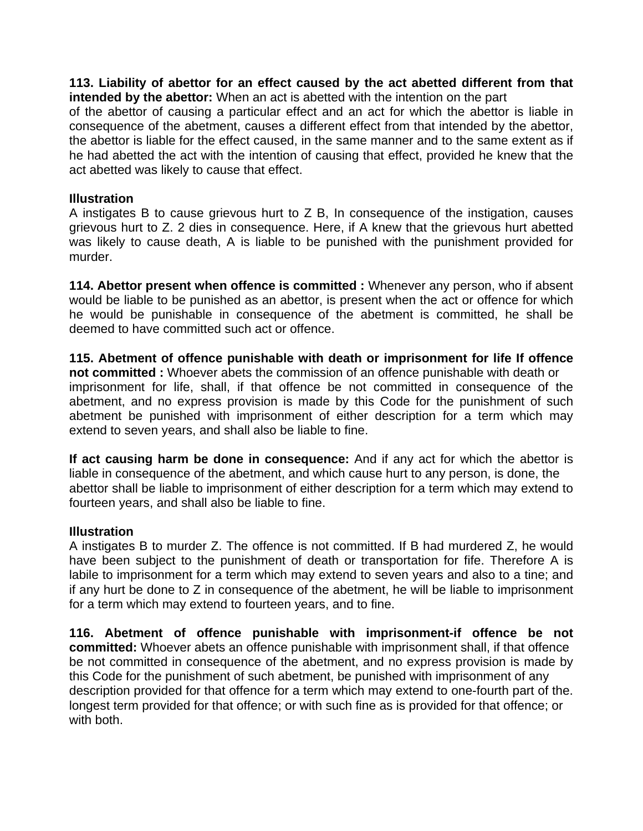#### **113. Liability of abettor for an effect caused by the act abetted different from that intended by the abettor:** When an act is abetted with the intention on the part

of the abettor of causing a particular effect and an act for which the abettor is liable in consequence of the abetment, causes a different effect from that intended by the abettor, the abettor is liable for the effect caused, in the same manner and to the same extent as if he had abetted the act with the intention of causing that effect, provided he knew that the act abetted was likely to cause that effect.

## **Illustration**

A instigates B to cause grievous hurt to Z B, In consequence of the instigation, causes grievous hurt to Z. 2 dies in consequence. Here, if A knew that the grievous hurt abetted was likely to cause death, A is liable to be punished with the punishment provided for murder.

**114. Abettor present when offence is committed :** Whenever any person, who if absent would be liable to be punished as an abettor, is present when the act or offence for which he would be punishable in consequence of the abetment is committed, he shall be deemed to have committed such act or offence.

**115. Abetment of offence punishable with death or imprisonment for life If offence not committed :** Whoever abets the commission of an offence punishable with death or imprisonment for life, shall, if that offence be not committed in consequence of the abetment, and no express provision is made by this Code for the punishment of such abetment be punished with imprisonment of either description for a term which may extend to seven years, and shall also be liable to fine.

**If act causing harm be done in consequence:** And if any act for which the abettor is liable in consequence of the abetment, and which cause hurt to any person, is done, the abettor shall be liable to imprisonment of either description for a term which may extend to fourteen years, and shall also be liable to fine.

## **Illustration**

A instigates B to murder Z. The offence is not committed. If B had murdered Z, he would have been subject to the punishment of death or transportation for fife. Therefore A is labile to imprisonment for a term which may extend to seven years and also to a tine; and if any hurt be done to Z in consequence of the abetment, he will be liable to imprisonment for a term which may extend to fourteen years, and to fine.

**116. Abetment of offence punishable with imprisonment-if offence be not committed:** Whoever abets an offence punishable with imprisonment shall, if that offence be not committed in consequence of the abetment, and no express provision is made by this Code for the punishment of such abetment, be punished with imprisonment of any description provided for that offence for a term which may extend to one-fourth part of the. longest term provided for that offence; or with such fine as is provided for that offence; or with both.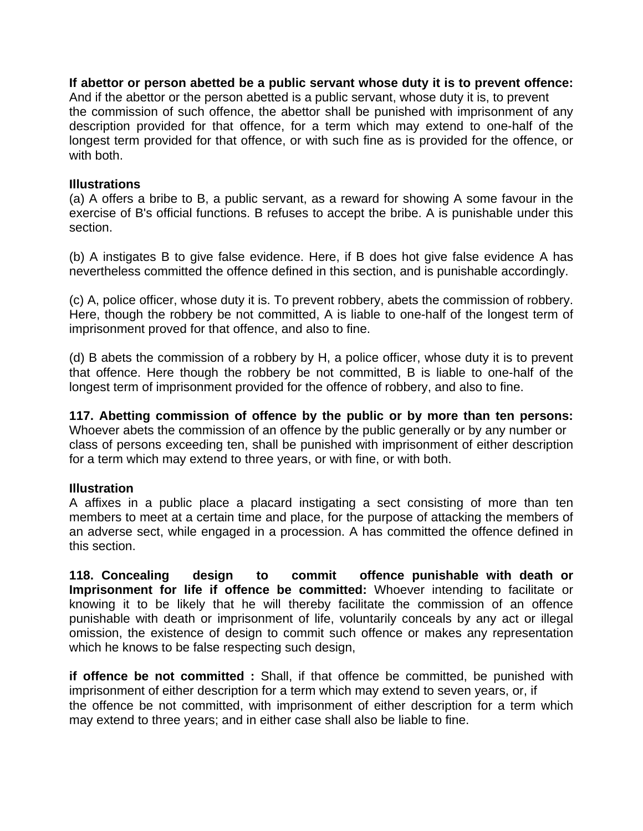**If abettor or person abetted be a public servant whose duty it is to prevent offence:** And if the abettor or the person abetted is a public servant, whose duty it is, to prevent the commission of such offence, the abettor shall be punished with imprisonment of any description provided for that offence, for a term which may extend to one-half of the longest term provided for that offence, or with such fine as is provided for the offence, or with both.

## **Illustrations**

(a) A offers a bribe to B, a public servant, as a reward for showing A some favour in the exercise of B's official functions. B refuses to accept the bribe. A is punishable under this section.

(b) A instigates B to give false evidence. Here, if B does hot give false evidence A has nevertheless committed the offence defined in this section, and is punishable accordingly.

(c) A, police officer, whose duty it is. To prevent robbery, abets the commission of robbery. Here, though the robbery be not committed, A is liable to one-half of the longest term of imprisonment proved for that offence, and also to fine.

(d) B abets the commission of a robbery by H, a police officer, whose duty it is to prevent that offence. Here though the robbery be not committed, B is liable to one-half of the longest term of imprisonment provided for the offence of robbery, and also to fine.

#### **117. Abetting commission of offence by the public or by more than ten persons:**

Whoever abets the commission of an offence by the public generally or by any number or class of persons exceeding ten, shall be punished with imprisonment of either description for a term which may extend to three years, or with fine, or with both.

## **Illustration**

A affixes in a public place a placard instigating a sect consisting of more than ten members to meet at a certain time and place, for the purpose of attacking the members of an adverse sect, while engaged in a procession. A has committed the offence defined in this section.

**118. Concealing design to commit offence punishable with death or Imprisonment for life if offence be committed:** Whoever intending to facilitate or knowing it to be likely that he will thereby facilitate the commission of an offence punishable with death or imprisonment of life, voluntarily conceals by any act or illegal omission, the existence of design to commit such offence or makes any representation which he knows to be false respecting such design,

**if offence be not committed :** Shall, if that offence be committed, be punished with imprisonment of either description for a term which may extend to seven years, or, if the offence be not committed, with imprisonment of either description for a term which may extend to three years; and in either case shall also be liable to fine.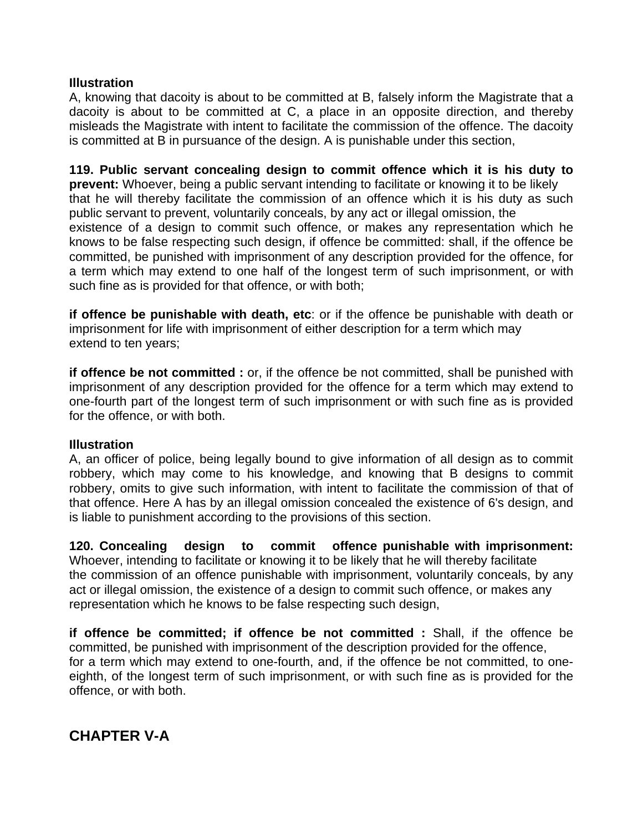## **Illustration**

A, knowing that dacoity is about to be committed at B, falsely inform the Magistrate that a dacoity is about to be committed at C, a place in an opposite direction, and thereby misleads the Magistrate with intent to facilitate the commission of the offence. The dacoity is committed at B in pursuance of the design. A is punishable under this section,

**119. Public servant concealing design to commit offence which it is his duty to prevent:** Whoever, being a public servant intending to facilitate or knowing it to be likely that he will thereby facilitate the commission of an offence which it is his duty as such public servant to prevent, voluntarily conceals, by any act or illegal omission, the existence of a design to commit such offence, or makes any representation which he knows to be false respecting such design, if offence be committed: shall, if the offence be committed, be punished with imprisonment of any description provided for the offence, for a term which may extend to one half of the longest term of such imprisonment, or with such fine as is provided for that offence, or with both;

**if offence be punishable with death, etc**: or if the offence be punishable with death or imprisonment for life with imprisonment of either description for a term which may extend to ten years;

**if offence be not committed :** or, if the offence be not committed, shall be punished with imprisonment of any description provided for the offence for a term which may extend to one-fourth part of the longest term of such imprisonment or with such fine as is provided for the offence, or with both.

## **Illustration**

A, an officer of police, being legally bound to give information of all design as to commit robbery, which may come to his knowledge, and knowing that B designs to commit robbery, omits to give such information, with intent to facilitate the commission of that of that offence. Here A has by an illegal omission concealed the existence of 6's design, and is liable to punishment according to the provisions of this section.

**120. Concealing design to commit offence punishable with imprisonment:** Whoever, intending to facilitate or knowing it to be likely that he will thereby facilitate the commission of an offence punishable with imprisonment, voluntarily conceals, by any act or illegal omission, the existence of a design to commit such offence, or makes any representation which he knows to be false respecting such design,

**if offence be committed; if offence be not committed :** Shall, if the offence be committed, be punished with imprisonment of the description provided for the offence, for a term which may extend to one-fourth, and, if the offence be not committed, to oneeighth, of the longest term of such imprisonment, or with such fine as is provided for the offence, or with both.

## **CHAPTER V-A**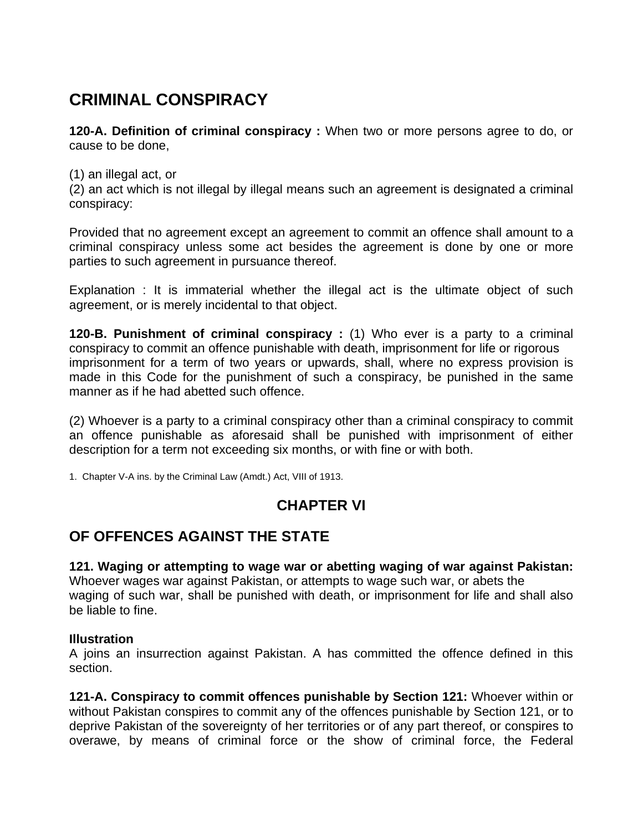# **CRIMINAL CONSPIRACY**

**120-A. Definition of criminal conspiracy :** When two or more persons agree to do, or cause to be done,

(1) an illegal act, or

(2) an act which is not illegal by illegal means such an agreement is designated a criminal conspiracy:

Provided that no agreement except an agreement to commit an offence shall amount to a criminal conspiracy unless some act besides the agreement is done by one or more parties to such agreement in pursuance thereof.

Explanation : It is immaterial whether the illegal act is the ultimate object of such agreement, or is merely incidental to that object.

**120-B. Punishment of criminal conspiracy :** (1) Who ever is a party to a criminal conspiracy to commit an offence punishable with death, imprisonment for life or rigorous imprisonment for a term of two years or upwards, shall, where no express provision is made in this Code for the punishment of such a conspiracy, be punished in the same manner as if he had abetted such offence.

(2) Whoever is a party to a criminal conspiracy other than a criminal conspiracy to commit an offence punishable as aforesaid shall be punished with imprisonment of either description for a term not exceeding six months, or with fine or with both.

1. Chapter V-A ins. by the Criminal Law (Amdt.) Act, VIII of 1913.

## **CHAPTER VI**

## **OF OFFENCES AGAINST THE STATE**

**121. Waging or attempting to wage war or abetting waging of war against Pakistan:** Whoever wages war against Pakistan, or attempts to wage such war, or abets the waging of such war, shall be punished with death, or imprisonment for life and shall also be liable to fine.

## **Illustration**

A joins an insurrection against Pakistan. A has committed the offence defined in this section.

**121-A. Conspiracy to commit offences punishable by Section 121:** Whoever within or without Pakistan conspires to commit any of the offences punishable by Section 121, or to deprive Pakistan of the sovereignty of her territories or of any part thereof, or conspires to overawe, by means of criminal force or the show of criminal force, the Federal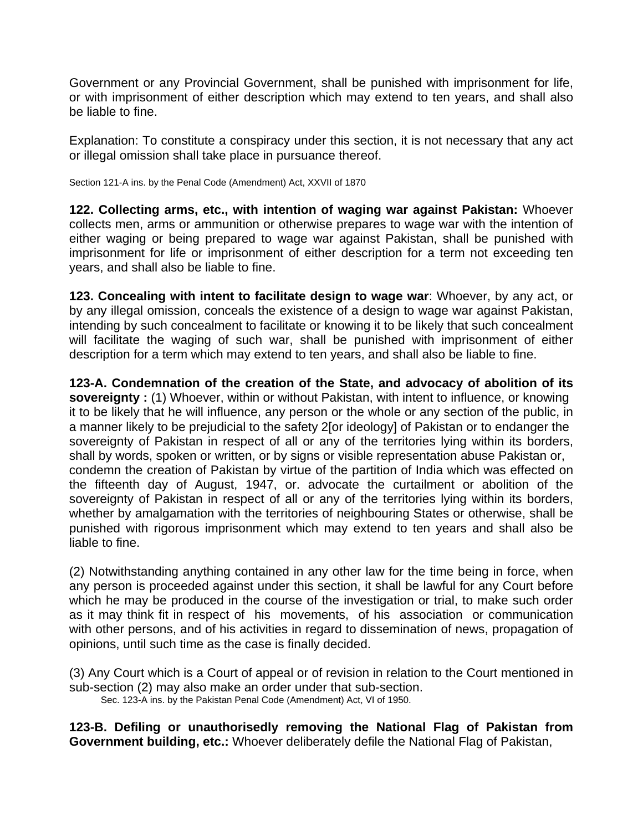Government or any Provincial Government, shall be punished with imprisonment for life, or with imprisonment of either description which may extend to ten years, and shall also be liable to fine.

Explanation: To constitute a conspiracy under this section, it is not necessary that any act or illegal omission shall take place in pursuance thereof.

Section 121-A ins. by the Penal Code (Amendment) Act, XXVII of 1870

**122. Collecting arms, etc., with intention of waging war against Pakistan:** Whoever collects men, arms or ammunition or otherwise prepares to wage war with the intention of either waging or being prepared to wage war against Pakistan, shall be punished with imprisonment for life or imprisonment of either description for a term not exceeding ten years, and shall also be liable to fine.

**123. Concealing with intent to facilitate design to wage war**: Whoever, by any act, or by any illegal omission, conceals the existence of a design to wage war against Pakistan, intending by such concealment to facilitate or knowing it to be likely that such concealment will facilitate the waging of such war, shall be punished with imprisonment of either description for a term which may extend to ten years, and shall also be liable to fine.

**123-A. Condemnation of the creation of the State, and advocacy of abolition of its sovereignty :** (1) Whoever, within or without Pakistan, with intent to influence, or knowing it to be likely that he will influence, any person or the whole or any section of the public, in a manner likely to be prejudicial to the safety 2[or ideology] of Pakistan or to endanger the sovereignty of Pakistan in respect of all or any of the territories lying within its borders, shall by words, spoken or written, or by signs or visible representation abuse Pakistan or, condemn the creation of Pakistan by virtue of the partition of India which was effected on the fifteenth day of August, 1947, or. advocate the curtailment or abolition of the sovereignty of Pakistan in respect of all or any of the territories lying within its borders, whether by amalgamation with the territories of neighbouring States or otherwise, shall be punished with rigorous imprisonment which may extend to ten years and shall also be liable to fine.

(2) Notwithstanding anything contained in any other law for the time being in force, when any person is proceeded against under this section, it shall be lawful for any Court before which he may be produced in the course of the investigation or trial, to make such order as it may think fit in respect of his movements, of his association or communication with other persons, and of his activities in regard to dissemination of news, propagation of opinions, until such time as the case is finally decided.

(3) Any Court which is a Court of appeal or of revision in relation to the Court mentioned in sub-section (2) may also make an order under that sub-section. Sec. 123-A ins. by the Pakistan Penal Code (Amendment) Act, VI of 1950.

**123-B. Defiling or unauthorisedly removing the National Flag of Pakistan from Government building, etc.:** Whoever deliberately defile the National Flag of Pakistan,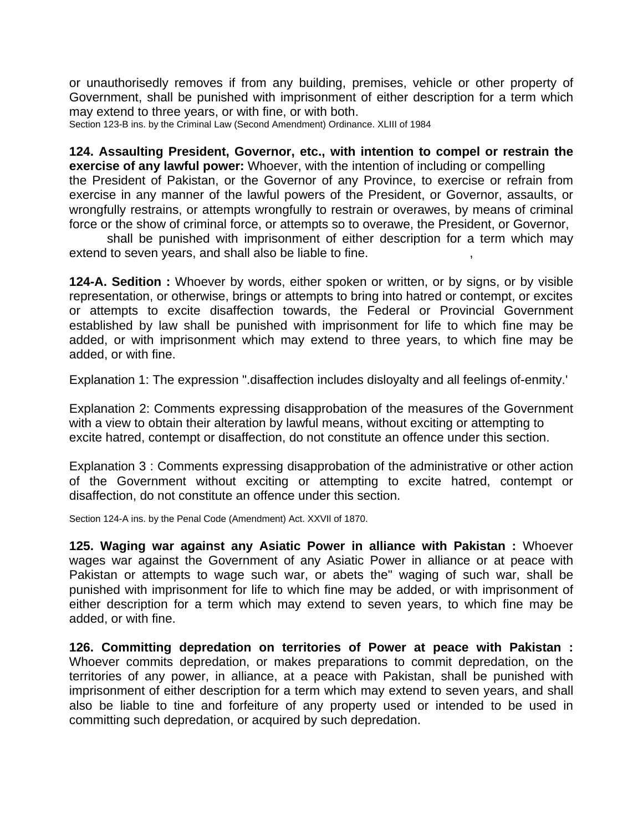or unauthorisedly removes if from any building, premises, vehicle or other property of Government, shall be punished with imprisonment of either description for a term which may extend to three years, or with fine, or with both.

Section 123-B ins. by the Criminal Law (Second Amendment) Ordinance. XLIII of 1984

**124. Assaulting President, Governor, etc., with intention to compel or restrain the exercise of any lawful power:** Whoever, with the intention of including or compelling the President of Pakistan, or the Governor of any Province, to exercise or refrain from exercise in any manner of the lawful powers of the President, or Governor, assaults, or wrongfully restrains, or attempts wrongfully to restrain or overawes, by means of criminal force or the show of criminal force, or attempts so to overawe, the President, or Governor,

shall be punished with imprisonment of either description for a term which may extend to seven years, and shall also be liable to fine.

**124-A. Sedition :** Whoever by words, either spoken or written, or by signs, or by visible representation, or otherwise, brings or attempts to bring into hatred or contempt, or excites or attempts to excite disaffection towards, the Federal or Provincial Government established by law shall be punished with imprisonment for life to which fine may be added, or with imprisonment which may extend to three years, to which fine may be added, or with fine.

Explanation 1: The expression ".disaffection includes disloyalty and all feelings of-enmity.'

Explanation 2: Comments expressing disapprobation of the measures of the Government with a view to obtain their alteration by lawful means, without exciting or attempting to excite hatred, contempt or disaffection, do not constitute an offence under this section.

Explanation 3 : Comments expressing disapprobation of the administrative or other action of the Government without exciting or attempting to excite hatred, contempt or disaffection, do not constitute an offence under this section.

Section 124-A ins. by the Penal Code (Amendment) Act. XXVIl of 1870.

**125. Waging war against any Asiatic Power in alliance with Pakistan :** Whoever wages war against the Government of any Asiatic Power in alliance or at peace with Pakistan or attempts to wage such war, or abets the" waging of such war, shall be punished with imprisonment for life to which fine may be added, or with imprisonment of either description for a term which may extend to seven years, to which fine may be added, or with fine.

**126. Committing depredation on territories of Power at peace with Pakistan :** Whoever commits depredation, or makes preparations to commit depredation, on the territories of any power, in alliance, at a peace with Pakistan, shall be punished with imprisonment of either description for a term which may extend to seven years, and shall also be liable to tine and forfeiture of any property used or intended to be used in committing such depredation, or acquired by such depredation.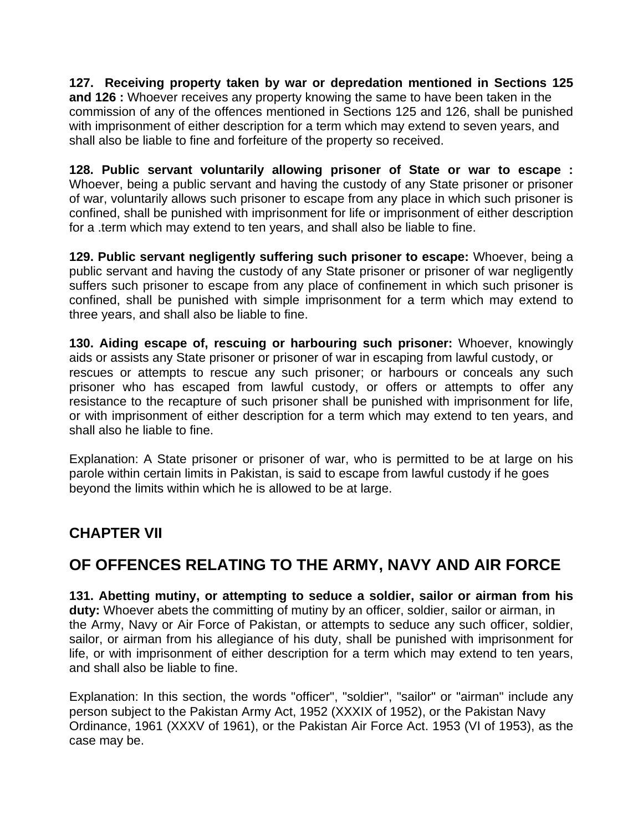**127. Receiving property taken by war or depredation mentioned in Sections 125 and 126 :** Whoever receives any property knowing the same to have been taken in the commission of any of the offences mentioned in Sections 125 and 126, shall be punished with imprisonment of either description for a term which may extend to seven years, and shall also be liable to fine and forfeiture of the property so received.

**128. Public servant voluntarily allowing prisoner of State or war to escape :** Whoever, being a public servant and having the custody of any State prisoner or prisoner of war, voluntarily allows such prisoner to escape from any place in which such prisoner is confined, shall be punished with imprisonment for life or imprisonment of either description for a .term which may extend to ten years, and shall also be liable to fine.

**129. Public servant negligently suffering such prisoner to escape:** Whoever, being a public servant and having the custody of any State prisoner or prisoner of war negligently suffers such prisoner to escape from any place of confinement in which such prisoner is confined, shall be punished with simple imprisonment for a term which may extend to three years, and shall also be liable to fine.

**130. Aiding escape of, rescuing or harbouring such prisoner:** Whoever, knowingly aids or assists any State prisoner or prisoner of war in escaping from lawful custody, or rescues or attempts to rescue any such prisoner; or harbours or conceals any such prisoner who has escaped from lawful custody, or offers or attempts to offer any resistance to the recapture of such prisoner shall be punished with imprisonment for life, or with imprisonment of either description for a term which may extend to ten years, and shall also he liable to fine.

Explanation: A State prisoner or prisoner of war, who is permitted to be at large on his parole within certain limits in Pakistan, is said to escape from lawful custody if he goes beyond the limits within which he is allowed to be at large.

## **CHAPTER VII**

## **OF OFFENCES RELATING TO THE ARMY, NAVY AND AIR FORCE**

**131. Abetting mutiny, or attempting to seduce a soldier, sailor or airman from his duty:** Whoever abets the committing of mutiny by an officer, soldier, sailor or airman, in the Army, Navy or Air Force of Pakistan, or attempts to seduce any such officer, soldier, sailor, or airman from his allegiance of his duty, shall be punished with imprisonment for life, or with imprisonment of either description for a term which may extend to ten years, and shall also be liable to fine.

Explanation: In this section, the words "officer", "soldier", "sailor" or "airman" include any person subject to the Pakistan Army Act, 1952 (XXXIX of 1952), or the Pakistan Navy Ordinance, 1961 (XXXV of 1961), or the Pakistan Air Force Act. 1953 (VI of 1953), as the case may be.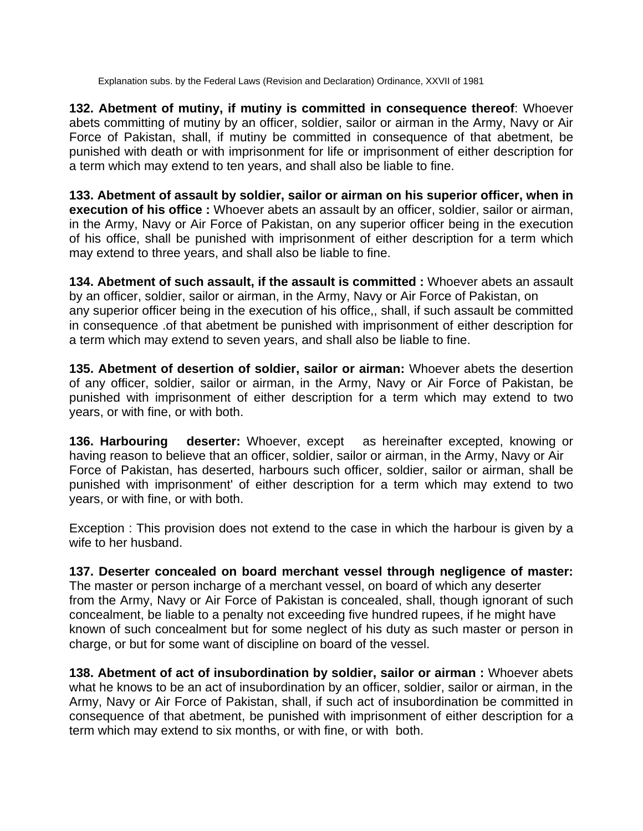Explanation subs. by the Federal Laws (Revision and Declaration) Ordinance, XXVII of 1981

**132. Abetment of mutiny, if mutiny is committed in consequence thereof**: Whoever abets committing of mutiny by an officer, soldier, sailor or airman in the Army, Navy or Air Force of Pakistan, shall, if mutiny be committed in consequence of that abetment, be punished with death or with imprisonment for life or imprisonment of either description for a term which may extend to ten years, and shall also be liable to fine.

**133. Abetment of assault by soldier, sailor or airman on his superior officer, when in execution of his office :** Whoever abets an assault by an officer, soldier, sailor or airman, in the Army, Navy or Air Force of Pakistan, on any superior officer being in the execution of his office, shall be punished with imprisonment of either description for a term which may extend to three years, and shall also be liable to fine.

**134. Abetment of such assault, if the assault is committed :** Whoever abets an assault by an officer, soldier, sailor or airman, in the Army, Navy or Air Force of Pakistan, on any superior officer being in the execution of his office,, shall, if such assault be committed in consequence .of that abetment be punished with imprisonment of either description for a term which may extend to seven years, and shall also be liable to fine.

**135. Abetment of desertion of soldier, sailor or airman:** Whoever abets the desertion of any officer, soldier, sailor or airman, in the Army, Navy or Air Force of Pakistan, be punished with imprisonment of either description for a term which may extend to two years, or with fine, or with both.

**136. Harbouring deserter:** Whoever, except as hereinafter excepted, knowing or having reason to believe that an officer, soldier, sailor or airman, in the Army, Navy or Air Force of Pakistan, has deserted, harbours such officer, soldier, sailor or airman, shall be punished with imprisonment' of either description for a term which may extend to two years, or with fine, or with both.

Exception : This provision does not extend to the case in which the harbour is given by a wife to her husband.

**137. Deserter concealed on board merchant vessel through negligence of master:** The master or person incharge of a merchant vessel, on board of which any deserter from the Army, Navy or Air Force of Pakistan is concealed, shall, though ignorant of such concealment, be liable to a penalty not exceeding five hundred rupees, if he might have known of such concealment but for some neglect of his duty as such master or person in charge, or but for some want of discipline on board of the vessel.

**138. Abetment of act of insubordination by soldier, sailor or airman :** Whoever abets what he knows to be an act of insubordination by an officer, soldier, sailor or airman, in the Army, Navy or Air Force of Pakistan, shall, if such act of insubordination be committed in consequence of that abetment, be punished with imprisonment of either description for a term which may extend to six months, or with fine, or with both.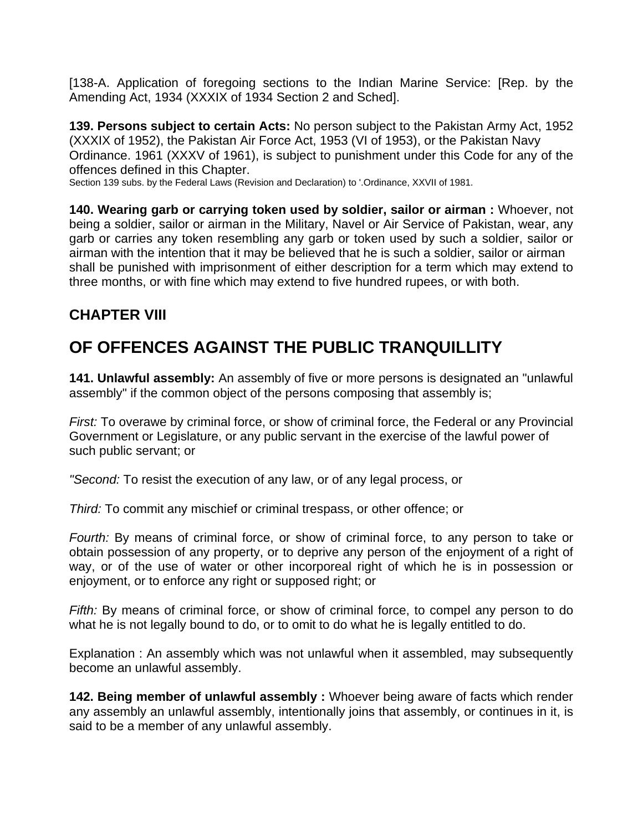[138-A. Application of foregoing sections to the Indian Marine Service: [Rep. by the Amending Act, 1934 (XXXIX of 1934 Section 2 and Sched].

**139. Persons subject to certain Acts:** No person subject to the Pakistan Army Act, 1952 (XXXIX of 1952), the Pakistan Air Force Act, 1953 (VI of 1953), or the Pakistan Navy Ordinance. 1961 (XXXV of 1961), is subject to punishment under this Code for any of the offences defined in this Chapter.

Section 139 subs. by the Federal Laws (Revision and Declaration) to '.Ordinance, XXVII of 1981.

**140. Wearing garb or carrying token used by soldier, sailor or airman :** Whoever, not being a soldier, sailor or airman in the Military, Navel or Air Service of Pakistan, wear, any garb or carries any token resembling any garb or token used by such a soldier, sailor or airman with the intention that it may be believed that he is such a soldier, sailor or airman shall be punished with imprisonment of either description for a term which may extend to three months, or with fine which may extend to five hundred rupees, or with both.

## **CHAPTER VIII**

# **OF OFFENCES AGAINST THE PUBLIC TRANQUILLITY**

**141. Unlawful assembly:** An assembly of five or more persons is designated an "unlawful assembly" if the common object of the persons composing that assembly is;

*First:* To overawe by criminal force, or show of criminal force, the Federal or any Provincial Government or Legislature, or any public servant in the exercise of the lawful power of such public servant; or

*"Second:* To resist the execution of any law, or of any legal process, or

*Third:* To commit any mischief or criminal trespass, or other offence; or

*Fourth:* By means of criminal force, or show of criminal force, to any person to take or obtain possession of any property, or to deprive any person of the enjoyment of a right of way, or of the use of water or other incorporeal right of which he is in possession or enjoyment, or to enforce any right or supposed right; or

*Fifth:* By means of criminal force, or show of criminal force, to compel any person to do what he is not legally bound to do, or to omit to do what he is legally entitled to do.

Explanation : An assembly which was not unlawful when it assembled, may subsequently become an unlawful assembly.

**142. Being member of unlawful assembly :** Whoever being aware of facts which render any assembly an unlawful assembly, intentionally joins that assembly, or continues in it, is said to be a member of any unlawful assembly.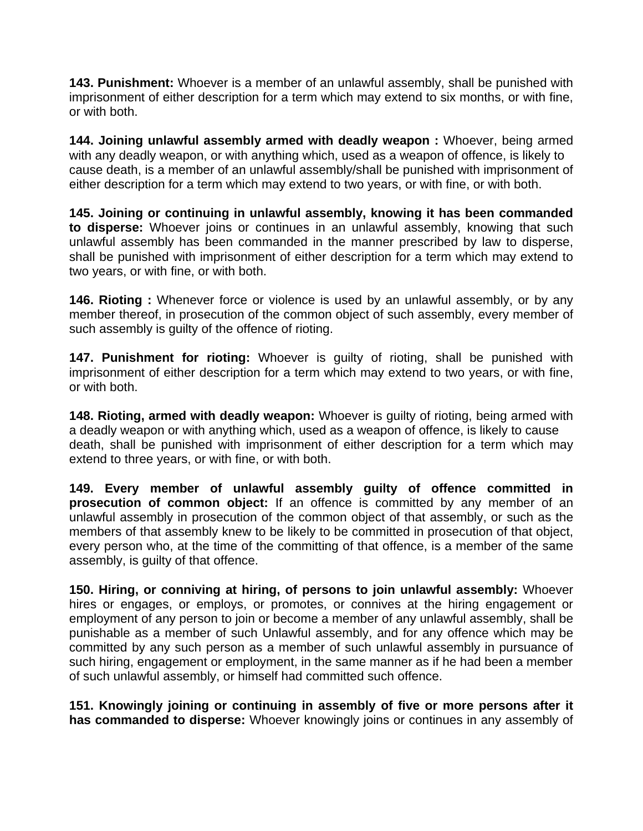**143. Punishment:** Whoever is a member of an unlawful assembly, shall be punished with imprisonment of either description for a term which may extend to six months, or with fine, or with both.

**144. Joining unlawful assembly armed with deadly weapon :** Whoever, being armed with any deadly weapon, or with anything which, used as a weapon of offence, is likely to cause death, is a member of an unlawful assembly/shall be punished with imprisonment of either description for a term which may extend to two years, or with fine, or with both.

**145. Joining or continuing in unlawful assembly, knowing it has been commanded to disperse:** Whoever joins or continues in an unlawful assembly, knowing that such unlawful assembly has been commanded in the manner prescribed by law to disperse, shall be punished with imprisonment of either description for a term which may extend to two years, or with fine, or with both.

**146. Rioting :** Whenever force or violence is used by an unlawful assembly, or by any member thereof, in prosecution of the common object of such assembly, every member of such assembly is guilty of the offence of rioting.

**147. Punishment for rioting:** Whoever is guilty of rioting, shall be punished with imprisonment of either description for a term which may extend to two years, or with fine, or with both.

**148. Rioting, armed with deadly weapon:** Whoever is guilty of rioting, being armed with a deadly weapon or with anything which, used as a weapon of offence, is likely to cause death, shall be punished with imprisonment of either description for a term which may extend to three years, or with fine, or with both.

**149. Every member of unlawful assembly guilty of offence committed in prosecution of common object:** If an offence is committed by any member of an unlawful assembly in prosecution of the common object of that assembly, or such as the members of that assembly knew to be likely to be committed in prosecution of that object, every person who, at the time of the committing of that offence, is a member of the same assembly, is guilty of that offence.

**150. Hiring, or conniving at hiring, of persons to join unlawful assembly:** Whoever hires or engages, or employs, or promotes, or connives at the hiring engagement or employment of any person to join or become a member of any unlawful assembly, shall be punishable as a member of such Unlawful assembly, and for any offence which may be committed by any such person as a member of such unlawful assembly in pursuance of such hiring, engagement or employment, in the same manner as if he had been a member of such unlawful assembly, or himself had committed such offence.

**151. Knowingly joining or continuing in assembly of five or more persons after it has commanded to disperse:** Whoever knowingly joins or continues in any assembly of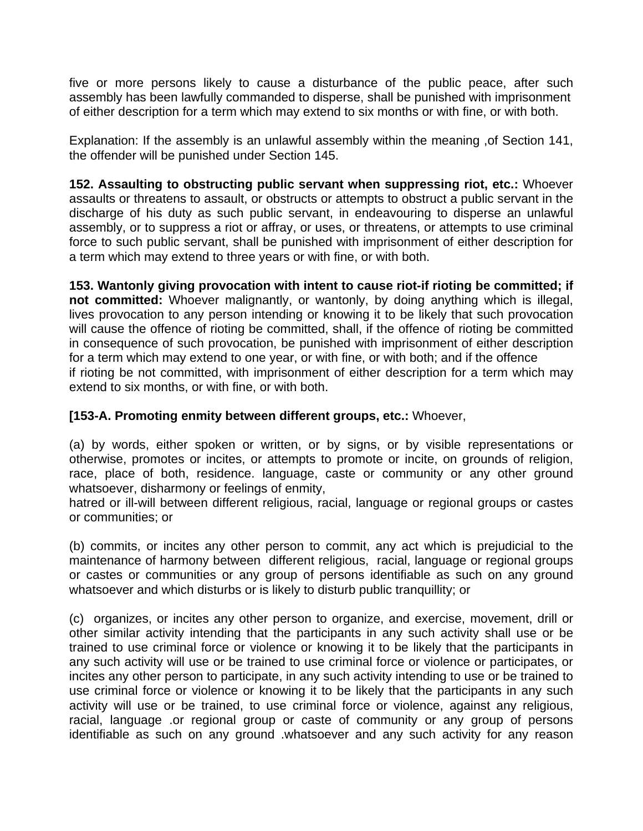five or more persons likely to cause a disturbance of the public peace, after such assembly has been lawfully commanded to disperse, shall be punished with imprisonment of either description for a term which may extend to six months or with fine, or with both.

Explanation: If the assembly is an unlawful assembly within the meaning ,of Section 141, the offender will be punished under Section 145.

**152. Assaulting to obstructing public servant when suppressing riot, etc.:** Whoever assaults or threatens to assault, or obstructs or attempts to obstruct a public servant in the discharge of his duty as such public servant, in endeavouring to disperse an unlawful assembly, or to suppress a riot or affray, or uses, or threatens, or attempts to use criminal force to such public servant, shall be punished with imprisonment of either description for a term which may extend to three years or with fine, or with both.

**153. Wantonly giving provocation with intent to cause riot-if rioting be committed; if not committed:** Whoever malignantly, or wantonly, by doing anything which is illegal, lives provocation to any person intending or knowing it to be likely that such provocation will cause the offence of rioting be committed, shall, if the offence of rioting be committed in consequence of such provocation, be punished with imprisonment of either description for a term which may extend to one year, or with fine, or with both; and if the offence if rioting be not committed, with imprisonment of either description for a term which may extend to six months, or with fine, or with both.

## **[153-A. Promoting enmity between different groups, etc.:** Whoever,

(a) by words, either spoken or written, or by signs, or by visible representations or otherwise, promotes or incites, or attempts to promote or incite, on grounds of religion, race, place of both, residence. language, caste or community or any other ground whatsoever, disharmony or feelings of enmity,

hatred or ill-will between different religious, racial, language or regional groups or castes or communities; or

(b) commits, or incites any other person to commit, any act which is prejudicial to the maintenance of harmony between different religious, racial, language or regional groups or castes or communities or any group of persons identifiable as such on any ground whatsoever and which disturbs or is likely to disturb public tranquillity; or

(c) organizes, or incites any other person to organize, and exercise, movement, drill or other similar activity intending that the participants in any such activity shall use or be trained to use criminal force or violence or knowing it to be likely that the participants in any such activity will use or be trained to use criminal force or violence or participates, or incites any other person to participate, in any such activity intending to use or be trained to use criminal force or violence or knowing it to be likely that the participants in any such activity will use or be trained, to use criminal force or violence, against any religious, racial, language .or regional group or caste of community or any group of persons identifiable as such on any ground .whatsoever and any such activity for any reason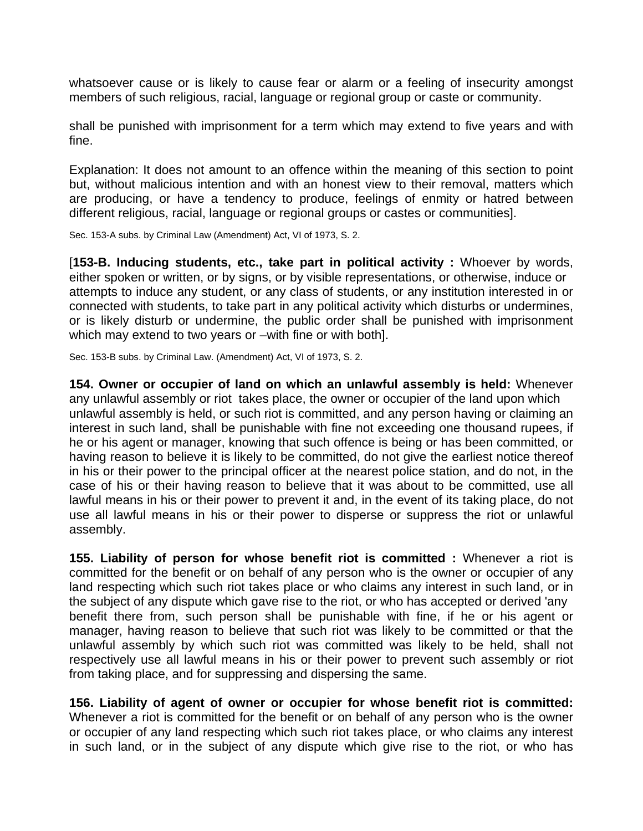whatsoever cause or is likely to cause fear or alarm or a feeling of insecurity amongst members of such religious, racial, language or regional group or caste or community.

shall be punished with imprisonment for a term which may extend to five years and with fine.

Explanation: It does not amount to an offence within the meaning of this section to point but, without malicious intention and with an honest view to their removal, matters which are producing, or have a tendency to produce, feelings of enmity or hatred between different religious, racial, language or regional groups or castes or communities].

Sec. 153-A subs. by Criminal Law (Amendment) Act, VI of 1973, S. 2.

[**153-B. Inducing students, etc., take part in political activity :** Whoever by words, either spoken or written, or by signs, or by visible representations, or otherwise, induce or attempts to induce any student, or any class of students, or any institution interested in or connected with students, to take part in any political activity which disturbs or undermines, or is likely disturb or undermine, the public order shall be punished with imprisonment which may extend to two years or –with fine or with both].

Sec. 153-B subs. by Criminal Law. (Amendment) Act, VI of 1973, S. 2.

**154. Owner or occupier of land on which an unlawful assembly is held:** Whenever any unlawful assembly or riot takes place, the owner or occupier of the land upon which unlawful assembly is held, or such riot is committed, and any person having or claiming an interest in such land, shall be punishable with fine not exceeding one thousand rupees, if he or his agent or manager, knowing that such offence is being or has been committed, or having reason to believe it is likely to be committed, do not give the earliest notice thereof in his or their power to the principal officer at the nearest police station, and do not, in the case of his or their having reason to believe that it was about to be committed, use all lawful means in his or their power to prevent it and, in the event of its taking place, do not use all lawful means in his or their power to disperse or suppress the riot or unlawful assembly.

**155. Liability of person for whose benefit riot is committed :** Whenever a riot is committed for the benefit or on behalf of any person who is the owner or occupier of any land respecting which such riot takes place or who claims any interest in such land, or in the subject of any dispute which gave rise to the riot, or who has accepted or derived 'any benefit there from, such person shall be punishable with fine, if he or his agent or manager, having reason to believe that such riot was likely to be committed or that the unlawful assembly by which such riot was committed was likely to be held, shall not respectively use all lawful means in his or their power to prevent such assembly or riot from taking place, and for suppressing and dispersing the same.

**156. Liability of agent of owner or occupier for whose benefit riot is committed:** Whenever a riot is committed for the benefit or on behalf of any person who is the owner or occupier of any land respecting which such riot takes place, or who claims any interest in such land, or in the subject of any dispute which give rise to the riot, or who has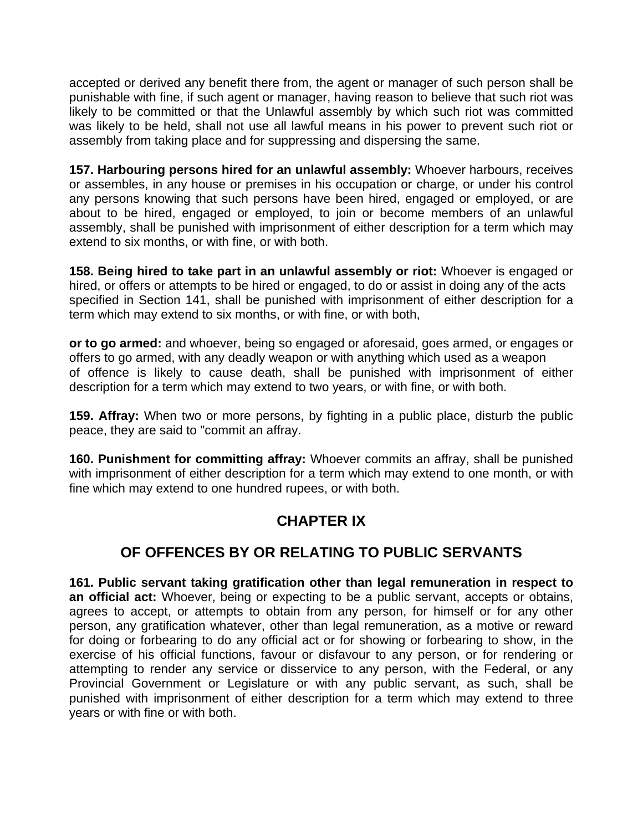accepted or derived any benefit there from, the agent or manager of such person shall be punishable with fine, if such agent or manager, having reason to believe that such riot was likely to be committed or that the Unlawful assembly by which such riot was committed was likely to be held, shall not use all lawful means in his power to prevent such riot or assembly from taking place and for suppressing and dispersing the same.

**157. Harbouring persons hired for an unlawful assembly:** Whoever harbours, receives or assembles, in any house or premises in his occupation or charge, or under his control any persons knowing that such persons have been hired, engaged or employed, or are about to be hired, engaged or employed, to join or become members of an unlawful assembly, shall be punished with imprisonment of either description for a term which may extend to six months, or with fine, or with both.

**158. Being hired to take part in an unlawful assembly or riot:** Whoever is engaged or hired, or offers or attempts to be hired or engaged, to do or assist in doing any of the acts specified in Section 141, shall be punished with imprisonment of either description for a term which may extend to six months, or with fine, or with both,

**or to go armed:** and whoever, being so engaged or aforesaid, goes armed, or engages or offers to go armed, with any deadly weapon or with anything which used as a weapon of offence is likely to cause death, shall be punished with imprisonment of either description for a term which may extend to two years, or with fine, or with both.

**159. Affray:** When two or more persons, by fighting in a public place, disturb the public peace, they are said to "commit an affray.

**160. Punishment for committing affray:** Whoever commits an affray, shall be punished with imprisonment of either description for a term which may extend to one month, or with fine which may extend to one hundred rupees, or with both.

## **CHAPTER IX**

## **OF OFFENCES BY OR RELATING TO PUBLIC SERVANTS**

**161. Public servant taking gratification other than legal remuneration in respect to an official act:** Whoever, being or expecting to be a public servant, accepts or obtains, agrees to accept, or attempts to obtain from any person, for himself or for any other person, any gratification whatever, other than legal remuneration, as a motive or reward for doing or forbearing to do any official act or for showing or forbearing to show, in the exercise of his official functions, favour or disfavour to any person, or for rendering or attempting to render any service or disservice to any person, with the Federal, or any Provincial Government or Legislature or with any public servant, as such, shall be punished with imprisonment of either description for a term which may extend to three years or with fine or with both.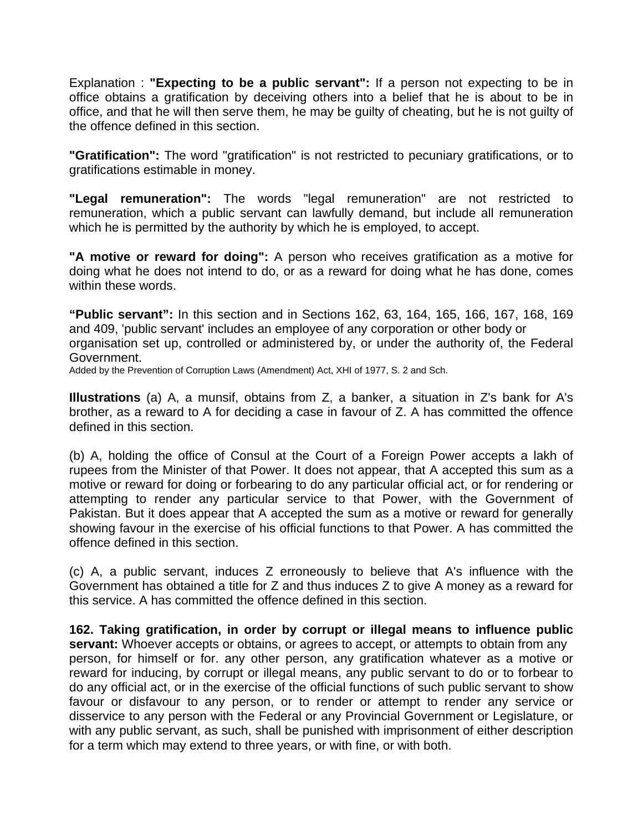Explanation : **"Expecting to be a public servant":** If a person not expecting to be in office obtains a gratification by deceiving others into a belief that he is about to be in office, and that he will then serve them, he may be guilty of cheating, but he is not guilty of the offence defined in this section.

**"Gratification":** The word "gratification" is not restricted to pecuniary gratifications, or to gratifications estimable in money.

**"Legal remuneration":** The words "legal remuneration" are not restricted to remuneration, which a public servant can lawfully demand, but include all remuneration which he is permitted by the authority by which he is employed, to accept.

**"A motive or reward for doing":** A person who receives gratification as a motive for doing what he does not intend to do, or as a reward for doing what he has done, comes within these words.

**"Public servant":** In this section and in Sections 162, 63, 164, 165, 166, 167, 168, 169 and 409, 'public servant' includes an employee of any corporation or other body or organisation set up, controlled or administered by, or under the authority of, the Federal Government.

Added by the Prevention of Corruption Laws (Amendment) Act, XHI of 1977, S. 2 and Sch.

**Illustrations** (a) A, a munsif, obtains from Z, a banker, a situation in Z's bank for A's brother, as a reward to A for deciding a case in favour of Z. A has committed the offence defined in this section.

(b) A, holding the office of Consul at the Court of a Foreign Power accepts a lakh of rupees from the Minister of that Power. It does not appear, that A accepted this sum as a motive or reward for doing or forbearing to do any particular official act, or for rendering or attempting to render any particular service to that Power, with the Government of Pakistan. But it does appear that A accepted the sum as a motive or reward for generally showing favour in the exercise of his official functions to that Power. A has committed the offence defined in this section.

(c) A, a public servant, induces Z erroneously to believe that A's influence with the Government has obtained a title for Z and thus induces Z to give A money as a reward for this service. A has committed the offence defined in this section.

**162. Taking gratification, in order by corrupt or illegal means to influence public servant:** Whoever accepts or obtains, or agrees to accept, or attempts to obtain from any person, for himself or for. any other person, any gratification whatever as a motive or reward for inducing, by corrupt or illegal means, any public servant to do or to forbear to do any official act, or in the exercise of the official functions of such public servant to show favour or disfavour to any person, or to render or attempt to render any service or disservice to any person with the Federal or any Provincial Government or Legislature, or with any public servant, as such, shall be punished with imprisonment of either description for a term which may extend to three years, or with fine, or with both.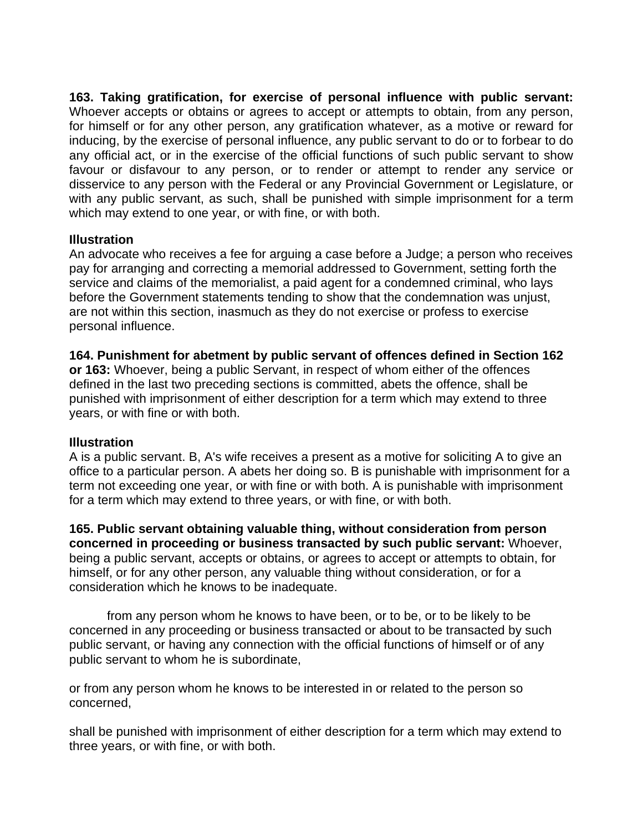**163. Taking gratification, for exercise of personal influence with public servant:** Whoever accepts or obtains or agrees to accept or attempts to obtain, from any person, for himself or for any other person, any gratification whatever, as a motive or reward for inducing, by the exercise of personal influence, any public servant to do or to forbear to do any official act, or in the exercise of the official functions of such public servant to show favour or disfavour to any person, or to render or attempt to render any service or disservice to any person with the Federal or any Provincial Government or Legislature, or with any public servant, as such, shall be punished with simple imprisonment for a term which may extend to one year, or with fine, or with both.

#### **Illustration**

An advocate who receives a fee for arguing a case before a Judge; a person who receives pay for arranging and correcting a memorial addressed to Government, setting forth the service and claims of the memorialist, a paid agent for a condemned criminal, who lays before the Government statements tending to show that the condemnation was unjust, are not within this section, inasmuch as they do not exercise or profess to exercise personal influence.

**164. Punishment for abetment by public servant of offences defined in Section 162 or 163:** Whoever, being a public Servant, in respect of whom either of the offences defined in the last two preceding sections is committed, abets the offence, shall be punished with imprisonment of either description for a term which may extend to three years, or with fine or with both.

#### **Illustration**

A is a public servant. B, A's wife receives a present as a motive for soliciting A to give an office to a particular person. A abets her doing so. B is punishable with imprisonment for a term not exceeding one year, or with fine or with both. A is punishable with imprisonment for a term which may extend to three years, or with fine, or with both.

**165. Public servant obtaining valuable thing, without consideration from person concerned in proceeding or business transacted by such public servant:** Whoever, being a public servant, accepts or obtains, or agrees to accept or attempts to obtain, for himself, or for any other person, any valuable thing without consideration, or for a consideration which he knows to be inadequate.

from any person whom he knows to have been, or to be, or to be likely to be concerned in any proceeding or business transacted or about to be transacted by such public servant, or having any connection with the official functions of himself or of any public servant to whom he is subordinate,

or from any person whom he knows to be interested in or related to the person so concerned,

shall be punished with imprisonment of either description for a term which may extend to three years, or with fine, or with both.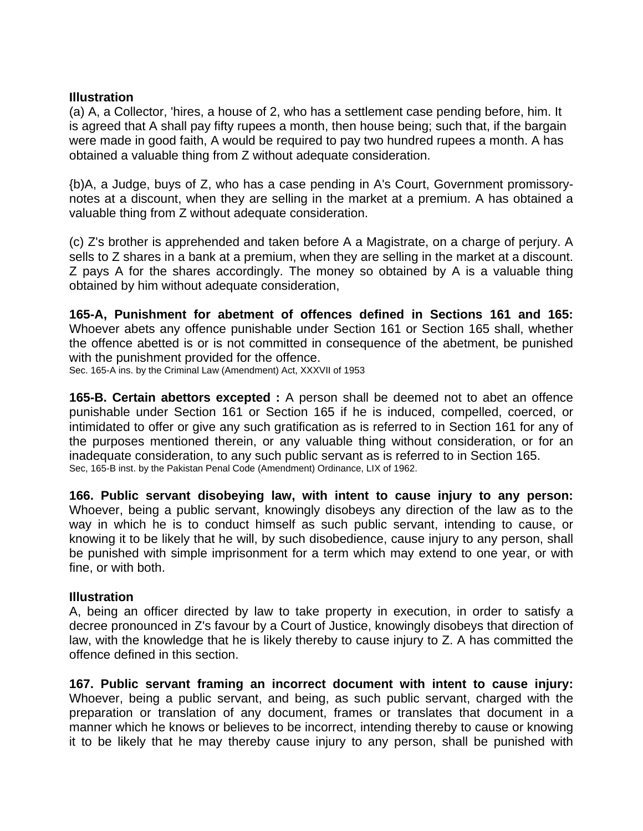#### **Illustration**

(a) A, a Collector, 'hires, a house of 2, who has a settlement case pending before, him. It is agreed that A shall pay fifty rupees a month, then house being; such that, if the bargain were made in good faith, A would be required to pay two hundred rupees a month. A has obtained a valuable thing from Z without adequate consideration.

{b)A, a Judge, buys of Z, who has a case pending in A's Court, Government promissorynotes at a discount, when they are selling in the market at a premium. A has obtained a valuable thing from Z without adequate consideration.

(c) Z's brother is apprehended and taken before A a Magistrate, on a charge of perjury. A sells to Z shares in a bank at a premium, when they are selling in the market at a discount. Z pays A for the shares accordingly. The money so obtained by A is a valuable thing obtained by him without adequate consideration,

**165-A, Punishment for abetment of offences defined in Sections 161 and 165:** Whoever abets any offence punishable under Section 161 or Section 165 shall, whether the offence abetted is or is not committed in consequence of the abetment, be punished with the punishment provided for the offence.

Sec. 165-A ins. by the Criminal Law (Amendment) Act, XXXVII of 1953

**165-B. Certain abettors excepted :** A person shall be deemed not to abet an offence punishable under Section 161 or Section 165 if he is induced, compelled, coerced, or intimidated to offer or give any such gratification as is referred to in Section 161 for any of the purposes mentioned therein, or any valuable thing without consideration, or for an inadequate consideration, to any such public servant as is referred to in Section 165. Sec, 165-B inst. by the Pakistan Penal Code (Amendment) Ordinance, LIX of 1962.

**166. Public servant disobeying law, with intent to cause injury to any person:** Whoever, being a public servant, knowingly disobeys any direction of the law as to the way in which he is to conduct himself as such public servant, intending to cause, or knowing it to be likely that he will, by such disobedience, cause injury to any person, shall be punished with simple imprisonment for a term which may extend to one year, or with fine, or with both.

#### **Illustration**

A, being an officer directed by law to take property in execution, in order to satisfy a decree pronounced in Z's favour by a Court of Justice, knowingly disobeys that direction of law, with the knowledge that he is likely thereby to cause injury to Z. A has committed the offence defined in this section.

**167. Public servant framing an incorrect document with intent to cause injury:** Whoever, being a public servant, and being, as such public servant, charged with the preparation or translation of any document, frames or translates that document in a manner which he knows or believes to be incorrect, intending thereby to cause or knowing it to be likely that he may thereby cause injury to any person, shall be punished with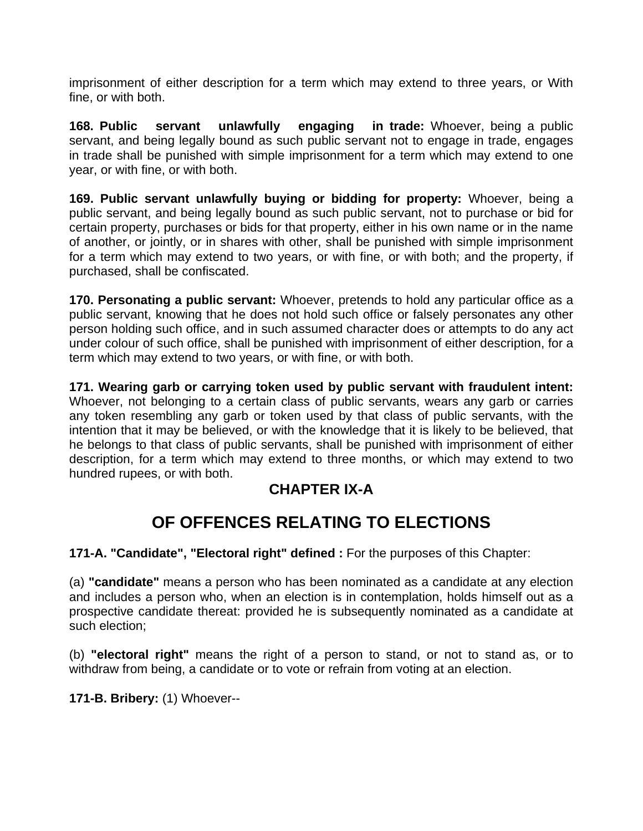imprisonment of either description for a term which may extend to three years, or With fine, or with both.

**168. Public servant unlawfully engaging in trade:** Whoever, being a public servant, and being legally bound as such public servant not to engage in trade, engages in trade shall be punished with simple imprisonment for a term which may extend to one year, or with fine, or with both.

**169. Public servant unlawfully buying or bidding for property:** Whoever, being a public servant, and being legally bound as such public servant, not to purchase or bid for certain property, purchases or bids for that property, either in his own name or in the name of another, or jointly, or in shares with other, shall be punished with simple imprisonment for a term which may extend to two years, or with fine, or with both; and the property, if purchased, shall be confiscated.

**170. Personating a public servant:** Whoever, pretends to hold any particular office as a public servant, knowing that he does not hold such office or falsely personates any other person holding such office, and in such assumed character does or attempts to do any act under colour of such office, shall be punished with imprisonment of either description, for a term which may extend to two years, or with fine, or with both.

**171. Wearing garb or carrying token used by public servant with fraudulent intent:** Whoever, not belonging to a certain class of public servants, wears any garb or carries any token resembling any garb or token used by that class of public servants, with the intention that it may be believed, or with the knowledge that it is likely to be believed, that he belongs to that class of public servants, shall be punished with imprisonment of either description, for a term which may extend to three months, or which may extend to two hundred rupees, or with both.

### **CHAPTER IX-A**

## **OF OFFENCES RELATING TO ELECTIONS**

**171-A. "Candidate", "Electoral right" defined :** For the purposes of this Chapter:

(a) **"candidate"** means a person who has been nominated as a candidate at any election and includes a person who, when an election is in contemplation, holds himself out as a prospective candidate thereat: provided he is subsequently nominated as a candidate at such election;

(b) **"electoral right"** means the right of a person to stand, or not to stand as, or to withdraw from being, a candidate or to vote or refrain from voting at an election.

**171-B. Bribery:** (1) Whoever--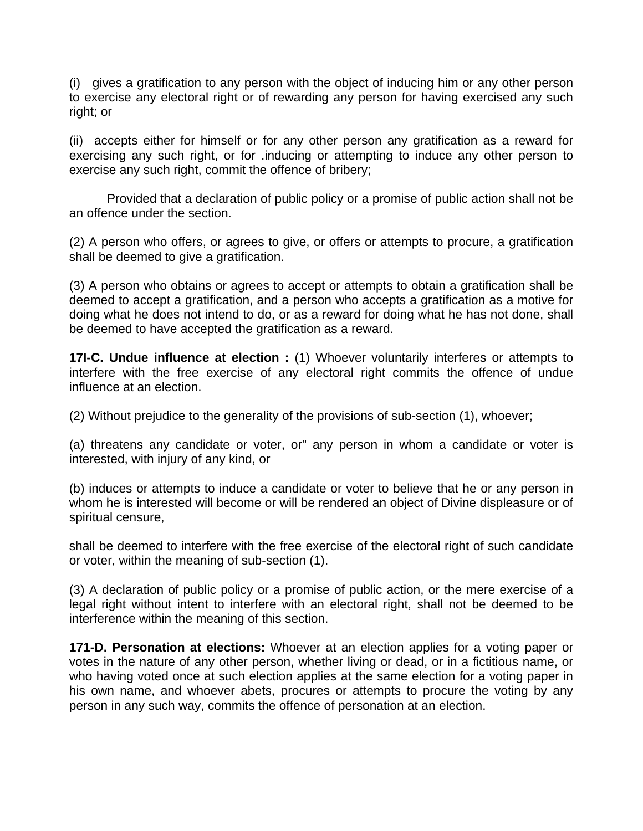(i) gives a gratification to any person with the object of inducing him or any other person to exercise any electoral right or of rewarding any person for having exercised any such right; or

(ii) accepts either for himself or for any other person any gratification as a reward for exercising any such right, or for .inducing or attempting to induce any other person to exercise any such right, commit the offence of bribery;

Provided that a declaration of public policy or a promise of public action shall not be an offence under the section.

(2) A person who offers, or agrees to give, or offers or attempts to procure, a gratification shall be deemed to give a gratification.

(3) A person who obtains or agrees to accept or attempts to obtain a gratification shall be deemed to accept a gratification, and a person who accepts a gratification as a motive for doing what he does not intend to do, or as a reward for doing what he has not done, shall be deemed to have accepted the gratification as a reward.

**17I-C. Undue influence at election :** (1) Whoever voluntarily interferes or attempts to interfere with the free exercise of any electoral right commits the offence of undue influence at an election.

(2) Without prejudice to the generality of the provisions of sub-section (1), whoever;

(a) threatens any candidate or voter, or" any person in whom a candidate or voter is interested, with injury of any kind, or

(b) induces or attempts to induce a candidate or voter to believe that he or any person in whom he is interested will become or will be rendered an object of Divine displeasure or of spiritual censure,

shall be deemed to interfere with the free exercise of the electoral right of such candidate or voter, within the meaning of sub-section (1).

(3) A declaration of public policy or a promise of public action, or the mere exercise of a legal right without intent to interfere with an electoral right, shall not be deemed to be interference within the meaning of this section.

**171-D. Personation at elections:** Whoever at an election applies for a voting paper or votes in the nature of any other person, whether living or dead, or in a fictitious name, or who having voted once at such election applies at the same election for a voting paper in his own name, and whoever abets, procures or attempts to procure the voting by any person in any such way, commits the offence of personation at an election.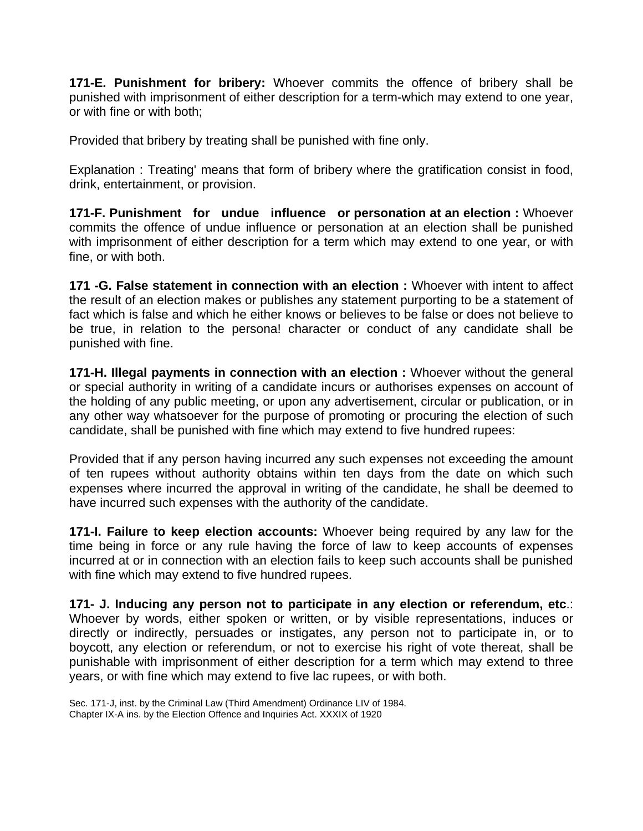**171-E. Punishment for bribery:** Whoever commits the offence of bribery shall be punished with imprisonment of either description for a term-which may extend to one year, or with fine or with both;

Provided that bribery by treating shall be punished with fine only.

Explanation : Treating' means that form of bribery where the gratification consist in food, drink, entertainment, or provision.

**171-F. Punishment for undue influence or personation at an election :** Whoever commits the offence of undue influence or personation at an election shall be punished with imprisonment of either description for a term which may extend to one year, or with fine, or with both.

**171 -G. False statement in connection with an election :** Whoever with intent to affect the result of an election makes or publishes any statement purporting to be a statement of fact which is false and which he either knows or believes to be false or does not believe to be true, in relation to the persona! character or conduct of any candidate shall be punished with fine.

**171-H. Illegal payments in connection with an election :** Whoever without the general or special authority in writing of a candidate incurs or authorises expenses on account of the holding of any public meeting, or upon any advertisement, circular or publication, or in any other way whatsoever for the purpose of promoting or procuring the election of such candidate, shall be punished with fine which may extend to five hundred rupees:

Provided that if any person having incurred any such expenses not exceeding the amount of ten rupees without authority obtains within ten days from the date on which such expenses where incurred the approval in writing of the candidate, he shall be deemed to have incurred such expenses with the authority of the candidate.

**171-I. Failure to keep election accounts:** Whoever being required by any law for the time being in force or any rule having the force of law to keep accounts of expenses incurred at or in connection with an election fails to keep such accounts shall be punished with fine which may extend to five hundred rupees.

**171- J. Inducing any person not to participate in any election or referendum, etc**.: Whoever by words, either spoken or written, or by visible representations, induces or directly or indirectly, persuades or instigates, any person not to participate in, or to boycott, any election or referendum, or not to exercise his right of vote thereat, shall be punishable with imprisonment of either description for a term which may extend to three years, or with fine which may extend to five lac rupees, or with both.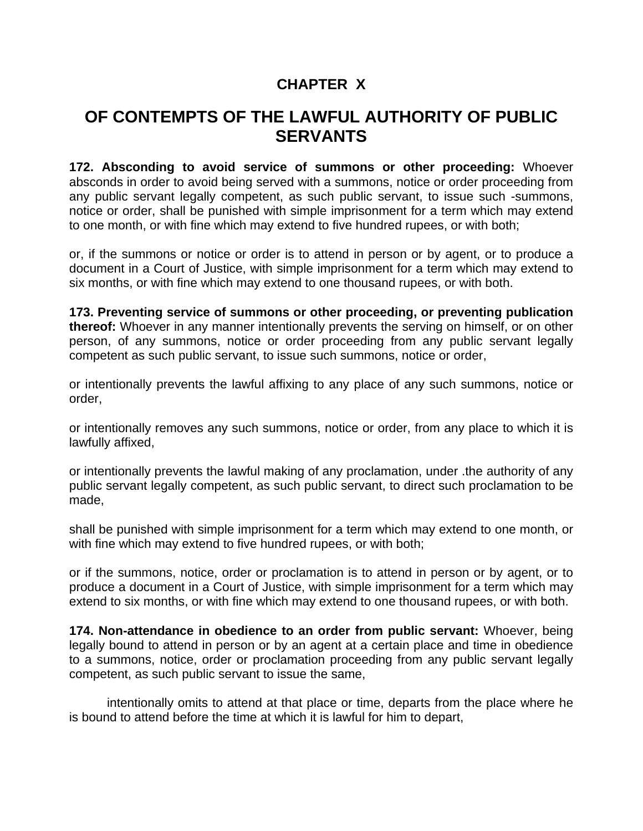### **CHAPTER X**

## **OF CONTEMPTS OF THE LAWFUL AUTHORITY OF PUBLIC SERVANTS**

**172. Absconding to avoid service of summons or other proceeding:** Whoever absconds in order to avoid being served with a summons, notice or order proceeding from any public servant legally competent, as such public servant, to issue such -summons, notice or order, shall be punished with simple imprisonment for a term which may extend to one month, or with fine which may extend to five hundred rupees, or with both;

or, if the summons or notice or order is to attend in person or by agent, or to produce a document in a Court of Justice, with simple imprisonment for a term which may extend to six months, or with fine which may extend to one thousand rupees, or with both.

**173. Preventing service of summons or other proceeding, or preventing publication thereof:** Whoever in any manner intentionally prevents the serving on himself, or on other person, of any summons, notice or order proceeding from any public servant legally competent as such public servant, to issue such summons, notice or order,

or intentionally prevents the lawful affixing to any place of any such summons, notice or order,

or intentionally removes any such summons, notice or order, from any place to which it is lawfully affixed,

or intentionally prevents the lawful making of any proclamation, under .the authority of any public servant legally competent, as such public servant, to direct such proclamation to be made,

shall be punished with simple imprisonment for a term which may extend to one month, or with fine which may extend to five hundred rupees, or with both;

or if the summons, notice, order or proclamation is to attend in person or by agent, or to produce a document in a Court of Justice, with simple imprisonment for a term which may extend to six months, or with fine which may extend to one thousand rupees, or with both.

**174. Non-attendance in obedience to an order from public servant:** Whoever, being legally bound to attend in person or by an agent at a certain place and time in obedience to a summons, notice, order or proclamation proceeding from any public servant legally competent, as such public servant to issue the same,

intentionally omits to attend at that place or time, departs from the place where he is bound to attend before the time at which it is lawful for him to depart,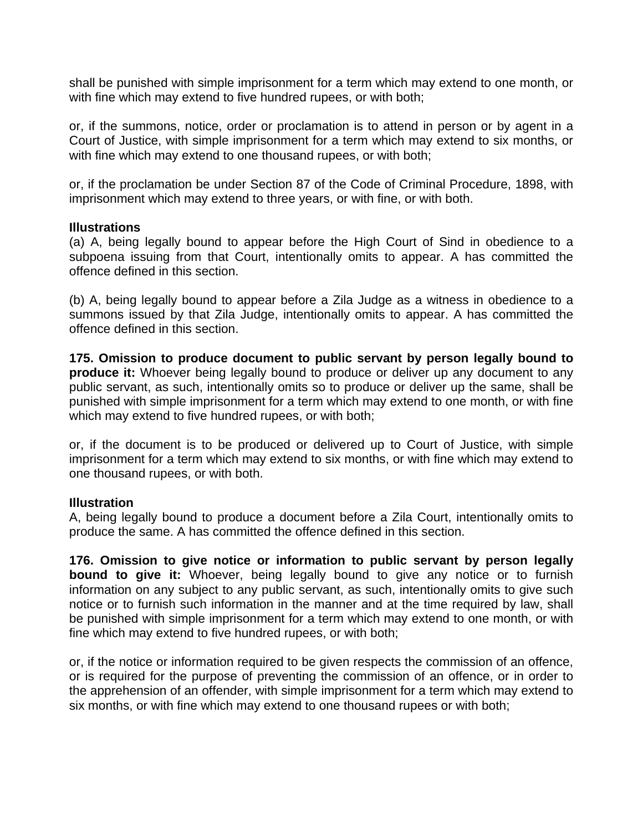shall be punished with simple imprisonment for a term which may extend to one month, or with fine which may extend to five hundred rupees, or with both;

or, if the summons, notice, order or proclamation is to attend in person or by agent in a Court of Justice, with simple imprisonment for a term which may extend to six months, or with fine which may extend to one thousand rupees, or with both;

or, if the proclamation be under Section 87 of the Code of Criminal Procedure, 1898, with imprisonment which may extend to three years, or with fine, or with both.

#### **Illustrations**

(a) A, being legally bound to appear before the High Court of Sind in obedience to a subpoena issuing from that Court, intentionally omits to appear. A has committed the offence defined in this section.

(b) A, being legally bound to appear before a Zila Judge as a witness in obedience to a summons issued by that Zila Judge, intentionally omits to appear. A has committed the offence defined in this section.

**175. Omission to produce document to public servant by person legally bound to produce it:** Whoever being legally bound to produce or deliver up any document to any public servant, as such, intentionally omits so to produce or deliver up the same, shall be punished with simple imprisonment for a term which may extend to one month, or with fine which may extend to five hundred rupees, or with both;

or, if the document is to be produced or delivered up to Court of Justice, with simple imprisonment for a term which may extend to six months, or with fine which may extend to one thousand rupees, or with both.

#### **Illustration**

A, being legally bound to produce a document before a Zila Court, intentionally omits to produce the same. A has committed the offence defined in this section.

**176. Omission to give notice or information to public servant by person legally bound to give it:** Whoever, being legally bound to give any notice or to furnish information on any subject to any public servant, as such, intentionally omits to give such notice or to furnish such information in the manner and at the time required by law, shall be punished with simple imprisonment for a term which may extend to one month, or with fine which may extend to five hundred rupees, or with both;

or, if the notice or information required to be given respects the commission of an offence, or is required for the purpose of preventing the commission of an offence, or in order to the apprehension of an offender, with simple imprisonment for a term which may extend to six months, or with fine which may extend to one thousand rupees or with both;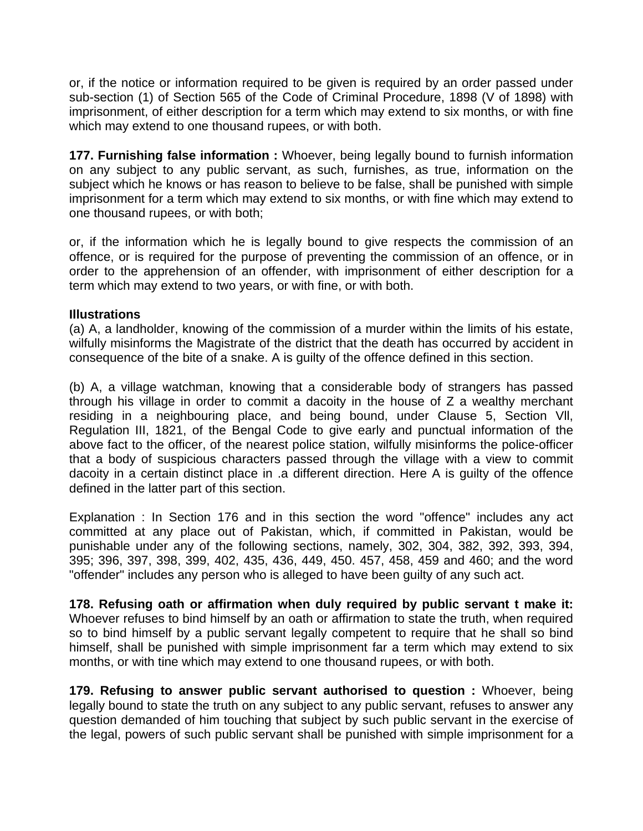or, if the notice or information required to be given is required by an order passed under sub-section (1) of Section 565 of the Code of Criminal Procedure, 1898 (V of 1898) with imprisonment, of either description for a term which may extend to six months, or with fine which may extend to one thousand rupees, or with both.

**177. Furnishing false information :** Whoever, being legally bound to furnish information on any subject to any public servant, as such, furnishes, as true, information on the subject which he knows or has reason to believe to be false, shall be punished with simple imprisonment for a term which may extend to six months, or with fine which may extend to one thousand rupees, or with both;

or, if the information which he is legally bound to give respects the commission of an offence, or is required for the purpose of preventing the commission of an offence, or in order to the apprehension of an offender, with imprisonment of either description for a term which may extend to two years, or with fine, or with both.

#### **Illustrations**

(a) A, a landholder, knowing of the commission of a murder within the limits of his estate, wilfully misinforms the Magistrate of the district that the death has occurred by accident in consequence of the bite of a snake. A is guilty of the offence defined in this section.

(b) A, a village watchman, knowing that a considerable body of strangers has passed through his village in order to commit a dacoity in the house of Z a wealthy merchant residing in a neighbouring place, and being bound, under Clause 5, Section Vll, Regulation III, 1821, of the Bengal Code to give early and punctual information of the above fact to the officer, of the nearest police station, wilfully misinforms the police-officer that a body of suspicious characters passed through the village with a view to commit dacoity in a certain distinct place in .a different direction. Here A is guilty of the offence defined in the latter part of this section.

Explanation : In Section 176 and in this section the word "offence" includes any act committed at any place out of Pakistan, which, if committed in Pakistan, would be punishable under any of the following sections, namely, 302, 304, 382, 392, 393, 394, 395; 396, 397, 398, 399, 402, 435, 436, 449, 450. 457, 458, 459 and 460; and the word "offender" includes any person who is alleged to have been guilty of any such act.

**178. Refusing oath or affirmation when duly required by public servant t make it:** Whoever refuses to bind himself by an oath or affirmation to state the truth, when required so to bind himself by a public servant legally competent to require that he shall so bind himself, shall be punished with simple imprisonment far a term which may extend to six months, or with tine which may extend to one thousand rupees, or with both.

**179. Refusing to answer public servant authorised to question :** Whoever, being legally bound to state the truth on any subject to any public servant, refuses to answer any question demanded of him touching that subject by such public servant in the exercise of the legal, powers of such public servant shall be punished with simple imprisonment for a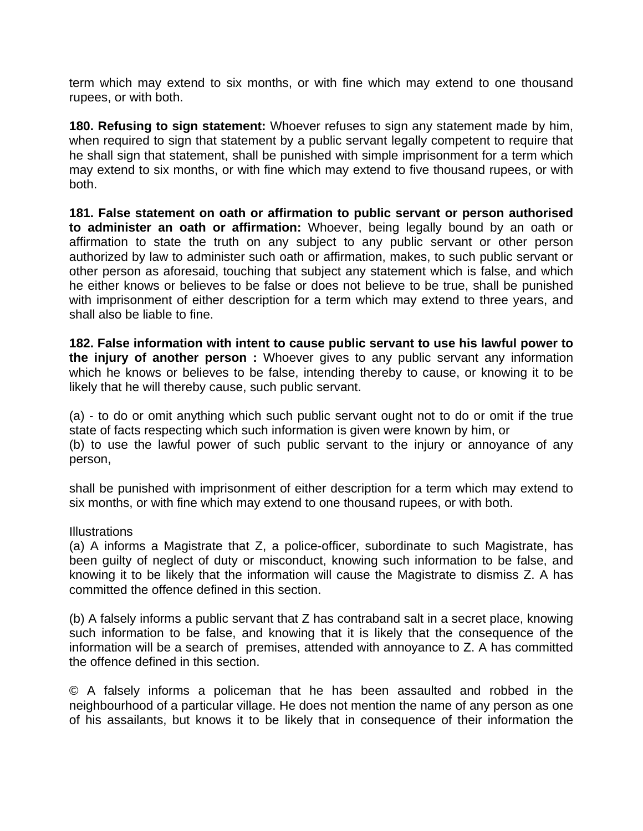term which may extend to six months, or with fine which may extend to one thousand rupees, or with both.

**180. Refusing to sign statement:** Whoever refuses to sign any statement made by him, when required to sign that statement by a public servant legally competent to require that he shall sign that statement, shall be punished with simple imprisonment for a term which may extend to six months, or with fine which may extend to five thousand rupees, or with both.

**181. False statement on oath or affirmation to public servant or person authorised to administer an oath or affirmation:** Whoever, being legally bound by an oath or affirmation to state the truth on any subject to any public servant or other person authorized by law to administer such oath or affirmation, makes, to such public servant or other person as aforesaid, touching that subject any statement which is false, and which he either knows or believes to be false or does not believe to be true, shall be punished with imprisonment of either description for a term which may extend to three years, and shall also be liable to fine.

**182. False information with intent to cause public servant to use his lawful power to the injury of another person :** Whoever gives to any public servant any information which he knows or believes to be false, intending thereby to cause, or knowing it to be likely that he will thereby cause, such public servant.

(a) - to do or omit anything which such public servant ought not to do or omit if the true state of facts respecting which such information is given were known by him, or (b) to use the lawful power of such public servant to the injury or annoyance of any

person,

shall be punished with imprisonment of either description for a term which may extend to six months, or with fine which may extend to one thousand rupees, or with both.

#### **Illustrations**

(a) A informs a Magistrate that Z, a police-officer, subordinate to such Magistrate, has been guilty of neglect of duty or misconduct, knowing such information to be false, and knowing it to be likely that the information will cause the Magistrate to dismiss Z. A has committed the offence defined in this section.

(b) A falsely informs a public servant that Z has contraband salt in a secret place, knowing such information to be false, and knowing that it is likely that the consequence of the information will be a search of premises, attended with annoyance to Z. A has committed the offence defined in this section.

© A falsely informs a policeman that he has been assaulted and robbed in the neighbourhood of a particular village. He does not mention the name of any person as one of his assailants, but knows it to be likely that in consequence of their information the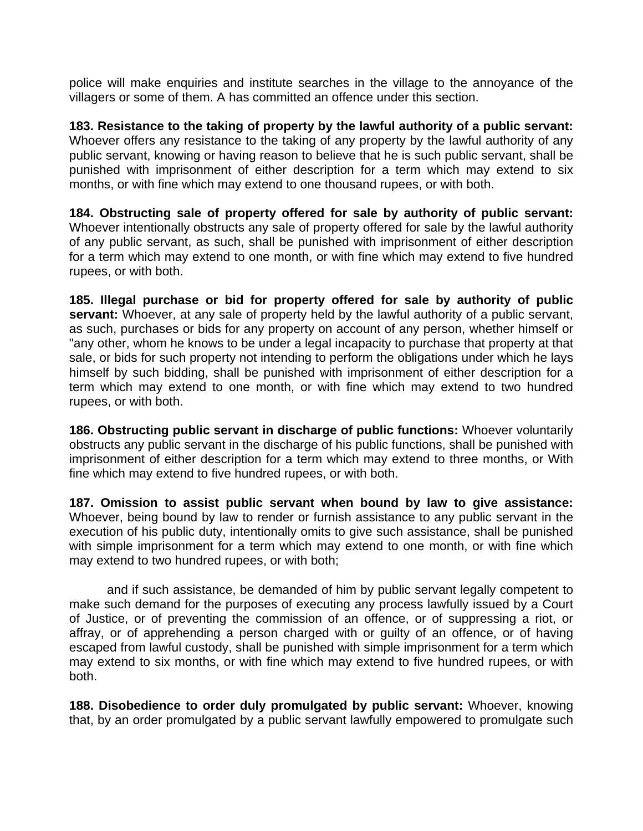police will make enquiries and institute searches in the village to the annoyance of the villagers or some of them. A has committed an offence under this section.

**183. Resistance to the taking of property by the lawful authority of a public servant:** Whoever offers any resistance to the taking of any property by the lawful authority of any public servant, knowing or having reason to believe that he is such public servant, shall be punished with imprisonment of either description for a term which may extend to six months, or with fine which may extend to one thousand rupees, or with both.

**184. Obstructing sale of property offered for sale by authority of public servant:** Whoever intentionally obstructs any sale of property offered for sale by the lawful authority of any public servant, as such, shall be punished with imprisonment of either description for a term which may extend to one month, or with fine which may extend to five hundred rupees, or with both.

**185. Illegal purchase or bid for property offered for sale by authority of public servant:** Whoever, at any sale of property held by the lawful authority of a public servant, as such, purchases or bids for any property on account of any person, whether himself or "any other, whom he knows to be under a legal incapacity to purchase that property at that sale, or bids for such property not intending to perform the obligations under which he lays himself by such bidding, shall be punished with imprisonment of either description for a term which may extend to one month, or with fine which may extend to two hundred rupees, or with both.

**186. Obstructing public servant in discharge of public functions:** Whoever voluntarily obstructs any public servant in the discharge of his public functions, shall be punished with imprisonment of either description for a term which may extend to three months, or With fine which may extend to five hundred rupees, or with both.

**187. Omission to assist public servant when bound by law to give assistance:** Whoever, being bound by law to render or furnish assistance to any public servant in the execution of his public duty, intentionally omits to give such assistance, shall be punished with simple imprisonment for a term which may extend to one month, or with fine which may extend to two hundred rupees, or with both;

and if such assistance, be demanded of him by public servant legally competent to make such demand for the purposes of executing any process lawfully issued by a Court of Justice, or of preventing the commission of an offence, or of suppressing a riot, or affray, or of apprehending a person charged with or guilty of an offence, or of having escaped from lawful custody, shall be punished with simple imprisonment for a term which may extend to six months, or with fine which may extend to five hundred rupees, or with both.

**188. Disobedience to order duly promulgated by public servant:** Whoever, knowing that, by an order promulgated by a public servant lawfully empowered to promulgate such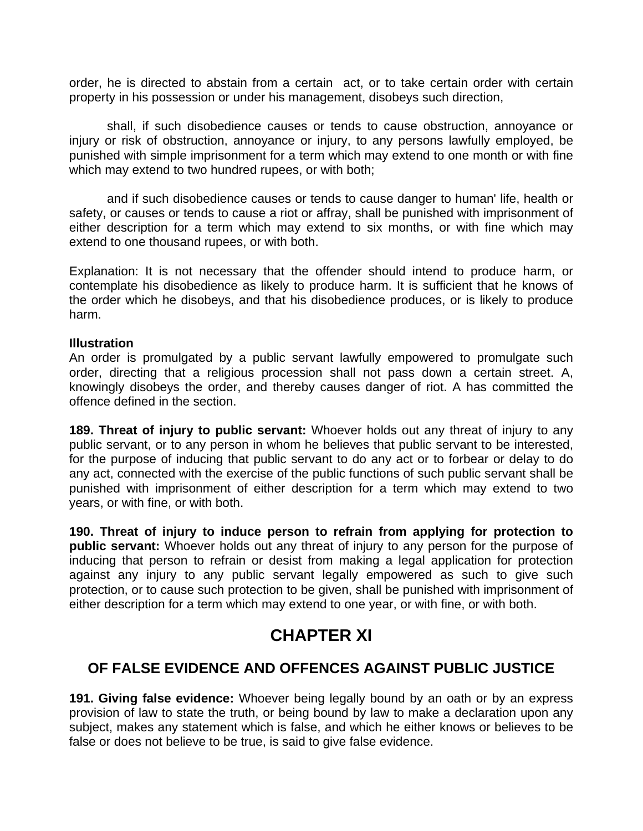order, he is directed to abstain from a certain act, or to take certain order with certain property in his possession or under his management, disobeys such direction,

shall, if such disobedience causes or tends to cause obstruction, annoyance or injury or risk of obstruction, annoyance or injury, to any persons lawfully employed, be punished with simple imprisonment for a term which may extend to one month or with fine which may extend to two hundred rupees, or with both;

and if such disobedience causes or tends to cause danger to human' life, health or safety, or causes or tends to cause a riot or affray, shall be punished with imprisonment of either description for a term which may extend to six months, or with fine which may extend to one thousand rupees, or with both.

Explanation: It is not necessary that the offender should intend to produce harm, or contemplate his disobedience as likely to produce harm. It is sufficient that he knows of the order which he disobeys, and that his disobedience produces, or is likely to produce harm.

#### **Illustration**

An order is promulgated by a public servant lawfully empowered to promulgate such order, directing that a religious procession shall not pass down a certain street. A, knowingly disobeys the order, and thereby causes danger of riot. A has committed the offence defined in the section.

**189. Threat of injury to public servant:** Whoever holds out any threat of injury to any public servant, or to any person in whom he believes that public servant to be interested, for the purpose of inducing that public servant to do any act or to forbear or delay to do any act, connected with the exercise of the public functions of such public servant shall be punished with imprisonment of either description for a term which may extend to two years, or with fine, or with both.

**190. Threat of injury to induce person to refrain from applying for protection to public servant:** Whoever holds out any threat of injury to any person for the purpose of inducing that person to refrain or desist from making a legal application for protection against any injury to any public servant legally empowered as such to give such protection, or to cause such protection to be given, shall be punished with imprisonment of either description for a term which may extend to one year, or with fine, or with both.

## **CHAPTER XI**

### **OF FALSE EVIDENCE AND OFFENCES AGAINST PUBLIC JUSTICE**

**191. Giving false evidence:** Whoever being legally bound by an oath or by an express provision of law to state the truth, or being bound by law to make a declaration upon any subject, makes any statement which is false, and which he either knows or believes to be false or does not believe to be true, is said to give false evidence.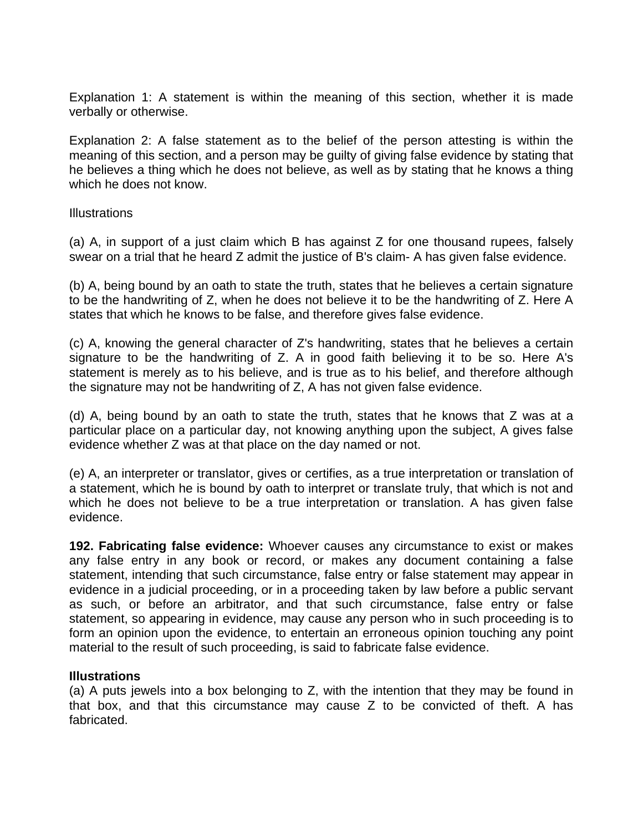Explanation 1: A statement is within the meaning of this section, whether it is made verbally or otherwise.

Explanation 2: A false statement as to the belief of the person attesting is within the meaning of this section, and a person may be guilty of giving false evidence by stating that he believes a thing which he does not believe, as well as by stating that he knows a thing which he does not know.

#### Illustrations

(a) A, in support of a just claim which B has against Z for one thousand rupees, falsely swear on a trial that he heard Z admit the justice of B's claim- A has given false evidence.

(b) A, being bound by an oath to state the truth, states that he believes a certain signature to be the handwriting of Z, when he does not believe it to be the handwriting of Z. Here A states that which he knows to be false, and therefore gives false evidence.

(c) A, knowing the general character of Z's handwriting, states that he believes a certain signature to be the handwriting of Z. A in good faith believing it to be so. Here A's statement is merely as to his believe, and is true as to his belief, and therefore although the signature may not be handwriting of Z, A has not given false evidence.

(d) A, being bound by an oath to state the truth, states that he knows that Z was at a particular place on a particular day, not knowing anything upon the subject, A gives false evidence whether Z was at that place on the day named or not.

(e) A, an interpreter or translator, gives or certifies, as a true interpretation or translation of a statement, which he is bound by oath to interpret or translate truly, that which is not and which he does not believe to be a true interpretation or translation. A has given false evidence.

**192. Fabricating false evidence:** Whoever causes any circumstance to exist or makes any false entry in any book or record, or makes any document containing a false statement, intending that such circumstance, false entry or false statement may appear in evidence in a judicial proceeding, or in a proceeding taken by law before a public servant as such, or before an arbitrator, and that such circumstance, false entry or false statement, so appearing in evidence, may cause any person who in such proceeding is to form an opinion upon the evidence, to entertain an erroneous opinion touching any point material to the result of such proceeding, is said to fabricate false evidence.

#### **Illustrations**

(a) A puts jewels into a box belonging to Z, with the intention that they may be found in that box, and that this circumstance may cause Z to be convicted of theft. A has fabricated.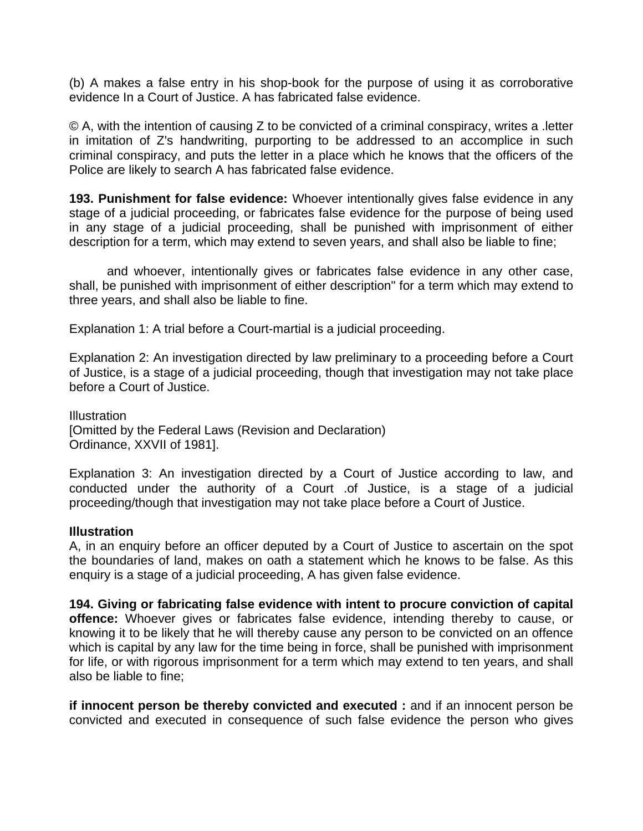(b) A makes a false entry in his shop-book for the purpose of using it as corroborative evidence In a Court of Justice. A has fabricated false evidence.

© A, with the intention of causing Z to be convicted of a criminal conspiracy, writes a .letter in imitation of Z's handwriting, purporting to be addressed to an accomplice in such criminal conspiracy, and puts the letter in a place which he knows that the officers of the Police are likely to search A has fabricated false evidence.

**193. Punishment for false evidence:** Whoever intentionally gives false evidence in any stage of a judicial proceeding, or fabricates false evidence for the purpose of being used in any stage of a judicial proceeding, shall be punished with imprisonment of either description for a term, which may extend to seven years, and shall also be liable to fine;

and whoever, intentionally gives or fabricates false evidence in any other case, shall, be punished with imprisonment of either description" for a term which may extend to three years, and shall also be liable to fine.

Explanation 1: A trial before a Court-martial is a judicial proceeding.

Explanation 2: An investigation directed by law preliminary to a proceeding before a Court of Justice, is a stage of a judicial proceeding, though that investigation may not take place before a Court of Justice.

**Illustration** [Omitted by the Federal Laws (Revision and Declaration) Ordinance, XXVII of 1981].

Explanation 3: An investigation directed by a Court of Justice according to law, and conducted under the authority of a Court .of Justice, is a stage of a judicial proceeding/though that investigation may not take place before a Court of Justice.

#### **Illustration**

A, in an enquiry before an officer deputed by a Court of Justice to ascertain on the spot the boundaries of land, makes on oath a statement which he knows to be false. As this enquiry is a stage of a judicial proceeding, A has given false evidence.

**194. Giving or fabricating false evidence with intent to procure conviction of capital offence:** Whoever gives or fabricates false evidence, intending thereby to cause, or knowing it to be likely that he will thereby cause any person to be convicted on an offence which is capital by any law for the time being in force, shall be punished with imprisonment for life, or with rigorous imprisonment for a term which may extend to ten years, and shall also be liable to fine;

**if innocent person be thereby convicted and executed :** and if an innocent person be convicted and executed in consequence of such false evidence the person who gives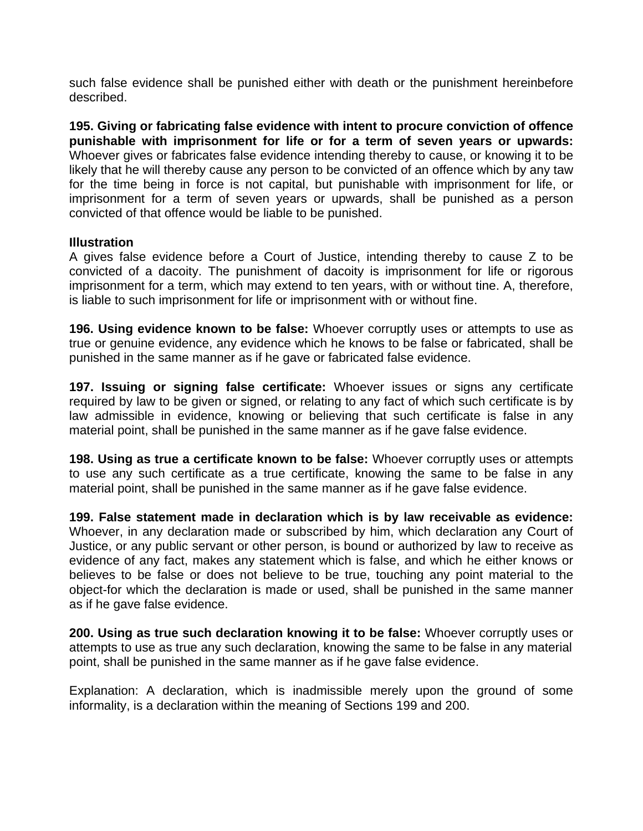such false evidence shall be punished either with death or the punishment hereinbefore described.

**195. Giving or fabricating false evidence with intent to procure conviction of offence punishable with imprisonment for life or for a term of seven years or upwards:** Whoever gives or fabricates false evidence intending thereby to cause, or knowing it to be likely that he will thereby cause any person to be convicted of an offence which by any taw for the time being in force is not capital, but punishable with imprisonment for life, or imprisonment for a term of seven years or upwards, shall be punished as a person convicted of that offence would be liable to be punished.

#### **Illustration**

A gives false evidence before a Court of Justice, intending thereby to cause Z to be convicted of a dacoity. The punishment of dacoity is imprisonment for life or rigorous imprisonment for a term, which may extend to ten years, with or without tine. A, therefore, is liable to such imprisonment for life or imprisonment with or without fine.

**196. Using evidence known to be false:** Whoever corruptly uses or attempts to use as true or genuine evidence, any evidence which he knows to be false or fabricated, shall be punished in the same manner as if he gave or fabricated false evidence.

**197. Issuing or signing false certificate:** Whoever issues or signs any certificate required by law to be given or signed, or relating to any fact of which such certificate is by law admissible in evidence, knowing or believing that such certificate is false in any material point, shall be punished in the same manner as if he gave false evidence.

**198. Using as true a certificate known to be false:** Whoever corruptly uses or attempts to use any such certificate as a true certificate, knowing the same to be false in any material point, shall be punished in the same manner as if he gave false evidence.

**199. False statement made in declaration which is by law receivable as evidence:** Whoever, in any declaration made or subscribed by him, which declaration any Court of Justice, or any public servant or other person, is bound or authorized by law to receive as evidence of any fact, makes any statement which is false, and which he either knows or believes to be false or does not believe to be true, touching any point material to the object-for which the declaration is made or used, shall be punished in the same manner as if he gave false evidence.

**200. Using as true such declaration knowing it to be false:** Whoever corruptly uses or attempts to use as true any such declaration, knowing the same to be false in any material point, shall be punished in the same manner as if he gave false evidence.

Explanation: A declaration, which is inadmissible merely upon the ground of some informality, is a declaration within the meaning of Sections 199 and 200.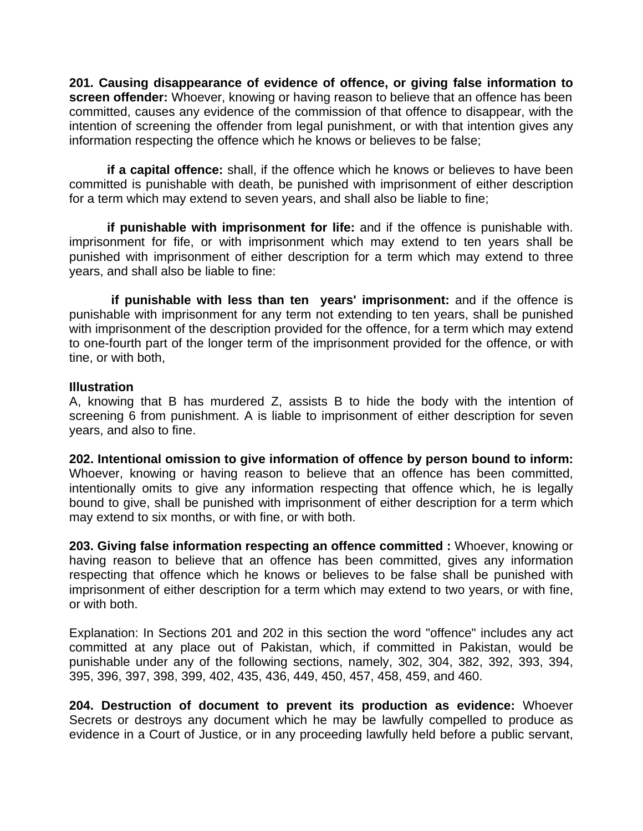**201. Causing disappearance of evidence of offence, or giving false information to screen offender:** Whoever, knowing or having reason to believe that an offence has been committed, causes any evidence of the commission of that offence to disappear, with the intention of screening the offender from legal punishment, or with that intention gives any information respecting the offence which he knows or believes to be false;

**if a capital offence:** shall, if the offence which he knows or believes to have been committed is punishable with death, be punished with imprisonment of either description for a term which may extend to seven years, and shall also be liable to fine;

**if punishable with imprisonment for life:** and if the offence is punishable with. imprisonment for fife, or with imprisonment which may extend to ten years shall be punished with imprisonment of either description for a term which may extend to three years, and shall also be liable to fine:

 **if punishable with less than ten years' imprisonment:** and if the offence is punishable with imprisonment for any term not extending to ten years, shall be punished with imprisonment of the description provided for the offence, for a term which may extend to one-fourth part of the longer term of the imprisonment provided for the offence, or with tine, or with both,

#### **Illustration**

A, knowing that B has murdered Z, assists B to hide the body with the intention of screening 6 from punishment. A is liable to imprisonment of either description for seven years, and also to fine.

**202. Intentional omission to give information of offence by person bound to inform:** Whoever, knowing or having reason to believe that an offence has been committed, intentionally omits to give any information respecting that offence which, he is legally bound to give, shall be punished with imprisonment of either description for a term which may extend to six months, or with fine, or with both.

**203. Giving false information respecting an offence committed :** Whoever, knowing or having reason to believe that an offence has been committed, gives any information respecting that offence which he knows or believes to be false shall be punished with imprisonment of either description for a term which may extend to two years, or with fine, or with both.

Explanation: In Sections 201 and 202 in this section the word "offence" includes any act committed at any place out of Pakistan, which, if committed in Pakistan, would be punishable under any of the following sections, namely, 302, 304, 382, 392, 393, 394, 395, 396, 397, 398, 399, 402, 435, 436, 449, 450, 457, 458, 459, and 460.

**204. Destruction of document to prevent its production as evidence:** Whoever Secrets or destroys any document which he may be lawfully compelled to produce as evidence in a Court of Justice, or in any proceeding lawfully held before a public servant,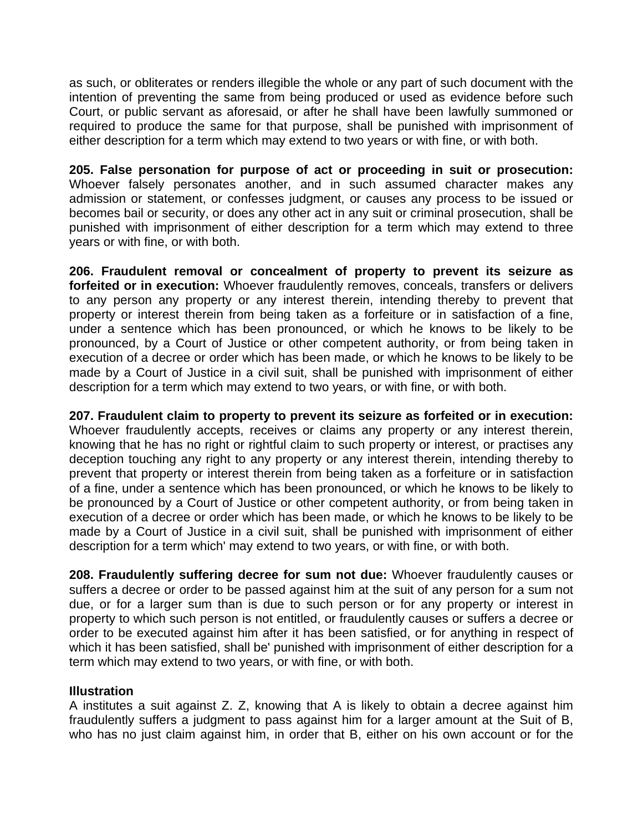as such, or obliterates or renders illegible the whole or any part of such document with the intention of preventing the same from being produced or used as evidence before such Court, or public servant as aforesaid, or after he shall have been lawfully summoned or required to produce the same for that purpose, shall be punished with imprisonment of either description for a term which may extend to two years or with fine, or with both.

**205. False personation for purpose of act or proceeding in suit or prosecution:** Whoever falsely personates another, and in such assumed character makes any admission or statement, or confesses judgment, or causes any process to be issued or becomes bail or security, or does any other act in any suit or criminal prosecution, shall be punished with imprisonment of either description for a term which may extend to three years or with fine, or with both.

**206. Fraudulent removal or concealment of property to prevent its seizure as forfeited or in execution:** Whoever fraudulently removes, conceals, transfers or delivers to any person any property or any interest therein, intending thereby to prevent that property or interest therein from being taken as a forfeiture or in satisfaction of a fine, under a sentence which has been pronounced, or which he knows to be likely to be pronounced, by a Court of Justice or other competent authority, or from being taken in execution of a decree or order which has been made, or which he knows to be likely to be made by a Court of Justice in a civil suit, shall be punished with imprisonment of either description for a term which may extend to two years, or with fine, or with both.

**207. Fraudulent claim to property to prevent its seizure as forfeited or in execution:** Whoever fraudulently accepts, receives or claims any property or any interest therein, knowing that he has no right or rightful claim to such property or interest, or practises any deception touching any right to any property or any interest therein, intending thereby to prevent that property or interest therein from being taken as a forfeiture or in satisfaction of a fine, under a sentence which has been pronounced, or which he knows to be likely to be pronounced by a Court of Justice or other competent authority, or from being taken in execution of a decree or order which has been made, or which he knows to be likely to be made by a Court of Justice in a civil suit, shall be punished with imprisonment of either description for a term which' may extend to two years, or with fine, or with both.

**208. Fraudulently suffering decree for sum not due:** Whoever fraudulently causes or suffers a decree or order to be passed against him at the suit of any person for a sum not due, or for a larger sum than is due to such person or for any property or interest in property to which such person is not entitled, or fraudulently causes or suffers a decree or order to be executed against him after it has been satisfied, or for anything in respect of which it has been satisfied, shall be' punished with imprisonment of either description for a term which may extend to two years, or with fine, or with both.

#### **Illustration**

A institutes a suit against Z. Z, knowing that A is likely to obtain a decree against him fraudulently suffers a judgment to pass against him for a larger amount at the Suit of B, who has no just claim against him, in order that B, either on his own account or for the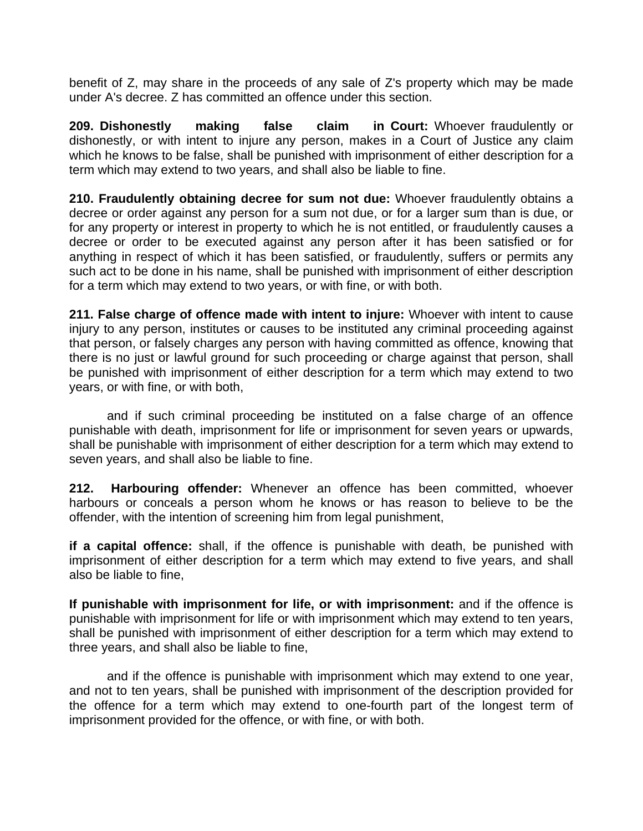benefit of Z, may share in the proceeds of any sale of Z's property which may be made under A's decree. Z has committed an offence under this section.

**209. Dishonestly making false claim in Court:** Whoever fraudulently or dishonestly, or with intent to injure any person, makes in a Court of Justice any claim which he knows to be false, shall be punished with imprisonment of either description for a term which may extend to two years, and shall also be liable to fine.

**210. Fraudulently obtaining decree for sum not due:** Whoever fraudulently obtains a decree or order against any person for a sum not due, or for a larger sum than is due, or for any property or interest in property to which he is not entitled, or fraudulently causes a decree or order to be executed against any person after it has been satisfied or for anything in respect of which it has been satisfied, or fraudulently, suffers or permits any such act to be done in his name, shall be punished with imprisonment of either description for a term which may extend to two years, or with fine, or with both.

**211. False charge of offence made with intent to injure:** Whoever with intent to cause injury to any person, institutes or causes to be instituted any criminal proceeding against that person, or falsely charges any person with having committed as offence, knowing that there is no just or lawful ground for such proceeding or charge against that person, shall be punished with imprisonment of either description for a term which may extend to two years, or with fine, or with both,

and if such criminal proceeding be instituted on a false charge of an offence punishable with death, imprisonment for life or imprisonment for seven years or upwards, shall be punishable with imprisonment of either description for a term which may extend to seven years, and shall also be liable to fine.

**212. Harbouring offender:** Whenever an offence has been committed, whoever harbours or conceals a person whom he knows or has reason to believe to be the offender, with the intention of screening him from legal punishment,

**if a capital offence:** shall, if the offence is punishable with death, be punished with imprisonment of either description for a term which may extend to five years, and shall also be liable to fine,

**If punishable with imprisonment for life, or with imprisonment:** and if the offence is punishable with imprisonment for life or with imprisonment which may extend to ten years, shall be punished with imprisonment of either description for a term which may extend to three years, and shall also be liable to fine,

and if the offence is punishable with imprisonment which may extend to one year, and not to ten years, shall be punished with imprisonment of the description provided for the offence for a term which may extend to one-fourth part of the longest term of imprisonment provided for the offence, or with fine, or with both.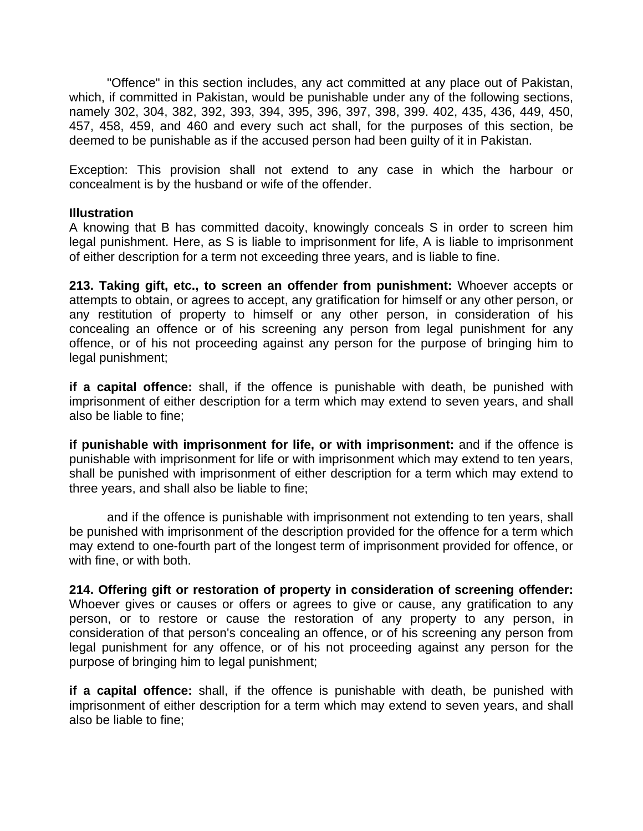"Offence" in this section includes, any act committed at any place out of Pakistan, which, if committed in Pakistan, would be punishable under any of the following sections, namely 302, 304, 382, 392, 393, 394, 395, 396, 397, 398, 399. 402, 435, 436, 449, 450, 457, 458, 459, and 460 and every such act shall, for the purposes of this section, be deemed to be punishable as if the accused person had been guilty of it in Pakistan.

Exception: This provision shall not extend to any case in which the harbour or concealment is by the husband or wife of the offender.

#### **Illustration**

A knowing that B has committed dacoity, knowingly conceals S in order to screen him legal punishment. Here, as S is liable to imprisonment for life, A is liable to imprisonment of either description for a term not exceeding three years, and is liable to fine.

**213. Taking gift, etc., to screen an offender from punishment:** Whoever accepts or attempts to obtain, or agrees to accept, any gratification for himself or any other person, or any restitution of property to himself or any other person, in consideration of his concealing an offence or of his screening any person from legal punishment for any offence, or of his not proceeding against any person for the purpose of bringing him to legal punishment;

**if a capital offence:** shall, if the offence is punishable with death, be punished with imprisonment of either description for a term which may extend to seven years, and shall also be liable to fine;

**if punishable with imprisonment for life, or with imprisonment:** and if the offence is punishable with imprisonment for life or with imprisonment which may extend to ten years, shall be punished with imprisonment of either description for a term which may extend to three years, and shall also be liable to fine;

and if the offence is punishable with imprisonment not extending to ten years, shall be punished with imprisonment of the description provided for the offence for a term which may extend to one-fourth part of the longest term of imprisonment provided for offence, or with fine, or with both.

**214. Offering gift or restoration of property in consideration of screening offender:** Whoever gives or causes or offers or agrees to give or cause, any gratification to any person, or to restore or cause the restoration of any property to any person, in consideration of that person's concealing an offence, or of his screening any person from legal punishment for any offence, or of his not proceeding against any person for the purpose of bringing him to legal punishment;

**if a capital offence:** shall, if the offence is punishable with death, be punished with imprisonment of either description for a term which may extend to seven years, and shall also be liable to fine;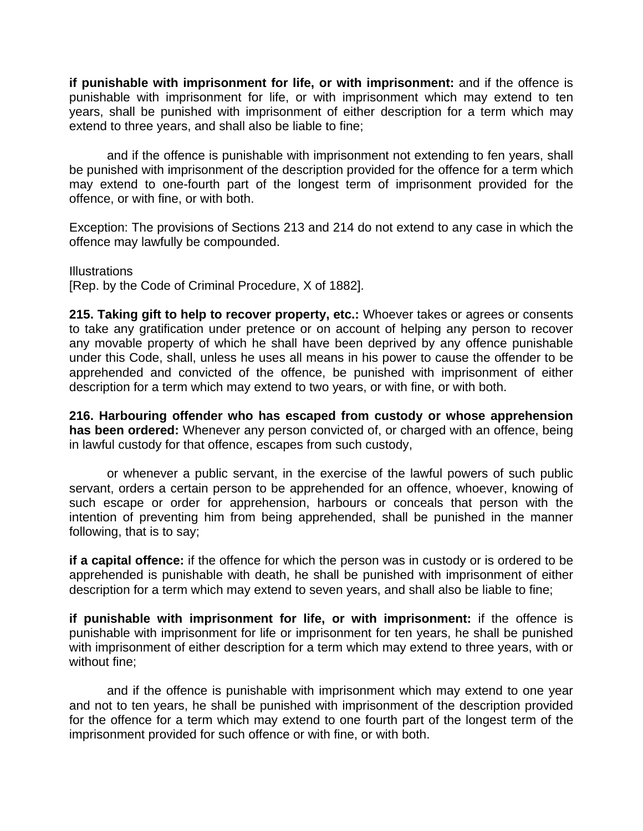**if punishable with imprisonment for life, or with imprisonment:** and if the offence is punishable with imprisonment for life, or with imprisonment which may extend to ten years, shall be punished with imprisonment of either description for a term which may extend to three years, and shall also be liable to fine;

and if the offence is punishable with imprisonment not extending to fen years, shall be punished with imprisonment of the description provided for the offence for a term which may extend to one-fourth part of the longest term of imprisonment provided for the offence, or with fine, or with both.

Exception: The provisions of Sections 213 and 214 do not extend to any case in which the offence may lawfully be compounded.

**Illustrations** 

[Rep. by the Code of Criminal Procedure, X of 1882].

**215. Taking gift to help to recover property, etc.:** Whoever takes or agrees or consents to take any gratification under pretence or on account of helping any person to recover any movable property of which he shall have been deprived by any offence punishable under this Code, shall, unless he uses all means in his power to cause the offender to be apprehended and convicted of the offence, be punished with imprisonment of either description for a term which may extend to two years, or with fine, or with both.

**216. Harbouring offender who has escaped from custody or whose apprehension has been ordered:** Whenever any person convicted of, or charged with an offence, being in lawful custody for that offence, escapes from such custody,

or whenever a public servant, in the exercise of the lawful powers of such public servant, orders a certain person to be apprehended for an offence, whoever, knowing of such escape or order for apprehension, harbours or conceals that person with the intention of preventing him from being apprehended, shall be punished in the manner following, that is to say;

**if a capital offence:** if the offence for which the person was in custody or is ordered to be apprehended is punishable with death, he shall be punished with imprisonment of either description for a term which may extend to seven years, and shall also be liable to fine;

**if punishable with imprisonment for life, or with imprisonment:** if the offence is punishable with imprisonment for life or imprisonment for ten years, he shall be punished with imprisonment of either description for a term which may extend to three years, with or without fine;

and if the offence is punishable with imprisonment which may extend to one year and not to ten years, he shall be punished with imprisonment of the description provided for the offence for a term which may extend to one fourth part of the longest term of the imprisonment provided for such offence or with fine, or with both.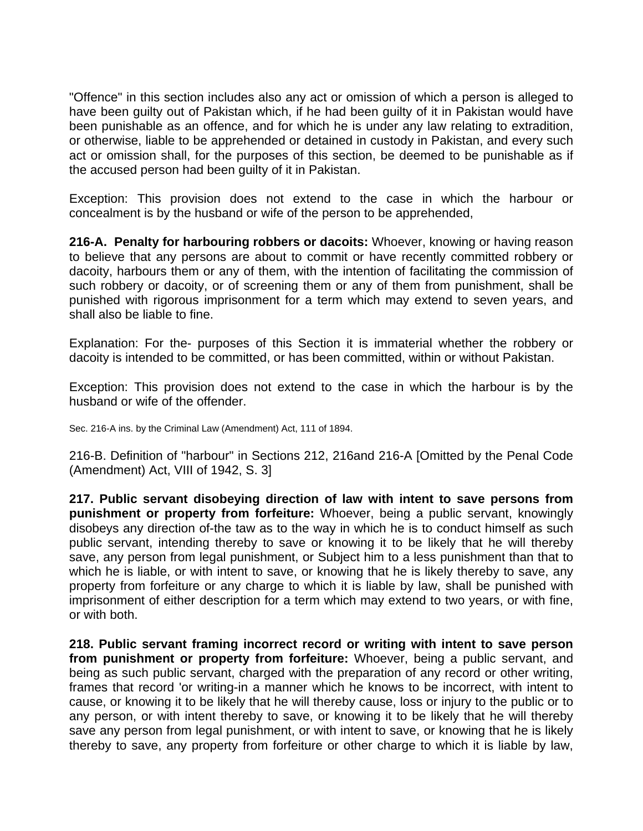"Offence" in this section includes also any act or omission of which a person is alleged to have been guilty out of Pakistan which, if he had been guilty of it in Pakistan would have been punishable as an offence, and for which he is under any law relating to extradition, or otherwise, liable to be apprehended or detained in custody in Pakistan, and every such act or omission shall, for the purposes of this section, be deemed to be punishable as if the accused person had been guilty of it in Pakistan.

Exception: This provision does not extend to the case in which the harbour or concealment is by the husband or wife of the person to be apprehended,

**216-A. Penalty for harbouring robbers or dacoits:** Whoever, knowing or having reason to believe that any persons are about to commit or have recently committed robbery or dacoity, harbours them or any of them, with the intention of facilitating the commission of such robbery or dacoity, or of screening them or any of them from punishment, shall be punished with rigorous imprisonment for a term which may extend to seven years, and shall also be liable to fine.

Explanation: For the- purposes of this Section it is immaterial whether the robbery or dacoity is intended to be committed, or has been committed, within or without Pakistan.

Exception: This provision does not extend to the case in which the harbour is by the husband or wife of the offender.

Sec. 216-A ins. by the Criminal Law (Amendment) Act, 111 of 1894.

216-B. Definition of "harbour" in Sections 212, 216and 216-A [Omitted by the Penal Code (Amendment) Act, VIII of 1942, S. 3]

**217. Public servant disobeying direction of law with intent to save persons from punishment or property from forfeiture:** Whoever, being a public servant, knowingly disobeys any direction of-the taw as to the way in which he is to conduct himself as such public servant, intending thereby to save or knowing it to be likely that he will thereby save, any person from legal punishment, or Subject him to a less punishment than that to which he is liable, or with intent to save, or knowing that he is likely thereby to save, any property from forfeiture or any charge to which it is liable by law, shall be punished with imprisonment of either description for a term which may extend to two years, or with fine, or with both.

**218. Public servant framing incorrect record or writing with intent to save person from punishment or property from forfeiture:** Whoever, being a public servant, and being as such public servant, charged with the preparation of any record or other writing, frames that record 'or writing-in a manner which he knows to be incorrect, with intent to cause, or knowing it to be likely that he will thereby cause, loss or injury to the public or to any person, or with intent thereby to save, or knowing it to be likely that he will thereby save any person from legal punishment, or with intent to save, or knowing that he is likely thereby to save, any property from forfeiture or other charge to which it is liable by law,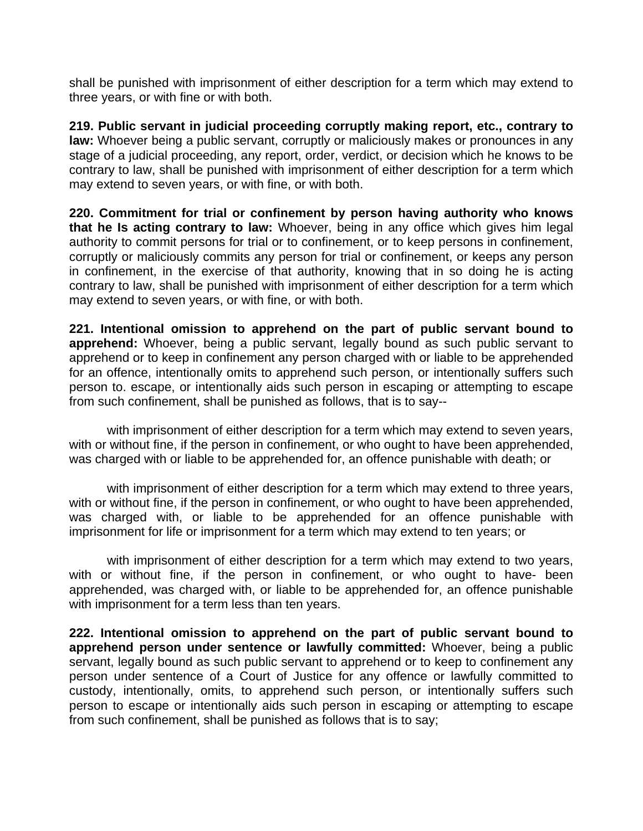shall be punished with imprisonment of either description for a term which may extend to three years, or with fine or with both.

**219. Public servant in judicial proceeding corruptly making report, etc., contrary to law:** Whoever being a public servant, corruptly or maliciously makes or pronounces in any stage of a judicial proceeding, any report, order, verdict, or decision which he knows to be contrary to law, shall be punished with imprisonment of either description for a term which may extend to seven years, or with fine, or with both.

**220. Commitment for trial or confinement by person having authority who knows that he Is acting contrary to law:** Whoever, being in any office which gives him legal authority to commit persons for trial or to confinement, or to keep persons in confinement, corruptly or maliciously commits any person for trial or confinement, or keeps any person in confinement, in the exercise of that authority, knowing that in so doing he is acting contrary to law, shall be punished with imprisonment of either description for a term which may extend to seven years, or with fine, or with both.

**221. Intentional omission to apprehend on the part of public servant bound to apprehend:** Whoever, being a public servant, legally bound as such public servant to apprehend or to keep in confinement any person charged with or liable to be apprehended for an offence, intentionally omits to apprehend such person, or intentionally suffers such person to. escape, or intentionally aids such person in escaping or attempting to escape from such confinement, shall be punished as follows, that is to say--

with imprisonment of either description for a term which may extend to seven years, with or without fine, if the person in confinement, or who ought to have been apprehended, was charged with or liable to be apprehended for, an offence punishable with death; or

with imprisonment of either description for a term which may extend to three years, with or without fine, if the person in confinement, or who ought to have been apprehended, was charged with, or liable to be apprehended for an offence punishable with imprisonment for life or imprisonment for a term which may extend to ten years; or

with imprisonment of either description for a term which may extend to two years, with or without fine, if the person in confinement, or who ought to have- been apprehended, was charged with, or liable to be apprehended for, an offence punishable with imprisonment for a term less than ten years.

**222. Intentional omission to apprehend on the part of public servant bound to apprehend person under sentence or lawfully committed:** Whoever, being a public servant, legally bound as such public servant to apprehend or to keep to confinement any person under sentence of a Court of Justice for any offence or lawfully committed to custody, intentionally, omits, to apprehend such person, or intentionally suffers such person to escape or intentionally aids such person in escaping or attempting to escape from such confinement, shall be punished as follows that is to say;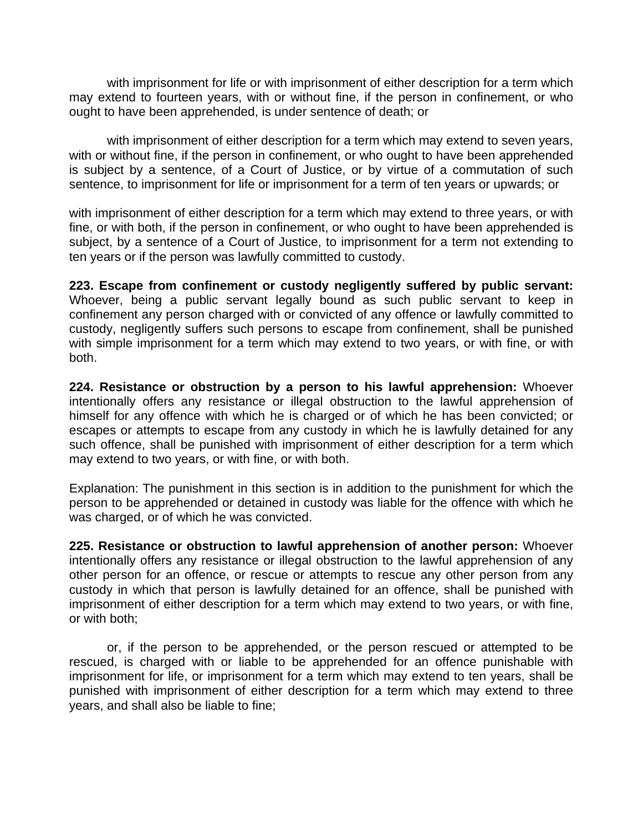with imprisonment for life or with imprisonment of either description for a term which may extend to fourteen years, with or without fine, if the person in confinement, or who ought to have been apprehended, is under sentence of death; or

with imprisonment of either description for a term which may extend to seven years, with or without fine, if the person in confinement, or who ought to have been apprehended is subject by a sentence, of a Court of Justice, or by virtue of a commutation of such sentence, to imprisonment for life or imprisonment for a term of ten years or upwards; or

with imprisonment of either description for a term which may extend to three years, or with fine, or with both, if the person in confinement, or who ought to have been apprehended is subject, by a sentence of a Court of Justice, to imprisonment for a term not extending to ten years or if the person was lawfully committed to custody.

**223. Escape from confinement or custody negligently suffered by public servant:** Whoever, being a public servant legally bound as such public servant to keep in confinement any person charged with or convicted of any offence or lawfully committed to custody, negligently suffers such persons to escape from confinement, shall be punished with simple imprisonment for a term which may extend to two years, or with fine, or with both.

**224. Resistance or obstruction by a person to his lawful apprehension:** Whoever intentionally offers any resistance or illegal obstruction to the lawful apprehension of himself for any offence with which he is charged or of which he has been convicted; or escapes or attempts to escape from any custody in which he is lawfully detained for any such offence, shall be punished with imprisonment of either description for a term which may extend to two years, or with fine, or with both.

Explanation: The punishment in this section is in addition to the punishment for which the person to be apprehended or detained in custody was liable for the offence with which he was charged, or of which he was convicted.

**225. Resistance or obstruction to lawful apprehension of another person:** Whoever intentionally offers any resistance or illegal obstruction to the lawful apprehension of any other person for an offence, or rescue or attempts to rescue any other person from any custody in which that person is lawfully detained for an offence, shall be punished with imprisonment of either description for a term which may extend to two years, or with fine, or with both;

or, if the person to be apprehended, or the person rescued or attempted to be rescued, is charged with or liable to be apprehended for an offence punishable with imprisonment for life, or imprisonment for a term which may extend to ten years, shall be punished with imprisonment of either description for a term which may extend to three years, and shall also be liable to fine;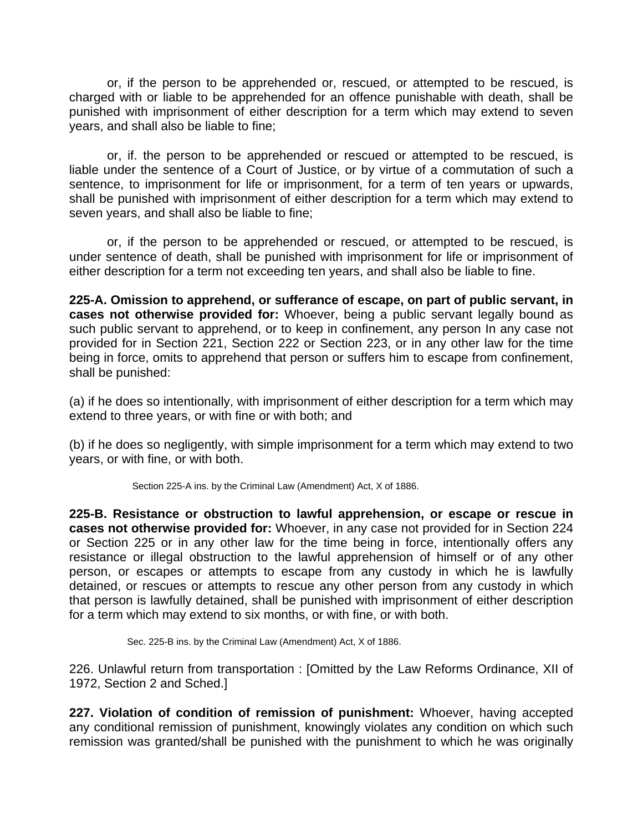or, if the person to be apprehended or, rescued, or attempted to be rescued, is charged with or liable to be apprehended for an offence punishable with death, shall be punished with imprisonment of either description for a term which may extend to seven years, and shall also be liable to fine;

or, if. the person to be apprehended or rescued or attempted to be rescued, is liable under the sentence of a Court of Justice, or by virtue of a commutation of such a sentence, to imprisonment for life or imprisonment, for a term of ten years or upwards, shall be punished with imprisonment of either description for a term which may extend to seven years, and shall also be liable to fine;

or, if the person to be apprehended or rescued, or attempted to be rescued, is under sentence of death, shall be punished with imprisonment for life or imprisonment of either description for a term not exceeding ten years, and shall also be liable to fine.

**225-A. Omission to apprehend, or sufferance of escape, on part of public servant, in cases not otherwise provided for:** Whoever, being a public servant legally bound as such public servant to apprehend, or to keep in confinement, any person In any case not provided for in Section 221, Section 222 or Section 223, or in any other law for the time being in force, omits to apprehend that person or suffers him to escape from confinement, shall be punished:

(a) if he does so intentionally, with imprisonment of either description for a term which may extend to three years, or with fine or with both; and

(b) if he does so negligently, with simple imprisonment for a term which may extend to two years, or with fine, or with both.

Section 225-A ins. by the Criminal Law (Amendment) Act, X of 1886.

**225-B. Resistance or obstruction to lawful apprehension, or escape or rescue in cases not otherwise provided for:** Whoever, in any case not provided for in Section 224 or Section 225 or in any other law for the time being in force, intentionally offers any resistance or illegal obstruction to the lawful apprehension of himself or of any other person, or escapes or attempts to escape from any custody in which he is lawfully detained, or rescues or attempts to rescue any other person from any custody in which that person is lawfully detained, shall be punished with imprisonment of either description for a term which may extend to six months, or with fine, or with both.

Sec. 225-B ins. by the Criminal Law (Amendment) Act, X of 1886.

226. Unlawful return from transportation : [Omitted by the Law Reforms Ordinance, XII of 1972, Section 2 and Sched.]

**227. Violation of condition of remission of punishment:** Whoever, having accepted any conditional remission of punishment, knowingly violates any condition on which such remission was granted/shall be punished with the punishment to which he was originally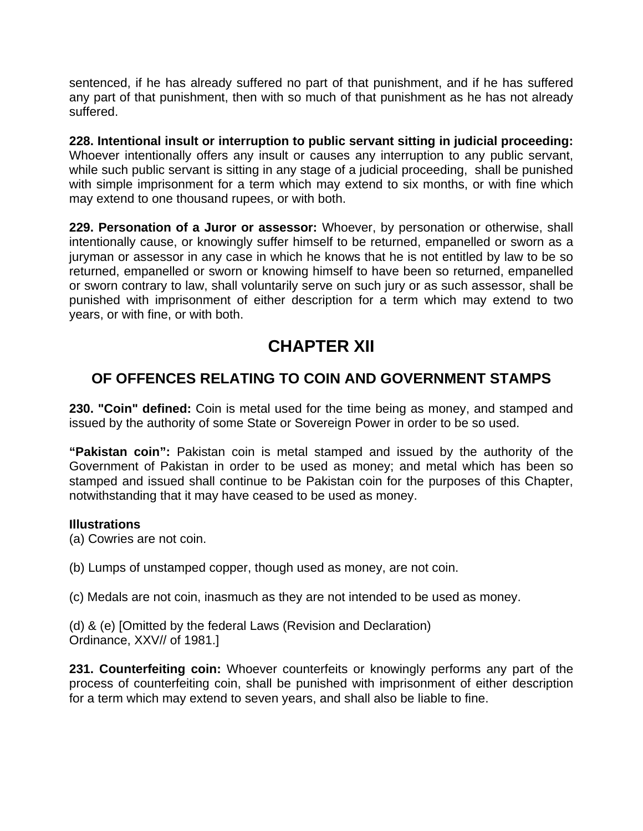sentenced, if he has already suffered no part of that punishment, and if he has suffered any part of that punishment, then with so much of that punishment as he has not already suffered.

**228. Intentional insult or interruption to public servant sitting in judicial proceeding:** Whoever intentionally offers any insult or causes any interruption to any public servant, while such public servant is sitting in any stage of a judicial proceeding, shall be punished with simple imprisonment for a term which may extend to six months, or with fine which may extend to one thousand rupees, or with both.

**229. Personation of a Juror or assessor:** Whoever, by personation or otherwise, shall intentionally cause, or knowingly suffer himself to be returned, empanelled or sworn as a juryman or assessor in any case in which he knows that he is not entitled by law to be so returned, empanelled or sworn or knowing himself to have been so returned, empanelled or sworn contrary to law, shall voluntarily serve on such jury or as such assessor, shall be punished with imprisonment of either description for a term which may extend to two years, or with fine, or with both.

## **CHAPTER XII**

## **OF OFFENCES RELATING TO COIN AND GOVERNMENT STAMPS**

**230. "Coin" defined:** Coin is metal used for the time being as money, and stamped and issued by the authority of some State or Sovereign Power in order to be so used.

**"Pakistan coin":** Pakistan coin is metal stamped and issued by the authority of the Government of Pakistan in order to be used as money; and metal which has been so stamped and issued shall continue to be Pakistan coin for the purposes of this Chapter, notwithstanding that it may have ceased to be used as money.

#### **Illustrations**

(a) Cowries are not coin.

(b) Lumps of unstamped copper, though used as money, are not coin.

(c) Medals are not coin, inasmuch as they are not intended to be used as money.

(d) & (e) [Omitted by the federal Laws (Revision and Declaration) Ordinance, XXV// of 1981.]

**231. Counterfeiting coin:** Whoever counterfeits or knowingly performs any part of the process of counterfeiting coin, shall be punished with imprisonment of either description for a term which may extend to seven years, and shall also be liable to fine.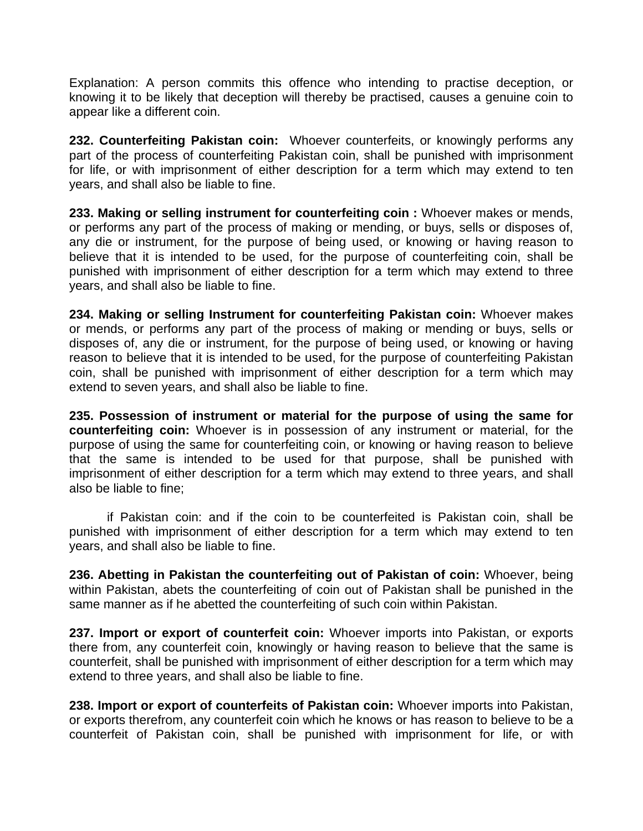Explanation: A person commits this offence who intending to practise deception, or knowing it to be likely that deception will thereby be practised, causes a genuine coin to appear like a different coin.

**232. Counterfeiting Pakistan coin:** Whoever counterfeits, or knowingly performs any part of the process of counterfeiting Pakistan coin, shall be punished with imprisonment for life, or with imprisonment of either description for a term which may extend to ten years, and shall also be liable to fine.

**233. Making or selling instrument for counterfeiting coin :** Whoever makes or mends, or performs any part of the process of making or mending, or buys, sells or disposes of, any die or instrument, for the purpose of being used, or knowing or having reason to believe that it is intended to be used, for the purpose of counterfeiting coin, shall be punished with imprisonment of either description for a term which may extend to three years, and shall also be liable to fine.

**234. Making or selling Instrument for counterfeiting Pakistan coin:** Whoever makes or mends, or performs any part of the process of making or mending or buys, sells or disposes of, any die or instrument, for the purpose of being used, or knowing or having reason to believe that it is intended to be used, for the purpose of counterfeiting Pakistan coin, shall be punished with imprisonment of either description for a term which may extend to seven years, and shall also be liable to fine.

**235. Possession of instrument or material for the purpose of using the same for counterfeiting coin:** Whoever is in possession of any instrument or material, for the purpose of using the same for counterfeiting coin, or knowing or having reason to believe that the same is intended to be used for that purpose, shall be punished with imprisonment of either description for a term which may extend to three years, and shall also be liable to fine;

if Pakistan coin: and if the coin to be counterfeited is Pakistan coin, shall be punished with imprisonment of either description for a term which may extend to ten years, and shall also be liable to fine.

**236. Abetting in Pakistan the counterfeiting out of Pakistan of coin:** Whoever, being within Pakistan, abets the counterfeiting of coin out of Pakistan shall be punished in the same manner as if he abetted the counterfeiting of such coin within Pakistan.

**237. Import or export of counterfeit coin:** Whoever imports into Pakistan, or exports there from, any counterfeit coin, knowingly or having reason to believe that the same is counterfeit, shall be punished with imprisonment of either description for a term which may extend to three years, and shall also be liable to fine.

**238. Import or export of counterfeits of Pakistan coin:** Whoever imports into Pakistan, or exports therefrom, any counterfeit coin which he knows or has reason to believe to be a counterfeit of Pakistan coin, shall be punished with imprisonment for life, or with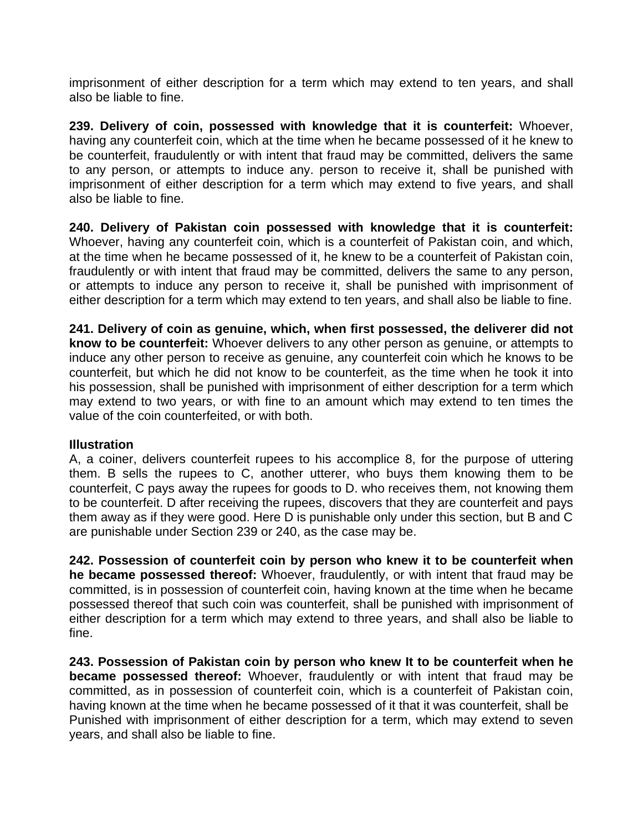imprisonment of either description for a term which may extend to ten years, and shall also be liable to fine.

**239. Delivery of coin, possessed with knowledge that it is counterfeit:** Whoever, having any counterfeit coin, which at the time when he became possessed of it he knew to be counterfeit, fraudulently or with intent that fraud may be committed, delivers the same to any person, or attempts to induce any. person to receive it, shall be punished with imprisonment of either description for a term which may extend to five years, and shall also be liable to fine.

**240. Delivery of Pakistan coin possessed with knowledge that it is counterfeit:** Whoever, having any counterfeit coin, which is a counterfeit of Pakistan coin, and which, at the time when he became possessed of it, he knew to be a counterfeit of Pakistan coin, fraudulently or with intent that fraud may be committed, delivers the same to any person, or attempts to induce any person to receive it, shall be punished with imprisonment of either description for a term which may extend to ten years, and shall also be liable to fine.

**241. Delivery of coin as genuine, which, when first possessed, the deliverer did not know to be counterfeit:** Whoever delivers to any other person as genuine, or attempts to induce any other person to receive as genuine, any counterfeit coin which he knows to be counterfeit, but which he did not know to be counterfeit, as the time when he took it into his possession, shall be punished with imprisonment of either description for a term which may extend to two years, or with fine to an amount which may extend to ten times the value of the coin counterfeited, or with both.

#### **Illustration**

A, a coiner, delivers counterfeit rupees to his accomplice 8, for the purpose of uttering them. B sells the rupees to C, another utterer, who buys them knowing them to be counterfeit, C pays away the rupees for goods to D. who receives them, not knowing them to be counterfeit. D after receiving the rupees, discovers that they are counterfeit and pays them away as if they were good. Here D is punishable only under this section, but B and C are punishable under Section 239 or 240, as the case may be.

**242. Possession of counterfeit coin by person who knew it to be counterfeit when he became possessed thereof:** Whoever, fraudulently, or with intent that fraud may be committed, is in possession of counterfeit coin, having known at the time when he became possessed thereof that such coin was counterfeit, shall be punished with imprisonment of either description for a term which may extend to three years, and shall also be liable to fine.

**243. Possession of Pakistan coin by person who knew It to be counterfeit when he became possessed thereof:** Whoever, fraudulently or with intent that fraud may be committed, as in possession of counterfeit coin, which is a counterfeit of Pakistan coin, having known at the time when he became possessed of it that it was counterfeit, shall be Punished with imprisonment of either description for a term, which may extend to seven years, and shall also be liable to fine.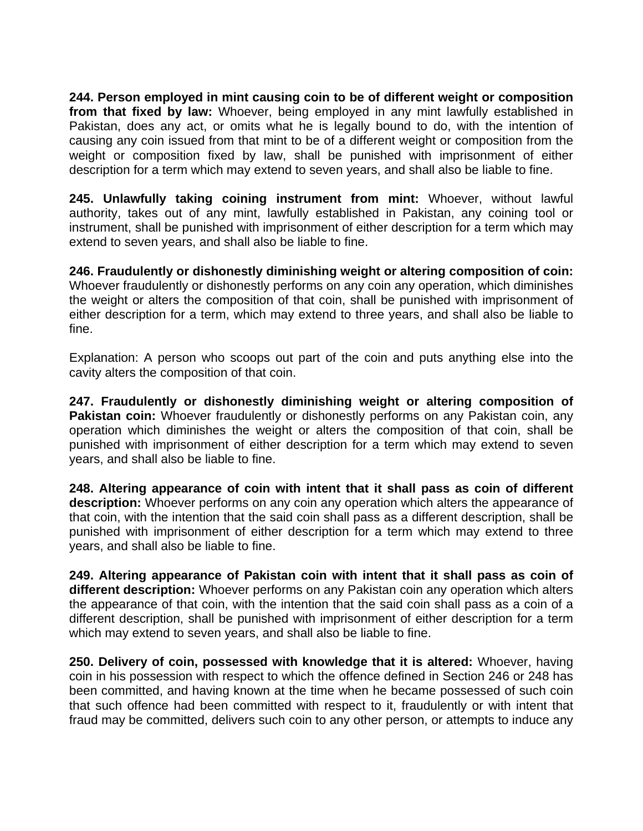**244. Person employed in mint causing coin to be of different weight or composition from that fixed by law:** Whoever, being employed in any mint lawfully established in Pakistan, does any act, or omits what he is legally bound to do, with the intention of causing any coin issued from that mint to be of a different weight or composition from the weight or composition fixed by law, shall be punished with imprisonment of either description for a term which may extend to seven years, and shall also be liable to fine.

**245. Unlawfully taking coining instrument from mint:** Whoever, without lawful authority, takes out of any mint, lawfully established in Pakistan, any coining tool or instrument, shall be punished with imprisonment of either description for a term which may extend to seven years, and shall also be liable to fine.

**246. Fraudulently or dishonestly diminishing weight or altering composition of coin:** Whoever fraudulently or dishonestly performs on any coin any operation, which diminishes the weight or alters the composition of that coin, shall be punished with imprisonment of either description for a term, which may extend to three years, and shall also be liable to fine.

Explanation: A person who scoops out part of the coin and puts anything else into the cavity alters the composition of that coin.

**247. Fraudulently or dishonestly diminishing weight or altering composition of Pakistan coin:** Whoever fraudulently or dishonestly performs on any Pakistan coin, any operation which diminishes the weight or alters the composition of that coin, shall be punished with imprisonment of either description for a term which may extend to seven years, and shall also be liable to fine.

**248. Altering appearance of coin with intent that it shall pass as coin of different description:** Whoever performs on any coin any operation which alters the appearance of that coin, with the intention that the said coin shall pass as a different description, shall be punished with imprisonment of either description for a term which may extend to three years, and shall also be liable to fine.

**249. Altering appearance of Pakistan coin with intent that it shall pass as coin of different description:** Whoever performs on any Pakistan coin any operation which alters the appearance of that coin, with the intention that the said coin shall pass as a coin of a different description, shall be punished with imprisonment of either description for a term which may extend to seven years, and shall also be liable to fine.

**250. Delivery of coin, possessed with knowledge that it is altered:** Whoever, having coin in his possession with respect to which the offence defined in Section 246 or 248 has been committed, and having known at the time when he became possessed of such coin that such offence had been committed with respect to it, fraudulently or with intent that fraud may be committed, delivers such coin to any other person, or attempts to induce any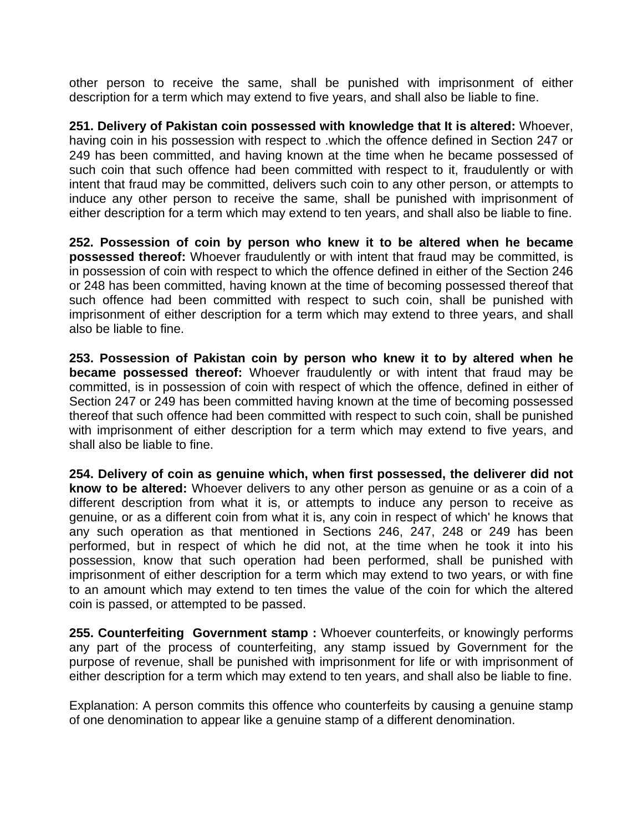other person to receive the same, shall be punished with imprisonment of either description for a term which may extend to five years, and shall also be liable to fine.

**251. Delivery of Pakistan coin possessed with knowledge that It is altered:** Whoever, having coin in his possession with respect to .which the offence defined in Section 247 or 249 has been committed, and having known at the time when he became possessed of such coin that such offence had been committed with respect to it, fraudulently or with intent that fraud may be committed, delivers such coin to any other person, or attempts to induce any other person to receive the same, shall be punished with imprisonment of either description for a term which may extend to ten years, and shall also be liable to fine.

**252. Possession of coin by person who knew it to be altered when he became possessed thereof:** Whoever fraudulently or with intent that fraud may be committed, is in possession of coin with respect to which the offence defined in either of the Section 246 or 248 has been committed, having known at the time of becoming possessed thereof that such offence had been committed with respect to such coin, shall be punished with imprisonment of either description for a term which may extend to three years, and shall also be liable to fine.

**253. Possession of Pakistan coin by person who knew it to by altered when he became possessed thereof:** Whoever fraudulently or with intent that fraud may be committed, is in possession of coin with respect of which the offence, defined in either of Section 247 or 249 has been committed having known at the time of becoming possessed thereof that such offence had been committed with respect to such coin, shall be punished with imprisonment of either description for a term which may extend to five years, and shall also be liable to fine.

**254. Delivery of coin as genuine which, when first possessed, the deliverer did not know to be altered:** Whoever delivers to any other person as genuine or as a coin of a different description from what it is, or attempts to induce any person to receive as genuine, or as a different coin from what it is, any coin in respect of which' he knows that any such operation as that mentioned in Sections 246, 247, 248 or 249 has been performed, but in respect of which he did not, at the time when he took it into his possession, know that such operation had been performed, shall be punished with imprisonment of either description for a term which may extend to two years, or with fine to an amount which may extend to ten times the value of the coin for which the altered coin is passed, or attempted to be passed.

**255. Counterfeiting Government stamp :** Whoever counterfeits, or knowingly performs any part of the process of counterfeiting, any stamp issued by Government for the purpose of revenue, shall be punished with imprisonment for life or with imprisonment of either description for a term which may extend to ten years, and shall also be liable to fine.

Explanation: A person commits this offence who counterfeits by causing a genuine stamp of one denomination to appear like a genuine stamp of a different denomination.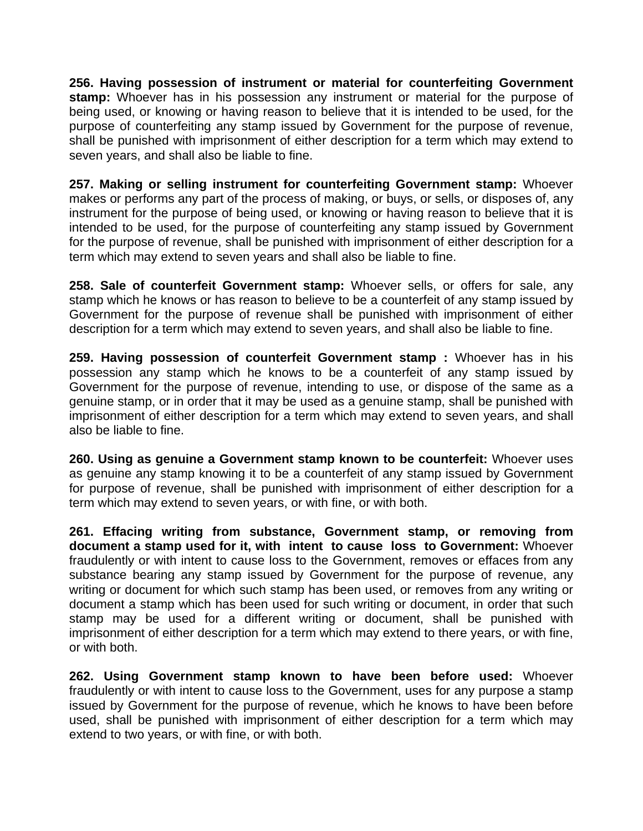**256. Having possession of instrument or material for counterfeiting Government stamp:** Whoever has in his possession any instrument or material for the purpose of being used, or knowing or having reason to believe that it is intended to be used, for the purpose of counterfeiting any stamp issued by Government for the purpose of revenue, shall be punished with imprisonment of either description for a term which may extend to seven years, and shall also be liable to fine.

**257. Making or selling instrument for counterfeiting Government stamp:** Whoever makes or performs any part of the process of making, or buys, or sells, or disposes of, any instrument for the purpose of being used, or knowing or having reason to believe that it is intended to be used, for the purpose of counterfeiting any stamp issued by Government for the purpose of revenue, shall be punished with imprisonment of either description for a term which may extend to seven years and shall also be liable to fine.

**258. Sale of counterfeit Government stamp:** Whoever sells, or offers for sale, any stamp which he knows or has reason to believe to be a counterfeit of any stamp issued by Government for the purpose of revenue shall be punished with imprisonment of either description for a term which may extend to seven years, and shall also be liable to fine.

**259. Having possession of counterfeit Government stamp :** Whoever has in his possession any stamp which he knows to be a counterfeit of any stamp issued by Government for the purpose of revenue, intending to use, or dispose of the same as a genuine stamp, or in order that it may be used as a genuine stamp, shall be punished with imprisonment of either description for a term which may extend to seven years, and shall also be liable to fine.

**260. Using as genuine a Government stamp known to be counterfeit:** Whoever uses as genuine any stamp knowing it to be a counterfeit of any stamp issued by Government for purpose of revenue, shall be punished with imprisonment of either description for a term which may extend to seven years, or with fine, or with both.

**261. Effacing writing from substance, Government stamp, or removing from document a stamp used for it, with intent to cause loss to Government:** Whoever fraudulently or with intent to cause loss to the Government, removes or effaces from any substance bearing any stamp issued by Government for the purpose of revenue, any writing or document for which such stamp has been used, or removes from any writing or document a stamp which has been used for such writing or document, in order that such stamp may be used for a different writing or document, shall be punished with imprisonment of either description for a term which may extend to there years, or with fine, or with both.

**262. Using Government stamp known to have been before used:** Whoever fraudulently or with intent to cause loss to the Government, uses for any purpose a stamp issued by Government for the purpose of revenue, which he knows to have been before used, shall be punished with imprisonment of either description for a term which may extend to two years, or with fine, or with both.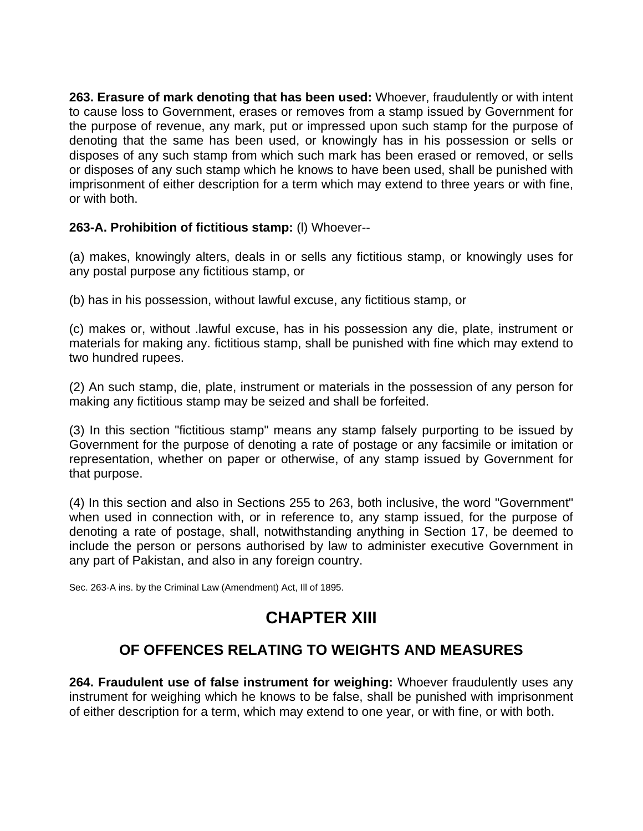**263. Erasure of mark denoting that has been used:** Whoever, fraudulently or with intent to cause loss to Government, erases or removes from a stamp issued by Government for the purpose of revenue, any mark, put or impressed upon such stamp for the purpose of denoting that the same has been used, or knowingly has in his possession or sells or disposes of any such stamp from which such mark has been erased or removed, or sells or disposes of any such stamp which he knows to have been used, shall be punished with imprisonment of either description for a term which may extend to three years or with fine, or with both.

#### **263-A. Prohibition of fictitious stamp:** (l) Whoever--

(a) makes, knowingly alters, deals in or sells any fictitious stamp, or knowingly uses for any postal purpose any fictitious stamp, or

(b) has in his possession, without lawful excuse, any fictitious stamp, or

(c) makes or, without .lawful excuse, has in his possession any die, plate, instrument or materials for making any. fictitious stamp, shall be punished with fine which may extend to two hundred rupees.

(2) An such stamp, die, plate, instrument or materials in the possession of any person for making any fictitious stamp may be seized and shall be forfeited.

(3) In this section "fictitious stamp" means any stamp falsely purporting to be issued by Government for the purpose of denoting a rate of postage or any facsimile or imitation or representation, whether on paper or otherwise, of any stamp issued by Government for that purpose.

(4) In this section and also in Sections 255 to 263, both inclusive, the word "Government" when used in connection with, or in reference to, any stamp issued, for the purpose of denoting a rate of postage, shall, notwithstanding anything in Section 17, be deemed to include the person or persons authorised by law to administer executive Government in any part of Pakistan, and also in any foreign country.

Sec. 263-A ins. by the Criminal Law (Amendment) Act, Ill of 1895.

## **CHAPTER XIII**

## **OF OFFENCES RELATING TO WEIGHTS AND MEASURES**

**264. Fraudulent use of false instrument for weighing:** Whoever fraudulently uses any instrument for weighing which he knows to be false, shall be punished with imprisonment of either description for a term, which may extend to one year, or with fine, or with both.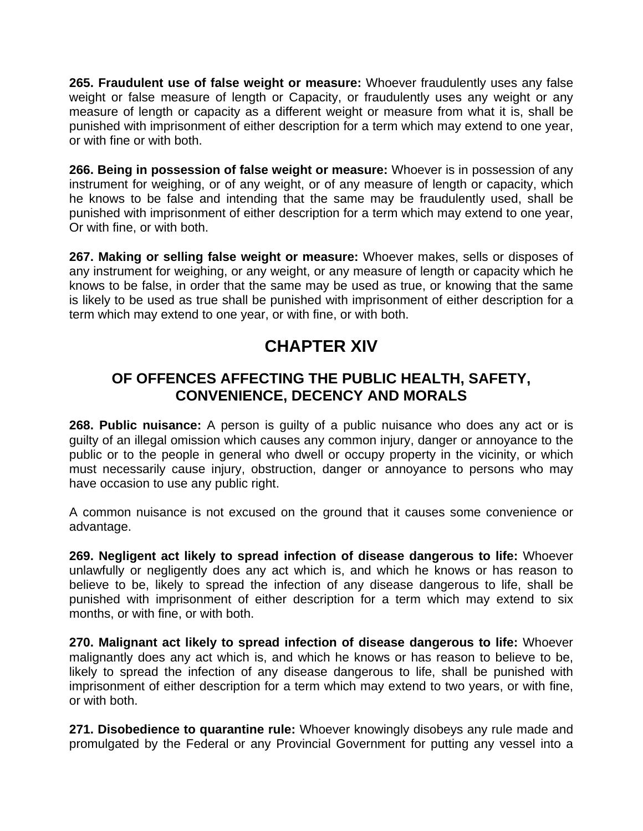**265. Fraudulent use of false weight or measure:** Whoever fraudulently uses any false weight or false measure of length or Capacity, or fraudulently uses any weight or any measure of length or capacity as a different weight or measure from what it is, shall be punished with imprisonment of either description for a term which may extend to one year, or with fine or with both.

**266. Being in possession of false weight or measure:** Whoever is in possession of any instrument for weighing, or of any weight, or of any measure of length or capacity, which he knows to be false and intending that the same may be fraudulently used, shall be punished with imprisonment of either description for a term which may extend to one year, Or with fine, or with both.

**267. Making or selling false weight or measure:** Whoever makes, sells or disposes of any instrument for weighing, or any weight, or any measure of length or capacity which he knows to be false, in order that the same may be used as true, or knowing that the same is likely to be used as true shall be punished with imprisonment of either description for a term which may extend to one year, or with fine, or with both.

## **CHAPTER XIV**

### **OF OFFENCES AFFECTING THE PUBLIC HEALTH, SAFETY, CONVENIENCE, DECENCY AND MORALS**

**268. Public nuisance:** A person is guilty of a public nuisance who does any act or is guilty of an illegal omission which causes any common injury, danger or annoyance to the public or to the people in general who dwell or occupy property in the vicinity, or which must necessarily cause injury, obstruction, danger or annoyance to persons who may have occasion to use any public right.

A common nuisance is not excused on the ground that it causes some convenience or advantage.

**269. Negligent act likely to spread infection of disease dangerous to life:** Whoever unlawfully or negligently does any act which is, and which he knows or has reason to believe to be, likely to spread the infection of any disease dangerous to life, shall be punished with imprisonment of either description for a term which may extend to six months, or with fine, or with both.

**270. Malignant act likely to spread infection of disease dangerous to life:** Whoever malignantly does any act which is, and which he knows or has reason to believe to be, likely to spread the infection of any disease dangerous to life, shall be punished with imprisonment of either description for a term which may extend to two years, or with fine, or with both.

**271. Disobedience to quarantine rule:** Whoever knowingly disobeys any rule made and promulgated by the Federal or any Provincial Government for putting any vessel into a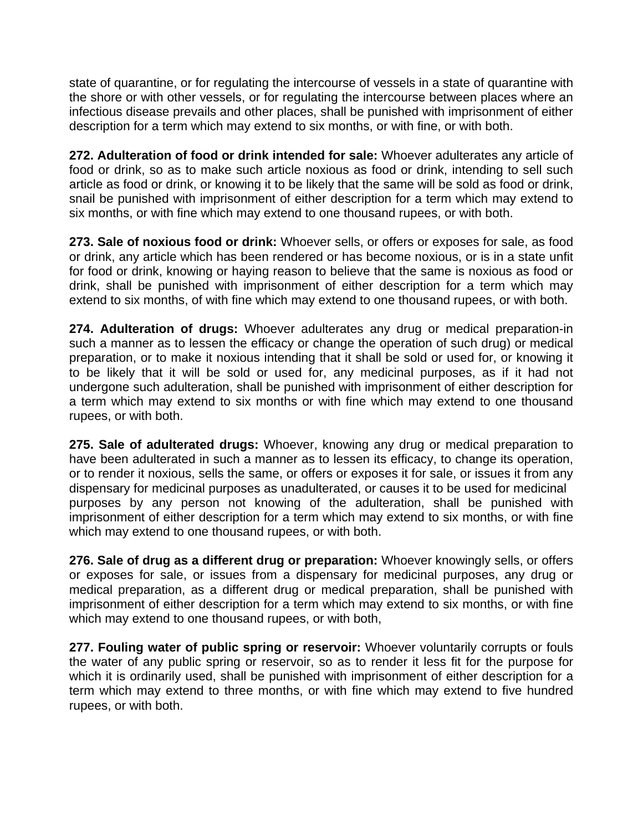state of quarantine, or for regulating the intercourse of vessels in a state of quarantine with the shore or with other vessels, or for regulating the intercourse between places where an infectious disease prevails and other places, shall be punished with imprisonment of either description for a term which may extend to six months, or with fine, or with both.

**272. Adulteration of food or drink intended for sale:** Whoever adulterates any article of food or drink, so as to make such article noxious as food or drink, intending to sell such article as food or drink, or knowing it to be likely that the same will be sold as food or drink, snail be punished with imprisonment of either description for a term which may extend to six months, or with fine which may extend to one thousand rupees, or with both.

**273. Sale of noxious food or drink:** Whoever sells, or offers or exposes for sale, as food or drink, any article which has been rendered or has become noxious, or is in a state unfit for food or drink, knowing or haying reason to believe that the same is noxious as food or drink, shall be punished with imprisonment of either description for a term which may extend to six months, of with fine which may extend to one thousand rupees, or with both.

**274. Adulteration of drugs:** Whoever adulterates any drug or medical preparation-in such a manner as to lessen the efficacy or change the operation of such drug) or medical preparation, or to make it noxious intending that it shall be sold or used for, or knowing it to be likely that it will be sold or used for, any medicinal purposes, as if it had not undergone such adulteration, shall be punished with imprisonment of either description for a term which may extend to six months or with fine which may extend to one thousand rupees, or with both.

**275. Sale of adulterated drugs:** Whoever, knowing any drug or medical preparation to have been adulterated in such a manner as to lessen its efficacy, to change its operation, or to render it noxious, sells the same, or offers or exposes it for sale, or issues it from any dispensary for medicinal purposes as unadulterated, or causes it to be used for medicinal purposes by any person not knowing of the adulteration, shall be punished with imprisonment of either description for a term which may extend to six months, or with fine which may extend to one thousand rupees, or with both.

**276. Sale of drug as a different drug or preparation:** Whoever knowingly sells, or offers or exposes for sale, or issues from a dispensary for medicinal purposes, any drug or medical preparation, as a different drug or medical preparation, shall be punished with imprisonment of either description for a term which may extend to six months, or with fine which may extend to one thousand rupees, or with both,

**277. Fouling water of public spring or reservoir:** Whoever voluntarily corrupts or fouls the water of any public spring or reservoir, so as to render it less fit for the purpose for which it is ordinarily used, shall be punished with imprisonment of either description for a term which may extend to three months, or with fine which may extend to five hundred rupees, or with both.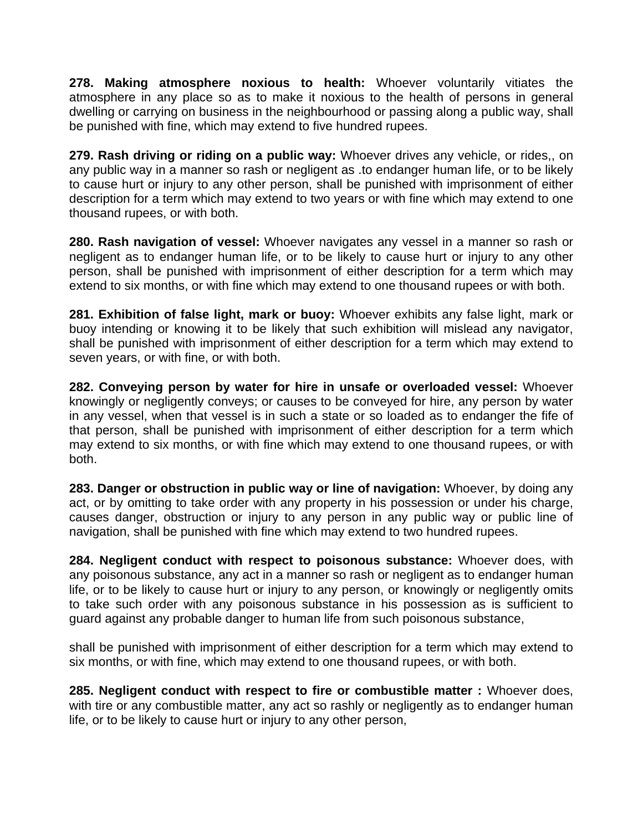**278. Making atmosphere noxious to health:** Whoever voluntarily vitiates the atmosphere in any place so as to make it noxious to the health of persons in general dwelling or carrying on business in the neighbourhood or passing along a public way, shall be punished with fine, which may extend to five hundred rupees.

**279. Rash driving or riding on a public way:** Whoever drives any vehicle, or rides,, on any public way in a manner so rash or negligent as .to endanger human life, or to be likely to cause hurt or injury to any other person, shall be punished with imprisonment of either description for a term which may extend to two years or with fine which may extend to one thousand rupees, or with both.

**280. Rash navigation of vessel:** Whoever navigates any vessel in a manner so rash or negligent as to endanger human life, or to be likely to cause hurt or injury to any other person, shall be punished with imprisonment of either description for a term which may extend to six months, or with fine which may extend to one thousand rupees or with both.

**281. Exhibition of false light, mark or buoy:** Whoever exhibits any false light, mark or buoy intending or knowing it to be likely that such exhibition will mislead any navigator, shall be punished with imprisonment of either description for a term which may extend to seven years, or with fine, or with both.

**282. Conveying person by water for hire in unsafe or overloaded vessel:** Whoever knowingly or negligently conveys; or causes to be conveyed for hire, any person by water in any vessel, when that vessel is in such a state or so loaded as to endanger the fife of that person, shall be punished with imprisonment of either description for a term which may extend to six months, or with fine which may extend to one thousand rupees, or with both.

**283. Danger or obstruction in public way or line of navigation:** Whoever, by doing any act, or by omitting to take order with any property in his possession or under his charge, causes danger, obstruction or injury to any person in any public way or public line of navigation, shall be punished with fine which may extend to two hundred rupees.

**284. Negligent conduct with respect to poisonous substance:** Whoever does, with any poisonous substance, any act in a manner so rash or negligent as to endanger human life, or to be likely to cause hurt or injury to any person, or knowingly or negligently omits to take such order with any poisonous substance in his possession as is sufficient to guard against any probable danger to human life from such poisonous substance,

shall be punished with imprisonment of either description for a term which may extend to six months, or with fine, which may extend to one thousand rupees, or with both.

**285. Negligent conduct with respect to fire or combustible matter :** Whoever does, with tire or any combustible matter, any act so rashly or negligently as to endanger human life, or to be likely to cause hurt or injury to any other person,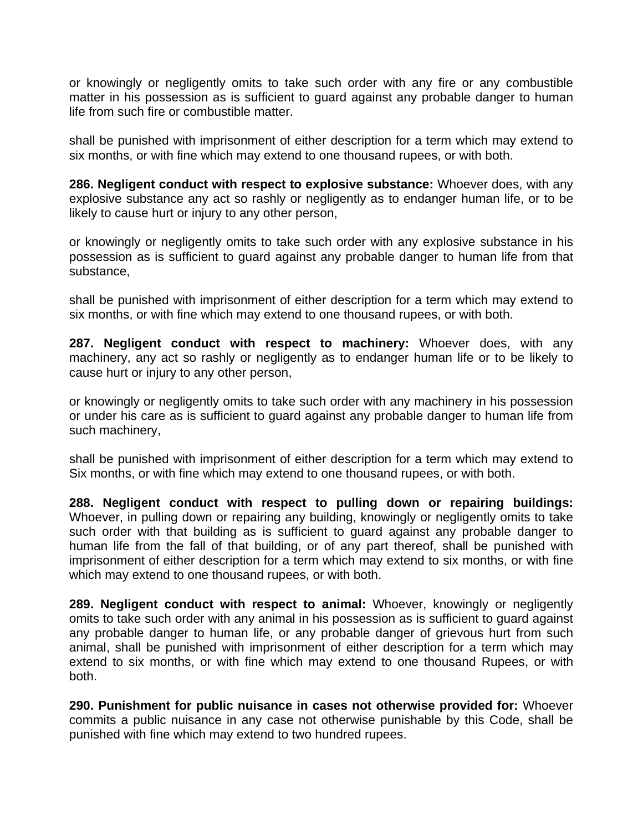or knowingly or negligently omits to take such order with any fire or any combustible matter in his possession as is sufficient to guard against any probable danger to human life from such fire or combustible matter.

shall be punished with imprisonment of either description for a term which may extend to six months, or with fine which may extend to one thousand rupees, or with both.

**286. Negligent conduct with respect to explosive substance:** Whoever does, with any explosive substance any act so rashly or negligently as to endanger human life, or to be likely to cause hurt or injury to any other person,

or knowingly or negligently omits to take such order with any explosive substance in his possession as is sufficient to guard against any probable danger to human life from that substance,

shall be punished with imprisonment of either description for a term which may extend to six months, or with fine which may extend to one thousand rupees, or with both.

**287. Negligent conduct with respect to machinery:** Whoever does, with any machinery, any act so rashly or negligently as to endanger human life or to be likely to cause hurt or injury to any other person,

or knowingly or negligently omits to take such order with any machinery in his possession or under his care as is sufficient to guard against any probable danger to human life from such machinery,

shall be punished with imprisonment of either description for a term which may extend to Six months, or with fine which may extend to one thousand rupees, or with both.

**288. Negligent conduct with respect to pulling down or repairing buildings:** Whoever, in pulling down or repairing any building, knowingly or negligently omits to take such order with that building as is sufficient to quard against any probable danger to human life from the fall of that building, or of any part thereof, shall be punished with imprisonment of either description for a term which may extend to six months, or with fine which may extend to one thousand rupees, or with both.

**289. Negligent conduct with respect to animal:** Whoever, knowingly or negligently omits to take such order with any animal in his possession as is sufficient to guard against any probable danger to human life, or any probable danger of grievous hurt from such animal, shall be punished with imprisonment of either description for a term which may extend to six months, or with fine which may extend to one thousand Rupees, or with both.

**290. Punishment for public nuisance in cases not otherwise provided for:** Whoever commits a public nuisance in any case not otherwise punishable by this Code, shall be punished with fine which may extend to two hundred rupees.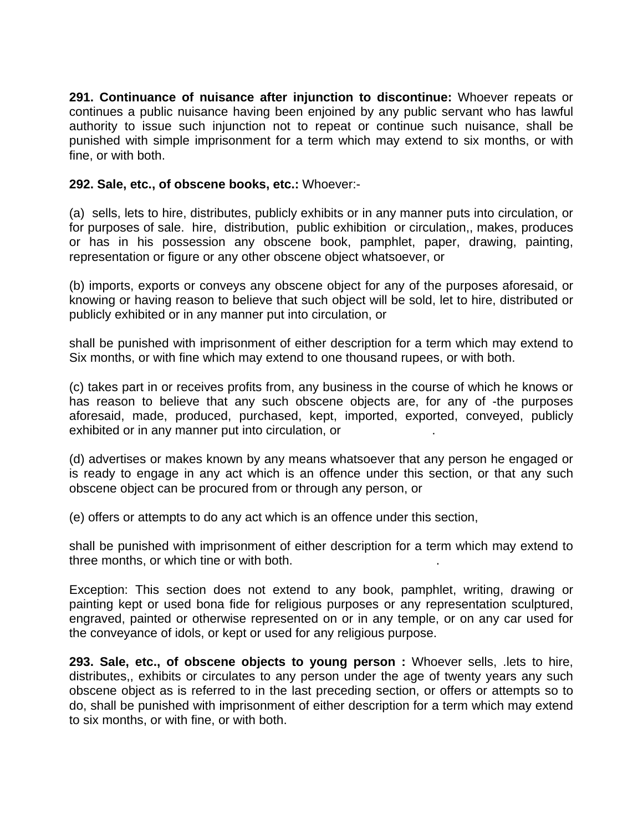**291. Continuance of nuisance after injunction to discontinue:** Whoever repeats or continues a public nuisance having been enjoined by any public servant who has lawful authority to issue such injunction not to repeat or continue such nuisance, shall be punished with simple imprisonment for a term which may extend to six months, or with fine, or with both.

#### **292. Sale, etc., of obscene books, etc.:** Whoever:-

(a) sells, lets to hire, distributes, publicly exhibits or in any manner puts into circulation, or for purposes of sale. hire, distribution, public exhibition or circulation,, makes, produces or has in his possession any obscene book, pamphlet, paper, drawing, painting, representation or figure or any other obscene object whatsoever, or

(b) imports, exports or conveys any obscene object for any of the purposes aforesaid, or knowing or having reason to believe that such object will be sold, let to hire, distributed or publicly exhibited or in any manner put into circulation, or

shall be punished with imprisonment of either description for a term which may extend to Six months, or with fine which may extend to one thousand rupees, or with both.

(c) takes part in or receives profits from, any business in the course of which he knows or has reason to believe that any such obscene objects are, for any of -the purposes aforesaid, made, produced, purchased, kept, imported, exported, conveyed, publicly exhibited or in any manner put into circulation, or .

(d) advertises or makes known by any means whatsoever that any person he engaged or is ready to engage in any act which is an offence under this section, or that any such obscene object can be procured from or through any person, or

(e) offers or attempts to do any act which is an offence under this section,

shall be punished with imprisonment of either description for a term which may extend to three months, or which tine or with both.

Exception: This section does not extend to any book, pamphlet, writing, drawing or painting kept or used bona fide for religious purposes or any representation sculptured, engraved, painted or otherwise represented on or in any temple, or on any car used for the conveyance of idols, or kept or used for any religious purpose.

**293. Sale, etc., of obscene objects to young person :** Whoever sells, .lets to hire, distributes,, exhibits or circulates to any person under the age of twenty years any such obscene object as is referred to in the last preceding section, or offers or attempts so to do, shall be punished with imprisonment of either description for a term which may extend to six months, or with fine, or with both.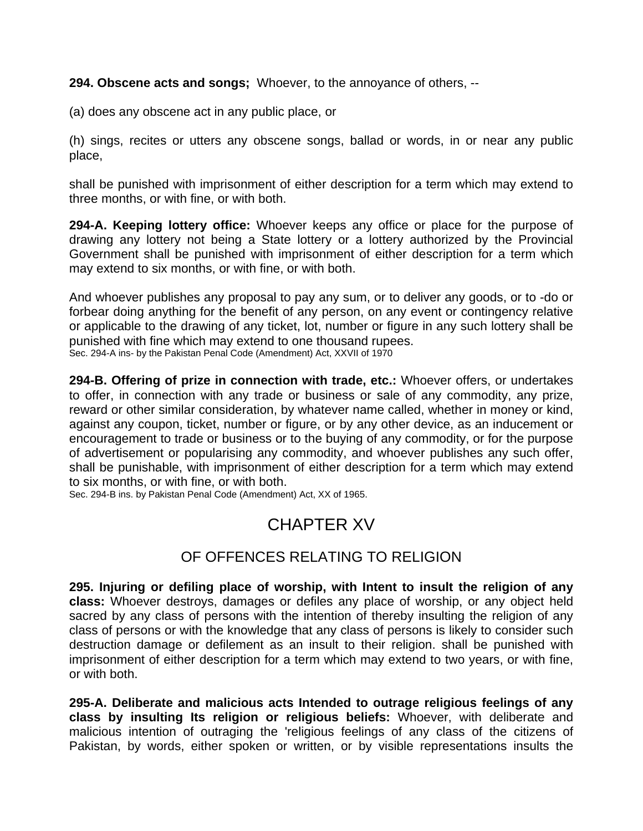**294. Obscene acts and songs;** Whoever, to the annoyance of others, --

(a) does any obscene act in any public place, or

(h) sings, recites or utters any obscene songs, ballad or words, in or near any public place,

shall be punished with imprisonment of either description for a term which may extend to three months, or with fine, or with both.

**294-A. Keeping lottery office:** Whoever keeps any office or place for the purpose of drawing any lottery not being a State lottery or a lottery authorized by the Provincial Government shall be punished with imprisonment of either description for a term which may extend to six months, or with fine, or with both.

And whoever publishes any proposal to pay any sum, or to deliver any goods, or to -do or forbear doing anything for the benefit of any person, on any event or contingency relative or applicable to the drawing of any ticket, lot, number or figure in any such lottery shall be punished with fine which may extend to one thousand rupees. Sec. 294-A ins- by the Pakistan Penal Code (Amendment) Act, XXVII of 1970

**294-B. Offering of prize in connection with trade, etc.:** Whoever offers, or undertakes to offer, in connection with any trade or business or sale of any commodity, any prize, reward or other similar consideration, by whatever name called, whether in money or kind, against any coupon, ticket, number or figure, or by any other device, as an inducement or encouragement to trade or business or to the buying of any commodity, or for the purpose of advertisement or popularising any commodity, and whoever publishes any such offer, shall be punishable, with imprisonment of either description for a term which may extend to six months, or with fine, or with both.

Sec. 294-B ins. by Pakistan Penal Code (Amendment) Act, XX of 1965.

# CHAPTER XV

### OF OFFENCES RELATING TO RELIGION

**295. Injuring or defiling place of worship, with Intent to insult the religion of any class:** Whoever destroys, damages or defiles any place of worship, or any object held sacred by any class of persons with the intention of thereby insulting the religion of any class of persons or with the knowledge that any class of persons is likely to consider such destruction damage or defilement as an insult to their religion. shall be punished with imprisonment of either description for a term which may extend to two years, or with fine, or with both.

**295-A. Deliberate and malicious acts Intended to outrage religious feelings of any class by insulting Its religion or religious beliefs:** Whoever, with deliberate and malicious intention of outraging the 'religious feelings of any class of the citizens of Pakistan, by words, either spoken or written, or by visible representations insults the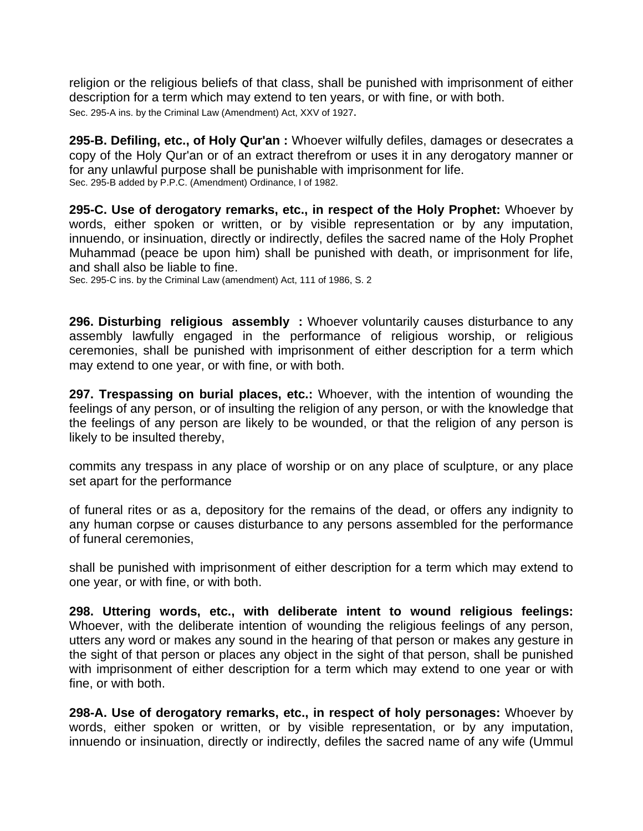religion or the religious beliefs of that class, shall be punished with imprisonment of either description for a term which may extend to ten years, or with fine, or with both. Sec. 295-A ins. by the Criminal Law (Amendment) Act, XXV of 1927.

**295-B. Defiling, etc., of Holy Qur'an :** Whoever wilfully defiles, damages or desecrates a copy of the Holy Qur'an or of an extract therefrom or uses it in any derogatory manner or for any unlawful purpose shall be punishable with imprisonment for life.

Sec. 295-B added by P.P.C. (Amendment) Ordinance, I of 1982.

**295-C. Use of derogatory remarks, etc., in respect of the Holy Prophet:** Whoever by words, either spoken or written, or by visible representation or by any imputation, innuendo, or insinuation, directly or indirectly, defiles the sacred name of the Holy Prophet Muhammad (peace be upon him) shall be punished with death, or imprisonment for life, and shall also be liable to fine.

Sec. 295-C ins. by the Criminal Law (amendment) Act, 111 of 1986, S. 2

**296. Disturbing religious assembly :** Whoever voluntarily causes disturbance to any assembly lawfully engaged in the performance of religious worship, or religious ceremonies, shall be punished with imprisonment of either description for a term which may extend to one year, or with fine, or with both.

**297. Trespassing on burial places, etc.:** Whoever, with the intention of wounding the feelings of any person, or of insulting the religion of any person, or with the knowledge that the feelings of any person are likely to be wounded, or that the religion of any person is likely to be insulted thereby,

commits any trespass in any place of worship or on any place of sculpture, or any place set apart for the performance

of funeral rites or as a, depository for the remains of the dead, or offers any indignity to any human corpse or causes disturbance to any persons assembled for the performance of funeral ceremonies,

shall be punished with imprisonment of either description for a term which may extend to one year, or with fine, or with both.

**298. Uttering words, etc., with deliberate intent to wound religious feelings:** Whoever, with the deliberate intention of wounding the religious feelings of any person, utters any word or makes any sound in the hearing of that person or makes any gesture in the sight of that person or places any object in the sight of that person, shall be punished with imprisonment of either description for a term which may extend to one year or with fine, or with both.

**298-A. Use of derogatory remarks, etc., in respect of holy personages:** Whoever by words, either spoken or written, or by visible representation, or by any imputation, innuendo or insinuation, directly or indirectly, defiles the sacred name of any wife (Ummul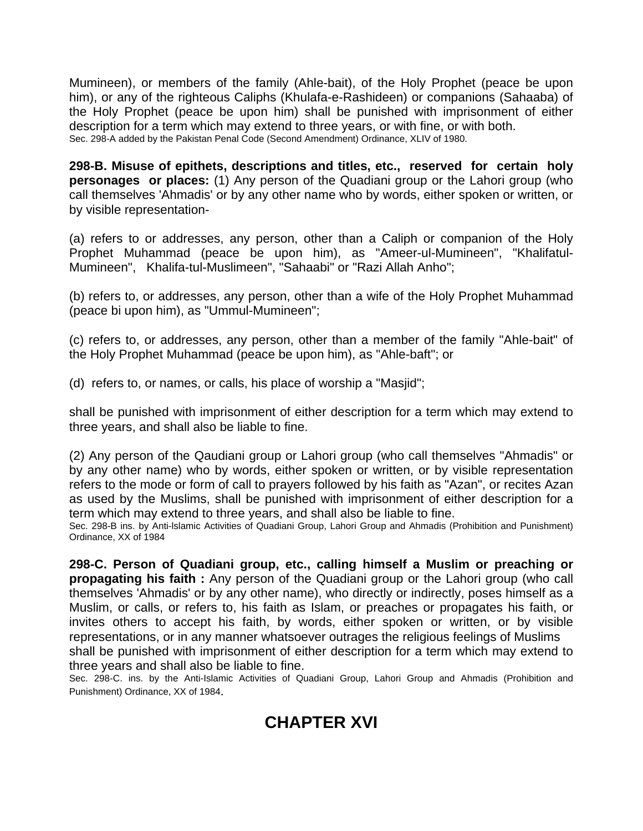Mumineen), or members of the family (Ahle-bait), of the Holy Prophet (peace be upon him), or any of the righteous Caliphs (Khulafa-e-Rashideen) or companions (Sahaaba) of the Holy Prophet (peace be upon him) shall be punished with imprisonment of either description for a term which may extend to three years, or with fine, or with both. Sec. 298-A added by the Pakistan Penal Code (Second Amendment) Ordinance, XLIV of 1980.

**298-B. Misuse of epithets, descriptions and titles, etc., reserved for certain holy personages or places:** (1) Any person of the Quadiani group or the Lahori group (who call themselves 'Ahmadis' or by any other name who by words, either spoken or written, or by visible representation-

(a) refers to or addresses, any person, other than a Caliph or companion of the Holy Prophet Muhammad (peace be upon him), as "Ameer-ul-Mumineen", "Khalifatul-Mumineen", Khalifa-tul-Muslimeen", "Sahaabi" or "Razi Allah Anho";

(b) refers to, or addresses, any person, other than a wife of the Holy Prophet Muhammad (peace bi upon him), as "Ummul-Mumineen";

(c) refers to, or addresses, any person, other than a member of the family "Ahle-bait" of the Holy Prophet Muhammad (peace be upon him), as "Ahle-baft"; or

(d) refers to, or names, or calls, his place of worship a "Masjid";

shall be punished with imprisonment of either description for a term which may extend to three years, and shall also be liable to fine.

(2) Any person of the Qaudiani group or Lahori group (who call themselves "Ahmadis" or by any other name) who by words, either spoken or written, or by visible representation refers to the mode or form of call to prayers followed by his faith as "Azan", or recites Azan as used by the Muslims, shall be punished with imprisonment of either description for a term which may extend to three years, and shall also be liable to fine.

Sec. 298-B ins. by Anti-lslamic Activities of Quadiani Group, Lahori Group and Ahmadis (Prohibition and Punishment) Ordinance, XX of 1984

**298-C. Person of Quadiani group, etc., calling himself a Muslim or preaching or propagating his faith :** Any person of the Quadiani group or the Lahori group (who call themselves 'Ahmadis' or by any other name), who directly or indirectly, poses himself as a Muslim, or calls, or refers to, his faith as Islam, or preaches or propagates his faith, or invites others to accept his faith, by words, either spoken or written, or by visible representations, or in any manner whatsoever outrages the religious feelings of Muslims shall be punished with imprisonment of either description for a term which may extend to three years and shall also be liable to fine.

Sec. 298-C. ins. by the Anti-Islamic Activities of Quadiani Group, Lahori Group and Ahmadis (Prohibition and Punishment) Ordinance, XX of 1984.

# **CHAPTER XVI**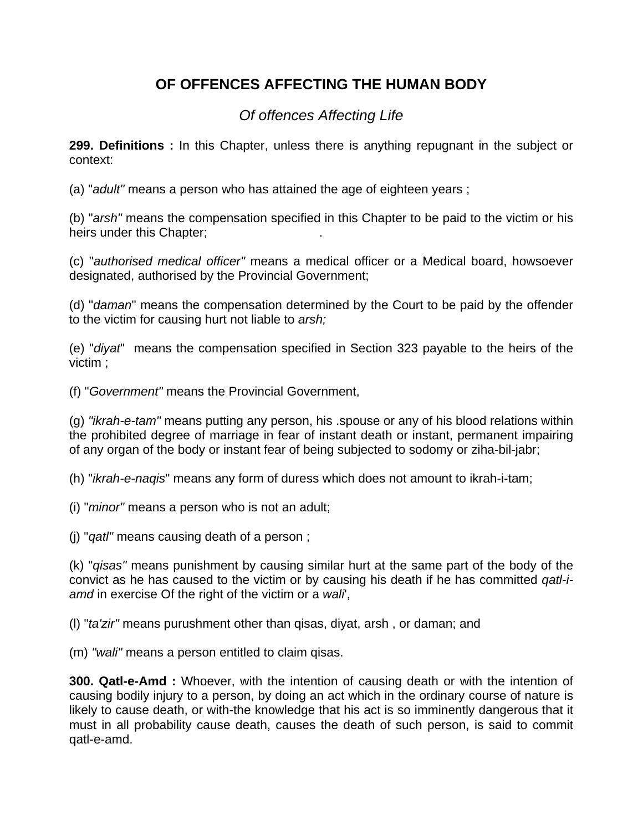# **OF OFFENCES AFFECTING THE HUMAN BODY**

# *Of offences Affecting Life*

**299. Definitions :** In this Chapter, unless there is anything repugnant in the subject or context:

(a) "*adult"* means a person who has attained the age of eighteen years ;

(b) "*arsh"* means the compensation specified in this Chapter to be paid to the victim or his heirs under this Chapter:

(c) "*authorised medical officer"* means a medical officer or a Medical board, howsoever designated, authorised by the Provincial Government;

(d) "*daman*" means the compensation determined by the Court to be paid by the offender to the victim for causing hurt not liable to *arsh;*

(e) "*diyat*" means the compensation specified in Section 323 payable to the heirs of the victim ;

(f) "*Government"* means the Provincial Government,

(g) *"ikrah-e-tam"* means putting any person, his .spouse or any of his blood relations within the prohibited degree of marriage in fear of instant death or instant, permanent impairing of any organ of the body or instant fear of being subjected to sodomy or ziha-bil-jabr;

(h) "*ikrah-e-naqis*" means any form of duress which does not amount to ikrah-i-tam;

(i) "*minor"* means a person who is not an adult;

(j) "*qatl"* means causing death of a person ;

(k) "*qisas"* means punishment by causing similar hurt at the same part of the body of the convict as he has caused to the victim or by causing his death if he has committed *qatl-iamd* in exercise Of the right of the victim or a *wali*',

(l) "*ta'zir"* means purushment other than qisas, diyat, arsh , or daman; and

(m) *"wali"* means a person entitled to claim qisas.

**300. Qatl-e-Amd :** Whoever, with the intention of causing death or with the intention of causing bodily injury to a person, by doing an act which in the ordinary course of nature is likely to cause death, or with-the knowledge that his act is so imminently dangerous that it must in all probability cause death, causes the death of such person, is said to commit qatl-e-amd.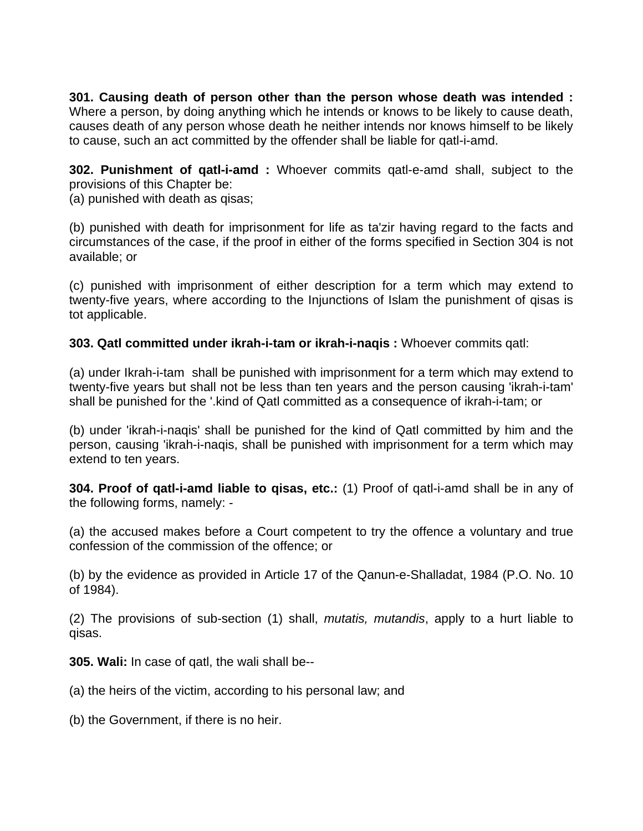**301. Causing death of person other than the person whose death was intended :** Where a person, by doing anything which he intends or knows to be likely to cause death, causes death of any person whose death he neither intends nor knows himself to be likely to cause, such an act committed by the offender shall be liable for qatl-i-amd.

**302. Punishment of qatl-i-amd :** Whoever commits qatl-e-amd shall, subject to the provisions of this Chapter be:

(a) punished with death as qisas;

(b) punished with death for imprisonment for life as ta'zir having regard to the facts and circumstances of the case, if the proof in either of the forms specified in Section 304 is not available; or

(c) punished with imprisonment of either description for a term which may extend to twenty-five years, where according to the Injunctions of Islam the punishment of qisas is tot applicable.

**303. Qatl committed under ikrah-i-tam or ikrah-i-naqis :** Whoever commits qatl:

(a) under Ikrah-i-tam shall be punished with imprisonment for a term which may extend to twenty-five years but shall not be less than ten years and the person causing 'ikrah-i-tam' shall be punished for the '.kind of Qatl committed as a consequence of ikrah-i-tam; or

(b) under 'ikrah-i-naqis' shall be punished for the kind of Qatl committed by him and the person, causing 'ikrah-i-naqis, shall be punished with imprisonment for a term which may extend to ten years.

**304. Proof of qatl-i-amd liable to qisas, etc.:** (1) Proof of qatl-i-amd shall be in any of the following forms, namely: -

(a) the accused makes before a Court competent to try the offence a voluntary and true confession of the commission of the offence; or

(b) by the evidence as provided in Article 17 of the Qanun-e-Shalladat, 1984 (P.O. No. 10 of 1984).

(2) The provisions of sub-section (1) shall, *mutatis, mutandis*, apply to a hurt liable to qisas.

**305. Wali:** In case of qatl, the wali shall be--

(a) the heirs of the victim, according to his personal law; and

(b) the Government, if there is no heir.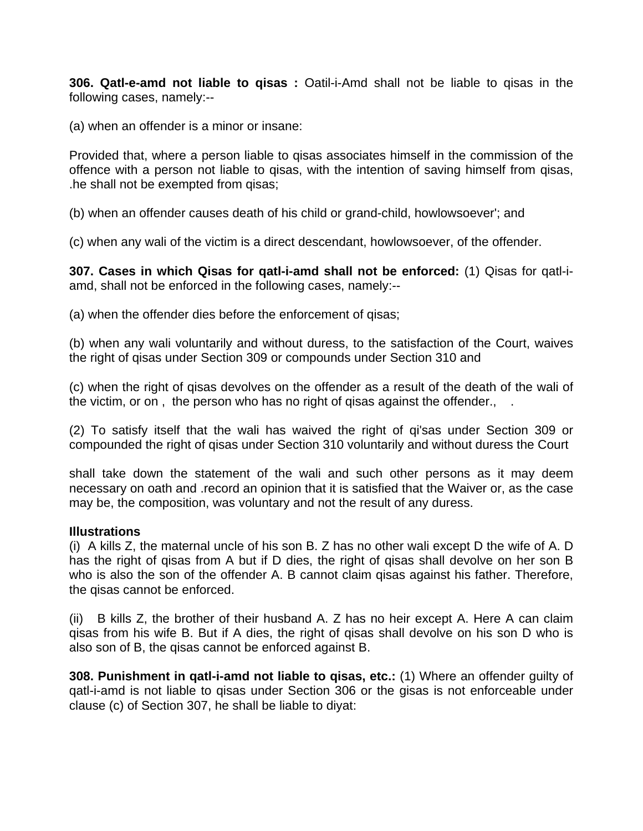**306. Qatl-e-amd not liable to qisas :** Oatil-i-Amd shall not be liable to qisas in the following cases, namely:--

(a) when an offender is a minor or insane:

Provided that, where a person liable to qisas associates himself in the commission of the offence with a person not liable to qisas, with the intention of saving himself from qisas, .he shall not be exempted from qisas;

(b) when an offender causes death of his child or grand-child, howlowsoever'; and

(c) when any wali of the victim is a direct descendant, howlowsoever, of the offender.

**307. Cases in which Qisas for qatl-i-amd shall not be enforced:** (1) Qisas for qatl-iamd, shall not be enforced in the following cases, namely:--

(a) when the offender dies before the enforcement of qisas;

(b) when any wali voluntarily and without duress, to the satisfaction of the Court, waives the right of qisas under Section 309 or compounds under Section 310 and

(c) when the right of qisas devolves on the offender as a result of the death of the wali of the victim, or on, the person who has no right of qisas against the offender., .

(2) To satisfy itself that the wali has waived the right of qi'sas under Section 309 or compounded the right of qisas under Section 310 voluntarily and without duress the Court

shall take down the statement of the wali and such other persons as it may deem necessary on oath and .record an opinion that it is satisfied that the Waiver or, as the case may be, the composition, was voluntary and not the result of any duress.

#### **Illustrations**

(i) A kills Z, the maternal uncle of his son B. Z has no other wali except D the wife of A. D has the right of qisas from A but if D dies, the right of qisas shall devolve on her son B who is also the son of the offender A. B cannot claim qisas against his father. Therefore, the qisas cannot be enforced.

(ii) B kills Z, the brother of their husband A. Z has no heir except A. Here A can claim qisas from his wife B. But if A dies, the right of qisas shall devolve on his son D who is also son of B, the qisas cannot be enforced against B.

**308. Punishment in qatl-i-amd not liable to qisas, etc.:** (1) Where an offender guilty of qatl-i-amd is not liable to qisas under Section 306 or the gisas is not enforceable under clause (c) of Section 307, he shall be liable to diyat: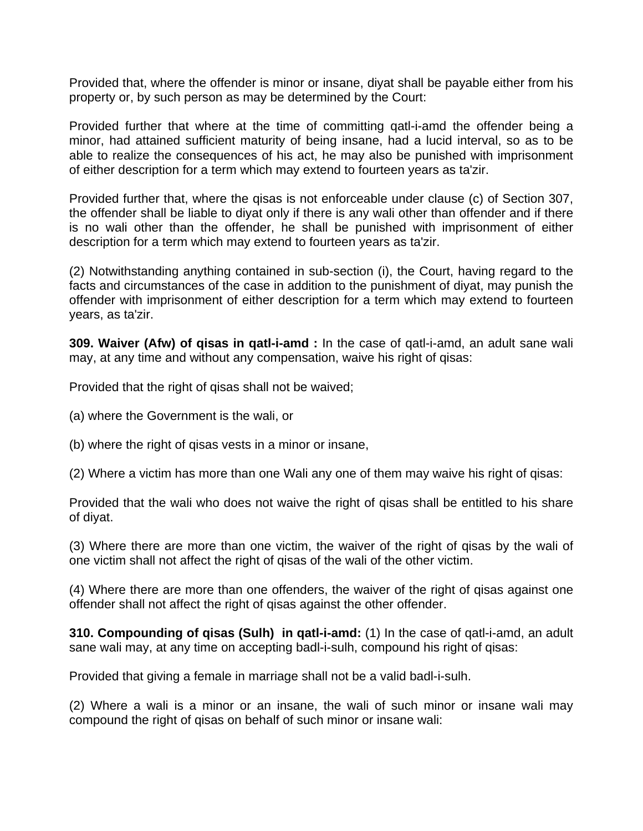Provided that, where the offender is minor or insane, diyat shall be payable either from his property or, by such person as may be determined by the Court:

Provided further that where at the time of committing qatl-i-amd the offender being a minor, had attained sufficient maturity of being insane, had a lucid interval, so as to be able to realize the consequences of his act, he may also be punished with imprisonment of either description for a term which may extend to fourteen years as ta'zir.

Provided further that, where the qisas is not enforceable under clause (c) of Section 307, the offender shall be liable to diyat only if there is any wali other than offender and if there is no wali other than the offender, he shall be punished with imprisonment of either description for a term which may extend to fourteen years as ta'zir.

(2) Notwithstanding anything contained in sub-section (i), the Court, having regard to the facts and circumstances of the case in addition to the punishment of diyat, may punish the offender with imprisonment of either description for a term which may extend to fourteen years, as ta'zir.

**309. Waiver (Afw) of qisas in qatl-i-amd :** In the case of qatl-i-amd, an adult sane wali may, at any time and without any compensation, waive his right of qisas:

Provided that the right of qisas shall not be waived;

- (a) where the Government is the wali, or
- (b) where the right of qisas vests in a minor or insane,

(2) Where a victim has more than one Wali any one of them may waive his right of qisas:

Provided that the wali who does not waive the right of qisas shall be entitled to his share of diyat.

(3) Where there are more than one victim, the waiver of the right of qisas by the wali of one victim shall not affect the right of qisas of the wali of the other victim.

(4) Where there are more than one offenders, the waiver of the right of qisas against one offender shall not affect the right of qisas against the other offender.

**310. Compounding of qisas (Sulh) in qatl-i-amd:** (1) In the case of qatl-i-amd, an adult sane wali may, at any time on accepting badl-i-sulh, compound his right of qisas:

Provided that giving a female in marriage shall not be a valid badl-i-sulh.

(2) Where a wali is a minor or an insane, the wali of such minor or insane wali may compound the right of qisas on behalf of such minor or insane wali: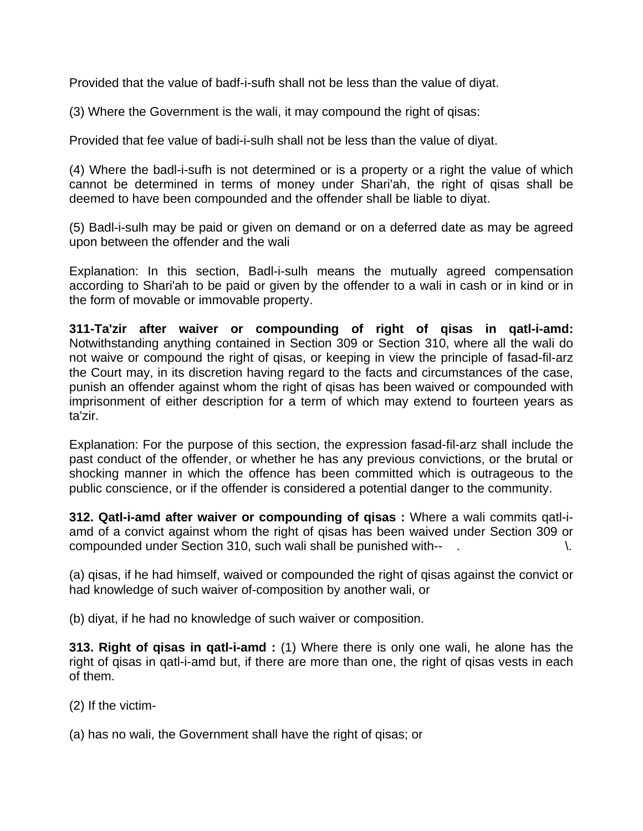Provided that the value of badf-i-sufh shall not be less than the value of diyat.

(3) Where the Government is the wali, it may compound the right of qisas:

Provided that fee value of badi-i-sulh shall not be less than the value of diyat.

(4) Where the badl-i-sufh is not determined or is a property or a right the value of which cannot be determined in terms of money under Shari'ah, the right of qisas shall be deemed to have been compounded and the offender shall be liable to diyat.

(5) Badl-i-sulh may be paid or given on demand or on a deferred date as may be agreed upon between the offender and the wali

Explanation: In this section, Badl-i-sulh means the mutually agreed compensation according to Shari'ah to be paid or given by the offender to a wali in cash or in kind or in the form of movable or immovable property.

**311-Ta'zir after waiver or compounding of right of qisas in qatl-i-amd:** Notwithstanding anything contained in Section 309 or Section 310, where all the wali do not waive or compound the right of qisas, or keeping in view the principle of fasad-fil-arz the Court may, in its discretion having regard to the facts and circumstances of the case, punish an offender against whom the right of qisas has been waived or compounded with imprisonment of either description for a term of which may extend to fourteen years as ta'zir.

Explanation: For the purpose of this section, the expression fasad-fil-arz shall include the past conduct of the offender, or whether he has any previous convictions, or the brutal or shocking manner in which the offence has been committed which is outrageous to the public conscience, or if the offender is considered a potential danger to the community.

**312. Qatl-i-amd after waiver or compounding of qisas :** Where a wali commits qatl-iamd of a convict against whom the right of qisas has been waived under Section 309 or compounded under Section 310, such wali shall be punished with- $\cdot$ .

(a) qisas, if he had himself, waived or compounded the right of qisas against the convict or had knowledge of such waiver of-composition by another wali, or

(b) diyat, if he had no knowledge of such waiver or composition.

**313. Right of qisas in qatl-i-amd :** (1) Where there is only one wali, he alone has the right of qisas in qatl-i-amd but, if there are more than one, the right of qisas vests in each of them.

(2) If the victim-

(a) has no wali, the Government shall have the right of qisas; or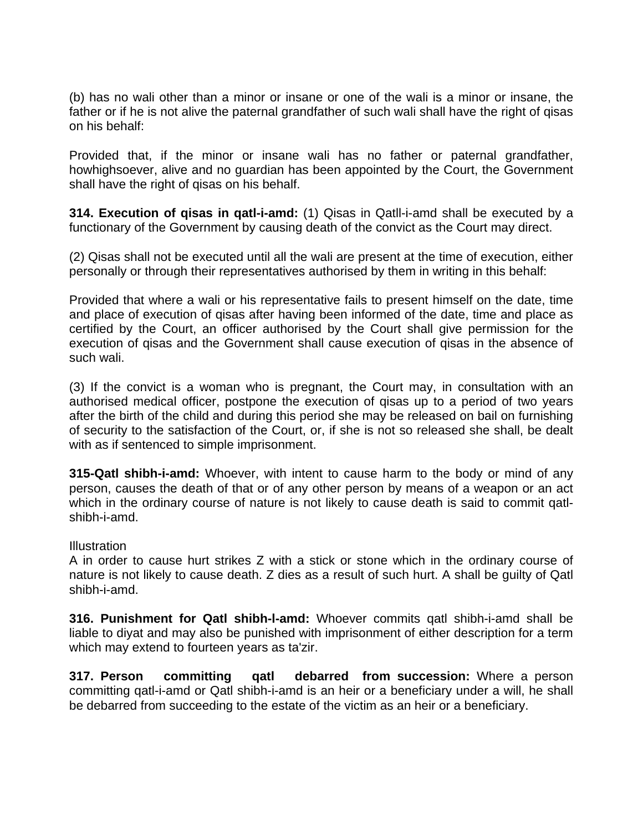(b) has no wali other than a minor or insane or one of the wali is a minor or insane, the father or if he is not alive the paternal grandfather of such wali shall have the right of qisas on his behalf:

Provided that, if the minor or insane wali has no father or paternal grandfather, howhighsoever, alive and no guardian has been appointed by the Court, the Government shall have the right of qisas on his behalf.

**314. Execution of qisas in qatl-i-amd:** (1) Qisas in Qatll-i-amd shall be executed by a functionary of the Government by causing death of the convict as the Court may direct.

(2) Qisas shall not be executed until all the wali are present at the time of execution, either personally or through their representatives authorised by them in writing in this behalf:

Provided that where a wali or his representative fails to present himself on the date, time and place of execution of qisas after having been informed of the date, time and place as certified by the Court, an officer authorised by the Court shall give permission for the execution of qisas and the Government shall cause execution of qisas in the absence of such wali.

(3) If the convict is a woman who is pregnant, the Court may, in consultation with an authorised medical officer, postpone the execution of qisas up to a period of two years after the birth of the child and during this period she may be released on bail on furnishing of security to the satisfaction of the Court, or, if she is not so released she shall, be dealt with as if sentenced to simple imprisonment.

**315-Qatl shibh-i-amd:** Whoever, with intent to cause harm to the body or mind of any person, causes the death of that or of any other person by means of a weapon or an act which in the ordinary course of nature is not likely to cause death is said to commit qatlshibh-i-amd.

#### **Illustration**

A in order to cause hurt strikes Z with a stick or stone which in the ordinary course of nature is not likely to cause death. Z dies as a result of such hurt. A shall be guilty of Qatl shibh-i-amd.

**316. Punishment for Qatl shibh-l-amd:** Whoever commits qatl shibh-i-amd shall be liable to diyat and may also be punished with imprisonment of either description for a term which may extend to fourteen years as ta'zir.

**317. Person committing qatl debarred from succession:** Where a person committing qatl-i-amd or Qatl shibh-i-amd is an heir or a beneficiary under a will, he shall be debarred from succeeding to the estate of the victim as an heir or a beneficiary.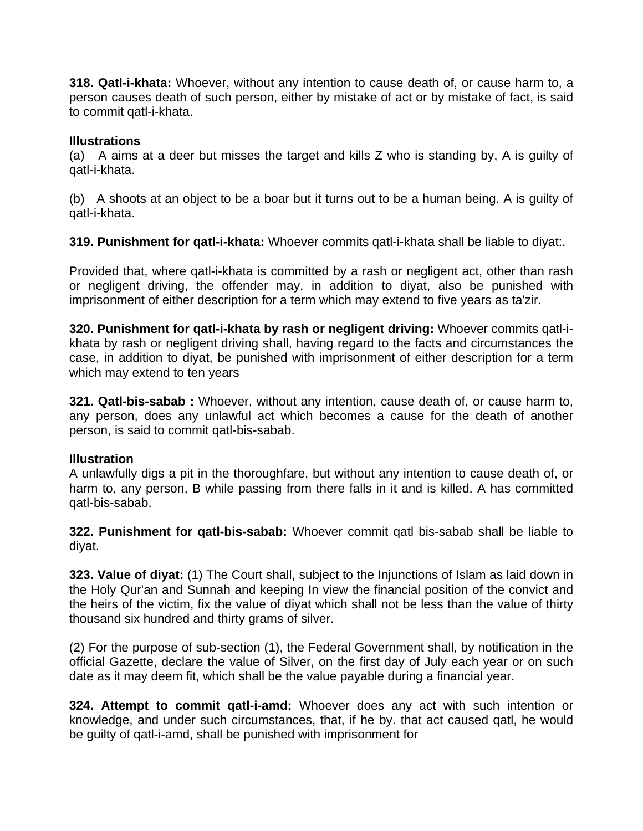**318. Qatl-i-khata:** Whoever, without any intention to cause death of, or cause harm to, a person causes death of such person, either by mistake of act or by mistake of fact, is said to commit qatl-i-khata.

### **Illustrations**

(a) A aims at a deer but misses the target and kills Z who is standing by, A is guilty of qatl-i-khata.

(b) A shoots at an object to be a boar but it turns out to be a human being. A is guilty of qatl-i-khata.

**319. Punishment for qatl-i-khata:** Whoever commits qatl-i-khata shall be liable to diyat:.

Provided that, where qatl-i-khata is committed by a rash or negligent act, other than rash or negligent driving, the offender may, in addition to diyat, also be punished with imprisonment of either description for a term which may extend to five years as ta'zir.

**320. Punishment for qatl-i-khata by rash or negligent driving:** Whoever commits qatl-ikhata by rash or negligent driving shall, having regard to the facts and circumstances the case, in addition to diyat, be punished with imprisonment of either description for a term which may extend to ten years

**321. Qatl-bis-sabab :** Whoever, without any intention, cause death of, or cause harm to, any person, does any unlawful act which becomes a cause for the death of another person, is said to commit qatl-bis-sabab.

# **Illustration**

A unlawfully digs a pit in the thoroughfare, but without any intention to cause death of, or harm to, any person, B while passing from there falls in it and is killed. A has committed qatl-bis-sabab.

**322. Punishment for qatl-bis-sabab:** Whoever commit qatl bis-sabab shall be liable to diyat.

**323. Value of diyat:** (1) The Court shall, subject to the Injunctions of Islam as laid down in the Holy Qur'an and Sunnah and keeping In view the financial position of the convict and the heirs of the victim, fix the value of diyat which shall not be less than the value of thirty thousand six hundred and thirty grams of silver.

(2) For the purpose of sub-section (1), the Federal Government shall, by notification in the official Gazette, declare the value of Silver, on the first day of July each year or on such date as it may deem fit, which shall be the value payable during a financial year.

**324. Attempt to commit qatl-i-amd:** Whoever does any act with such intention or knowledge, and under such circumstances, that, if he by. that act caused qatl, he would be guilty of qatl-i-amd, shall be punished with imprisonment for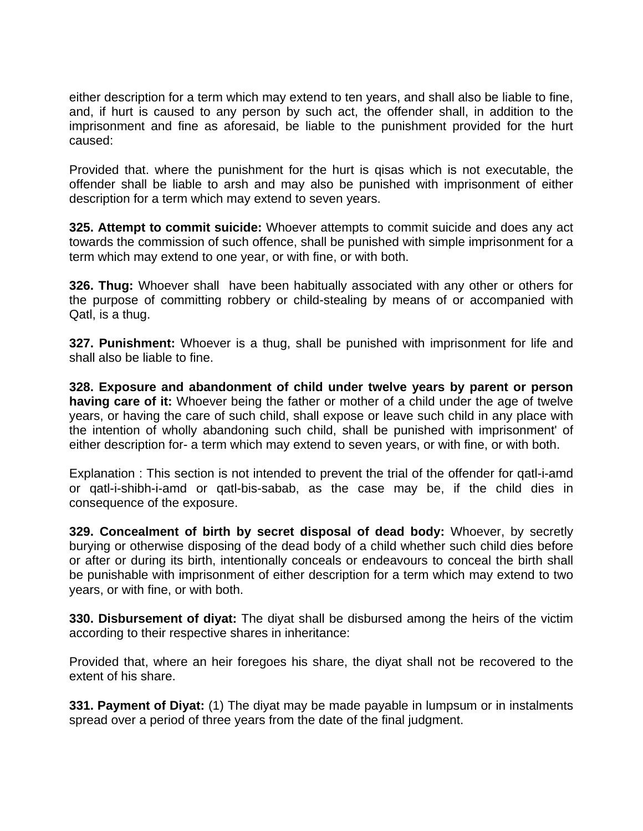either description for a term which may extend to ten years, and shall also be liable to fine, and, if hurt is caused to any person by such act, the offender shall, in addition to the imprisonment and fine as aforesaid, be liable to the punishment provided for the hurt caused:

Provided that. where the punishment for the hurt is qisas which is not executable, the offender shall be liable to arsh and may also be punished with imprisonment of either description for a term which may extend to seven years.

**325. Attempt to commit suicide:** Whoever attempts to commit suicide and does any act towards the commission of such offence, shall be punished with simple imprisonment for a term which may extend to one year, or with fine, or with both.

**326. Thug:** Whoever shall have been habitually associated with any other or others for the purpose of committing robbery or child-stealing by means of or accompanied with Qatl, is a thug.

**327. Punishment:** Whoever is a thug, shall be punished with imprisonment for life and shall also be liable to fine.

**328. Exposure and abandonment of child under twelve years by parent or person having care of it:** Whoever being the father or mother of a child under the age of twelve years, or having the care of such child, shall expose or leave such child in any place with the intention of wholly abandoning such child, shall be punished with imprisonment' of either description for- a term which may extend to seven years, or with fine, or with both.

Explanation : This section is not intended to prevent the trial of the offender for qatl-i-amd or qatl-i-shibh-i-amd or qatl-bis-sabab, as the case may be, if the child dies in consequence of the exposure.

**329. Concealment of birth by secret disposal of dead body:** Whoever, by secretly burying or otherwise disposing of the dead body of a child whether such child dies before or after or during its birth, intentionally conceals or endeavours to conceal the birth shall be punishable with imprisonment of either description for a term which may extend to two years, or with fine, or with both.

**330. Disbursement of diyat:** The diyat shall be disbursed among the heirs of the victim according to their respective shares in inheritance:

Provided that, where an heir foregoes his share, the diyat shall not be recovered to the extent of his share.

**331. Payment of Diyat:** (1) The diyat may be made payable in lumpsum or in instalments spread over a period of three years from the date of the final judgment.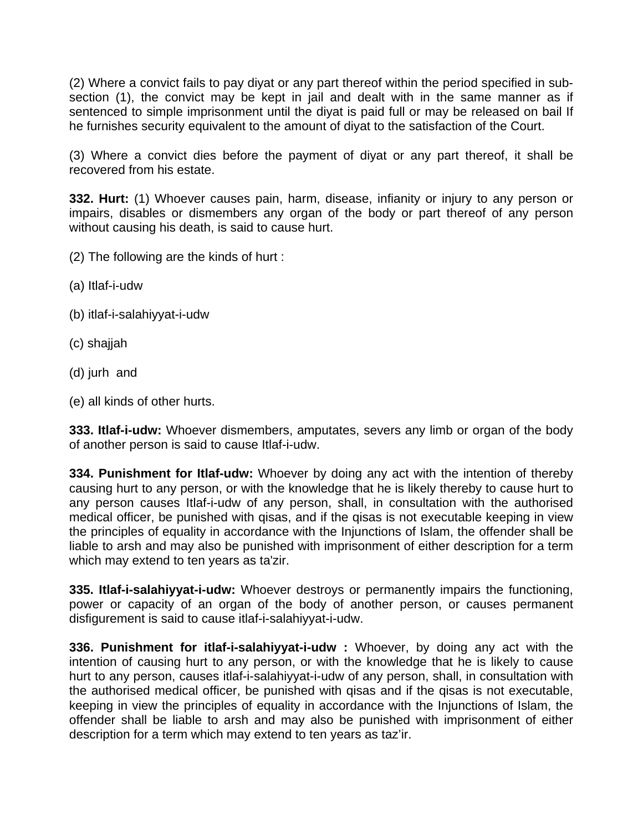(2) Where a convict fails to pay diyat or any part thereof within the period specified in subsection (1), the convict may be kept in jail and dealt with in the same manner as if sentenced to simple imprisonment until the diyat is paid full or may be released on bail If he furnishes security equivalent to the amount of diyat to the satisfaction of the Court.

(3) Where a convict dies before the payment of diyat or any part thereof, it shall be recovered from his estate.

**332. Hurt:** (1) Whoever causes pain, harm, disease, infianity or injury to any person or impairs, disables or dismembers any organ of the body or part thereof of any person without causing his death, is said to cause hurt.

- (2) The following are the kinds of hurt :
- (a) Itlaf-i-udw
- (b) itlaf-i-salahiyyat-i-udw
- (c) shajjah
- (d) jurh and
- (e) all kinds of other hurts.

**333. Itlaf-i-udw:** Whoever dismembers, amputates, severs any limb or organ of the body of another person is said to cause Itlaf-i-udw.

**334. Punishment for Itlaf-udw:** Whoever by doing any act with the intention of thereby causing hurt to any person, or with the knowledge that he is likely thereby to cause hurt to any person causes Itlaf-i-udw of any person, shall, in consultation with the authorised medical officer, be punished with qisas, and if the qisas is not executable keeping in view the principles of equality in accordance with the Injunctions of Islam, the offender shall be liable to arsh and may also be punished with imprisonment of either description for a term which may extend to ten years as ta'zir.

**335. Itlaf-i-salahiyyat-i-udw:** Whoever destroys or permanently impairs the functioning, power or capacity of an organ of the body of another person, or causes permanent disfigurement is said to cause itlaf-i-salahiyyat-i-udw.

**336. Punishment for itlaf-i-salahiyyat-i-udw :** Whoever, by doing any act with the intention of causing hurt to any person, or with the knowledge that he is likely to cause hurt to any person, causes itlaf-i-salahiyyat-i-udw of any person, shall, in consultation with the authorised medical officer, be punished with qisas and if the qisas is not executable, keeping in view the principles of equality in accordance with the Injunctions of Islam, the offender shall be liable to arsh and may also be punished with imprisonment of either description for a term which may extend to ten years as taz'ir.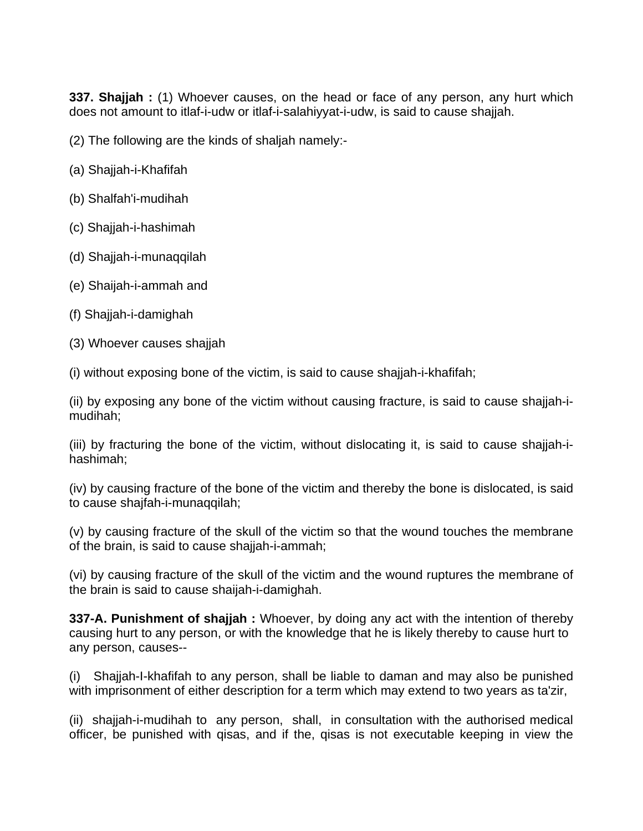**337. Shajjah :** (1) Whoever causes, on the head or face of any person, any hurt which does not amount to itlaf-i-udw or itlaf-i-salahiyyat-i-udw, is said to cause shajjah.

(2) The following are the kinds of shaljah namely:-

- (a) Shajjah-i-Khafifah
- (b) Shalfah'i-mudihah
- (c) Shajjah-i-hashimah
- (d) Shajjah-i-munaqqilah
- (e) Shaijah-i-ammah and
- (f) Shajjah-i-damighah
- (3) Whoever causes shajjah
- (i) without exposing bone of the victim, is said to cause shajjah-i-khafifah;

(ii) by exposing any bone of the victim without causing fracture, is said to cause shajjah-imudihah;

(iii) by fracturing the bone of the victim, without dislocating it, is said to cause shajjah-ihashimah;

(iv) by causing fracture of the bone of the victim and thereby the bone is dislocated, is said to cause shajfah-i-munaqqilah;

(v) by causing fracture of the skull of the victim so that the wound touches the membrane of the brain, is said to cause shajjah-i-ammah;

(vi) by causing fracture of the skull of the victim and the wound ruptures the membrane of the brain is said to cause shaijah-i-damighah.

**337-A. Punishment of shajjah :** Whoever, by doing any act with the intention of thereby causing hurt to any person, or with the knowledge that he is likely thereby to cause hurt to any person, causes--

(i) Shajjah-I-khafifah to any person, shall be liable to daman and may also be punished with imprisonment of either description for a term which may extend to two years as ta'zir,

(ii) shajjah-i-mudihah to any person, shall, in consultation with the authorised medical officer, be punished with qisas, and if the, qisas is not executable keeping in view the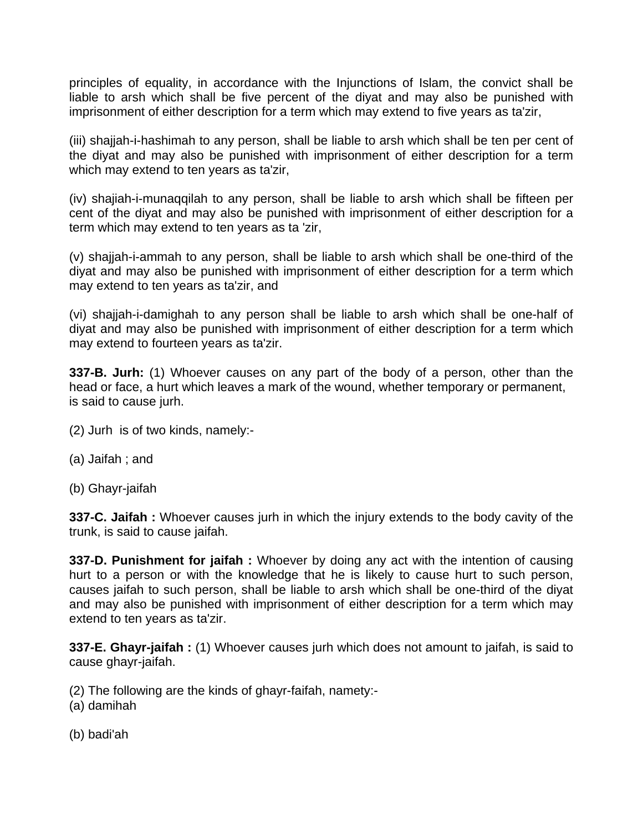principles of equality, in accordance with the Injunctions of Islam, the convict shall be liable to arsh which shall be five percent of the diyat and may also be punished with imprisonment of either description for a term which may extend to five years as ta'zir,

(iii) shajjah-i-hashimah to any person, shall be liable to arsh which shall be ten per cent of the diyat and may also be punished with imprisonment of either description for a term which may extend to ten years as ta'zir,

(iv) shajiah-i-munaqqilah to any person, shall be liable to arsh which shall be fifteen per cent of the diyat and may also be punished with imprisonment of either description for a term which may extend to ten years as ta 'zir,

(v) shajjah-i-ammah to any person, shall be liable to arsh which shall be one-third of the diyat and may also be punished with imprisonment of either description for a term which may extend to ten years as ta'zir, and

(vi) shajjah-i-damighah to any person shall be liable to arsh which shall be one-half of diyat and may also be punished with imprisonment of either description for a term which may extend to fourteen years as ta'zir.

**337-B. Jurh:** (1) Whoever causes on any part of the body of a person, other than the head or face, a hurt which leaves a mark of the wound, whether temporary or permanent, is said to cause jurh.

- (2) Jurh is of two kinds, namely:-
- (a) Jaifah ; and
- (b) Ghayr-jaifah

**337-C. Jaifah :** Whoever causes jurh in which the injury extends to the body cavity of the trunk, is said to cause jaifah.

**337-D. Punishment for jaifah :** Whoever by doing any act with the intention of causing hurt to a person or with the knowledge that he is likely to cause hurt to such person, causes jaifah to such person, shall be liable to arsh which shall be one-third of the diyat and may also be punished with imprisonment of either description for a term which may extend to ten years as ta'zir.

**337-E. Ghayr-jaifah :** (1) Whoever causes jurh which does not amount to jaifah, is said to cause ghayr-jaifah.

(2) The following are the kinds of ghayr-faifah, namety:-

(a) damihah

(b) badi'ah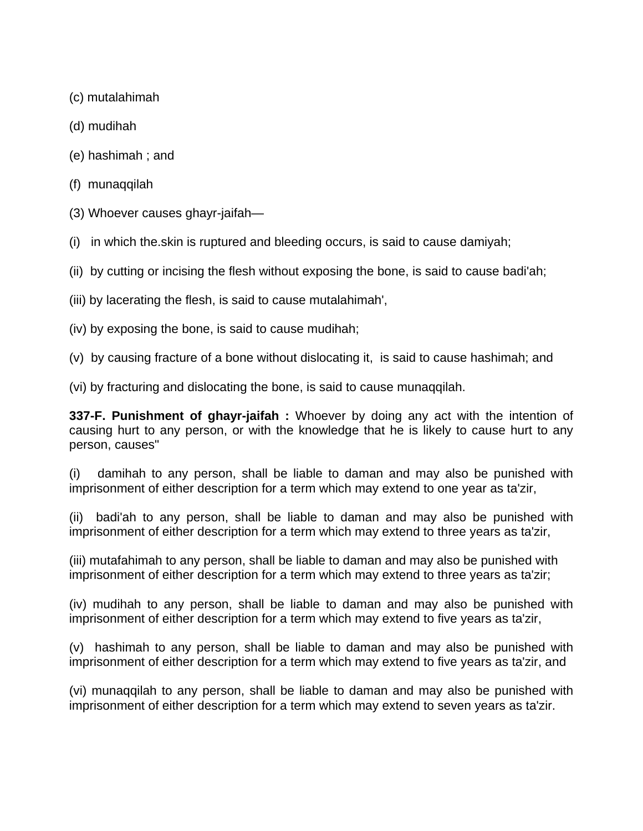- (c) mutalahimah
- (d) mudihah
- (e) hashimah ; and
- (f) munaqqilah
- (3) Whoever causes ghayr-jaifah—
- (i) in which the.skin is ruptured and bleeding occurs, is said to cause damiyah;
- (ii) by cutting or incising the flesh without exposing the bone, is said to cause badi'ah;
- (iii) by lacerating the flesh, is said to cause mutalahimah',
- (iv) by exposing the bone, is said to cause mudihah;
- (v) by causing fracture of a bone without dislocating it, is said to cause hashimah; and

(vi) by fracturing and dislocating the bone, is said to cause munaqqilah.

**337-F. Punishment of ghayr-jaifah :** Whoever by doing any act with the intention of causing hurt to any person, or with the knowledge that he is likely to cause hurt to any person, causes"

(i) damihah to any person, shall be liable to daman and may also be punished with imprisonment of either description for a term which may extend to one year as ta'zir,

(ii) badi'ah to any person, shall be liable to daman and may also be punished with imprisonment of either description for a term which may extend to three years as ta'zir,

(iii) mutafahimah to any person, shall be liable to daman and may also be punished with imprisonment of either description for a term which may extend to three years as ta'zir;

(iv) mudihah to any person, shall be liable to daman and may also be punished with imprisonment of either description for a term which may extend to five years as ta'zir,

(v) hashimah to any person, shall be liable to daman and may also be punished with imprisonment of either description for a term which may extend to five years as ta'zir, and

(vi) munaqqilah to any person, shall be liable to daman and may also be punished with imprisonment of either description for a term which may extend to seven years as ta'zir.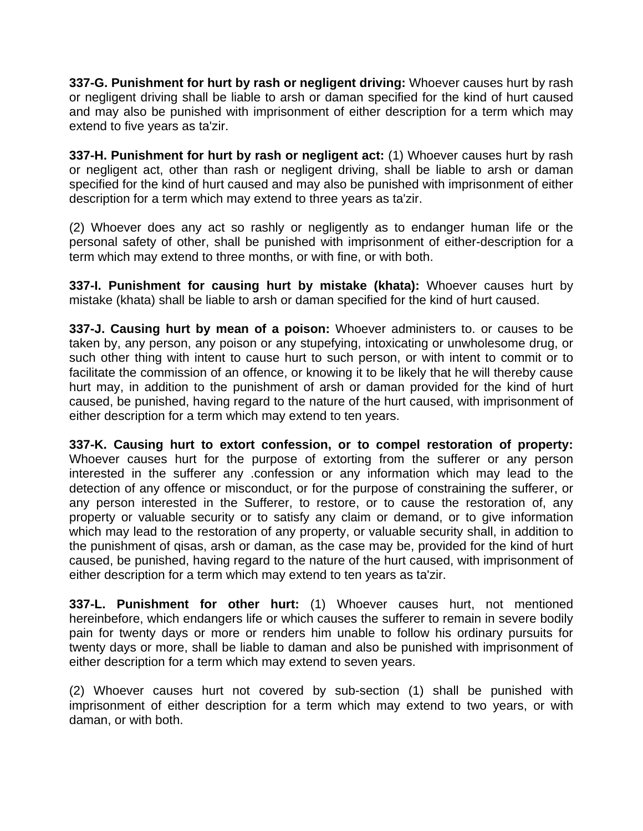**337-G. Punishment for hurt by rash or negligent driving:** Whoever causes hurt by rash or negligent driving shall be liable to arsh or daman specified for the kind of hurt caused and may also be punished with imprisonment of either description for a term which may extend to five years as ta'zir.

**337-H. Punishment for hurt by rash or negligent act:** (1) Whoever causes hurt by rash or negligent act, other than rash or negligent driving, shall be liable to arsh or daman specified for the kind of hurt caused and may also be punished with imprisonment of either description for a term which may extend to three years as ta'zir.

(2) Whoever does any act so rashly or negligently as to endanger human life or the personal safety of other, shall be punished with imprisonment of either-description for a term which may extend to three months, or with fine, or with both.

**337-I. Punishment for causing hurt by mistake (khata):** Whoever causes hurt by mistake (khata) shall be liable to arsh or daman specified for the kind of hurt caused.

**337-J. Causing hurt by mean of a poison:** Whoever administers to. or causes to be taken by, any person, any poison or any stupefying, intoxicating or unwholesome drug, or such other thing with intent to cause hurt to such person, or with intent to commit or to facilitate the commission of an offence, or knowing it to be likely that he will thereby cause hurt may, in addition to the punishment of arsh or daman provided for the kind of hurt caused, be punished, having regard to the nature of the hurt caused, with imprisonment of either description for a term which may extend to ten years.

**337-K. Causing hurt to extort confession, or to compel restoration of property:** Whoever causes hurt for the purpose of extorting from the sufferer or any person interested in the sufferer any .confession or any information which may lead to the detection of any offence or misconduct, or for the purpose of constraining the sufferer, or any person interested in the Sufferer, to restore, or to cause the restoration of, any property or valuable security or to satisfy any claim or demand, or to give information which may lead to the restoration of any property, or valuable security shall, in addition to the punishment of qisas, arsh or daman, as the case may be, provided for the kind of hurt caused, be punished, having regard to the nature of the hurt caused, with imprisonment of either description for a term which may extend to ten years as ta'zir.

**337-L. Punishment for other hurt:** (1) Whoever causes hurt, not mentioned hereinbefore, which endangers life or which causes the sufferer to remain in severe bodily pain for twenty days or more or renders him unable to follow his ordinary pursuits for twenty days or more, shall be liable to daman and also be punished with imprisonment of either description for a term which may extend to seven years.

(2) Whoever causes hurt not covered by sub-section (1) shall be punished with imprisonment of either description for a term which may extend to two years, or with daman, or with both.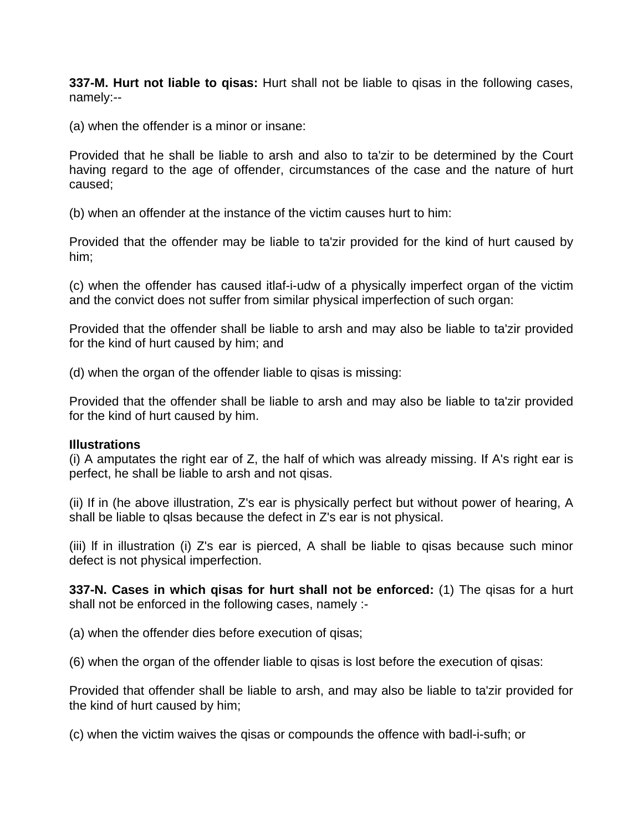**337-M. Hurt not liable to qisas:** Hurt shall not be liable to qisas in the following cases, namely:--

(a) when the offender is a minor or insane:

Provided that he shall be liable to arsh and also to ta'zir to be determined by the Court having regard to the age of offender, circumstances of the case and the nature of hurt caused;

(b) when an offender at the instance of the victim causes hurt to him:

Provided that the offender may be liable to ta'zir provided for the kind of hurt caused by him;

(c) when the offender has caused itlaf-i-udw of a physically imperfect organ of the victim and the convict does not suffer from similar physical imperfection of such organ:

Provided that the offender shall be liable to arsh and may also be liable to ta'zir provided for the kind of hurt caused by him; and

(d) when the organ of the offender liable to qisas is missing:

Provided that the offender shall be liable to arsh and may also be liable to ta'zir provided for the kind of hurt caused by him.

# **Illustrations**

(i) A amputates the right ear of Z, the half of which was already missing. If A's right ear is perfect, he shall be liable to arsh and not qisas.

(ii) If in (he above illustration, Z's ear is physically perfect but without power of hearing, A shall be liable to qlsas because the defect in Z's ear is not physical.

(iii) lf in illustration (i) Z's ear is pierced, A shall be liable to qisas because such minor defect is not physical imperfection.

**337-N. Cases in which qisas for hurt shall not be enforced:** (1) The qisas for a hurt shall not be enforced in the following cases, namely :-

(a) when the offender dies before execution of qisas;

(6) when the organ of the offender liable to qisas is lost before the execution of qisas:

Provided that offender shall be liable to arsh, and may also be liable to ta'zir provided for the kind of hurt caused by him;

(c) when the victim waives the qisas or compounds the offence with badl-i-sufh; or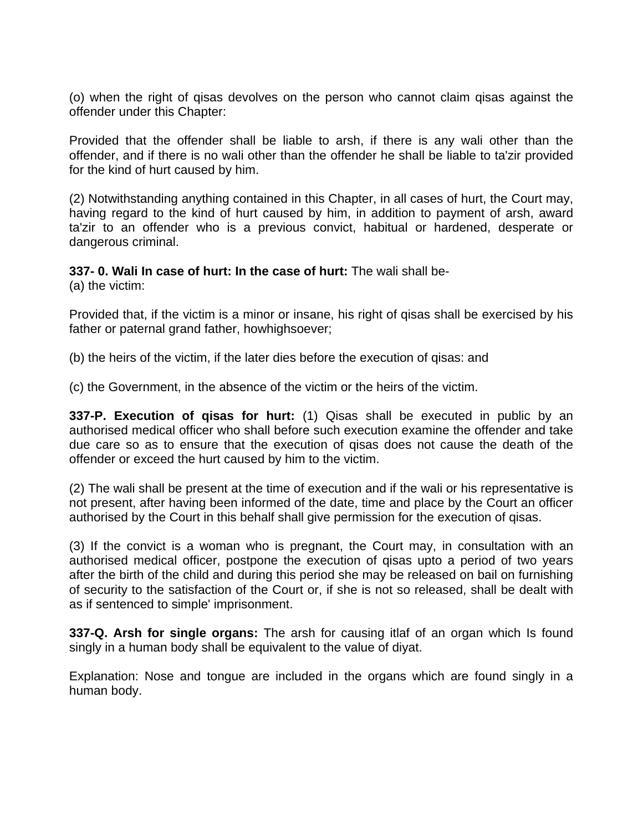(o) when the right of qisas devolves on the person who cannot claim qisas against the offender under this Chapter:

Provided that the offender shall be liable to arsh, if there is any wali other than the offender, and if there is no wali other than the offender he shall be liable to ta'zir provided for the kind of hurt caused by him.

(2) Notwithstanding anything contained in this Chapter, in all cases of hurt, the Court may, having regard to the kind of hurt caused by him, in addition to payment of arsh, award ta'zir to an offender who is a previous convict, habitual or hardened, desperate or dangerous criminal.

# **337- 0. Wali In case of hurt: In the case of hurt:** The wali shall be-

(a) the victim:

Provided that, if the victim is a minor or insane, his right of qisas shall be exercised by his father or paternal grand father, howhighsoever;

(b) the heirs of the victim, if the later dies before the execution of qisas: and

(c) the Government, in the absence of the victim or the heirs of the victim.

**337-P. Execution of qisas for hurt:** (1) Qisas shall be executed in public by an authorised medical officer who shall before such execution examine the offender and take due care so as to ensure that the execution of qisas does not cause the death of the offender or exceed the hurt caused by him to the victim.

(2) The wali shall be present at the time of execution and if the wali or his representative is not present, after having been informed of the date, time and place by the Court an officer authorised by the Court in this behalf shall give permission for the execution of qisas.

(3) If the convict is a woman who is pregnant, the Court may, in consultation with an authorised medical officer, postpone the execution of qisas upto a period of two years after the birth of the child and during this period she may be released on bail on furnishing of security to the satisfaction of the Court or, if she is not so released, shall be dealt with as if sentenced to simple' imprisonment.

**337-Q. Arsh for single organs:** The arsh for causing itlaf of an organ which Is found singly in a human body shall be equivalent to the value of diyat.

Explanation: Nose and tongue are included in the organs which are found singly in a human body.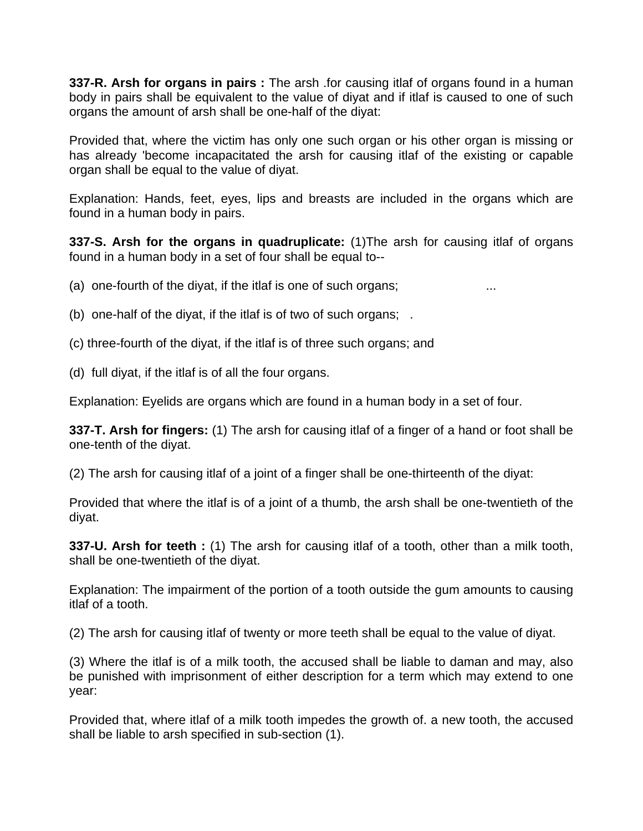**337-R. Arsh for organs in pairs :** The arsh .for causing itlaf of organs found in a human body in pairs shall be equivalent to the value of diyat and if itlaf is caused to one of such organs the amount of arsh shall be one-half of the diyat:

Provided that, where the victim has only one such organ or his other organ is missing or has already 'become incapacitated the arsh for causing itlaf of the existing or capable organ shall be equal to the value of diyat.

Explanation: Hands, feet, eyes, lips and breasts are included in the organs which are found in a human body in pairs.

**337-S. Arsh for the organs in quadruplicate:** (1)The arsh for causing itlaf of organs found in a human body in a set of four shall be equal to--

- (a) one-fourth of the divat, if the itlaf is one of such organs;
- (b) one-half of the diyat, if the itlaf is of two of such organs; .
- (c) three-fourth of the diyat, if the itlaf is of three such organs; and
- (d) full diyat, if the itlaf is of all the four organs.

Explanation: Eyelids are organs which are found in a human body in a set of four.

**337-T. Arsh for fingers:** (1) The arsh for causing itlaf of a finger of a hand or foot shall be one-tenth of the diyat.

(2) The arsh for causing itlaf of a joint of a finger shall be one-thirteenth of the diyat:

Provided that where the itlaf is of a joint of a thumb, the arsh shall be one-twentieth of the diyat.

**337-U. Arsh for teeth :** (1) The arsh for causing itlaf of a tooth, other than a milk tooth, shall be one-twentieth of the diyat.

Explanation: The impairment of the portion of a tooth outside the gum amounts to causing itlaf of a tooth.

(2) The arsh for causing itlaf of twenty or more teeth shall be equal to the value of diyat.

(3) Where the itlaf is of a milk tooth, the accused shall be liable to daman and may, also be punished with imprisonment of either description for a term which may extend to one year:

Provided that, where itlaf of a milk tooth impedes the growth of. a new tooth, the accused shall be liable to arsh specified in sub-section (1).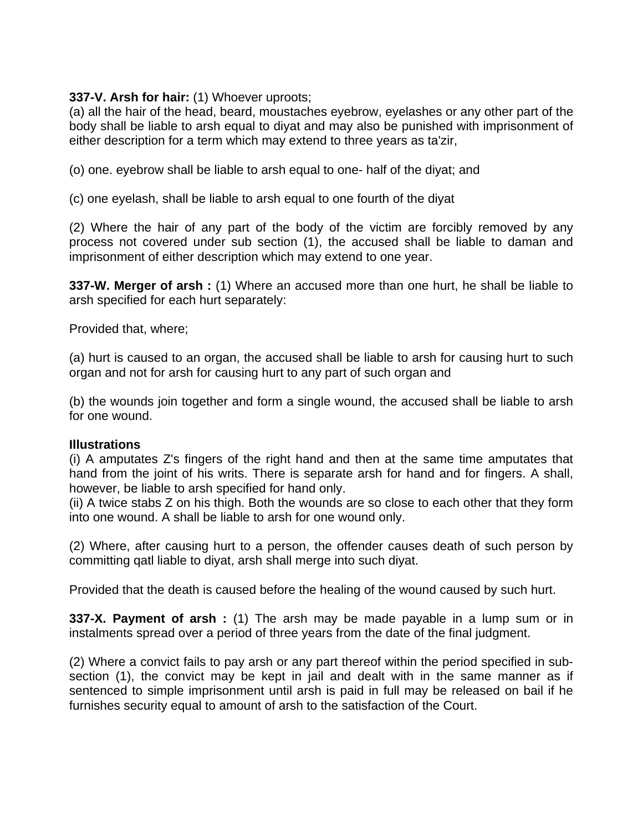# **337-V. Arsh for hair:** (1) Whoever uproots;

(a) all the hair of the head, beard, moustaches eyebrow, eyelashes or any other part of the body shall be liable to arsh equal to diyat and may also be punished with imprisonment of either description for a term which may extend to three years as ta'zir,

(o) one. eyebrow shall be liable to arsh equal to one- half of the diyat; and

(c) one eyelash, shall be liable to arsh equal to one fourth of the diyat

(2) Where the hair of any part of the body of the victim are forcibly removed by any process not covered under sub section (1), the accused shall be liable to daman and imprisonment of either description which may extend to one year.

**337-W. Merger of arsh :** (1) Where an accused more than one hurt, he shall be liable to arsh specified for each hurt separately:

Provided that, where;

(a) hurt is caused to an organ, the accused shall be liable to arsh for causing hurt to such organ and not for arsh for causing hurt to any part of such organ and

(b) the wounds join together and form a single wound, the accused shall be liable to arsh for one wound.

#### **Illustrations**

(i) A amputates Z's fingers of the right hand and then at the same time amputates that hand from the joint of his writs. There is separate arsh for hand and for fingers. A shall, however, be liable to arsh specified for hand only.

(ii) A twice stabs Z on his thigh. Both the wounds are so close to each other that they form into one wound. A shall be liable to arsh for one wound only.

(2) Where, after causing hurt to a person, the offender causes death of such person by committing qatl liable to diyat, arsh shall merge into such diyat.

Provided that the death is caused before the healing of the wound caused by such hurt.

**337-X. Payment of arsh :** (1) The arsh may be made payable in a lump sum or in instalments spread over a period of three years from the date of the final judgment.

(2) Where a convict fails to pay arsh or any part thereof within the period specified in subsection (1), the convict may be kept in jail and dealt with in the same manner as if sentenced to simple imprisonment until arsh is paid in full may be released on bail if he furnishes security equal to amount of arsh to the satisfaction of the Court.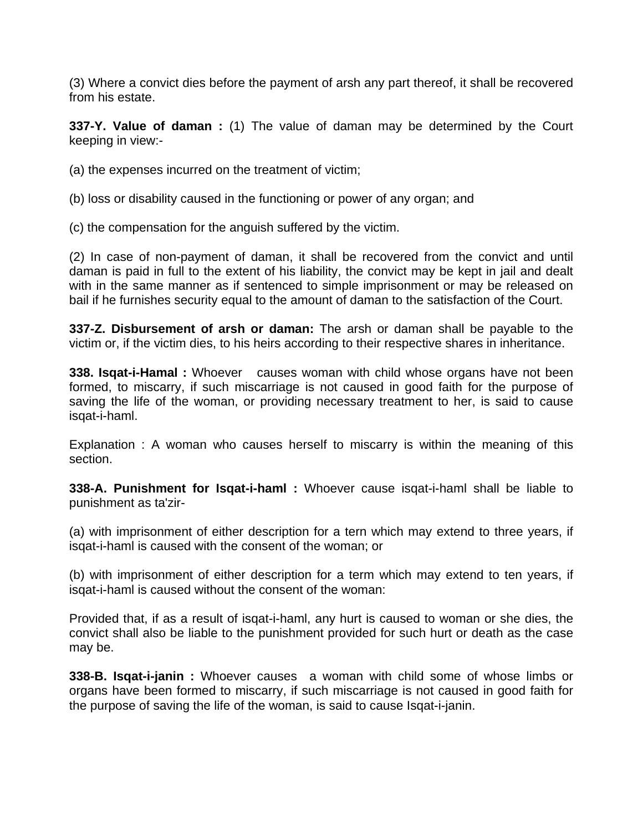(3) Where a convict dies before the payment of arsh any part thereof, it shall be recovered from his estate.

**337-Y. Value of daman :** (1) The value of daman may be determined by the Court keeping in view:-

(a) the expenses incurred on the treatment of victim;

(b) loss or disability caused in the functioning or power of any organ; and

(c) the compensation for the anguish suffered by the victim.

(2) In case of non-payment of daman, it shall be recovered from the convict and until daman is paid in full to the extent of his liability, the convict may be kept in jail and dealt with in the same manner as if sentenced to simple imprisonment or may be released on bail if he furnishes security equal to the amount of daman to the satisfaction of the Court.

**337-Z. Disbursement of arsh or daman:** The arsh or daman shall be payable to the victim or, if the victim dies, to his heirs according to their respective shares in inheritance.

**338. Isqat-i-Hamal :** Whoever causes woman with child whose organs have not been formed, to miscarry, if such miscarriage is not caused in good faith for the purpose of saving the life of the woman, or providing necessary treatment to her, is said to cause isqat-i-haml.

Explanation : A woman who causes herself to miscarry is within the meaning of this section.

**338-A. Punishment for Isqat-i-haml :** Whoever cause isqat-i-haml shall be liable to punishment as ta'zir-

(a) with imprisonment of either description for a tern which may extend to three years, if isqat-i-haml is caused with the consent of the woman; or

(b) with imprisonment of either description for a term which may extend to ten years, if isqat-i-haml is caused without the consent of the woman:

Provided that, if as a result of isqat-i-haml, any hurt is caused to woman or she dies, the convict shall also be liable to the punishment provided for such hurt or death as the case may be.

**338-B. Isqat-i-janin :** Whoever causes a woman with child some of whose limbs or organs have been formed to miscarry, if such miscarriage is not caused in good faith for the purpose of saving the life of the woman, is said to cause Isqat-i-janin.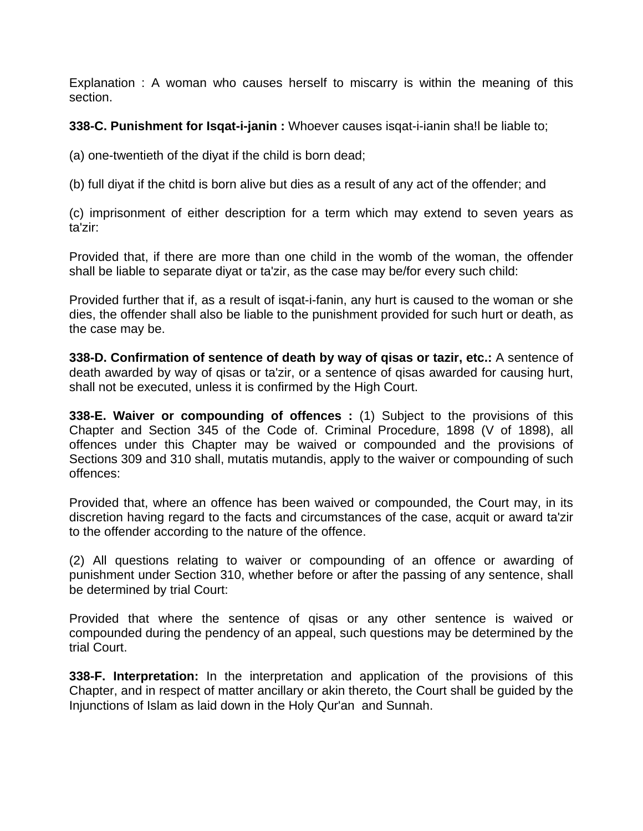Explanation : A woman who causes herself to miscarry is within the meaning of this section.

**338-C. Punishment for Isqat-i-janin :** Whoever causes isqat-i-ianin sha!l be liable to;

(a) one-twentieth of the diyat if the child is born dead;

(b) full diyat if the chitd is born alive but dies as a result of any act of the offender; and

(c) imprisonment of either description for a term which may extend to seven years as ta'zir:

Provided that, if there are more than one child in the womb of the woman, the offender shall be liable to separate diyat or ta'zir, as the case may be/for every such child:

Provided further that if, as a result of isqat-i-fanin, any hurt is caused to the woman or she dies, the offender shall also be liable to the punishment provided for such hurt or death, as the case may be.

**338-D. Confirmation of sentence of death by way of qisas or tazir, etc.:** A sentence of death awarded by way of qisas or ta'zir, or a sentence of qisas awarded for causing hurt, shall not be executed, unless it is confirmed by the High Court.

**338-E. Waiver or compounding of offences :** (1) Subject to the provisions of this Chapter and Section 345 of the Code of. Criminal Procedure, 1898 (V of 1898), all offences under this Chapter may be waived or compounded and the provisions of Sections 309 and 310 shall, mutatis mutandis, apply to the waiver or compounding of such offences:

Provided that, where an offence has been waived or compounded, the Court may, in its discretion having regard to the facts and circumstances of the case, acquit or award ta'zir to the offender according to the nature of the offence.

(2) All questions relating to waiver or compounding of an offence or awarding of punishment under Section 310, whether before or after the passing of any sentence, shall be determined by trial Court:

Provided that where the sentence of qisas or any other sentence is waived or compounded during the pendency of an appeal, such questions may be determined by the trial Court.

**338-F. Interpretation:** In the interpretation and application of the provisions of this Chapter, and in respect of matter ancillary or akin thereto, the Court shall be guided by the Injunctions of Islam as laid down in the Holy Qur'an and Sunnah.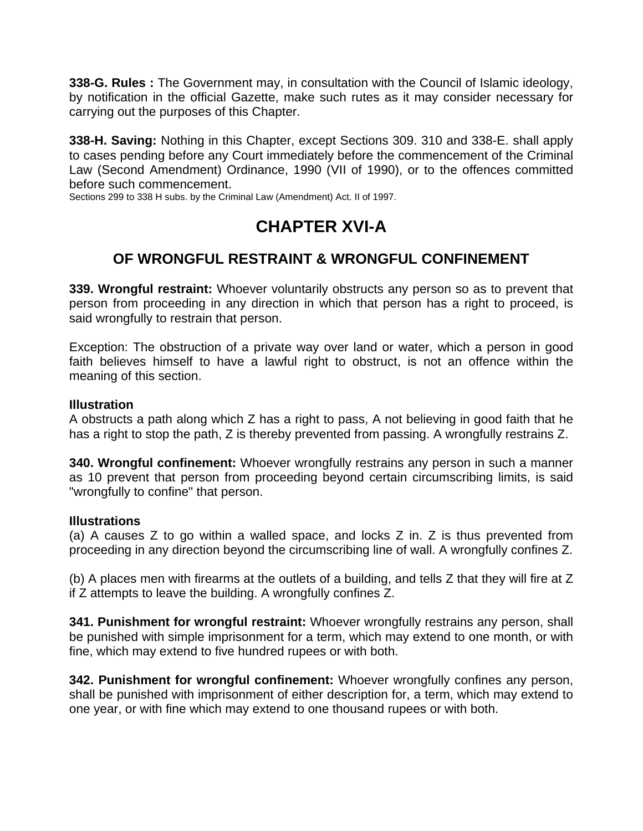**338-G. Rules :** The Government may, in consultation with the Council of Islamic ideology, by notification in the official Gazette, make such rutes as it may consider necessary for carrying out the purposes of this Chapter.

**338-H. Saving:** Nothing in this Chapter, except Sections 309. 310 and 338-E. shall apply to cases pending before any Court immediately before the commencement of the Criminal Law (Second Amendment) Ordinance, 1990 (VII of 1990), or to the offences committed before such commencement.

Sections 299 to 338 H subs. by the Criminal Law (Amendment) Act. II of 1997.

# **CHAPTER XVI-A**

# **OF WRONGFUL RESTRAINT & WRONGFUL CONFINEMENT**

**339. Wrongful restraint:** Whoever voluntarily obstructs any person so as to prevent that person from proceeding in any direction in which that person has a right to proceed, is said wrongfully to restrain that person.

Exception: The obstruction of a private way over land or water, which a person in good faith believes himself to have a lawful right to obstruct, is not an offence within the meaning of this section.

# **Illustration**

A obstructs a path along which Z has a right to pass, A not believing in good faith that he has a right to stop the path, Z is thereby prevented from passing. A wrongfully restrains Z.

**340. Wrongful confinement:** Whoever wrongfully restrains any person in such a manner as 10 prevent that person from proceeding beyond certain circumscribing limits, is said "wrongfully to confine" that person.

# **Illustrations**

(a) A causes Z to go within a walled space, and locks Z in. Z is thus prevented from proceeding in any direction beyond the circumscribing line of wall. A wrongfully confines Z.

(b) A places men with firearms at the outlets of a building, and tells Z that they will fire at Z if Z attempts to leave the building. A wrongfully confines Z.

**341. Punishment for wrongful restraint:** Whoever wrongfully restrains any person, shall be punished with simple imprisonment for a term, which may extend to one month, or with fine, which may extend to five hundred rupees or with both.

**342. Punishment for wrongful confinement:** Whoever wrongfully confines any person, shall be punished with imprisonment of either description for, a term, which may extend to one year, or with fine which may extend to one thousand rupees or with both.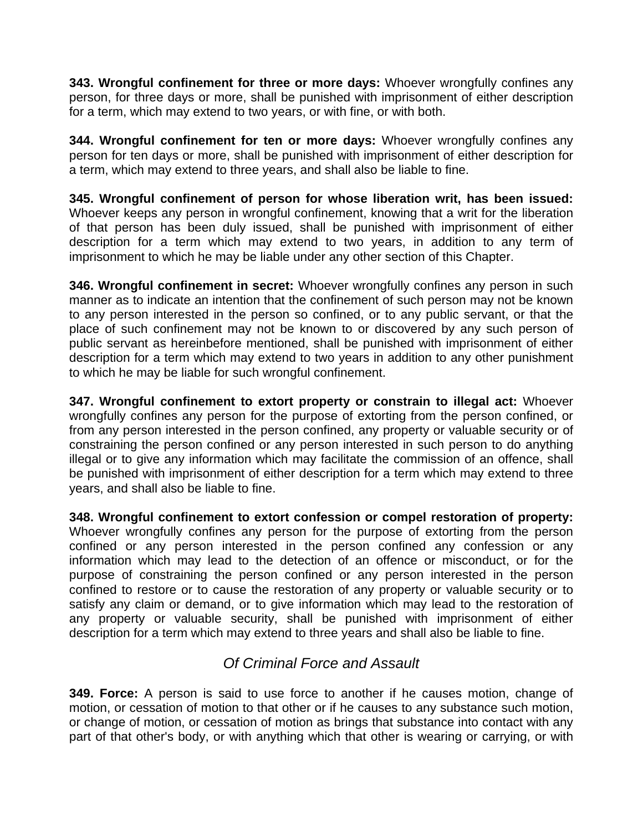**343. Wrongful confinement for three or more days:** Whoever wrongfully confines any person, for three days or more, shall be punished with imprisonment of either description for a term, which may extend to two years, or with fine, or with both.

**344. Wrongful confinement for ten or more days:** Whoever wrongfully confines any person for ten days or more, shall be punished with imprisonment of either description for a term, which may extend to three years, and shall also be liable to fine.

**345. Wrongful confinement of person for whose liberation writ, has been issued:** Whoever keeps any person in wrongful confinement, knowing that a writ for the liberation of that person has been duly issued, shall be punished with imprisonment of either description for a term which may extend to two years, in addition to any term of imprisonment to which he may be liable under any other section of this Chapter.

**346. Wrongful confinement in secret:** Whoever wrongfully confines any person in such manner as to indicate an intention that the confinement of such person may not be known to any person interested in the person so confined, or to any public servant, or that the place of such confinement may not be known to or discovered by any such person of public servant as hereinbefore mentioned, shall be punished with imprisonment of either description for a term which may extend to two years in addition to any other punishment to which he may be liable for such wrongful confinement.

**347. Wrongful confinement to extort property or constrain to illegal act:** Whoever wrongfully confines any person for the purpose of extorting from the person confined, or from any person interested in the person confined, any property or valuable security or of constraining the person confined or any person interested in such person to do anything illegal or to give any information which may facilitate the commission of an offence, shall be punished with imprisonment of either description for a term which may extend to three years, and shall also be liable to fine.

**348. Wrongful confinement to extort confession or compel restoration of property:** Whoever wrongfully confines any person for the purpose of extorting from the person confined or any person interested in the person confined any confession or any information which may lead to the detection of an offence or misconduct, or for the purpose of constraining the person confined or any person interested in the person confined to restore or to cause the restoration of any property or valuable security or to satisfy any claim or demand, or to give information which may lead to the restoration of any property or valuable security, shall be punished with imprisonment of either description for a term which may extend to three years and shall also be liable to fine.

# *Of Criminal Force and Assault*

**349. Force:** A person is said to use force to another if he causes motion, change of motion, or cessation of motion to that other or if he causes to any substance such motion, or change of motion, or cessation of motion as brings that substance into contact with any part of that other's body, or with anything which that other is wearing or carrying, or with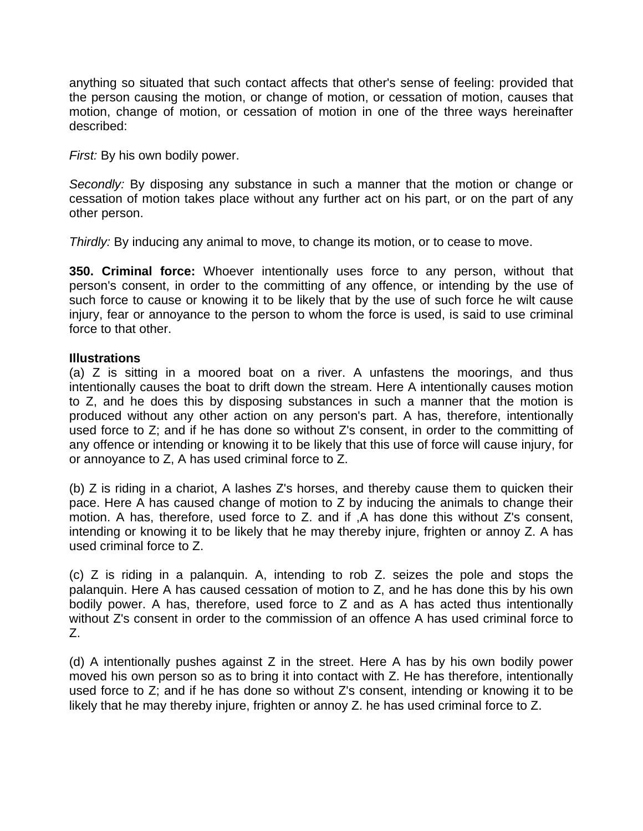anything so situated that such contact affects that other's sense of feeling: provided that the person causing the motion, or change of motion, or cessation of motion, causes that motion, change of motion, or cessation of motion in one of the three ways hereinafter described:

*First:* By his own bodily power.

*Secondly:* By disposing any substance in such a manner that the motion or change or cessation of motion takes place without any further act on his part, or on the part of any other person.

*Thirdly:* By inducing any animal to move, to change its motion, or to cease to move.

**350. Criminal force:** Whoever intentionally uses force to any person, without that person's consent, in order to the committing of any offence, or intending by the use of such force to cause or knowing it to be likely that by the use of such force he wilt cause injury, fear or annoyance to the person to whom the force is used, is said to use criminal force to that other.

# **Illustrations**

(a) Z is sitting in a moored boat on a river. A unfastens the moorings, and thus intentionally causes the boat to drift down the stream. Here A intentionally causes motion to Z, and he does this by disposing substances in such a manner that the motion is produced without any other action on any person's part. A has, therefore, intentionally used force to Z; and if he has done so without Z's consent, in order to the committing of any offence or intending or knowing it to be likely that this use of force will cause injury, for or annoyance to Z, A has used criminal force to Z.

(b) Z is riding in a chariot, A lashes Z's horses, and thereby cause them to quicken their pace. Here A has caused change of motion to Z by inducing the animals to change their motion. A has, therefore, used force to Z. and if ,A has done this without Z's consent, intending or knowing it to be likely that he may thereby injure, frighten or annoy Z. A has used criminal force to Z.

(c) Z is riding in a palanquin. A, intending to rob Z. seizes the pole and stops the palanquin. Here A has caused cessation of motion to Z, and he has done this by his own bodily power. A has, therefore, used force to Z and as A has acted thus intentionally without Z's consent in order to the commission of an offence A has used criminal force to Z.

(d) A intentionally pushes against Z in the street. Here A has by his own bodily power moved his own person so as to bring it into contact with Z. He has therefore, intentionally used force to Z; and if he has done so without Z's consent, intending or knowing it to be likely that he may thereby injure, frighten or annoy Z. he has used criminal force to Z.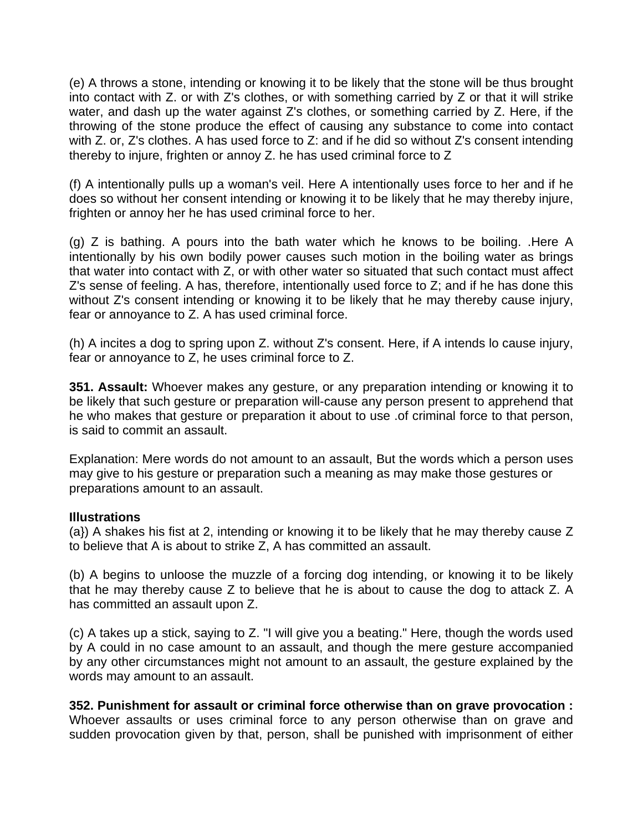(e) A throws a stone, intending or knowing it to be likely that the stone will be thus brought into contact with Z. or with Z's clothes, or with something carried by Z or that it will strike water, and dash up the water against Z's clothes, or something carried by Z. Here, if the throwing of the stone produce the effect of causing any substance to come into contact with Z. or, Z's clothes. A has used force to Z: and if he did so without Z's consent intending thereby to injure, frighten or annoy Z. he has used criminal force to Z

(f) A intentionally pulls up a woman's veil. Here A intentionally uses force to her and if he does so without her consent intending or knowing it to be likely that he may thereby injure, frighten or annoy her he has used criminal force to her.

(g) Z is bathing. A pours into the bath water which he knows to be boiling. .Here A intentionally by his own bodily power causes such motion in the boiling water as brings that water into contact with Z, or with other water so situated that such contact must affect Z's sense of feeling. A has, therefore, intentionally used force to Z; and if he has done this without Z's consent intending or knowing it to be likely that he may thereby cause injury, fear or annoyance to Z. A has used criminal force.

(h) A incites a dog to spring upon Z. without Z's consent. Here, if A intends lo cause injury, fear or annoyance to Z, he uses criminal force to Z.

**351. Assault:** Whoever makes any gesture, or any preparation intending or knowing it to be likely that such gesture or preparation will-cause any person present to apprehend that he who makes that gesture or preparation it about to use .of criminal force to that person, is said to commit an assault.

Explanation: Mere words do not amount to an assault, But the words which a person uses may give to his gesture or preparation such a meaning as may make those gestures or preparations amount to an assault.

# **Illustrations**

(a}) A shakes his fist at 2, intending or knowing it to be likely that he may thereby cause Z to believe that A is about to strike Z, A has committed an assault.

(b) A begins to unloose the muzzle of a forcing dog intending, or knowing it to be likely that he may thereby cause Z to believe that he is about to cause the dog to attack Z. A has committed an assault upon Z.

(c) A takes up a stick, saying to Z. "I will give you a beating." Here, though the words used by A could in no case amount to an assault, and though the mere gesture accompanied by any other circumstances might not amount to an assault, the gesture explained by the words may amount to an assault.

**352. Punishment for assault or criminal force otherwise than on grave provocation :** Whoever assaults or uses criminal force to any person otherwise than on grave and sudden provocation given by that, person, shall be punished with imprisonment of either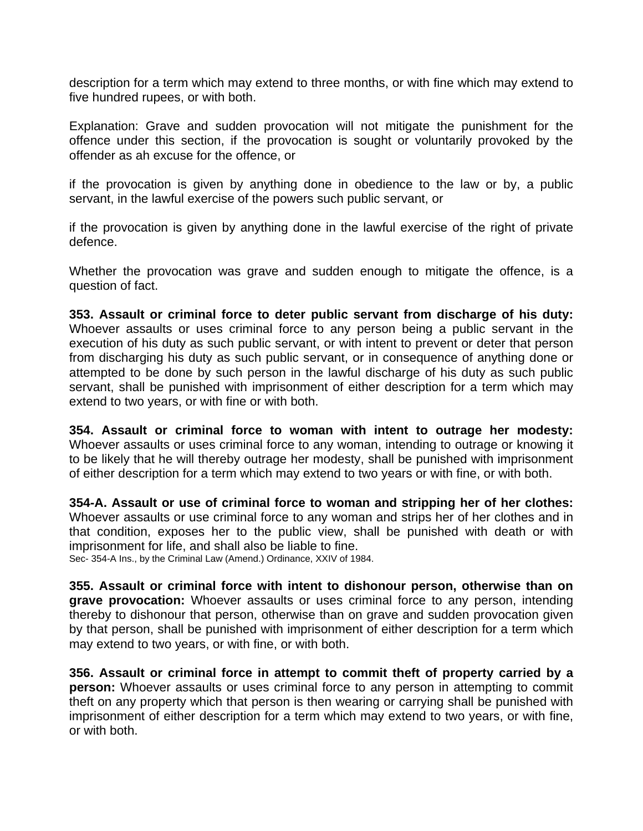description for a term which may extend to three months, or with fine which may extend to five hundred rupees, or with both.

Explanation: Grave and sudden provocation will not mitigate the punishment for the offence under this section, if the provocation is sought or voluntarily provoked by the offender as ah excuse for the offence, or

if the provocation is given by anything done in obedience to the law or by, a public servant, in the lawful exercise of the powers such public servant, or

if the provocation is given by anything done in the lawful exercise of the right of private defence.

Whether the provocation was grave and sudden enough to mitigate the offence, is a question of fact.

**353. Assault or criminal force to deter public servant from discharge of his duty:** Whoever assaults or uses criminal force to any person being a public servant in the execution of his duty as such public servant, or with intent to prevent or deter that person from discharging his duty as such public servant, or in consequence of anything done or attempted to be done by such person in the lawful discharge of his duty as such public servant, shall be punished with imprisonment of either description for a term which may extend to two years, or with fine or with both.

**354. Assault or criminal force to woman with intent to outrage her modesty:** Whoever assaults or uses criminal force to any woman, intending to outrage or knowing it to be likely that he will thereby outrage her modesty, shall be punished with imprisonment of either description for a term which may extend to two years or with fine, or with both.

**354-A. Assault or use of criminal force to woman and stripping her of her clothes:** Whoever assaults or use criminal force to any woman and strips her of her clothes and in that condition, exposes her to the public view, shall be punished with death or with imprisonment for life, and shall also be liable to fine. Sec- 354-A Ins., by the Criminal Law (Amend.) Ordinance, XXIV of 1984.

**355. Assault or criminal force with intent to dishonour person, otherwise than on grave provocation:** Whoever assaults or uses criminal force to any person, intending thereby to dishonour that person, otherwise than on grave and sudden provocation given by that person, shall be punished with imprisonment of either description for a term which may extend to two years, or with fine, or with both.

**356. Assault or criminal force in attempt to commit theft of property carried by a person:** Whoever assaults or uses criminal force to any person in attempting to commit theft on any property which that person is then wearing or carrying shall be punished with imprisonment of either description for a term which may extend to two years, or with fine, or with both.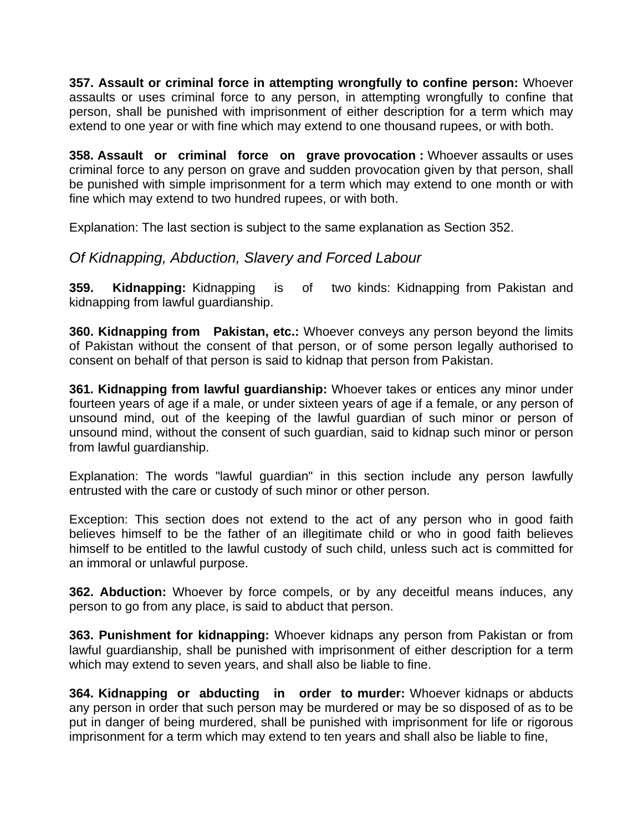**357. Assault or criminal force in attempting wrongfully to confine person:** Whoever assaults or uses criminal force to any person, in attempting wrongfully to confine that person, shall be punished with imprisonment of either description for a term which may extend to one year or with fine which may extend to one thousand rupees, or with both.

**358. Assault or criminal force on grave provocation :** Whoever assaults or uses criminal force to any person on grave and sudden provocation given by that person, shall be punished with simple imprisonment for a term which may extend to one month or with fine which may extend to two hundred rupees, or with both.

Explanation: The last section is subject to the same explanation as Section 352.

# *Of Kidnapping, Abduction, Slavery and Forced Labour*

**359. Kidnapping:** Kidnapping is of two kinds: Kidnapping from Pakistan and kidnapping from lawful guardianship.

**360. Kidnapping from Pakistan, etc.:** Whoever conveys any person beyond the limits of Pakistan without the consent of that person, or of some person legally authorised to consent on behalf of that person is said to kidnap that person from Pakistan.

**361. Kidnapping from lawful guardianship:** Whoever takes or entices any minor under fourteen years of age if a male, or under sixteen years of age if a female, or any person of unsound mind, out of the keeping of the lawful guardian of such minor or person of unsound mind, without the consent of such guardian, said to kidnap such minor or person from lawful guardianship.

Explanation: The words "lawful guardian" in this section include any person lawfully entrusted with the care or custody of such minor or other person.

Exception: This section does not extend to the act of any person who in good faith believes himself to be the father of an illegitimate child or who in good faith believes himself to be entitled to the lawful custody of such child, unless such act is committed for an immoral or unlawful purpose.

**362. Abduction:** Whoever by force compels, or by any deceitful means induces, any person to go from any place, is said to abduct that person.

**363. Punishment for kidnapping:** Whoever kidnaps any person from Pakistan or from lawful guardianship, shall be punished with imprisonment of either description for a term which may extend to seven years, and shall also be liable to fine.

**364. Kidnapping or abducting in order to murder:** Whoever kidnaps or abducts any person in order that such person may be murdered or may be so disposed of as to be put in danger of being murdered, shall be punished with imprisonment for life or rigorous imprisonment for a term which may extend to ten years and shall also be liable to fine,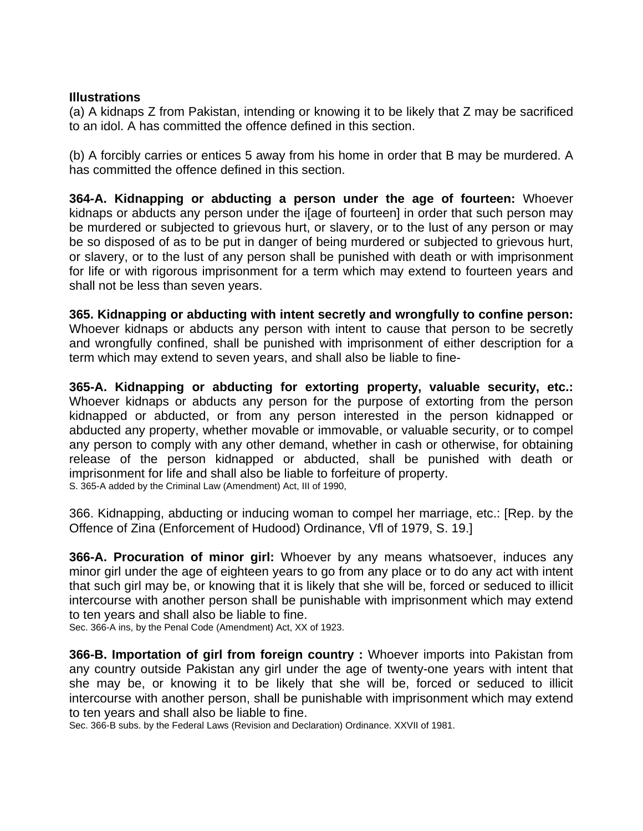### **Illustrations**

(a) A kidnaps Z from Pakistan, intending or knowing it to be likely that Z may be sacrificed to an idol. A has committed the offence defined in this section.

(b) A forcibly carries or entices 5 away from his home in order that B may be murdered. A has committed the offence defined in this section.

**364-A. Kidnapping or abducting a person under the age of fourteen:** Whoever kidnaps or abducts any person under the i[age of fourteen] in order that such person may be murdered or subjected to grievous hurt, or slavery, or to the lust of any person or may be so disposed of as to be put in danger of being murdered or subjected to grievous hurt, or slavery, or to the lust of any person shall be punished with death or with imprisonment for life or with rigorous imprisonment for a term which may extend to fourteen years and shall not be less than seven years.

**365. Kidnapping or abducting with intent secretly and wrongfully to confine person:**  Whoever kidnaps or abducts any person with intent to cause that person to be secretly and wrongfully confined, shall be punished with imprisonment of either description for a term which may extend to seven years, and shall also be liable to fine-

**365-A. Kidnapping or abducting for extorting property, valuable security, etc.:** Whoever kidnaps or abducts any person for the purpose of extorting from the person kidnapped or abducted, or from any person interested in the person kidnapped or abducted any property, whether movable or immovable, or valuable security, or to compel any person to comply with any other demand, whether in cash or otherwise, for obtaining release of the person kidnapped or abducted, shall be punished with death or imprisonment for life and shall also be liable to forfeiture of property. S. 365-A added by the Criminal Law (Amendment) Act, III of 1990,

366. Kidnapping, abducting or inducing woman to compel her marriage, etc.: [Rep. by the Offence of Zina (Enforcement of Hudood) Ordinance, Vfl of 1979, S. 19.]

**366-A. Procuration of minor girl:** Whoever by any means whatsoever, induces any minor girl under the age of eighteen years to go from any place or to do any act with intent that such girl may be, or knowing that it is likely that she will be, forced or seduced to illicit intercourse with another person shall be punishable with imprisonment which may extend to ten years and shall also be liable to fine.

Sec. 366-A ins, by the Penal Code (Amendment) Act, XX of 1923.

**366-B. Importation of girl from foreign country :** Whoever imports into Pakistan from any country outside Pakistan any girl under the age of twenty-one years with intent that she may be, or knowing it to be likely that she will be, forced or seduced to illicit intercourse with another person, shall be punishable with imprisonment which may extend to ten years and shall also be liable to fine.

Sec. 366-B subs. by the Federal Laws (Revision and Declaration) Ordinance. XXVII of 1981.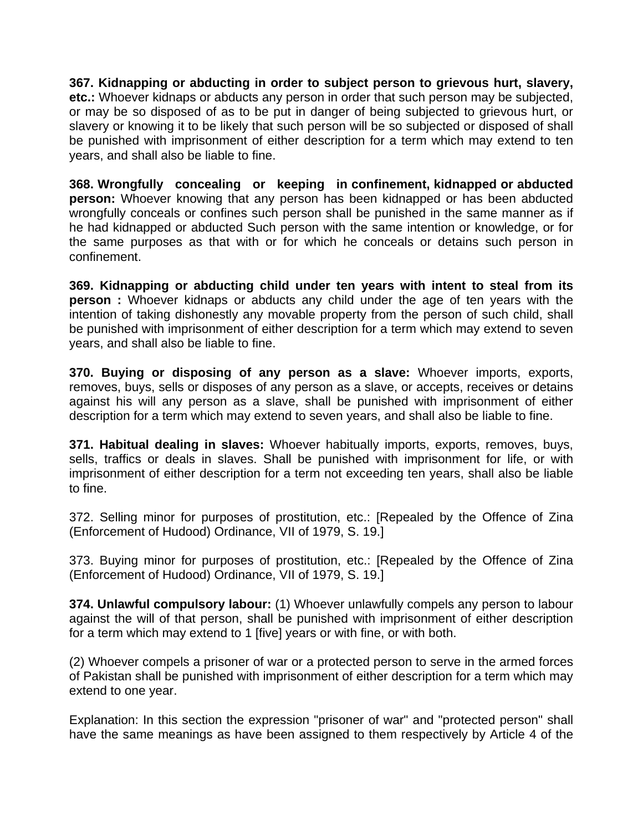**367. Kidnapping or abducting in order to subject person to grievous hurt, slavery, etc.:** Whoever kidnaps or abducts any person in order that such person may be subjected, or may be so disposed of as to be put in danger of being subjected to grievous hurt, or slavery or knowing it to be likely that such person will be so subjected or disposed of shall be punished with imprisonment of either description for a term which may extend to ten years, and shall also be liable to fine.

**368. Wrongfully concealing or keeping in confinement, kidnapped or abducted person:** Whoever knowing that any person has been kidnapped or has been abducted wrongfully conceals or confines such person shall be punished in the same manner as if he had kidnapped or abducted Such person with the same intention or knowledge, or for the same purposes as that with or for which he conceals or detains such person in confinement.

**369. Kidnapping or abducting child under ten years with intent to steal from its person :** Whoever kidnaps or abducts any child under the age of ten years with the intention of taking dishonestly any movable property from the person of such child, shall be punished with imprisonment of either description for a term which may extend to seven years, and shall also be liable to fine.

**370. Buying or disposing of any person as a slave:** Whoever imports, exports, removes, buys, sells or disposes of any person as a slave, or accepts, receives or detains against his will any person as a slave, shall be punished with imprisonment of either description for a term which may extend to seven years, and shall also be liable to fine.

**371. Habitual dealing in slaves:** Whoever habitually imports, exports, removes, buys, sells, traffics or deals in slaves. Shall be punished with imprisonment for life, or with imprisonment of either description for a term not exceeding ten years, shall also be liable to fine.

372. Selling minor for purposes of prostitution, etc.: [Repealed by the Offence of Zina (Enforcement of Hudood) Ordinance, VII of 1979, S. 19.]

373. Buying minor for purposes of prostitution, etc.: [Repealed by the Offence of Zina (Enforcement of Hudood) Ordinance, VII of 1979, S. 19.]

**374. Unlawful compulsory labour:** (1) Whoever unlawfully compels any person to labour against the will of that person, shall be punished with imprisonment of either description for a term which may extend to 1 [five] years or with fine, or with both.

(2) Whoever compels a prisoner of war or a protected person to serve in the armed forces of Pakistan shall be punished with imprisonment of either description for a term which may extend to one year.

Explanation: In this section the expression "prisoner of war" and "protected person" shall have the same meanings as have been assigned to them respectively by Article 4 of the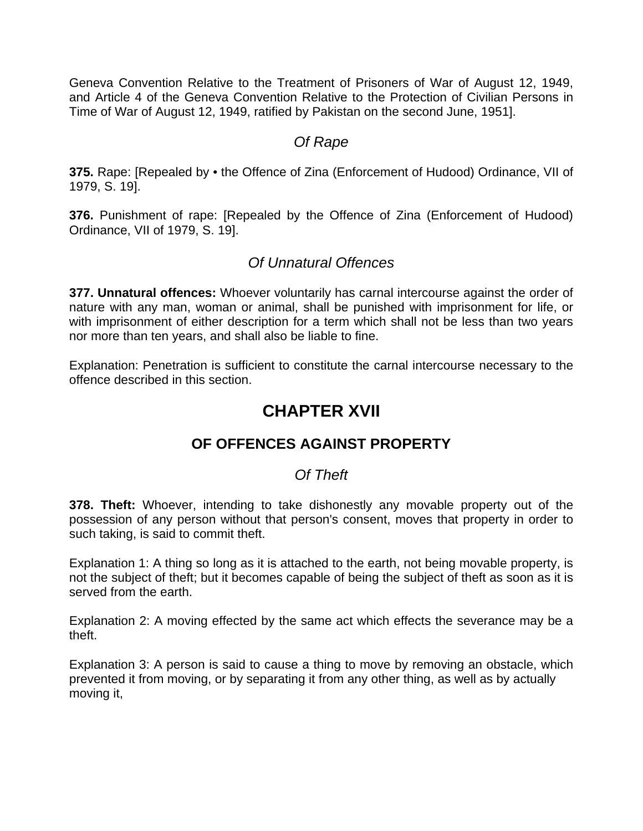Geneva Convention Relative to the Treatment of Prisoners of War of August 12, 1949, and Article 4 of the Geneva Convention Relative to the Protection of Civilian Persons in Time of War of August 12, 1949, ratified by Pakistan on the second June, 1951].

# *Of Rape*

**375.** Rape: [Repealed by • the Offence of Zina (Enforcement of Hudood) Ordinance, VII of 1979, S. 19].

**376.** Punishment of rape: [Repealed by the Offence of Zina (Enforcement of Hudood) Ordinance, VII of 1979, S. 19].

# *Of Unnatural Offences*

**377. Unnatural offences:** Whoever voluntarily has carnal intercourse against the order of nature with any man, woman or animal, shall be punished with imprisonment for life, or with imprisonment of either description for a term which shall not be less than two years nor more than ten years, and shall also be liable to fine.

Explanation: Penetration is sufficient to constitute the carnal intercourse necessary to the offence described in this section.

# **CHAPTER XVII**

# **OF OFFENCES AGAINST PROPERTY**

# *Of Theft*

**378. Theft:** Whoever, intending to take dishonestly any movable property out of the possession of any person without that person's consent, moves that property in order to such taking, is said to commit theft.

Explanation 1: A thing so long as it is attached to the earth, not being movable property, is not the subject of theft; but it becomes capable of being the subject of theft as soon as it is served from the earth.

Explanation 2: A moving effected by the same act which effects the severance may be a theft.

Explanation 3: A person is said to cause a thing to move by removing an obstacle, which prevented it from moving, or by separating it from any other thing, as well as by actually moving it,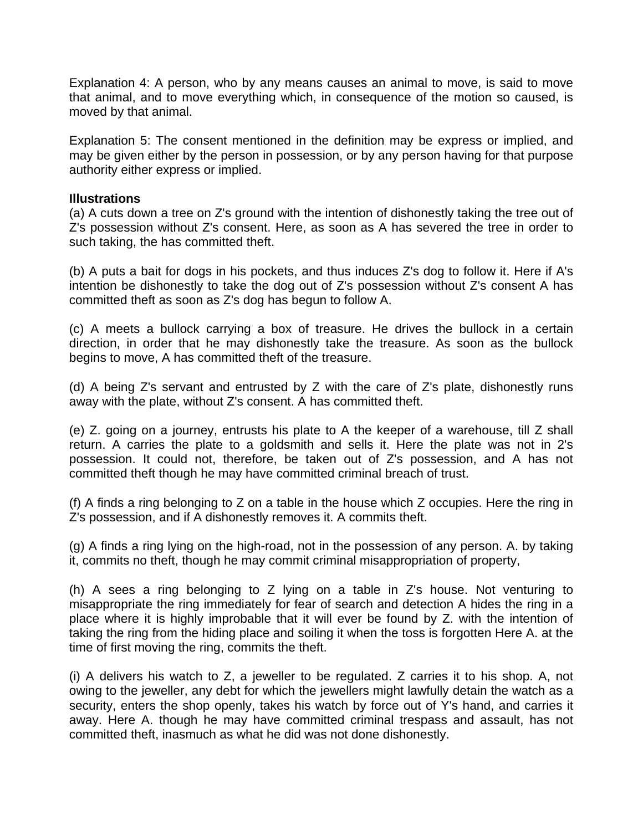Explanation 4: A person, who by any means causes an animal to move, is said to move that animal, and to move everything which, in consequence of the motion so caused, is moved by that animal.

Explanation 5: The consent mentioned in the definition may be express or implied, and may be given either by the person in possession, or by any person having for that purpose authority either express or implied.

### **Illustrations**

(a) A cuts down a tree on Z's ground with the intention of dishonestly taking the tree out of Z's possession without Z's consent. Here, as soon as A has severed the tree in order to such taking, the has committed theft.

(b) A puts a bait for dogs in his pockets, and thus induces Z's dog to follow it. Here if A's intention be dishonestly to take the dog out of Z's possession without Z's consent A has committed theft as soon as Z's dog has begun to follow A.

(c) A meets a bullock carrying a box of treasure. He drives the bullock in a certain direction, in order that he may dishonestly take the treasure. As soon as the bullock begins to move, A has committed theft of the treasure.

(d) A being Z's servant and entrusted by Z with the care of Z's plate, dishonestly runs away with the plate, without Z's consent. A has committed theft.

(e) Z. going on a journey, entrusts his plate to A the keeper of a warehouse, till Z shall return. A carries the plate to a goldsmith and sells it. Here the plate was not in 2's possession. It could not, therefore, be taken out of Z's possession, and A has not committed theft though he may have committed criminal breach of trust.

(f) A finds a ring belonging to Z on a table in the house which Z occupies. Here the ring in Z's possession, and if A dishonestly removes it. A commits theft.

(g) A finds a ring lying on the high-road, not in the possession of any person. A. by taking it, commits no theft, though he may commit criminal misappropriation of property,

(h) A sees a ring belonging to Z lying on a table in Z's house. Not venturing to misappropriate the ring immediately for fear of search and detection A hides the ring in a place where it is highly improbable that it will ever be found by Z. with the intention of taking the ring from the hiding place and soiling it when the toss is forgotten Here A. at the time of first moving the ring, commits the theft.

(i) A delivers his watch to Z, a jeweller to be regulated. Z carries it to his shop. A, not owing to the jeweller, any debt for which the jewellers might lawfully detain the watch as a security, enters the shop openly, takes his watch by force out of Y's hand, and carries it away. Here A. though he may have committed criminal trespass and assault, has not committed theft, inasmuch as what he did was not done dishonestly.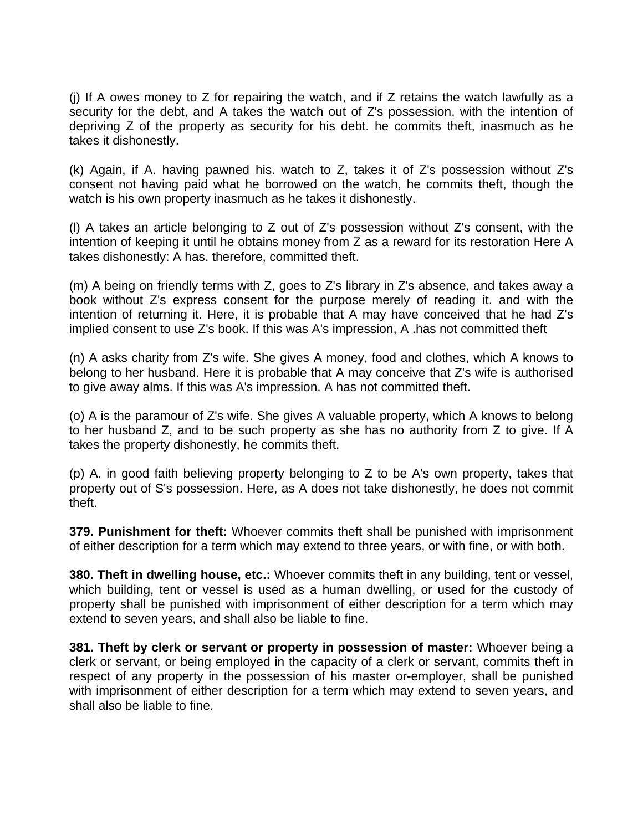(j) If A owes money to Z for repairing the watch, and if Z retains the watch lawfully as a security for the debt, and A takes the watch out of Z's possession, with the intention of depriving Z of the property as security for his debt. he commits theft, inasmuch as he takes it dishonestly.

(k) Again, if A. having pawned his. watch to Z, takes it of Z's possession without Z's consent not having paid what he borrowed on the watch, he commits theft, though the watch is his own property inasmuch as he takes it dishonestly.

(l) A takes an article belonging to Z out of Z's possession without Z's consent, with the intention of keeping it until he obtains money from Z as a reward for its restoration Here A takes dishonestly: A has. therefore, committed theft.

(m) A being on friendly terms with Z, goes to Z's library in Z's absence, and takes away a book without Z's express consent for the purpose merely of reading it. and with the intention of returning it. Here, it is probable that A may have conceived that he had Z's implied consent to use Z's book. If this was A's impression, A .has not committed theft

(n) A asks charity from Z's wife. She gives A money, food and clothes, which A knows to belong to her husband. Here it is probable that A may conceive that Z's wife is authorised to give away alms. If this was A's impression. A has not committed theft.

(o) A is the paramour of Z's wife. She gives A valuable property, which A knows to belong to her husband Z, and to be such property as she has no authority from Z to give. If A takes the property dishonestly, he commits theft.

(p) A. in good faith believing property belonging to Z to be A's own property, takes that property out of S's possession. Here, as A does not take dishonestly, he does not commit theft.

**379. Punishment for theft:** Whoever commits theft shall be punished with imprisonment of either description for a term which may extend to three years, or with fine, or with both.

**380. Theft in dwelling house, etc.:** Whoever commits theft in any building, tent or vessel, which building, tent or vessel is used as a human dwelling, or used for the custody of property shall be punished with imprisonment of either description for a term which may extend to seven years, and shall also be liable to fine.

**381. Theft by clerk or servant or property in possession of master:** Whoever being a clerk or servant, or being employed in the capacity of a clerk or servant, commits theft in respect of any property in the possession of his master or-employer, shall be punished with imprisonment of either description for a term which may extend to seven years, and shall also be liable to fine.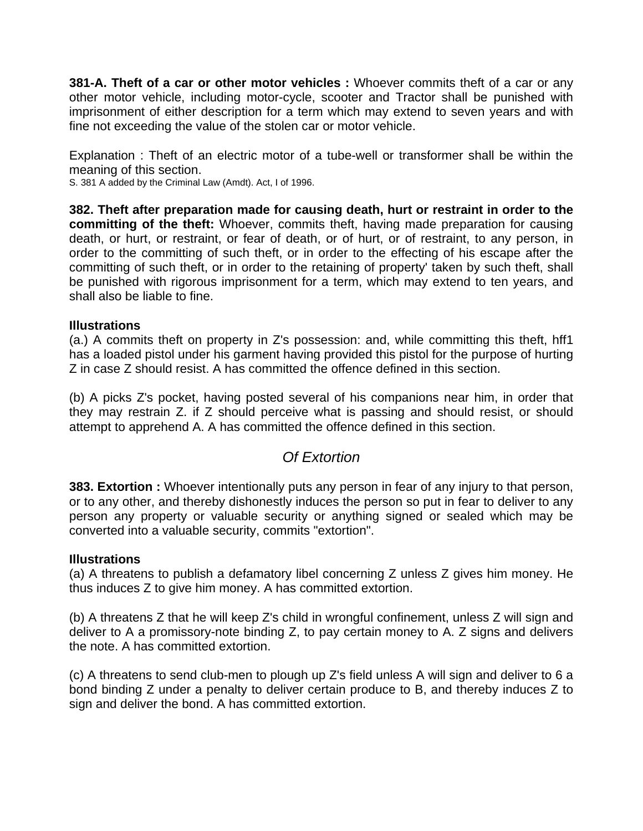**381-A. Theft of a car or other motor vehicles :** Whoever commits theft of a car or any other motor vehicle, including motor-cycle, scooter and Tractor shall be punished with imprisonment of either description for a term which may extend to seven years and with fine not exceeding the value of the stolen car or motor vehicle.

Explanation : Theft of an electric motor of a tube-well or transformer shall be within the meaning of this section.

S. 381 A added by the Criminal Law (Amdt). Act, I of 1996.

**382. Theft after preparation made for causing death, hurt or restraint in order to the committing of the theft:** Whoever, commits theft, having made preparation for causing death, or hurt, or restraint, or fear of death, or of hurt, or of restraint, to any person, in order to the committing of such theft, or in order to the effecting of his escape after the committing of such theft, or in order to the retaining of property' taken by such theft, shall be punished with rigorous imprisonment for a term, which may extend to ten years, and shall also be liable to fine.

### **Illustrations**

(a.) A commits theft on property in Z's possession: and, while committing this theft, hff1 has a loaded pistol under his garment having provided this pistol for the purpose of hurting Z in case Z should resist. A has committed the offence defined in this section.

(b) A picks Z's pocket, having posted several of his companions near him, in order that they may restrain Z. if Z should perceive what is passing and should resist, or should attempt to apprehend A. A has committed the offence defined in this section.

# *Of Extortion*

**383. Extortion :** Whoever intentionally puts any person in fear of any injury to that person, or to any other, and thereby dishonestly induces the person so put in fear to deliver to any person any property or valuable security or anything signed or sealed which may be converted into a valuable security, commits "extortion".

#### **Illustrations**

(a) A threatens to publish a defamatory libel concerning Z unless Z gives him money. He thus induces Z to give him money. A has committed extortion.

(b) A threatens Z that he will keep Z's child in wrongful confinement, unless Z will sign and deliver to A a promissory-note binding Z, to pay certain money to A. Z signs and delivers the note. A has committed extortion.

(c) A threatens to send club-men to plough up Z's field unless A will sign and deliver to 6 a bond binding Z under a penalty to deliver certain produce to B, and thereby induces Z to sign and deliver the bond. A has committed extortion.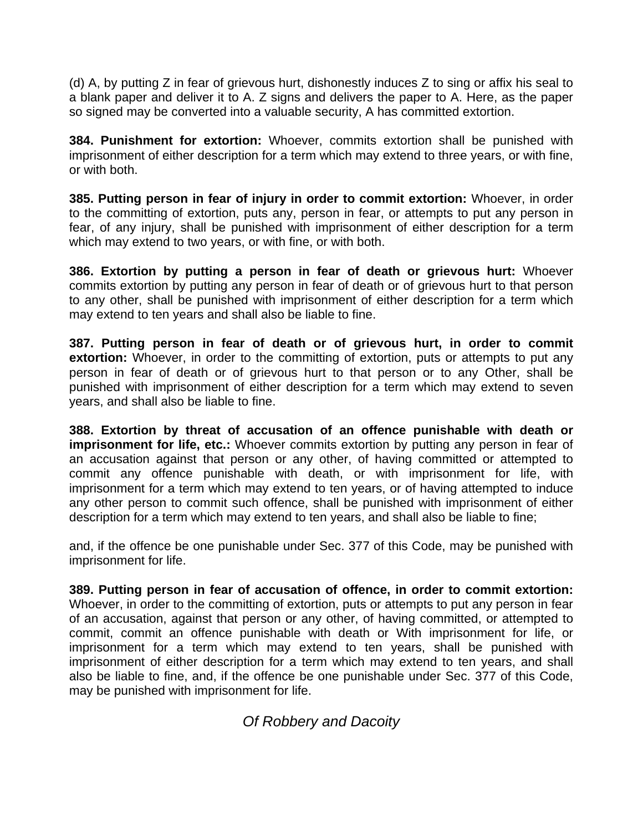(d) A, by putting Z in fear of grievous hurt, dishonestly induces Z to sing or affix his seal to a blank paper and deliver it to A. Z signs and delivers the paper to A. Here, as the paper so signed may be converted into a valuable security, A has committed extortion.

**384. Punishment for extortion:** Whoever, commits extortion shall be punished with imprisonment of either description for a term which may extend to three years, or with fine, or with both.

**385. Putting person in fear of injury in order to commit extortion:** Whoever, in order to the committing of extortion, puts any, person in fear, or attempts to put any person in fear, of any injury, shall be punished with imprisonment of either description for a term which may extend to two years, or with fine, or with both.

**386. Extortion by putting a person in fear of death or grievous hurt:** Whoever commits extortion by putting any person in fear of death or of grievous hurt to that person to any other, shall be punished with imprisonment of either description for a term which may extend to ten years and shall also be liable to fine.

**387. Putting person in fear of death or of grievous hurt, in order to commit extortion:** Whoever, in order to the committing of extortion, puts or attempts to put any person in fear of death or of grievous hurt to that person or to any Other, shall be punished with imprisonment of either description for a term which may extend to seven years, and shall also be liable to fine.

**388. Extortion by threat of accusation of an offence punishable with death or imprisonment for life, etc.:** Whoever commits extortion by putting any person in fear of an accusation against that person or any other, of having committed or attempted to commit any offence punishable with death, or with imprisonment for life, with imprisonment for a term which may extend to ten years, or of having attempted to induce any other person to commit such offence, shall be punished with imprisonment of either description for a term which may extend to ten years, and shall also be liable to fine;

and, if the offence be one punishable under Sec. 377 of this Code, may be punished with imprisonment for life.

**389. Putting person in fear of accusation of offence, in order to commit extortion:** Whoever, in order to the committing of extortion, puts or attempts to put any person in fear of an accusation, against that person or any other, of having committed, or attempted to commit, commit an offence punishable with death or With imprisonment for life, or imprisonment for a term which may extend to ten years, shall be punished with imprisonment of either description for a term which may extend to ten years, and shall also be liable to fine, and, if the offence be one punishable under Sec. 377 of this Code, may be punished with imprisonment for life.

*Of Robbery and Dacoity*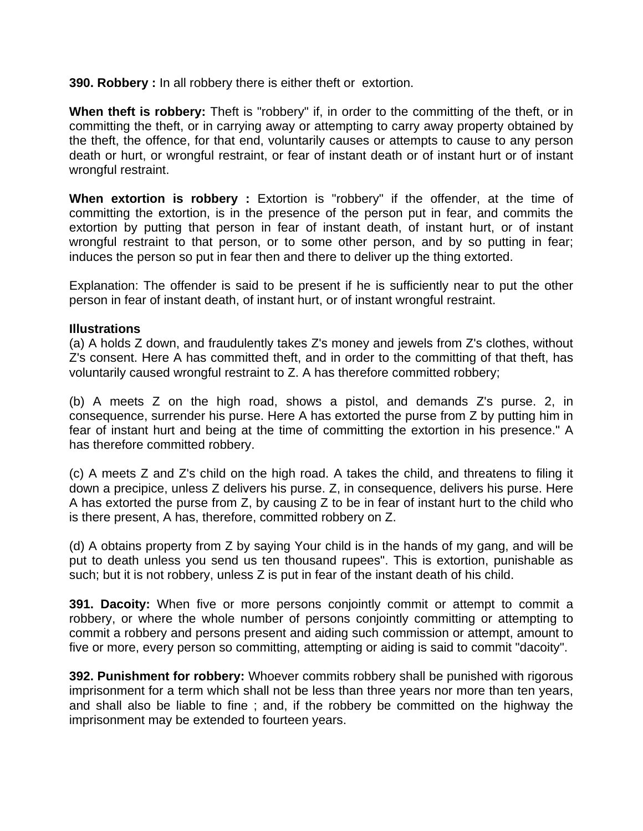**390. Robbery :** In all robbery there is either theft or extortion.

**When theft is robbery:** Theft is "robbery" if, in order to the committing of the theft, or in committing the theft, or in carrying away or attempting to carry away property obtained by the theft, the offence, for that end, voluntarily causes or attempts to cause to any person death or hurt, or wrongful restraint, or fear of instant death or of instant hurt or of instant wrongful restraint.

**When extortion is robbery :** Extortion is "robbery" if the offender, at the time of committing the extortion, is in the presence of the person put in fear, and commits the extortion by putting that person in fear of instant death, of instant hurt, or of instant wrongful restraint to that person, or to some other person, and by so putting in fear; induces the person so put in fear then and there to deliver up the thing extorted.

Explanation: The offender is said to be present if he is sufficiently near to put the other person in fear of instant death, of instant hurt, or of instant wrongful restraint.

### **Illustrations**

(a) A holds Z down, and fraudulently takes Z's money and jewels from Z's clothes, without Z's consent. Here A has committed theft, and in order to the committing of that theft, has voluntarily caused wrongful restraint to Z. A has therefore committed robbery;

(b) A meets Z on the high road, shows a pistol, and demands Z's purse. 2, in consequence, surrender his purse. Here A has extorted the purse from Z by putting him in fear of instant hurt and being at the time of committing the extortion in his presence." A has therefore committed robbery.

(c) A meets Z and Z's child on the high road. A takes the child, and threatens to filing it down a precipice, unless Z delivers his purse. Z, in consequence, delivers his purse. Here A has extorted the purse from Z, by causing Z to be in fear of instant hurt to the child who is there present, A has, therefore, committed robbery on Z.

(d) A obtains property from Z by saying Your child is in the hands of my gang, and will be put to death unless you send us ten thousand rupees". This is extortion, punishable as such; but it is not robbery, unless Z is put in fear of the instant death of his child.

**391. Dacoity:** When five or more persons conjointly commit or attempt to commit a robbery, or where the whole number of persons conjointly committing or attempting to commit a robbery and persons present and aiding such commission or attempt, amount to five or more, every person so committing, attempting or aiding is said to commit "dacoity".

**392. Punishment for robbery:** Whoever commits robbery shall be punished with rigorous imprisonment for a term which shall not be less than three years nor more than ten years, and shall also be liable to fine ; and, if the robbery be committed on the highway the imprisonment may be extended to fourteen years.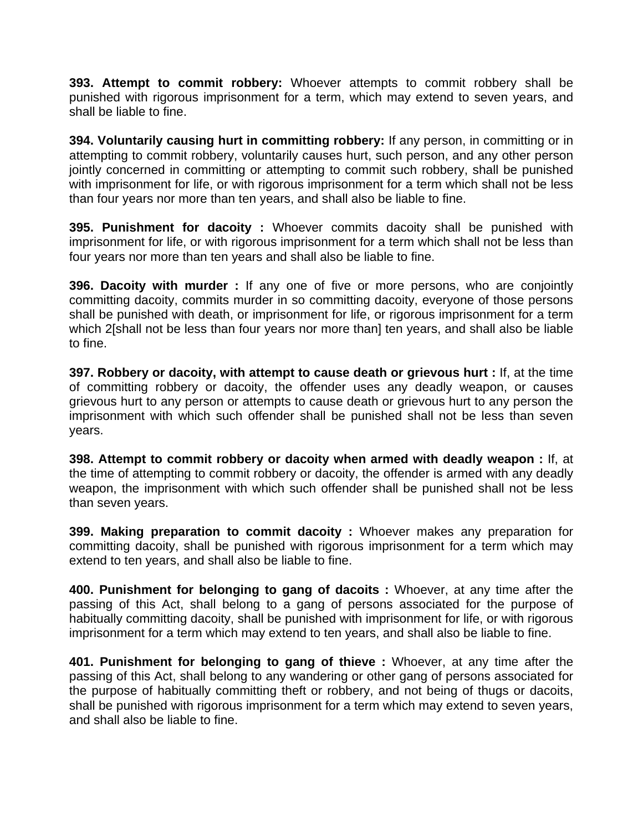**393. Attempt to commit robbery:** Whoever attempts to commit robbery shall be punished with rigorous imprisonment for a term, which may extend to seven years, and shall be liable to fine.

**394. Voluntarily causing hurt in committing robbery:** If any person, in committing or in attempting to commit robbery, voluntarily causes hurt, such person, and any other person jointly concerned in committing or attempting to commit such robbery, shall be punished with imprisonment for life, or with rigorous imprisonment for a term which shall not be less than four years nor more than ten years, and shall also be liable to fine.

**395. Punishment for dacoity :** Whoever commits dacoity shall be punished with imprisonment for life, or with rigorous imprisonment for a term which shall not be less than four years nor more than ten years and shall also be liable to fine.

**396. Dacoity with murder :** If any one of five or more persons, who are conjointly committing dacoity, commits murder in so committing dacoity, everyone of those persons shall be punished with death, or imprisonment for life, or rigorous imprisonment for a term which 2[shall not be less than four years nor more than] ten years, and shall also be liable to fine.

**397. Robbery or dacoity, with attempt to cause death or grievous hurt :** If, at the time of committing robbery or dacoity, the offender uses any deadly weapon, or causes grievous hurt to any person or attempts to cause death or grievous hurt to any person the imprisonment with which such offender shall be punished shall not be less than seven years.

**398. Attempt to commit robbery or dacoity when armed with deadly weapon :** If, at the time of attempting to commit robbery or dacoity, the offender is armed with any deadly weapon, the imprisonment with which such offender shall be punished shall not be less than seven years.

**399. Making preparation to commit dacoity :** Whoever makes any preparation for committing dacoity, shall be punished with rigorous imprisonment for a term which may extend to ten years, and shall also be liable to fine.

**400. Punishment for belonging to gang of dacoits :** Whoever, at any time after the passing of this Act, shall belong to a gang of persons associated for the purpose of habitually committing dacoity, shall be punished with imprisonment for life, or with rigorous imprisonment for a term which may extend to ten years, and shall also be liable to fine.

**401. Punishment for belonging to gang of thieve :** Whoever, at any time after the passing of this Act, shall belong to any wandering or other gang of persons associated for the purpose of habitually committing theft or robbery, and not being of thugs or dacoits, shall be punished with rigorous imprisonment for a term which may extend to seven years, and shall also be liable to fine.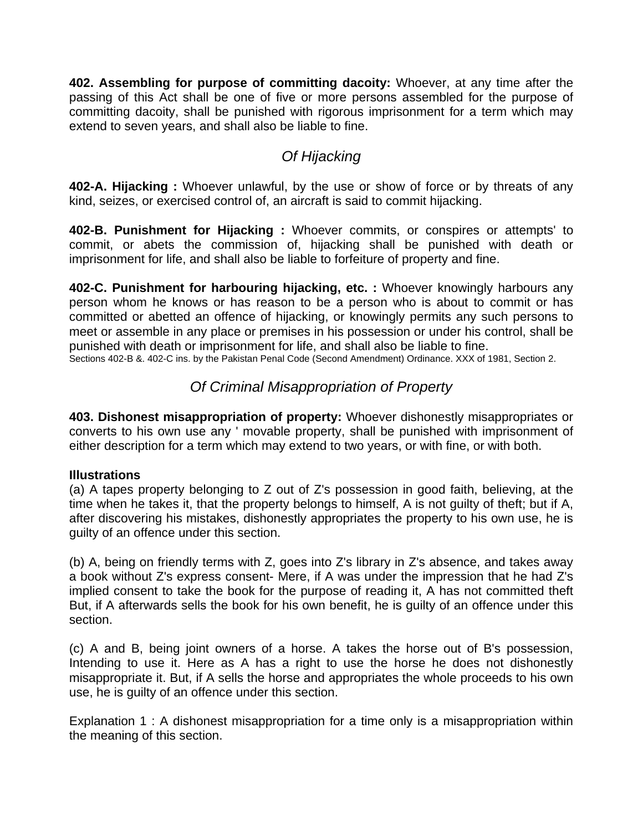**402. Assembling for purpose of committing dacoity:** Whoever, at any time after the passing of this Act shall be one of five or more persons assembled for the purpose of committing dacoity, shall be punished with rigorous imprisonment for a term which may extend to seven years, and shall also be liable to fine.

# *Of Hijacking*

**402-A. Hijacking :** Whoever unlawful, by the use or show of force or by threats of any kind, seizes, or exercised control of, an aircraft is said to commit hijacking.

**402-B. Punishment for Hijacking :** Whoever commits, or conspires or attempts' to commit, or abets the commission of, hijacking shall be punished with death or imprisonment for life, and shall also be liable to forfeiture of property and fine.

**402-C. Punishment for harbouring hijacking, etc. :** Whoever knowingly harbours any person whom he knows or has reason to be a person who is about to commit or has committed or abetted an offence of hijacking, or knowingly permits any such persons to meet or assemble in any place or premises in his possession or under his control, shall be punished with death or imprisonment for life, and shall also be liable to fine.

Sections 402-B &. 402-C ins. by the Pakistan Penal Code (Second Amendment) Ordinance. XXX of 1981, Section 2.

# *Of Criminal Misappropriation of Property*

**403. Dishonest misappropriation of property:** Whoever dishonestly misappropriates or converts to his own use any ' movable property, shall be punished with imprisonment of either description for a term which may extend to two years, or with fine, or with both.

## **Illustrations**

(a) A tapes property belonging to Z out of Z's possession in good faith, believing, at the time when he takes it, that the property belongs to himself, A is not guilty of theft; but if A, after discovering his mistakes, dishonestly appropriates the property to his own use, he is guilty of an offence under this section.

(b) A, being on friendly terms with Z, goes into Z's library in Z's absence, and takes away a book without Z's express consent- Mere, if A was under the impression that he had Z's implied consent to take the book for the purpose of reading it, A has not committed theft But, if A afterwards sells the book for his own benefit, he is guilty of an offence under this section.

(c) A and B, being joint owners of a horse. A takes the horse out of B's possession, Intending to use it. Here as A has a right to use the horse he does not dishonestly misappropriate it. But, if A sells the horse and appropriates the whole proceeds to his own use, he is guilty of an offence under this section.

Explanation 1 : A dishonest misappropriation for a time only is a misappropriation within the meaning of this section.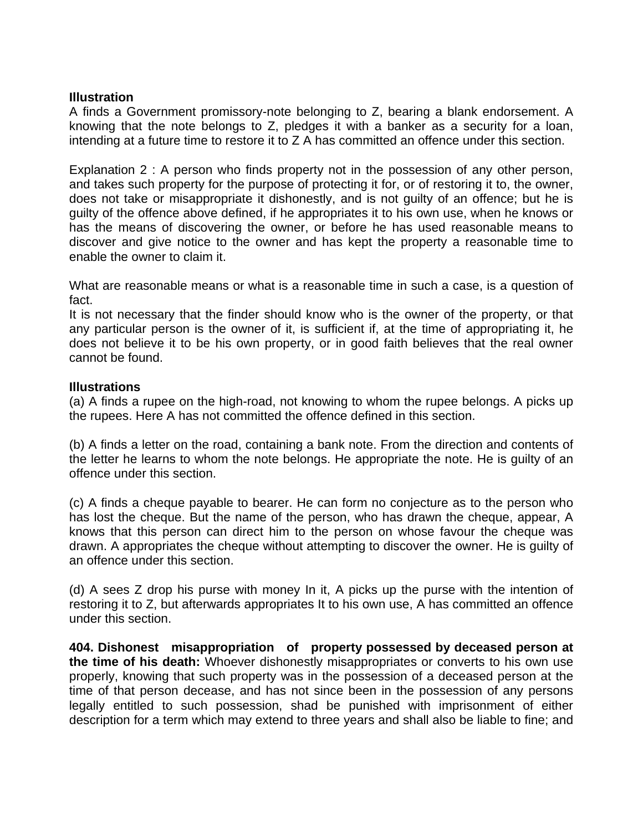## **Illustration**

A finds a Government promissory-note belonging to Z, bearing a blank endorsement. A knowing that the note belongs to Z, pledges it with a banker as a security for a loan, intending at a future time to restore it to Z A has committed an offence under this section.

Explanation 2 : A person who finds property not in the possession of any other person, and takes such property for the purpose of protecting it for, or of restoring it to, the owner, does not take or misappropriate it dishonestly, and is not guilty of an offence; but he is guilty of the offence above defined, if he appropriates it to his own use, when he knows or has the means of discovering the owner, or before he has used reasonable means to discover and give notice to the owner and has kept the property a reasonable time to enable the owner to claim it.

What are reasonable means or what is a reasonable time in such a case, is a question of fact.

It is not necessary that the finder should know who is the owner of the property, or that any particular person is the owner of it, is sufficient if, at the time of appropriating it, he does not believe it to be his own property, or in good faith believes that the real owner cannot be found.

## **Illustrations**

(a) A finds a rupee on the high-road, not knowing to whom the rupee belongs. A picks up the rupees. Here A has not committed the offence defined in this section.

(b) A finds a letter on the road, containing a bank note. From the direction and contents of the letter he learns to whom the note belongs. He appropriate the note. He is guilty of an offence under this section.

(c) A finds a cheque payable to bearer. He can form no conjecture as to the person who has lost the cheque. But the name of the person, who has drawn the cheque, appear, A knows that this person can direct him to the person on whose favour the cheque was drawn. A appropriates the cheque without attempting to discover the owner. He is guilty of an offence under this section.

(d) A sees Z drop his purse with money In it, A picks up the purse with the intention of restoring it to Z, but afterwards appropriates It to his own use, A has committed an offence under this section.

**404. Dishonest misappropriation of property possessed by deceased person at the time of his death:** Whoever dishonestly misappropriates or converts to his own use properly, knowing that such property was in the possession of a deceased person at the time of that person decease, and has not since been in the possession of any persons legally entitled to such possession, shad be punished with imprisonment of either description for a term which may extend to three years and shall also be liable to fine; and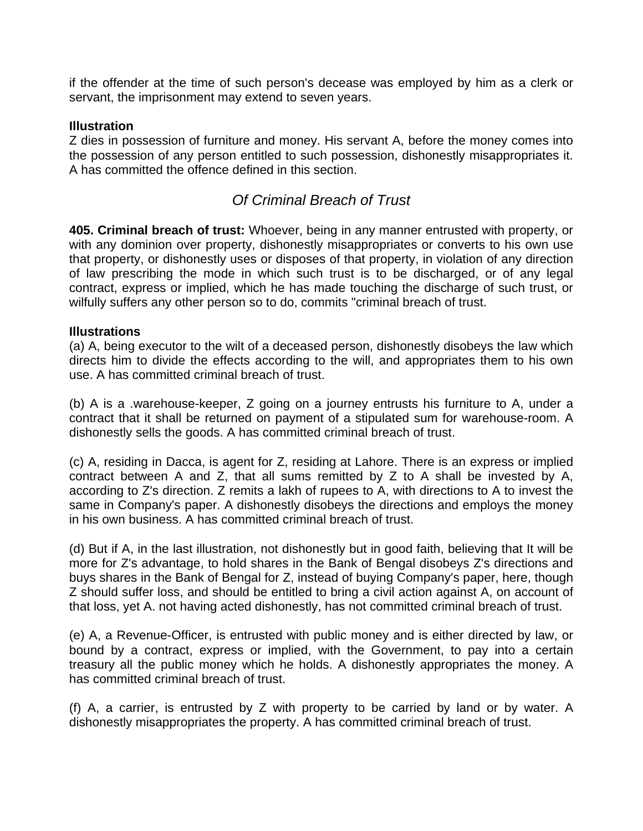if the offender at the time of such person's decease was employed by him as a clerk or servant, the imprisonment may extend to seven years.

### **Illustration**

Z dies in possession of furniture and money. His servant A, before the money comes into the possession of any person entitled to such possession, dishonestly misappropriates it. A has committed the offence defined in this section.

## *Of Criminal Breach of Trust*

**405. Criminal breach of trust:** Whoever, being in any manner entrusted with property, or with any dominion over property, dishonestly misappropriates or converts to his own use that property, or dishonestly uses or disposes of that property, in violation of any direction of law prescribing the mode in which such trust is to be discharged, or of any legal contract, express or implied, which he has made touching the discharge of such trust, or wilfully suffers any other person so to do, commits "criminal breach of trust.

#### **Illustrations**

(a) A, being executor to the wilt of a deceased person, dishonestly disobeys the law which directs him to divide the effects according to the will, and appropriates them to his own use. A has committed criminal breach of trust.

(b) A is a .warehouse-keeper, Z going on a journey entrusts his furniture to A, under a contract that it shall be returned on payment of a stipulated sum for warehouse-room. A dishonestly sells the goods. A has committed criminal breach of trust.

(c) A, residing in Dacca, is agent for Z, residing at Lahore. There is an express or implied contract between A and Z, that all sums remitted by Z to A shall be invested by A, according to Z's direction. Z remits a lakh of rupees to A, with directions to A to invest the same in Company's paper. A dishonestly disobeys the directions and employs the money in his own business. A has committed criminal breach of trust.

(d) But if A, in the last illustration, not dishonestly but in good faith, believing that It will be more for Z's advantage, to hold shares in the Bank of Bengal disobeys Z's directions and buys shares in the Bank of Bengal for Z, instead of buying Company's paper, here, though Z should suffer loss, and should be entitled to bring a civil action against A, on account of that loss, yet A. not having acted dishonestly, has not committed criminal breach of trust.

(e) A, a Revenue-Officer, is entrusted with public money and is either directed by law, or bound by a contract, express or implied, with the Government, to pay into a certain treasury all the public money which he holds. A dishonestly appropriates the money. A has committed criminal breach of trust.

(f) A, a carrier, is entrusted by Z with property to be carried by land or by water. A dishonestly misappropriates the property. A has committed criminal breach of trust.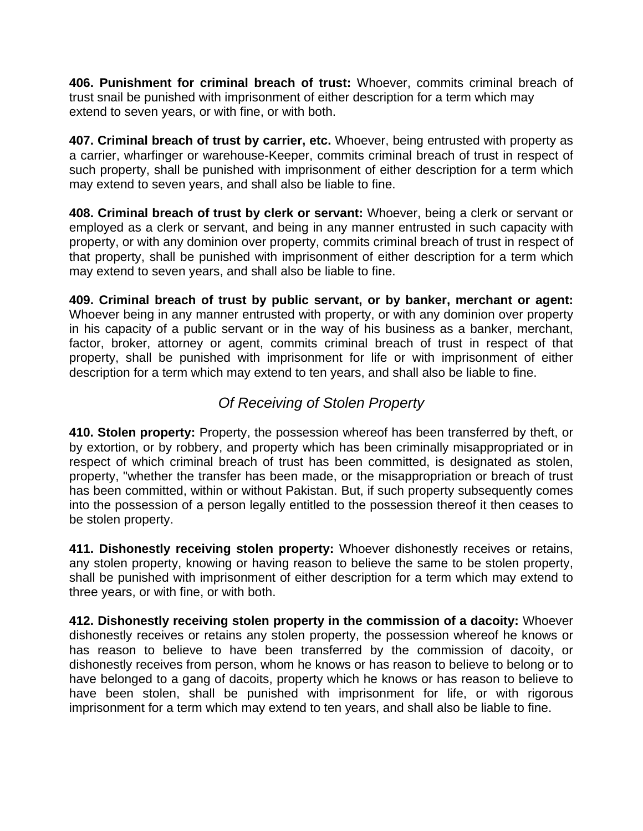**406. Punishment for criminal breach of trust:** Whoever, commits criminal breach of trust snail be punished with imprisonment of either description for a term which may extend to seven years, or with fine, or with both.

**407. Criminal breach of trust by carrier, etc.** Whoever, being entrusted with property as a carrier, wharfinger or warehouse-Keeper, commits criminal breach of trust in respect of such property, shall be punished with imprisonment of either description for a term which may extend to seven years, and shall also be liable to fine.

**408. Criminal breach of trust by clerk or servant:** Whoever, being a clerk or servant or employed as a clerk or servant, and being in any manner entrusted in such capacity with property, or with any dominion over property, commits criminal breach of trust in respect of that property, shall be punished with imprisonment of either description for a term which may extend to seven years, and shall also be liable to fine.

**409. Criminal breach of trust by public servant, or by banker, merchant or agent:** Whoever being in any manner entrusted with property, or with any dominion over property in his capacity of a public servant or in the way of his business as a banker, merchant, factor, broker, attorney or agent, commits criminal breach of trust in respect of that property, shall be punished with imprisonment for life or with imprisonment of either description for a term which may extend to ten years, and shall also be liable to fine.

# *Of Receiving of Stolen Property*

**410. Stolen property:** Property, the possession whereof has been transferred by theft, or by extortion, or by robbery, and property which has been criminally misappropriated or in respect of which criminal breach of trust has been committed, is designated as stolen, property, "whether the transfer has been made, or the misappropriation or breach of trust has been committed, within or without Pakistan. But, if such property subsequently comes into the possession of a person legally entitled to the possession thereof it then ceases to be stolen property.

**411. Dishonestly receiving stolen property:** Whoever dishonestly receives or retains, any stolen property, knowing or having reason to believe the same to be stolen property, shall be punished with imprisonment of either description for a term which may extend to three years, or with fine, or with both.

**412. Dishonestly receiving stolen property in the commission of a dacoity:** Whoever dishonestly receives or retains any stolen property, the possession whereof he knows or has reason to believe to have been transferred by the commission of dacoity, or dishonestly receives from person, whom he knows or has reason to believe to belong or to have belonged to a gang of dacoits, property which he knows or has reason to believe to have been stolen, shall be punished with imprisonment for life, or with rigorous imprisonment for a term which may extend to ten years, and shall also be liable to fine.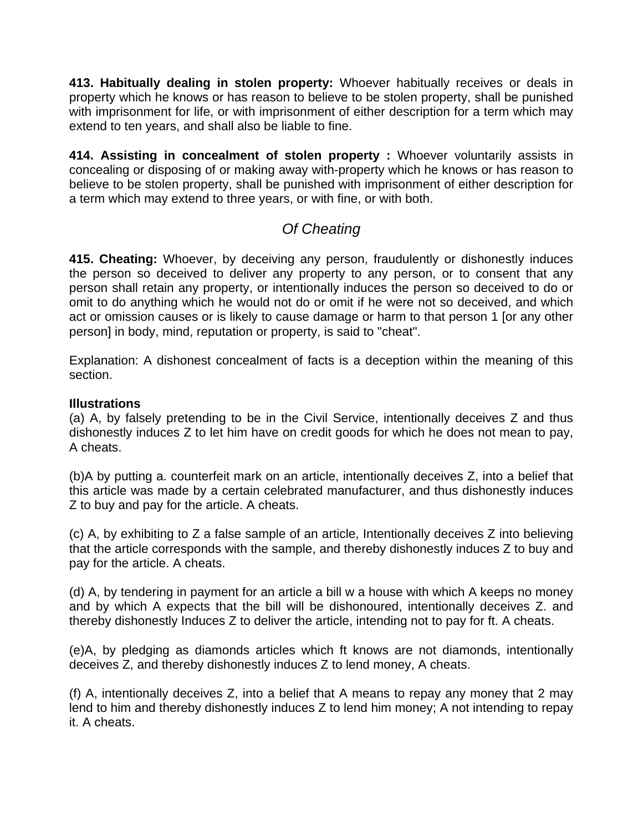**413. Habitually dealing in stolen property:** Whoever habitually receives or deals in property which he knows or has reason to believe to be stolen property, shall be punished with imprisonment for life, or with imprisonment of either description for a term which may extend to ten years, and shall also be liable to fine.

**414. Assisting in concealment of stolen property :** Whoever voluntarily assists in concealing or disposing of or making away with-property which he knows or has reason to believe to be stolen property, shall be punished with imprisonment of either description for a term which may extend to three years, or with fine, or with both.

# *Of Cheating*

**415. Cheating:** Whoever, by deceiving any person, fraudulently or dishonestly induces the person so deceived to deliver any property to any person, or to consent that any person shall retain any property, or intentionally induces the person so deceived to do or omit to do anything which he would not do or omit if he were not so deceived, and which act or omission causes or is likely to cause damage or harm to that person 1 [or any other person] in body, mind, reputation or property, is said to "cheat".

Explanation: A dishonest concealment of facts is a deception within the meaning of this section.

## **Illustrations**

(a) A, by falsely pretending to be in the Civil Service, intentionally deceives Z and thus dishonestly induces Z to let him have on credit goods for which he does not mean to pay, A cheats.

(b)A by putting a. counterfeit mark on an article, intentionally deceives Z, into a belief that this article was made by a certain celebrated manufacturer, and thus dishonestly induces Z to buy and pay for the article. A cheats.

(c) A, by exhibiting to Z a false sample of an article, Intentionally deceives Z into believing that the article corresponds with the sample, and thereby dishonestly induces Z to buy and pay for the article. A cheats.

(d) A, by tendering in payment for an article a bill w a house with which A keeps no money and by which A expects that the bill will be dishonoured, intentionally deceives Z. and thereby dishonestly Induces Z to deliver the article, intending not to pay for ft. A cheats.

(e)A, by pledging as diamonds articles which ft knows are not diamonds, intentionally deceives Z, and thereby dishonestly induces Z to lend money, A cheats.

(f) A, intentionally deceives Z, into a belief that A means to repay any money that 2 may lend to him and thereby dishonestly induces Z to lend him money; A not intending to repay it. A cheats.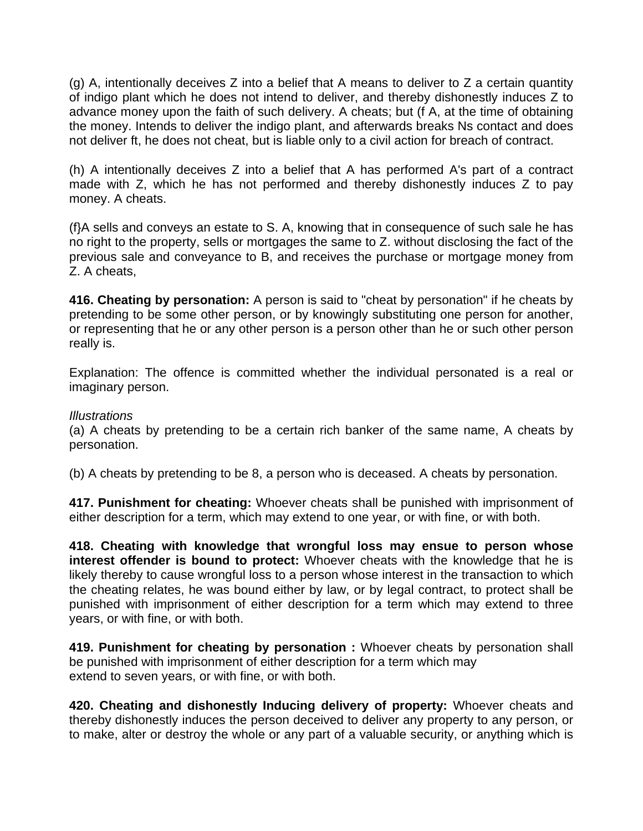(g) A, intentionally deceives Z into a belief that A means to deliver to Z a certain quantity of indigo plant which he does not intend to deliver, and thereby dishonestly induces Z to advance money upon the faith of such delivery. A cheats; but (f A, at the time of obtaining the money. Intends to deliver the indigo plant, and afterwards breaks Ns contact and does not deliver ft, he does not cheat, but is liable only to a civil action for breach of contract.

(h) A intentionally deceives Z into a belief that A has performed A's part of a contract made with Z, which he has not performed and thereby dishonestly induces Z to pay money. A cheats.

(f}A sells and conveys an estate to S. A, knowing that in consequence of such sale he has no right to the property, sells or mortgages the same to Z. without disclosing the fact of the previous sale and conveyance to B, and receives the purchase or mortgage money from Z. A cheats,

**416. Cheating by personation:** A person is said to "cheat by personation" if he cheats by pretending to be some other person, or by knowingly substituting one person for another, or representing that he or any other person is a person other than he or such other person really is.

Explanation: The offence is committed whether the individual personated is a real or imaginary person.

## *Illustrations*

(a) A cheats by pretending to be a certain rich banker of the same name, A cheats by personation.

(b) A cheats by pretending to be 8, a person who is deceased. A cheats by personation.

**417. Punishment for cheating:** Whoever cheats shall be punished with imprisonment of either description for a term, which may extend to one year, or with fine, or with both.

**418. Cheating with knowledge that wrongful loss may ensue to person whose interest offender is bound to protect:** Whoever cheats with the knowledge that he is likely thereby to cause wrongful loss to a person whose interest in the transaction to which the cheating relates, he was bound either by law, or by legal contract, to protect shall be punished with imprisonment of either description for a term which may extend to three years, or with fine, or with both.

**419. Punishment for cheating by personation :** Whoever cheats by personation shall be punished with imprisonment of either description for a term which may extend to seven years, or with fine, or with both.

**420. Cheating and dishonestly Inducing delivery of property:** Whoever cheats and thereby dishonestly induces the person deceived to deliver any property to any person, or to make, alter or destroy the whole or any part of a valuable security, or anything which is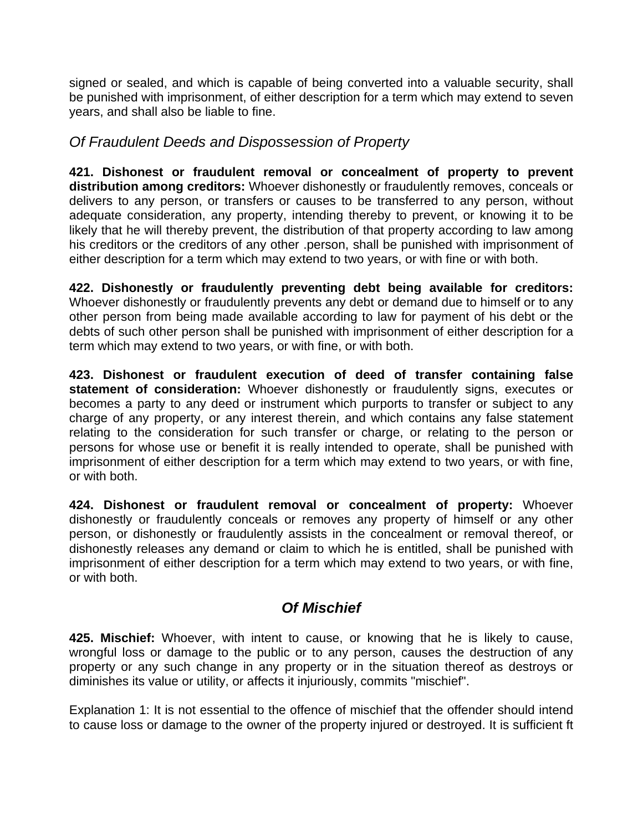signed or sealed, and which is capable of being converted into a valuable security, shall be punished with imprisonment, of either description for a term which may extend to seven years, and shall also be liable to fine.

## *Of Fraudulent Deeds and Dispossession of Property*

**421. Dishonest or fraudulent removal or concealment of property to prevent distribution among creditors:** Whoever dishonestly or fraudulently removes, conceals or delivers to any person, or transfers or causes to be transferred to any person, without adequate consideration, any property, intending thereby to prevent, or knowing it to be likely that he will thereby prevent, the distribution of that property according to law among his creditors or the creditors of any other .person, shall be punished with imprisonment of either description for a term which may extend to two years, or with fine or with both.

**422. Dishonestly or fraudulently preventing debt being available for creditors:** Whoever dishonestly or fraudulently prevents any debt or demand due to himself or to any other person from being made available according to law for payment of his debt or the debts of such other person shall be punished with imprisonment of either description for a term which may extend to two years, or with fine, or with both.

**423. Dishonest or fraudulent execution of deed of transfer containing false statement of consideration:** Whoever dishonestly or fraudulently signs, executes or becomes a party to any deed or instrument which purports to transfer or subject to any charge of any property, or any interest therein, and which contains any false statement relating to the consideration for such transfer or charge, or relating to the person or persons for whose use or benefit it is really intended to operate, shall be punished with imprisonment of either description for a term which may extend to two years, or with fine, or with both.

**424. Dishonest or fraudulent removal or concealment of property:** Whoever dishonestly or fraudulently conceals or removes any property of himself or any other person, or dishonestly or fraudulently assists in the concealment or removal thereof, or dishonestly releases any demand or claim to which he is entitled, shall be punished with imprisonment of either description for a term which may extend to two years, or with fine, or with both.

# *Of Mischief*

**425. Mischief:** Whoever, with intent to cause, or knowing that he is likely to cause, wrongful loss or damage to the public or to any person, causes the destruction of any property or any such change in any property or in the situation thereof as destroys or diminishes its value or utility, or affects it injuriously, commits "mischief".

Explanation 1: It is not essential to the offence of mischief that the offender should intend to cause loss or damage to the owner of the property injured or destroyed. It is sufficient ft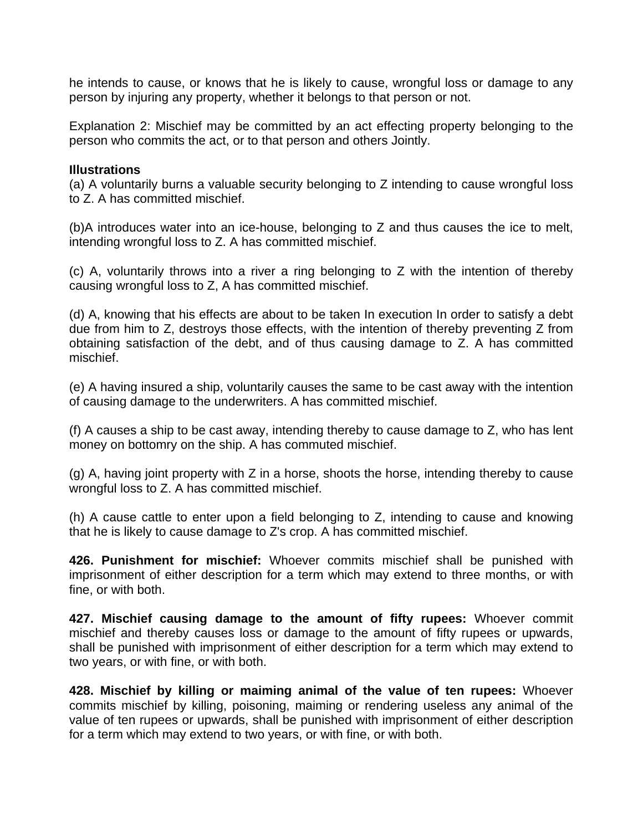he intends to cause, or knows that he is likely to cause, wrongful loss or damage to any person by injuring any property, whether it belongs to that person or not.

Explanation 2: Mischief may be committed by an act effecting property belonging to the person who commits the act, or to that person and others Jointly.

#### **Illustrations**

(a) A voluntarily burns a valuable security belonging to Z intending to cause wrongful loss to Z. A has committed mischief.

(b)A introduces water into an ice-house, belonging to Z and thus causes the ice to melt, intending wrongful loss to Z. A has committed mischief.

(c) A, voluntarily throws into a river a ring belonging to Z with the intention of thereby causing wrongful loss to Z, A has committed mischief.

(d) A, knowing that his effects are about to be taken In execution In order to satisfy a debt due from him to Z, destroys those effects, with the intention of thereby preventing Z from obtaining satisfaction of the debt, and of thus causing damage to Z. A has committed mischief.

(e) A having insured a ship, voluntarily causes the same to be cast away with the intention of causing damage to the underwriters. A has committed mischief.

(f) A causes a ship to be cast away, intending thereby to cause damage to Z, who has lent money on bottomry on the ship. A has commuted mischief.

(g) A, having joint property with Z in a horse, shoots the horse, intending thereby to cause wrongful loss to Z. A has committed mischief.

(h) A cause cattle to enter upon a field belonging to Z, intending to cause and knowing that he is likely to cause damage to Z's crop. A has committed mischief.

**426. Punishment for mischief:** Whoever commits mischief shall be punished with imprisonment of either description for a term which may extend to three months, or with fine, or with both.

**427. Mischief causing damage to the amount of fifty rupees:** Whoever commit mischief and thereby causes loss or damage to the amount of fifty rupees or upwards, shall be punished with imprisonment of either description for a term which may extend to two years, or with fine, or with both.

**428. Mischief by killing or maiming animal of the value of ten rupees:** Whoever commits mischief by killing, poisoning, maiming or rendering useless any animal of the value of ten rupees or upwards, shall be punished with imprisonment of either description for a term which may extend to two years, or with fine, or with both.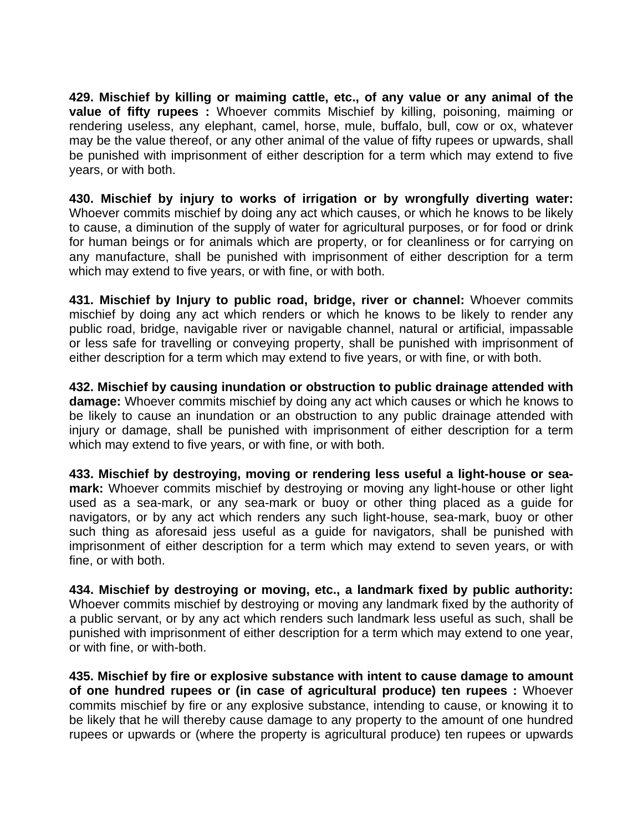**429. Mischief by killing or maiming cattle, etc., of any value or any animal of the value of fifty rupees :** Whoever commits Mischief by killing, poisoning, maiming or rendering useless, any elephant, camel, horse, mule, buffalo, bull, cow or ox, whatever may be the value thereof, or any other animal of the value of fifty rupees or upwards, shall be punished with imprisonment of either description for a term which may extend to five years, or with both.

**430. Mischief by injury to works of irrigation or by wrongfully diverting water:** Whoever commits mischief by doing any act which causes, or which he knows to be likely to cause, a diminution of the supply of water for agricultural purposes, or for food or drink for human beings or for animals which are property, or for cleanliness or for carrying on any manufacture, shall be punished with imprisonment of either description for a term which may extend to five years, or with fine, or with both.

**431. Mischief by Injury to public road, bridge, river or channel:** Whoever commits mischief by doing any act which renders or which he knows to be likely to render any public road, bridge, navigable river or navigable channel, natural or artificial, impassable or less safe for travelling or conveying property, shall be punished with imprisonment of either description for a term which may extend to five years, or with fine, or with both.

**432. Mischief by causing inundation or obstruction to public drainage attended with damage:** Whoever commits mischief by doing any act which causes or which he knows to be likely to cause an inundation or an obstruction to any public drainage attended with injury or damage, shall be punished with imprisonment of either description for a term which may extend to five years, or with fine, or with both.

**433. Mischief by destroying, moving or rendering less useful a light-house or seamark:** Whoever commits mischief by destroying or moving any light-house or other light used as a sea-mark, or any sea-mark or buoy or other thing placed as a guide for navigators, or by any act which renders any such light-house, sea-mark, buoy or other such thing as aforesaid jess useful as a guide for navigators, shall be punished with imprisonment of either description for a term which may extend to seven years, or with fine, or with both.

**434. Mischief by destroying or moving, etc., a landmark fixed by public authority:** Whoever commits mischief by destroying or moving any landmark fixed by the authority of a public servant, or by any act which renders such landmark less useful as such, shall be punished with imprisonment of either description for a term which may extend to one year, or with fine, or with-both.

**435. Mischief by fire or explosive substance with intent to cause damage to amount of one hundred rupees or (in case of agricultural produce) ten rupees :** Whoever commits mischief by fire or any explosive substance, intending to cause, or knowing it to be likely that he will thereby cause damage to any property to the amount of one hundred rupees or upwards or (where the property is agricultural produce) ten rupees or upwards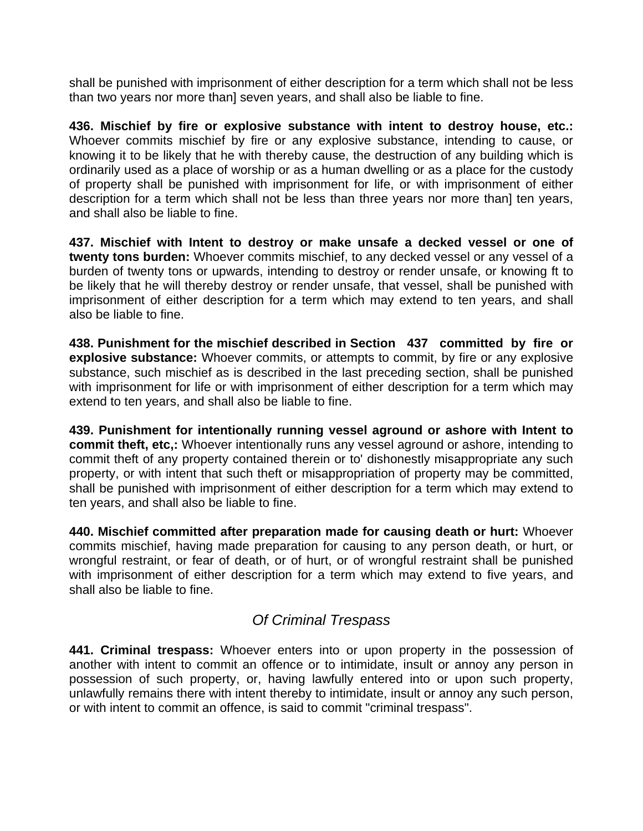shall be punished with imprisonment of either description for a term which shall not be less than two years nor more than] seven years, and shall also be liable to fine.

**436. Mischief by fire or explosive substance with intent to destroy house, etc.:** Whoever commits mischief by fire or any explosive substance, intending to cause, or knowing it to be likely that he with thereby cause, the destruction of any building which is ordinarily used as a place of worship or as a human dwelling or as a place for the custody of property shall be punished with imprisonment for life, or with imprisonment of either description for a term which shall not be less than three years nor more than] ten years, and shall also be liable to fine.

**437. Mischief with Intent to destroy or make unsafe a decked vessel or one of twenty tons burden:** Whoever commits mischief, to any decked vessel or any vessel of a burden of twenty tons or upwards, intending to destroy or render unsafe, or knowing ft to be likely that he will thereby destroy or render unsafe, that vessel, shall be punished with imprisonment of either description for a term which may extend to ten years, and shall also be liable to fine.

**438. Punishment for the mischief described in Section 437 committed by fire or explosive substance:** Whoever commits, or attempts to commit, by fire or any explosive substance, such mischief as is described in the last preceding section, shall be punished with imprisonment for life or with imprisonment of either description for a term which may extend to ten years, and shall also be liable to fine.

**439. Punishment for intentionally running vessel aground or ashore with Intent to commit theft, etc,:** Whoever intentionally runs any vessel aground or ashore, intending to commit theft of any property contained therein or to' dishonestly misappropriate any such property, or with intent that such theft or misappropriation of property may be committed, shall be punished with imprisonment of either description for a term which may extend to ten years, and shall also be liable to fine.

**440. Mischief committed after preparation made for causing death or hurt:** Whoever commits mischief, having made preparation for causing to any person death, or hurt, or wrongful restraint, or fear of death, or of hurt, or of wrongful restraint shall be punished with imprisonment of either description for a term which may extend to five years, and shall also be liable to fine.

# *Of Criminal Trespass*

**441. Criminal trespass:** Whoever enters into or upon property in the possession of another with intent to commit an offence or to intimidate, insult or annoy any person in possession of such property, or, having lawfully entered into or upon such property, unlawfully remains there with intent thereby to intimidate, insult or annoy any such person, or with intent to commit an offence, is said to commit "criminal trespass".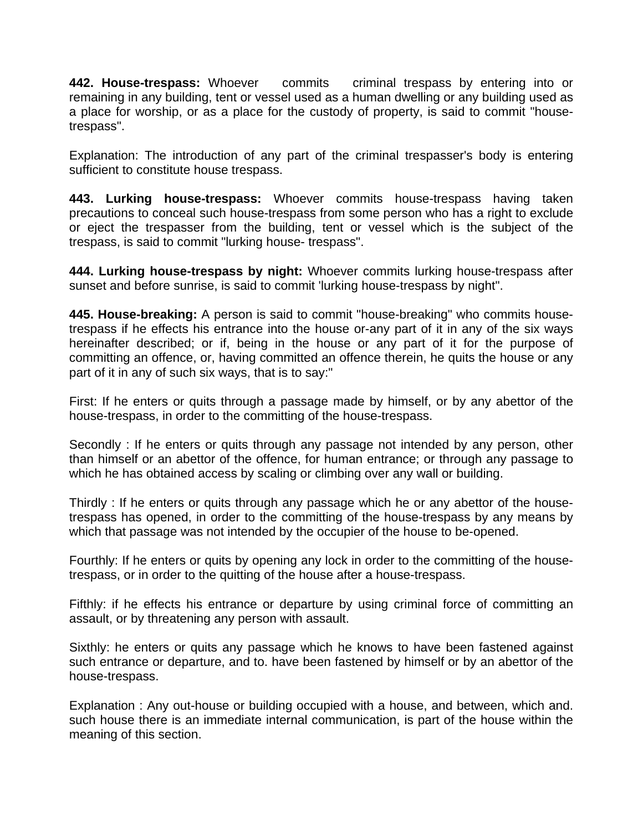**442. House-trespass:** Whoever commits criminal trespass by entering into or remaining in any building, tent or vessel used as a human dwelling or any building used as a place for worship, or as a place for the custody of property, is said to commit "housetrespass".

Explanation: The introduction of any part of the criminal trespasser's body is entering sufficient to constitute house trespass.

**443. Lurking house-trespass:** Whoever commits house-trespass having taken precautions to conceal such house-trespass from some person who has a right to exclude or eject the trespasser from the building, tent or vessel which is the subject of the trespass, is said to commit "lurking house- trespass".

**444. Lurking house-trespass by night:** Whoever commits lurking house-trespass after sunset and before sunrise, is said to commit 'lurking house-trespass by night".

**445. House-breaking:** A person is said to commit "house-breaking" who commits housetrespass if he effects his entrance into the house or-any part of it in any of the six ways hereinafter described; or if, being in the house or any part of it for the purpose of committing an offence, or, having committed an offence therein, he quits the house or any part of it in any of such six ways, that is to say:"

First: If he enters or quits through a passage made by himself, or by any abettor of the house-trespass, in order to the committing of the house-trespass.

Secondly : If he enters or quits through any passage not intended by any person, other than himself or an abettor of the offence, for human entrance; or through any passage to which he has obtained access by scaling or climbing over any wall or building.

Thirdly : If he enters or quits through any passage which he or any abettor of the housetrespass has opened, in order to the committing of the house-trespass by any means by which that passage was not intended by the occupier of the house to be-opened.

Fourthly: If he enters or quits by opening any lock in order to the committing of the housetrespass, or in order to the quitting of the house after a house-trespass.

Fifthly: if he effects his entrance or departure by using criminal force of committing an assault, or by threatening any person with assault.

Sixthly: he enters or quits any passage which he knows to have been fastened against such entrance or departure, and to. have been fastened by himself or by an abettor of the house-trespass.

Explanation : Any out-house or building occupied with a house, and between, which and. such house there is an immediate internal communication, is part of the house within the meaning of this section.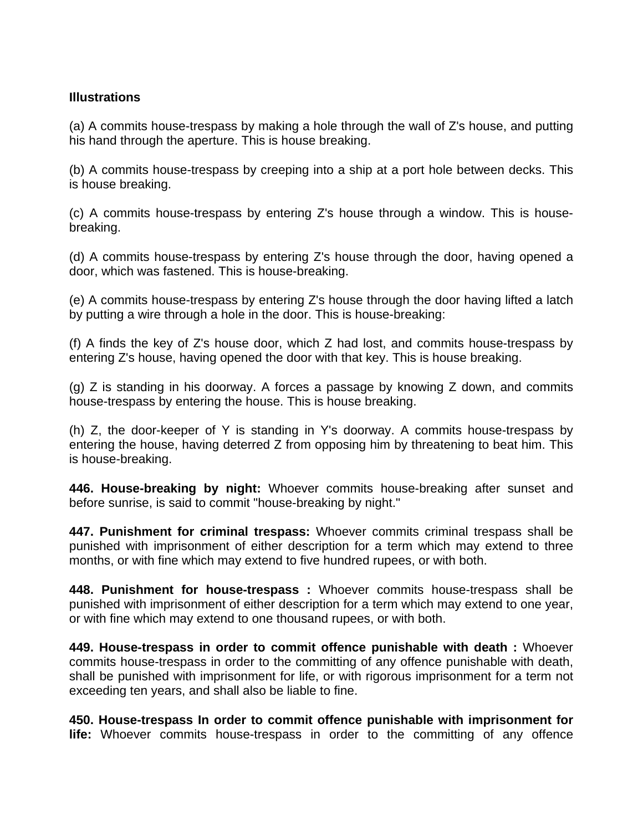## **Illustrations**

(a) A commits house-trespass by making a hole through the wall of Z's house, and putting his hand through the aperture. This is house breaking.

(b) A commits house-trespass by creeping into a ship at a port hole between decks. This is house breaking.

(c) A commits house-trespass by entering Z's house through a window. This is housebreaking.

(d) A commits house-trespass by entering Z's house through the door, having opened a door, which was fastened. This is house-breaking.

(e) A commits house-trespass by entering Z's house through the door having lifted a latch by putting a wire through a hole in the door. This is house-breaking:

(f) A finds the key of Z's house door, which Z had lost, and commits house-trespass by entering Z's house, having opened the door with that key. This is house breaking.

(g) Z is standing in his doorway. A forces a passage by knowing Z down, and commits house-trespass by entering the house. This is house breaking.

(h) Z, the door-keeper of Y is standing in Y's doorway. A commits house-trespass by entering the house, having deterred Z from opposing him by threatening to beat him. This is house-breaking.

**446. House-breaking by night:** Whoever commits house-breaking after sunset and before sunrise, is said to commit "house-breaking by night."

**447. Punishment for criminal trespass:** Whoever commits criminal trespass shall be punished with imprisonment of either description for a term which may extend to three months, or with fine which may extend to five hundred rupees, or with both.

**448. Punishment for house-trespass :** Whoever commits house-trespass shall be punished with imprisonment of either description for a term which may extend to one year, or with fine which may extend to one thousand rupees, or with both.

**449. House-trespass in order to commit offence punishable with death :** Whoever commits house-trespass in order to the committing of any offence punishable with death, shall be punished with imprisonment for life, or with rigorous imprisonment for a term not exceeding ten years, and shall also be liable to fine.

**450. House-trespass In order to commit offence punishable with imprisonment for life:** Whoever commits house-trespass in order to the committing of any offence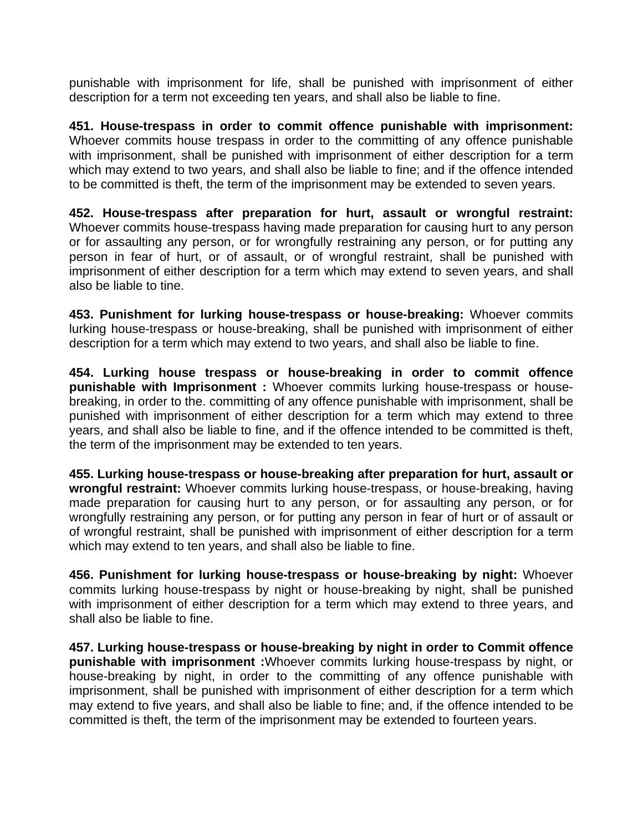punishable with imprisonment for life, shall be punished with imprisonment of either description for a term not exceeding ten years, and shall also be liable to fine.

**451. House-trespass in order to commit offence punishable with imprisonment:** Whoever commits house trespass in order to the committing of any offence punishable with imprisonment, shall be punished with imprisonment of either description for a term which may extend to two years, and shall also be liable to fine; and if the offence intended to be committed is theft, the term of the imprisonment may be extended to seven years.

**452. House-trespass after preparation for hurt, assault or wrongful restraint:** Whoever commits house-trespass having made preparation for causing hurt to any person or for assaulting any person, or for wrongfully restraining any person, or for putting any person in fear of hurt, or of assault, or of wrongful restraint, shall be punished with imprisonment of either description for a term which may extend to seven years, and shall also be liable to tine.

**453. Punishment for lurking house-trespass or house-breaking:** Whoever commits lurking house-trespass or house-breaking, shall be punished with imprisonment of either description for a term which may extend to two years, and shall also be liable to fine.

**454. Lurking house trespass or house-breaking in order to commit offence punishable with Imprisonment :** Whoever commits lurking house-trespass or housebreaking, in order to the. committing of any offence punishable with imprisonment, shall be punished with imprisonment of either description for a term which may extend to three years, and shall also be liable to fine, and if the offence intended to be committed is theft, the term of the imprisonment may be extended to ten years.

**455. Lurking house-trespass or house-breaking after preparation for hurt, assault or wrongful restraint:** Whoever commits lurking house-trespass, or house-breaking, having made preparation for causing hurt to any person, or for assaulting any person, or for wrongfully restraining any person, or for putting any person in fear of hurt or of assault or of wrongful restraint, shall be punished with imprisonment of either description for a term which may extend to ten years, and shall also be liable to fine.

**456. Punishment for lurking house-trespass or house-breaking by night:** Whoever commits lurking house-trespass by night or house-breaking by night, shall be punished with imprisonment of either description for a term which may extend to three years, and shall also be liable to fine.

**457. Lurking house-trespass or house-breaking by night in order to Commit offence punishable with imprisonment :**Whoever commits lurking house-trespass by night, or house-breaking by night, in order to the committing of any offence punishable with imprisonment, shall be punished with imprisonment of either description for a term which may extend to five years, and shall also be liable to fine; and, if the offence intended to be committed is theft, the term of the imprisonment may be extended to fourteen years.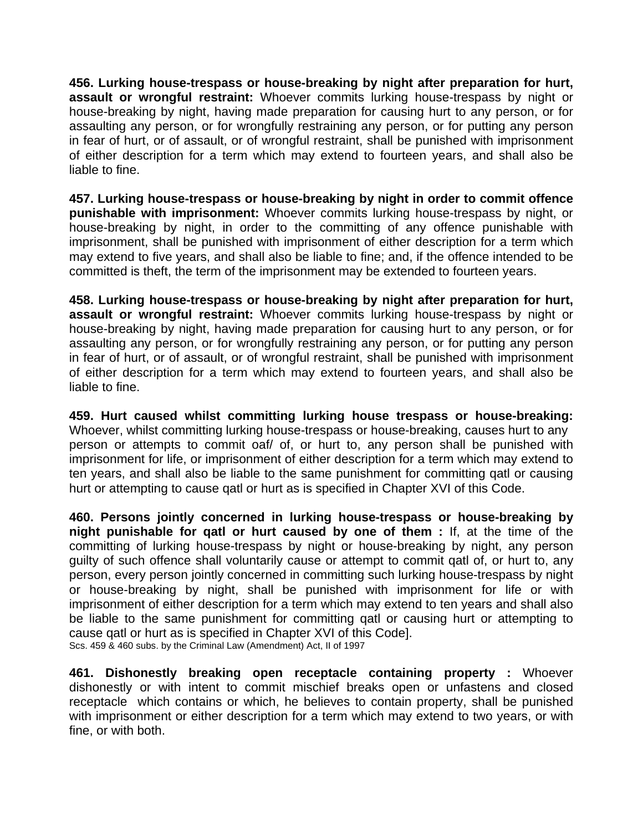**456. Lurking house-trespass or house-breaking by night after preparation for hurt, assault or wrongful restraint:** Whoever commits lurking house-trespass by night or house-breaking by night, having made preparation for causing hurt to any person, or for assaulting any person, or for wrongfully restraining any person, or for putting any person in fear of hurt, or of assault, or of wrongful restraint, shall be punished with imprisonment of either description for a term which may extend to fourteen years, and shall also be liable to fine.

**457. Lurking house-trespass or house-breaking by night in order to commit offence punishable with imprisonment:** Whoever commits lurking house-trespass by night, or house-breaking by night, in order to the committing of any offence punishable with imprisonment, shall be punished with imprisonment of either description for a term which may extend to five years, and shall also be liable to fine; and, if the offence intended to be committed is theft, the term of the imprisonment may be extended to fourteen years.

**458. Lurking house-trespass or house-breaking by night after preparation for hurt, assault or wrongful restraint:** Whoever commits lurking house-trespass by night or house-breaking by night, having made preparation for causing hurt to any person, or for assaulting any person, or for wrongfully restraining any person, or for putting any person in fear of hurt, or of assault, or of wrongful restraint, shall be punished with imprisonment of either description for a term which may extend to fourteen years, and shall also be liable to fine.

**459. Hurt caused whilst committing lurking house trespass or house-breaking:** Whoever, whilst committing lurking house-trespass or house-breaking, causes hurt to any person or attempts to commit oaf/ of, or hurt to, any person shall be punished with imprisonment for life, or imprisonment of either description for a term which may extend to ten years, and shall also be liable to the same punishment for committing qatl or causing hurt or attempting to cause qatl or hurt as is specified in Chapter XVI of this Code.

**460. Persons jointly concerned in lurking house-trespass or house-breaking by night punishable for qatl or hurt caused by one of them :** If, at the time of the committing of lurking house-trespass by night or house-breaking by night, any person guilty of such offence shall voluntarily cause or attempt to commit qatl of, or hurt to, any person, every person jointly concerned in committing such lurking house-trespass by night or house-breaking by night, shall be punished with imprisonment for life or with imprisonment of either description for a term which may extend to ten years and shall also be liable to the same punishment for committing qatl or causing hurt or attempting to cause qatl or hurt as is specified in Chapter XVI of this Code]. Scs. 459 & 460 subs. by the Criminal Law (Amendment) Act, II of 1997

**461. Dishonestly breaking open receptacle containing property :** Whoever dishonestly or with intent to commit mischief breaks open or unfastens and closed receptacle which contains or which, he believes to contain property, shall be punished with imprisonment or either description for a term which may extend to two vears, or with fine, or with both.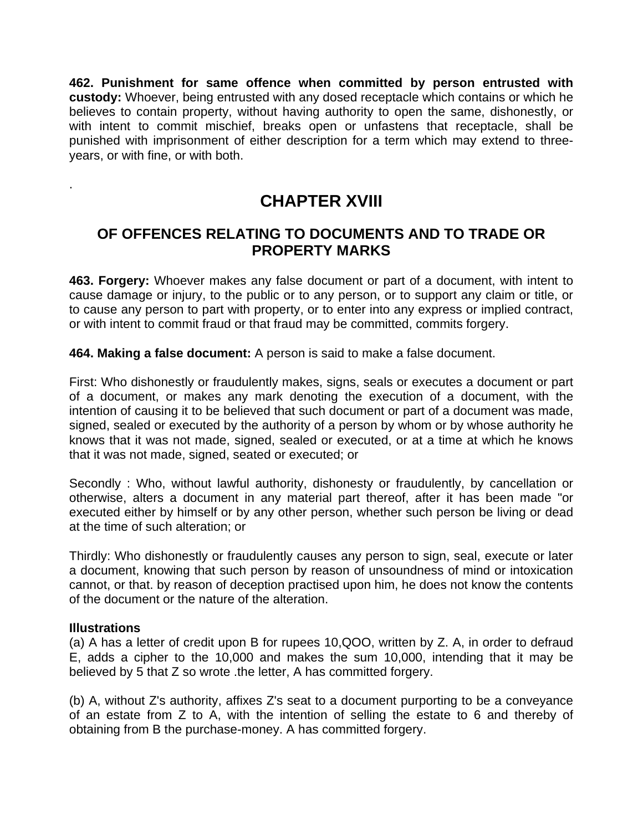**462. Punishment for same offence when committed by person entrusted with custody:** Whoever, being entrusted with any dosed receptacle which contains or which he believes to contain property, without having authority to open the same, dishonestly, or with intent to commit mischief, breaks open or unfastens that receptacle, shall be punished with imprisonment of either description for a term which may extend to threeyears, or with fine, or with both.

# **CHAPTER XVIII**

## **OF OFFENCES RELATING TO DOCUMENTS AND TO TRADE OR PROPERTY MARKS**

**463. Forgery:** Whoever makes any false document or part of a document, with intent to cause damage or injury, to the public or to any person, or to support any claim or title, or to cause any person to part with property, or to enter into any express or implied contract, or with intent to commit fraud or that fraud may be committed, commits forgery.

**464. Making a false document:** A person is said to make a false document.

First: Who dishonestly or fraudulently makes, signs, seals or executes a document or part of a document, or makes any mark denoting the execution of a document, with the intention of causing it to be believed that such document or part of a document was made, signed, sealed or executed by the authority of a person by whom or by whose authority he knows that it was not made, signed, sealed or executed, or at a time at which he knows that it was not made, signed, seated or executed; or

Secondly : Who, without lawful authority, dishonesty or fraudulently, by cancellation or otherwise, alters a document in any material part thereof, after it has been made "or executed either by himself or by any other person, whether such person be living or dead at the time of such alteration; or

Thirdly: Who dishonestly or fraudulently causes any person to sign, seal, execute or later a document, knowing that such person by reason of unsoundness of mind or intoxication cannot, or that. by reason of deception practised upon him, he does not know the contents of the document or the nature of the alteration.

## **Illustrations**

.

(a) A has a letter of credit upon B for rupees 10,QOO, written by Z. A, in order to defraud E, adds a cipher to the 10,000 and makes the sum 10,000, intending that it may be believed by 5 that Z so wrote .the letter, A has committed forgery.

(b) A, without Z's authority, affixes Z's seat to a document purporting to be a conveyance of an estate from Z to A, with the intention of selling the estate to 6 and thereby of obtaining from B the purchase-money. A has committed forgery.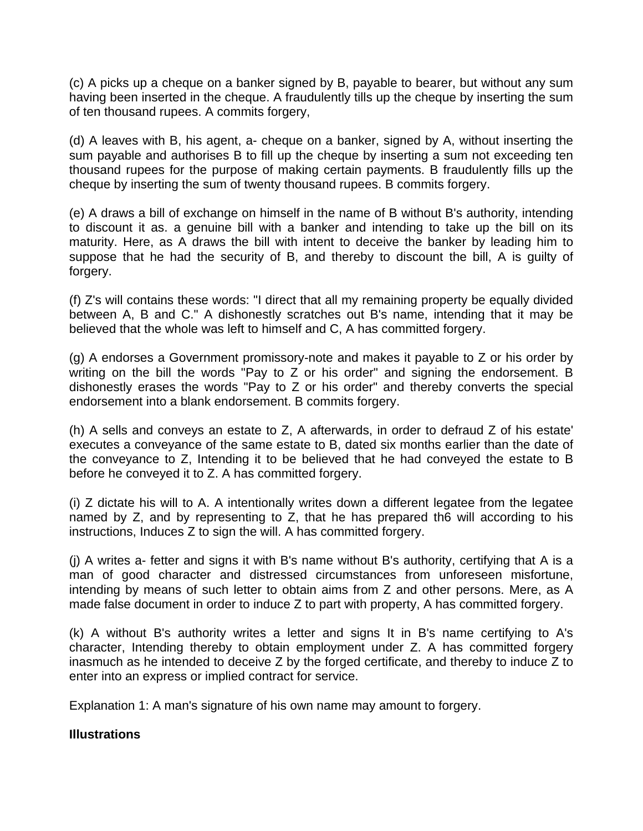(c) A picks up a cheque on a banker signed by B, payable to bearer, but without any sum having been inserted in the cheque. A fraudulently tills up the cheque by inserting the sum of ten thousand rupees. A commits forgery,

(d) A leaves with B, his agent, a- cheque on a banker, signed by A, without inserting the sum payable and authorises B to fill up the cheque by inserting a sum not exceeding ten thousand rupees for the purpose of making certain payments. B fraudulently fills up the cheque by inserting the sum of twenty thousand rupees. B commits forgery.

(e) A draws a bill of exchange on himself in the name of B without B's authority, intending to discount it as. a genuine bill with a banker and intending to take up the bill on its maturity. Here, as A draws the bill with intent to deceive the banker by leading him to suppose that he had the security of B, and thereby to discount the bill, A is guilty of forgery.

(f) Z's will contains these words: "I direct that all my remaining property be equally divided between A, B and C." A dishonestly scratches out B's name, intending that it may be believed that the whole was left to himself and C, A has committed forgery.

(g) A endorses a Government promissory-note and makes it payable to Z or his order by writing on the bill the words "Pay to Z or his order" and signing the endorsement. B dishonestly erases the words "Pay to Z or his order" and thereby converts the special endorsement into a blank endorsement. B commits forgery.

(h) A sells and conveys an estate to Z, A afterwards, in order to defraud Z of his estate' executes a conveyance of the same estate to B, dated six months earlier than the date of the conveyance to Z, Intending it to be believed that he had conveyed the estate to B before he conveyed it to Z. A has committed forgery.

(i) Z dictate his will to A. A intentionally writes down a different legatee from the legatee named by Z, and by representing to Z, that he has prepared th6 will according to his instructions, Induces Z to sign the will. A has committed forgery.

(j) A writes a- fetter and signs it with B's name without B's authority, certifying that A is a man of good character and distressed circumstances from unforeseen misfortune, intending by means of such letter to obtain aims from Z and other persons. Mere, as A made false document in order to induce Z to part with property, A has committed forgery.

(k) A without B's authority writes a letter and signs It in B's name certifying to A's character, Intending thereby to obtain employment under Z. A has committed forgery inasmuch as he intended to deceive Z by the forged certificate, and thereby to induce Z to enter into an express or implied contract for service.

Explanation 1: A man's signature of his own name may amount to forgery.

## **Illustrations**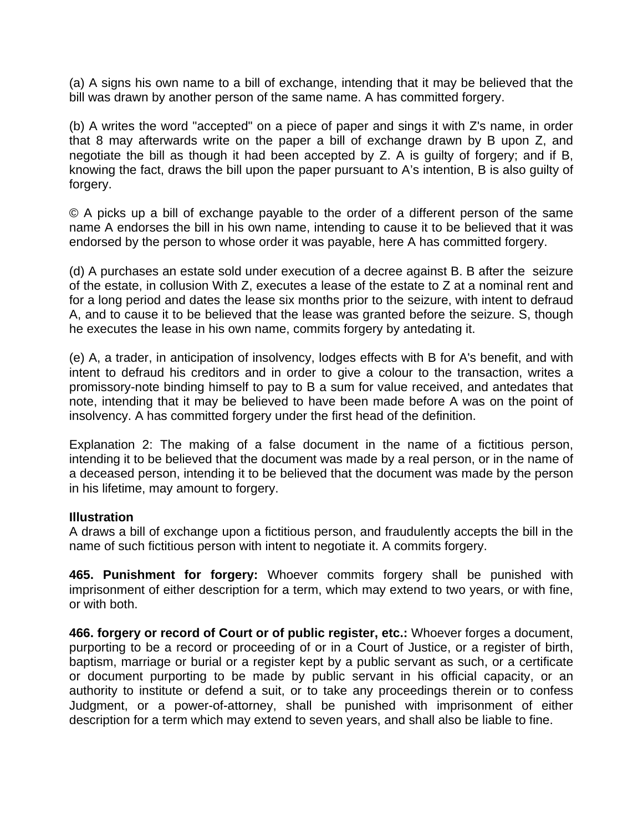(a) A signs his own name to a bill of exchange, intending that it may be believed that the bill was drawn by another person of the same name. A has committed forgery.

(b) A writes the word "accepted" on a piece of paper and sings it with Z's name, in order that 8 may afterwards write on the paper a bill of exchange drawn by B upon Z, and negotiate the bill as though it had been accepted by Z. A is guilty of forgery; and if B, knowing the fact, draws the bill upon the paper pursuant to A's intention, B is also guilty of forgery.

© A picks up a bill of exchange payable to the order of a different person of the same name A endorses the bill in his own name, intending to cause it to be believed that it was endorsed by the person to whose order it was payable, here A has committed forgery.

(d) A purchases an estate sold under execution of a decree against B. B after the seizure of the estate, in collusion With Z, executes a lease of the estate to Z at a nominal rent and for a long period and dates the lease six months prior to the seizure, with intent to defraud A, and to cause it to be believed that the lease was granted before the seizure. S, though he executes the lease in his own name, commits forgery by antedating it.

(e) A, a trader, in anticipation of insolvency, lodges effects with B for A's benefit, and with intent to defraud his creditors and in order to give a colour to the transaction, writes a promissory-note binding himself to pay to B a sum for value received, and antedates that note, intending that it may be believed to have been made before A was on the point of insolvency. A has committed forgery under the first head of the definition.

Explanation 2: The making of a false document in the name of a fictitious person, intending it to be believed that the document was made by a real person, or in the name of a deceased person, intending it to be believed that the document was made by the person in his lifetime, may amount to forgery.

## **Illustration**

A draws a bill of exchange upon a fictitious person, and fraudulently accepts the bill in the name of such fictitious person with intent to negotiate it. A commits forgery.

**465. Punishment for forgery:** Whoever commits forgery shall be punished with imprisonment of either description for a term, which may extend to two years, or with fine, or with both.

**466. forgery or record of Court or of public register, etc.:** Whoever forges a document, purporting to be a record or proceeding of or in a Court of Justice, or a register of birth, baptism, marriage or burial or a register kept by a public servant as such, or a certificate or document purporting to be made by public servant in his official capacity, or an authority to institute or defend a suit, or to take any proceedings therein or to confess Judgment, or a power-of-attorney, shall be punished with imprisonment of either description for a term which may extend to seven years, and shall also be liable to fine.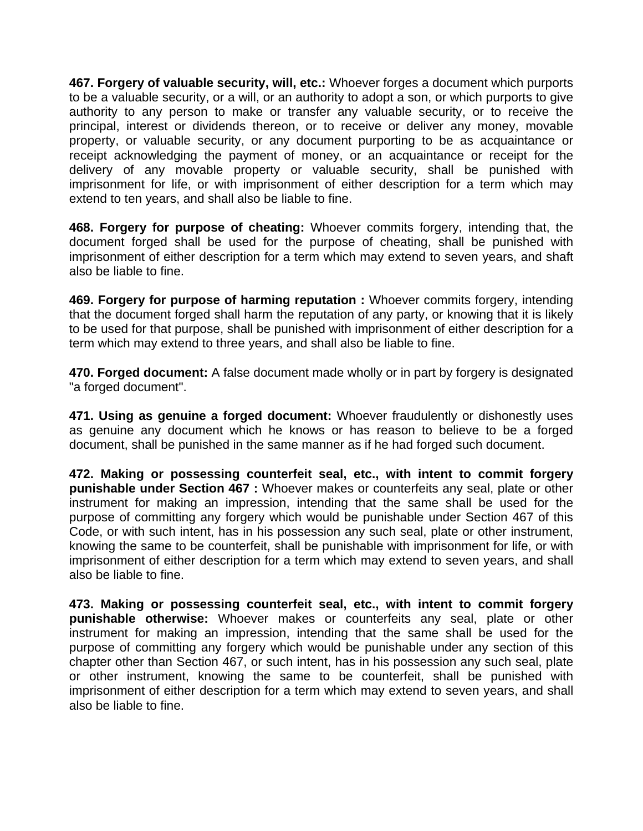**467. Forgery of valuable security, will, etc.:** Whoever forges a document which purports to be a valuable security, or a will, or an authority to adopt a son, or which purports to give authority to any person to make or transfer any valuable security, or to receive the principal, interest or dividends thereon, or to receive or deliver any money, movable property, or valuable security, or any document purporting to be as acquaintance or receipt acknowledging the payment of money, or an acquaintance or receipt for the delivery of any movable property or valuable security, shall be punished with imprisonment for life, or with imprisonment of either description for a term which may extend to ten years, and shall also be liable to fine.

**468. Forgery for purpose of cheating:** Whoever commits forgery, intending that, the document forged shall be used for the purpose of cheating, shall be punished with imprisonment of either description for a term which may extend to seven years, and shaft also be liable to fine.

**469. Forgery for purpose of harming reputation :** Whoever commits forgery, intending that the document forged shall harm the reputation of any party, or knowing that it is likely to be used for that purpose, shall be punished with imprisonment of either description for a term which may extend to three years, and shall also be liable to fine.

**470. Forged document:** A false document made wholly or in part by forgery is designated "a forged document".

**471. Using as genuine a forged document:** Whoever fraudulently or dishonestly uses as genuine any document which he knows or has reason to believe to be a forged document, shall be punished in the same manner as if he had forged such document.

**472. Making or possessing counterfeit seal, etc., with intent to commit forgery punishable under Section 467 :** Whoever makes or counterfeits any seal, plate or other instrument for making an impression, intending that the same shall be used for the purpose of committing any forgery which would be punishable under Section 467 of this Code, or with such intent, has in his possession any such seal, plate or other instrument, knowing the same to be counterfeit, shall be punishable with imprisonment for life, or with imprisonment of either description for a term which may extend to seven years, and shall also be liable to fine.

**473. Making or possessing counterfeit seal, etc., with intent to commit forgery punishable otherwise:** Whoever makes or counterfeits any seal, plate or other instrument for making an impression, intending that the same shall be used for the purpose of committing any forgery which would be punishable under any section of this chapter other than Section 467, or such intent, has in his possession any such seal, plate or other instrument, knowing the same to be counterfeit, shall be punished with imprisonment of either description for a term which may extend to seven years, and shall also be liable to fine.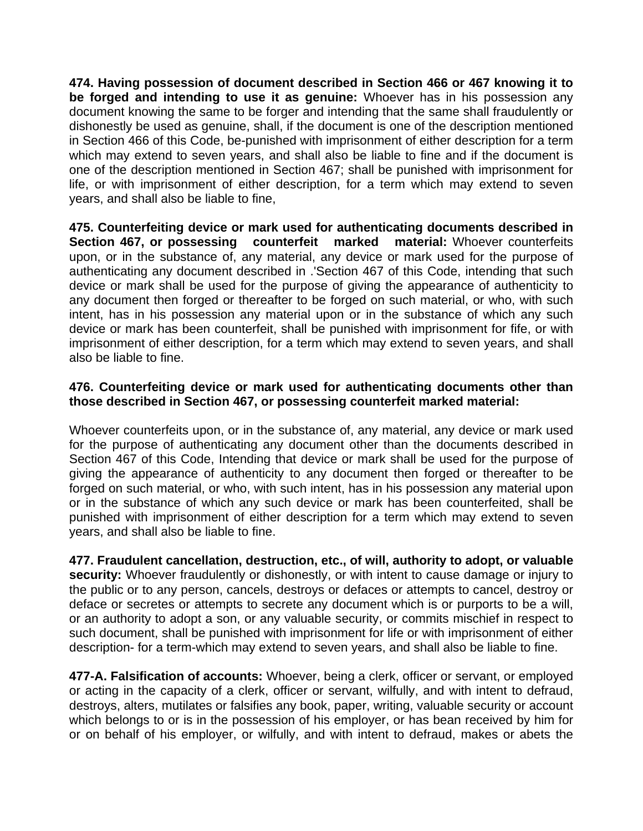**474. Having possession of document described in Section 466 or 467 knowing it to be forged and intending to use it as genuine:** Whoever has in his possession any document knowing the same to be forger and intending that the same shall fraudulently or dishonestly be used as genuine, shall, if the document is one of the description mentioned in Section 466 of this Code, be-punished with imprisonment of either description for a term which may extend to seven years, and shall also be liable to fine and if the document is one of the description mentioned in Section 467; shall be punished with imprisonment for life, or with imprisonment of either description, for a term which may extend to seven years, and shall also be liable to fine,

**475. Counterfeiting device or mark used for authenticating documents described in Section 467, or possessing counterfeit marked material:** Whoever counterfeits upon, or in the substance of, any material, any device or mark used for the purpose of authenticating any document described in .'Section 467 of this Code, intending that such device or mark shall be used for the purpose of giving the appearance of authenticity to any document then forged or thereafter to be forged on such material, or who, with such intent, has in his possession any material upon or in the substance of which any such device or mark has been counterfeit, shall be punished with imprisonment for fife, or with imprisonment of either description, for a term which may extend to seven years, and shall also be liable to fine.

## **476. Counterfeiting device or mark used for authenticating documents other than those described in Section 467, or possessing counterfeit marked material:**

Whoever counterfeits upon, or in the substance of, any material, any device or mark used for the purpose of authenticating any document other than the documents described in Section 467 of this Code, Intending that device or mark shall be used for the purpose of giving the appearance of authenticity to any document then forged or thereafter to be forged on such material, or who, with such intent, has in his possession any material upon or in the substance of which any such device or mark has been counterfeited, shall be punished with imprisonment of either description for a term which may extend to seven years, and shall also be liable to fine.

**477. Fraudulent cancellation, destruction, etc., of will, authority to adopt, or valuable security:** Whoever fraudulently or dishonestly, or with intent to cause damage or injury to the public or to any person, cancels, destroys or defaces or attempts to cancel, destroy or deface or secretes or attempts to secrete any document which is or purports to be a will, or an authority to adopt a son, or any valuable security, or commits mischief in respect to such document, shall be punished with imprisonment for life or with imprisonment of either description- for a term-which may extend to seven years, and shall also be liable to fine.

**477-A. Falsification of accounts:** Whoever, being a clerk, officer or servant, or employed or acting in the capacity of a clerk, officer or servant, wilfully, and with intent to defraud, destroys, alters, mutilates or falsifies any book, paper, writing, valuable security or account which belongs to or is in the possession of his employer, or has bean received by him for or on behalf of his employer, or wilfully, and with intent to defraud, makes or abets the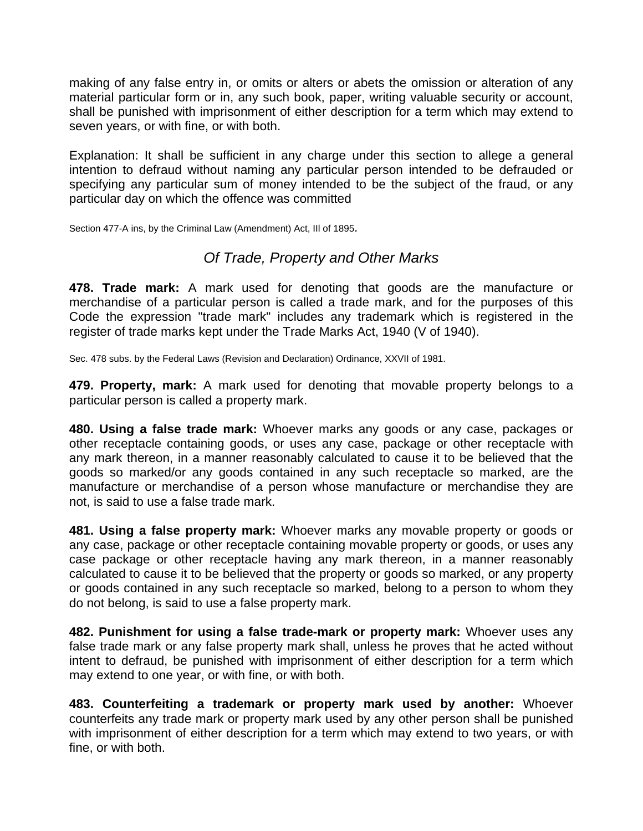making of any false entry in, or omits or alters or abets the omission or alteration of any material particular form or in, any such book, paper, writing valuable security or account, shall be punished with imprisonment of either description for a term which may extend to seven years, or with fine, or with both.

Explanation: It shall be sufficient in any charge under this section to allege a general intention to defraud without naming any particular person intended to be defrauded or specifying any particular sum of money intended to be the subject of the fraud, or any particular day on which the offence was committed

Section 477-A ins, by the Criminal Law (Amendment) Act, IIl of 1895.

# *Of Trade, Property and Other Marks*

**478. Trade mark:** A mark used for denoting that goods are the manufacture or merchandise of a particular person is called a trade mark, and for the purposes of this Code the expression "trade mark" includes any trademark which is registered in the register of trade marks kept under the Trade Marks Act, 1940 (V of 1940).

Sec. 478 subs. by the Federal Laws (Revision and Declaration) Ordinance, XXVII of 1981.

**479. Property, mark:** A mark used for denoting that movable property belongs to a particular person is called a property mark.

**480. Using a false trade mark:** Whoever marks any goods or any case, packages or other receptacle containing goods, or uses any case, package or other receptacle with any mark thereon, in a manner reasonably calculated to cause it to be believed that the goods so marked/or any goods contained in any such receptacle so marked, are the manufacture or merchandise of a person whose manufacture or merchandise they are not, is said to use a false trade mark.

**481. Using a false property mark:** Whoever marks any movable property or goods or any case, package or other receptacle containing movable property or goods, or uses any case package or other receptacle having any mark thereon, in a manner reasonably calculated to cause it to be believed that the property or goods so marked, or any property or goods contained in any such receptacle so marked, belong to a person to whom they do not belong, is said to use a false property mark.

**482. Punishment for using a false trade-mark or property mark:** Whoever uses any false trade mark or any false property mark shall, unless he proves that he acted without intent to defraud, be punished with imprisonment of either description for a term which may extend to one year, or with fine, or with both.

**483. Counterfeiting a trademark or property mark used by another:** Whoever counterfeits any trade mark or property mark used by any other person shall be punished with imprisonment of either description for a term which may extend to two years, or with fine, or with both.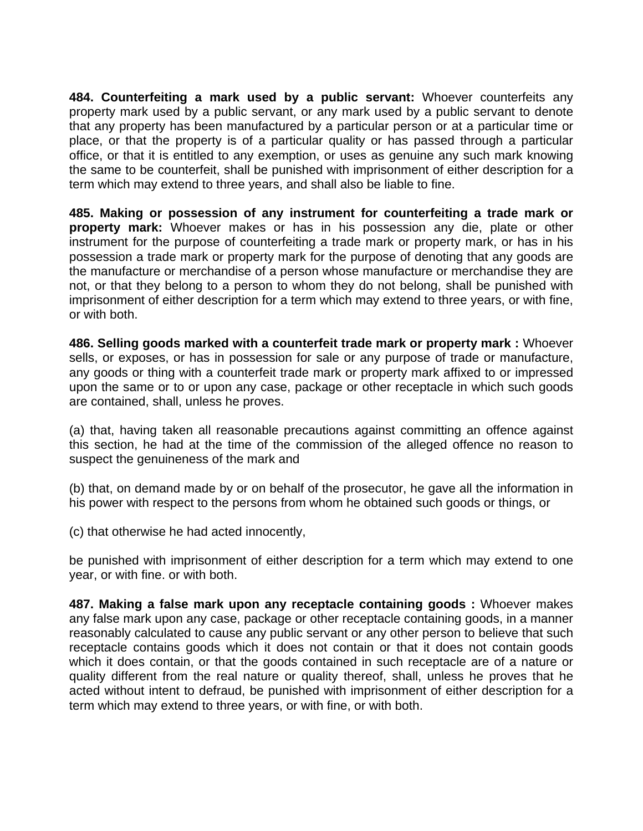**484. Counterfeiting a mark used by a public servant:** Whoever counterfeits any property mark used by a public servant, or any mark used by a public servant to denote that any property has been manufactured by a particular person or at a particular time or place, or that the property is of a particular quality or has passed through a particular office, or that it is entitled to any exemption, or uses as genuine any such mark knowing the same to be counterfeit, shall be punished with imprisonment of either description for a term which may extend to three years, and shall also be liable to fine.

**485. Making or possession of any instrument for counterfeiting a trade mark or property mark:** Whoever makes or has in his possession any die, plate or other instrument for the purpose of counterfeiting a trade mark or property mark, or has in his possession a trade mark or property mark for the purpose of denoting that any goods are the manufacture or merchandise of a person whose manufacture or merchandise they are not, or that they belong to a person to whom they do not belong, shall be punished with imprisonment of either description for a term which may extend to three years, or with fine, or with both.

**486. Selling goods marked with a counterfeit trade mark or property mark :** Whoever sells, or exposes, or has in possession for sale or any purpose of trade or manufacture, any goods or thing with a counterfeit trade mark or property mark affixed to or impressed upon the same or to or upon any case, package or other receptacle in which such goods are contained, shall, unless he proves.

(a) that, having taken all reasonable precautions against committing an offence against this section, he had at the time of the commission of the alleged offence no reason to suspect the genuineness of the mark and

(b) that, on demand made by or on behalf of the prosecutor, he gave all the information in his power with respect to the persons from whom he obtained such goods or things, or

(c) that otherwise he had acted innocently,

be punished with imprisonment of either description for a term which may extend to one year, or with fine. or with both.

**487. Making a false mark upon any receptacle containing goods :** Whoever makes any false mark upon any case, package or other receptacle containing goods, in a manner reasonably calculated to cause any public servant or any other person to believe that such receptacle contains goods which it does not contain or that it does not contain goods which it does contain, or that the goods contained in such receptacle are of a nature or quality different from the real nature or quality thereof, shall, unless he proves that he acted without intent to defraud, be punished with imprisonment of either description for a term which may extend to three years, or with fine, or with both.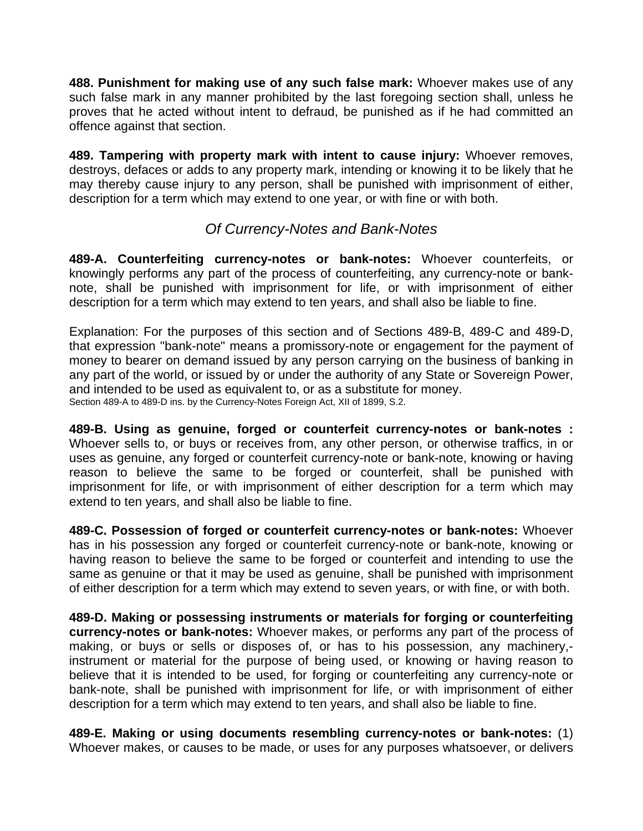**488. Punishment for making use of any such false mark:** Whoever makes use of any such false mark in any manner prohibited by the last foregoing section shall, unless he proves that he acted without intent to defraud, be punished as if he had committed an offence against that section.

**489. Tampering with property mark with intent to cause injury:** Whoever removes, destroys, defaces or adds to any property mark, intending or knowing it to be likely that he may thereby cause injury to any person, shall be punished with imprisonment of either, description for a term which may extend to one year, or with fine or with both.

## *Of Currency-Notes and Bank-Notes*

**489-A. Counterfeiting currency-notes or bank-notes:** Whoever counterfeits, or knowingly performs any part of the process of counterfeiting, any currency-note or banknote, shall be punished with imprisonment for life, or with imprisonment of either description for a term which may extend to ten years, and shall also be liable to fine.

Explanation: For the purposes of this section and of Sections 489-B, 489-C and 489-D, that expression "bank-note" means a promissory-note or engagement for the payment of money to bearer on demand issued by any person carrying on the business of banking in any part of the world, or issued by or under the authority of any State or Sovereign Power, and intended to be used as equivalent to, or as a substitute for money. Section 489-A to 489-D ins. by the Currency-Notes Foreign Act, XII of 1899, S.2.

**489-B. Using as genuine, forged or counterfeit currency-notes or bank-notes :** Whoever sells to, or buys or receives from, any other person, or otherwise traffics, in or uses as genuine, any forged or counterfeit currency-note or bank-note, knowing or having reason to believe the same to be forged or counterfeit, shall be punished with imprisonment for life, or with imprisonment of either description for a term which may extend to ten years, and shall also be liable to fine.

**489-C. Possession of forged or counterfeit currency-notes or bank-notes:** Whoever has in his possession any forged or counterfeit currency-note or bank-note, knowing or having reason to believe the same to be forged or counterfeit and intending to use the same as genuine or that it may be used as genuine, shall be punished with imprisonment of either description for a term which may extend to seven years, or with fine, or with both.

**489-D. Making or possessing instruments or materials for forging or counterfeiting currency-notes or bank-notes:** Whoever makes, or performs any part of the process of making, or buys or sells or disposes of, or has to his possession, any machinery, instrument or material for the purpose of being used, or knowing or having reason to believe that it is intended to be used, for forging or counterfeiting any currency-note or bank-note, shall be punished with imprisonment for life, or with imprisonment of either description for a term which may extend to ten years, and shall also be liable to fine.

**489-E. Making or using documents resembling currency-notes or bank-notes:** (1) Whoever makes, or causes to be made, or uses for any purposes whatsoever, or delivers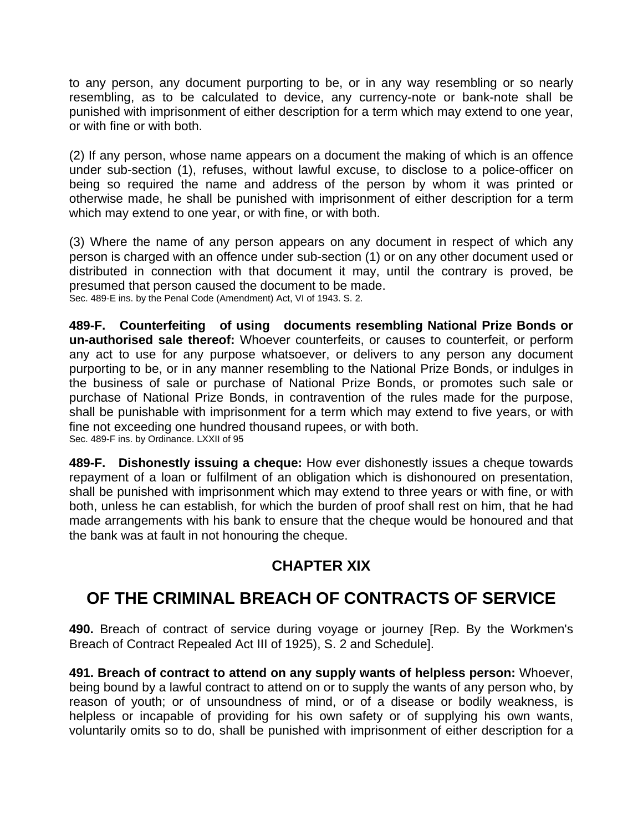to any person, any document purporting to be, or in any way resembling or so nearly resembling, as to be calculated to device, any currency-note or bank-note shall be punished with imprisonment of either description for a term which may extend to one year, or with fine or with both.

(2) If any person, whose name appears on a document the making of which is an offence under sub-section (1), refuses, without lawful excuse, to disclose to a police-officer on being so required the name and address of the person by whom it was printed or otherwise made, he shall be punished with imprisonment of either description for a term which may extend to one year, or with fine, or with both.

(3) Where the name of any person appears on any document in respect of which any person is charged with an offence under sub-section (1) or on any other document used or distributed in connection with that document it may, until the contrary is proved, be presumed that person caused the document to be made. Sec. 489-E ins. by the Penal Code (Amendment) Act, VI of 1943. S. 2.

**489-F. Counterfeiting of using documents resembling National Prize Bonds or un-authorised sale thereof:** Whoever counterfeits, or causes to counterfeit, or perform any act to use for any purpose whatsoever, or delivers to any person any document purporting to be, or in any manner resembling to the National Prize Bonds, or indulges in the business of sale or purchase of National Prize Bonds, or promotes such sale or purchase of National Prize Bonds, in contravention of the rules made for the purpose, shall be punishable with imprisonment for a term which may extend to five years, or with fine not exceeding one hundred thousand rupees, or with both.

Sec. 489-F ins. by Ordinance. LXXII of 95

**489-F. Dishonestly issuing a cheque:** How ever dishonestly issues a cheque towards repayment of a loan or fulfilment of an obligation which is dishonoured on presentation, shall be punished with imprisonment which may extend to three years or with fine, or with both, unless he can establish, for which the burden of proof shall rest on him, that he had made arrangements with his bank to ensure that the cheque would be honoured and that the bank was at fault in not honouring the cheque.

# **CHAPTER XIX**

# **OF THE CRIMINAL BREACH OF CONTRACTS OF SERVICE**

**490.** Breach of contract of service during voyage or journey [Rep. By the Workmen's Breach of Contract Repealed Act III of 1925), S. 2 and Schedule].

**491. Breach of contract to attend on any supply wants of helpless person:** Whoever, being bound by a lawful contract to attend on or to supply the wants of any person who, by reason of youth; or of unsoundness of mind, or of a disease or bodily weakness, is helpless or incapable of providing for his own safety or of supplying his own wants, voluntarily omits so to do, shall be punished with imprisonment of either description for a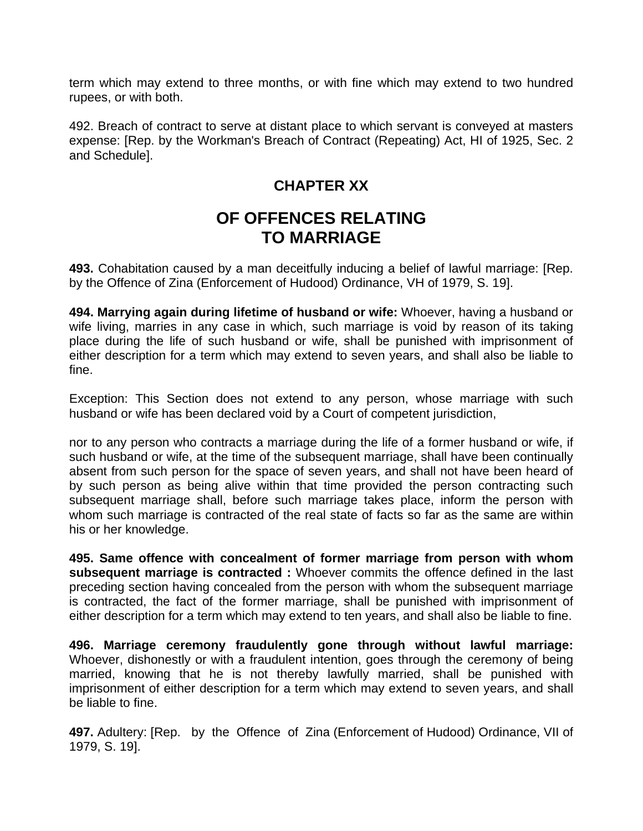term which may extend to three months, or with fine which may extend to two hundred rupees, or with both.

492. Breach of contract to serve at distant place to which servant is conveyed at masters expense: [Rep. by the Workman's Breach of Contract (Repeating) Act, HI of 1925, Sec. 2 and Schedule].

# **CHAPTER XX**

# **OF OFFENCES RELATING TO MARRIAGE**

**493.** Cohabitation caused by a man deceitfully inducing a belief of lawful marriage: [Rep. by the Offence of Zina (Enforcement of Hudood) Ordinance, VH of 1979, S. 19].

**494. Marrying again during lifetime of husband or wife:** Whoever, having a husband or wife living, marries in any case in which, such marriage is void by reason of its taking place during the life of such husband or wife, shall be punished with imprisonment of either description for a term which may extend to seven years, and shall also be liable to fine.

Exception: This Section does not extend to any person, whose marriage with such husband or wife has been declared void by a Court of competent jurisdiction,

nor to any person who contracts a marriage during the life of a former husband or wife, if such husband or wife, at the time of the subsequent marriage, shall have been continually absent from such person for the space of seven years, and shall not have been heard of by such person as being alive within that time provided the person contracting such subsequent marriage shall, before such marriage takes place, inform the person with whom such marriage is contracted of the real state of facts so far as the same are within his or her knowledge.

**495. Same offence with concealment of former marriage from person with whom subsequent marriage is contracted :** Whoever commits the offence defined in the last preceding section having concealed from the person with whom the subsequent marriage is contracted, the fact of the former marriage, shall be punished with imprisonment of either description for a term which may extend to ten years, and shall also be liable to fine.

**496. Marriage ceremony fraudulently gone through without lawful marriage:** Whoever, dishonestly or with a fraudulent intention, goes through the ceremony of being married, knowing that he is not thereby lawfully married, shall be punished with imprisonment of either description for a term which may extend to seven years, and shall be liable to fine.

**497.** Adultery: [Rep. by the Offence of Zina (Enforcement of Hudood) Ordinance, VII of 1979, S. 19].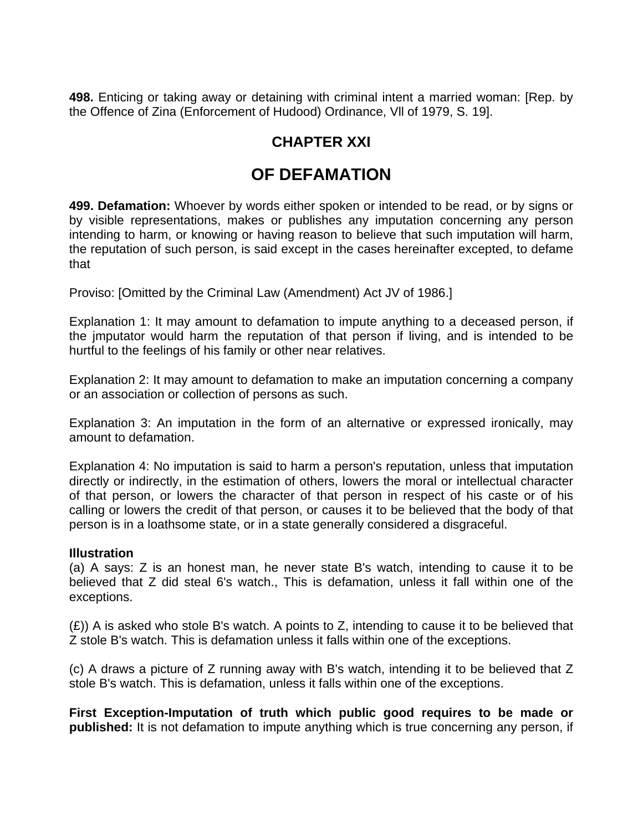**498.** Enticing or taking away or detaining with criminal intent a married woman: [Rep. by the Offence of Zina (Enforcement of Hudood) Ordinance, Vll of 1979, S. 19].

# **CHAPTER XXI**

# **OF DEFAMATION**

**499. Defamation:** Whoever by words either spoken or intended to be read, or by signs or by visible representations, makes or publishes any imputation concerning any person intending to harm, or knowing or having reason to believe that such imputation will harm, the reputation of such person, is said except in the cases hereinafter excepted, to defame that

Proviso: [Omitted by the Criminal Law (Amendment) Act JV of 1986.]

Explanation 1: It may amount to defamation to impute anything to a deceased person, if the jmputator would harm the reputation of that person if living, and is intended to be hurtful to the feelings of his family or other near relatives.

Explanation 2: It may amount to defamation to make an imputation concerning a company or an association or collection of persons as such.

Explanation 3: An imputation in the form of an alternative or expressed ironically, may amount to defamation.

Explanation 4: No imputation is said to harm a person's reputation, unless that imputation directly or indirectly, in the estimation of others, lowers the moral or intellectual character of that person, or lowers the character of that person in respect of his caste or of his calling or lowers the credit of that person, or causes it to be believed that the body of that person is in a loathsome state, or in a state generally considered a disgraceful.

## **Illustration**

(a) A says: Z is an honest man, he never state B's watch, intending to cause it to be believed that Z did steal 6's watch., This is defamation, unless it fall within one of the exceptions.

 $(E)$ ) A is asked who stole B's watch. A points to Z, intending to cause it to be believed that Z stole B's watch. This is defamation unless it falls within one of the exceptions.

(c) A draws a picture of Z running away with B's watch, intending it to be believed that Z stole B's watch. This is defamation, unless it falls within one of the exceptions.

**First Exception-Imputation of truth which public good requires to be made or published:** It is not defamation to impute anything which is true concerning any person, if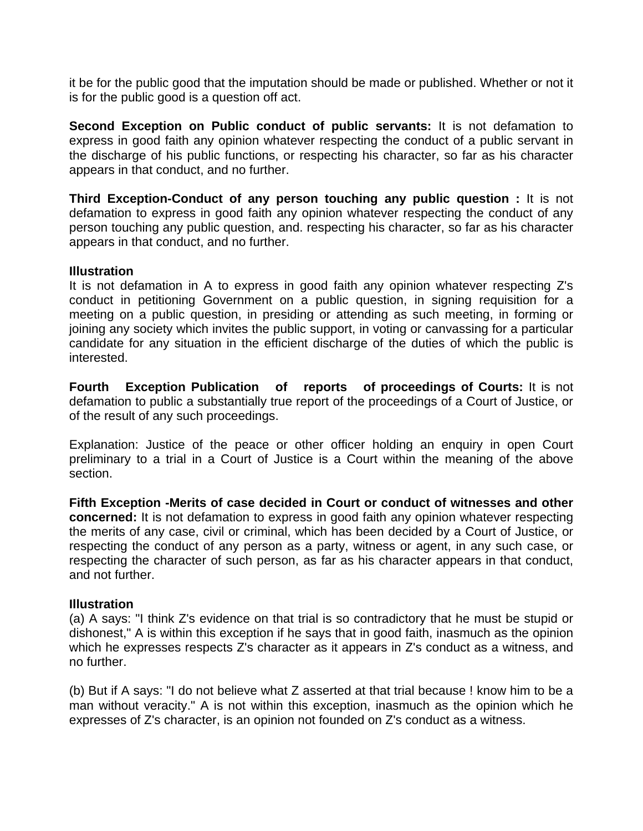it be for the public good that the imputation should be made or published. Whether or not it is for the public good is a question off act.

**Second Exception on Public conduct of public servants:** It is not defamation to express in good faith any opinion whatever respecting the conduct of a public servant in the discharge of his public functions, or respecting his character, so far as his character appears in that conduct, and no further.

**Third Exception-Conduct of any person touching any public question :** It is not defamation to express in good faith any opinion whatever respecting the conduct of any person touching any public question, and. respecting his character, so far as his character appears in that conduct, and no further.

#### **Illustration**

It is not defamation in A to express in good faith any opinion whatever respecting Z's conduct in petitioning Government on a public question, in signing requisition for a meeting on a public question, in presiding or attending as such meeting, in forming or joining any society which invites the public support, in voting or canvassing for a particular candidate for any situation in the efficient discharge of the duties of which the public is interested.

**Fourth Exception Publication of reports of proceedings of Courts:** It is not defamation to public a substantially true report of the proceedings of a Court of Justice, or of the result of any such proceedings.

Explanation: Justice of the peace or other officer holding an enquiry in open Court preliminary to a trial in a Court of Justice is a Court within the meaning of the above section.

**Fifth Exception -Merits of case decided in Court or conduct of witnesses and other concerned:** It is not defamation to express in good faith any opinion whatever respecting the merits of any case, civil or criminal, which has been decided by a Court of Justice, or respecting the conduct of any person as a party, witness or agent, in any such case, or respecting the character of such person, as far as his character appears in that conduct, and not further.

#### **Illustration**

(a) A says: "I think Z's evidence on that trial is so contradictory that he must be stupid or dishonest," A is within this exception if he says that in good faith, inasmuch as the opinion which he expresses respects Z's character as it appears in Z's conduct as a witness, and no further.

(b) But if A says: "I do not believe what Z asserted at that trial because ! know him to be a man without veracity." A is not within this exception, inasmuch as the opinion which he expresses of Z's character, is an opinion not founded on Z's conduct as a witness.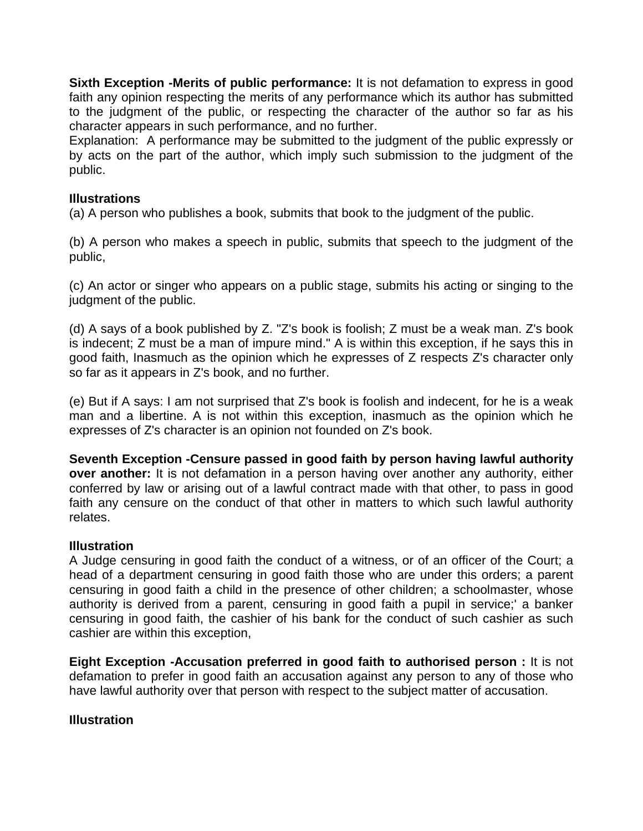**Sixth Exception -Merits of public performance:** It is not defamation to express in good faith any opinion respecting the merits of any performance which its author has submitted to the judgment of the public, or respecting the character of the author so far as his character appears in such performance, and no further.

Explanation: A performance may be submitted to the judgment of the public expressly or by acts on the part of the author, which imply such submission to the judgment of the public.

## **Illustrations**

(a) A person who publishes a book, submits that book to the judgment of the public.

(b) A person who makes a speech in public, submits that speech to the judgment of the public,

(c) An actor or singer who appears on a public stage, submits his acting or singing to the judgment of the public.

(d) A says of a book published by Z. "Z's book is foolish; Z must be a weak man. Z's book is indecent; Z must be a man of impure mind." A is within this exception, if he says this in good faith, Inasmuch as the opinion which he expresses of Z respects Z's character only so far as it appears in Z's book, and no further.

(e) But if A says: I am not surprised that Z's book is foolish and indecent, for he is a weak man and a libertine. A is not within this exception, inasmuch as the opinion which he expresses of Z's character is an opinion not founded on Z's book.

**Seventh Exception -Censure passed in good faith by person having lawful authority over another:** It is not defamation in a person having over another any authority, either conferred by law or arising out of a lawful contract made with that other, to pass in good faith any censure on the conduct of that other in matters to which such lawful authority relates.

## **Illustration**

A Judge censuring in good faith the conduct of a witness, or of an officer of the Court; a head of a department censuring in good faith those who are under this orders; a parent censuring in good faith a child in the presence of other children; a schoolmaster, whose authority is derived from a parent, censuring in good faith a pupil in service;' a banker censuring in good faith, the cashier of his bank for the conduct of such cashier as such cashier are within this exception,

**Eight Exception -Accusation preferred in good faith to authorised person :** It is not defamation to prefer in good faith an accusation against any person to any of those who have lawful authority over that person with respect to the subject matter of accusation.

## **Illustration**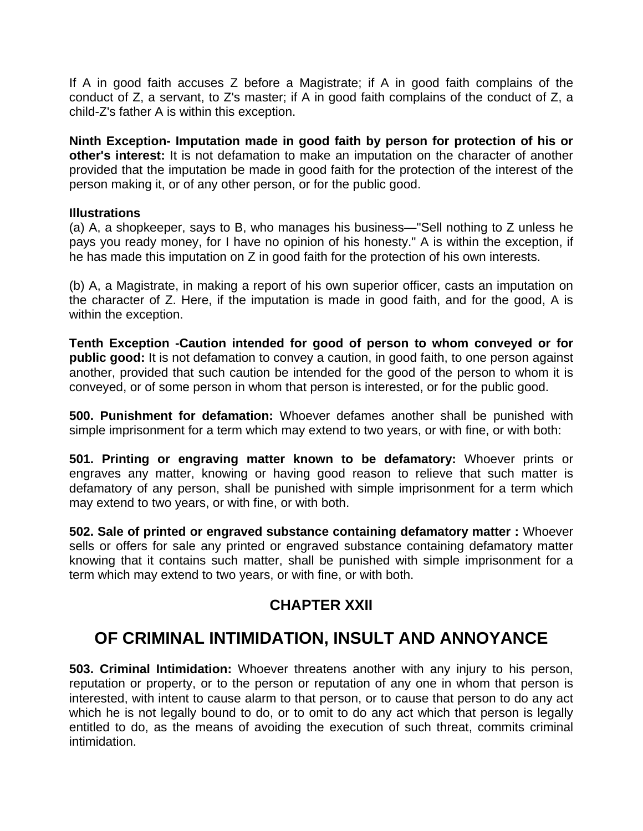If A in good faith accuses Z before a Magistrate; if A in good faith complains of the conduct of Z, a servant, to Z's master; if A in good faith complains of the conduct of Z, a child-Z's father A is within this exception.

**Ninth Exception- Imputation made in good faith by person for protection of his or other's interest:** It is not defamation to make an imputation on the character of another provided that the imputation be made in good faith for the protection of the interest of the person making it, or of any other person, or for the public good.

### **Illustrations**

(a) A, a shopkeeper, says to B, who manages his business—"Sell nothing to Z unless he pays you ready money, for I have no opinion of his honesty." A is within the exception, if he has made this imputation on Z in good faith for the protection of his own interests.

(b) A, a Magistrate, in making a report of his own superior officer, casts an imputation on the character of Z. Here, if the imputation is made in good faith, and for the good, A is within the exception.

**Tenth Exception -Caution intended for good of person to whom conveyed or for public good:** It is not defamation to convey a caution, in good faith, to one person against another, provided that such caution be intended for the good of the person to whom it is conveyed, or of some person in whom that person is interested, or for the public good.

**500. Punishment for defamation:** Whoever defames another shall be punished with simple imprisonment for a term which may extend to two years, or with fine, or with both:

**501. Printing or engraving matter known to be defamatory:** Whoever prints or engraves any matter, knowing or having good reason to relieve that such matter is defamatory of any person, shall be punished with simple imprisonment for a term which may extend to two years, or with fine, or with both.

**502. Sale of printed or engraved substance containing defamatory matter :** Whoever sells or offers for sale any printed or engraved substance containing defamatory matter knowing that it contains such matter, shall be punished with simple imprisonment for a term which may extend to two years, or with fine, or with both.

# **CHAPTER XXII**

# **OF CRIMINAL INTIMIDATION, INSULT AND ANNOYANCE**

**503. Criminal Intimidation:** Whoever threatens another with any injury to his person, reputation or property, or to the person or reputation of any one in whom that person is interested, with intent to cause alarm to that person, or to cause that person to do any act which he is not legally bound to do, or to omit to do any act which that person is legally entitled to do, as the means of avoiding the execution of such threat, commits criminal intimidation.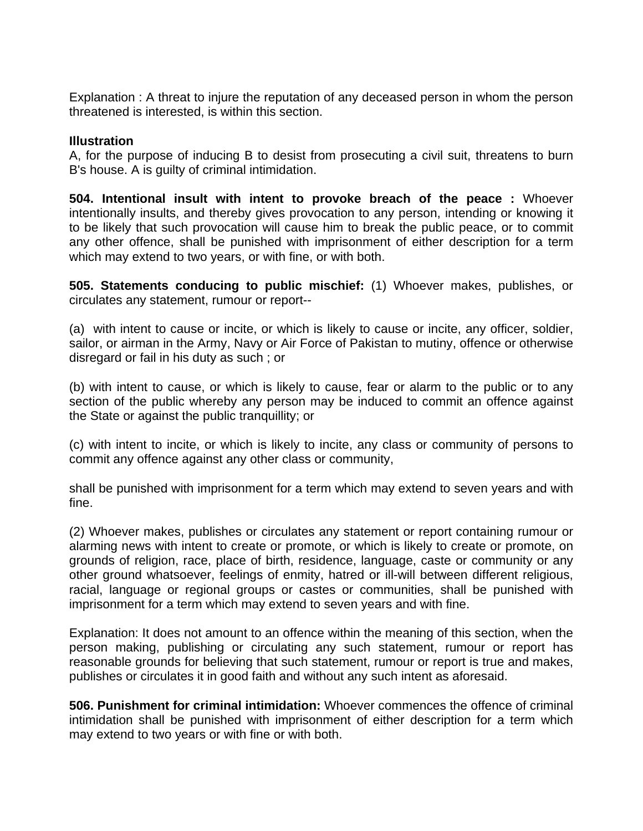Explanation : A threat to injure the reputation of any deceased person in whom the person threatened is interested, is within this section.

#### **Illustration**

A, for the purpose of inducing B to desist from prosecuting a civil suit, threatens to burn B's house. A is guilty of criminal intimidation.

**504. Intentional insult with intent to provoke breach of the peace :** Whoever intentionally insults, and thereby gives provocation to any person, intending or knowing it to be likely that such provocation will cause him to break the public peace, or to commit any other offence, shall be punished with imprisonment of either description for a term which may extend to two years, or with fine, or with both.

**505. Statements conducing to public mischief:** (1) Whoever makes, publishes, or circulates any statement, rumour or report--

(a) with intent to cause or incite, or which is likely to cause or incite, any officer, soldier, sailor, or airman in the Army, Navy or Air Force of Pakistan to mutiny, offence or otherwise disregard or fail in his duty as such ; or

(b) with intent to cause, or which is likely to cause, fear or alarm to the public or to any section of the public whereby any person may be induced to commit an offence against the State or against the public tranquillity; or

(c) with intent to incite, or which is likely to incite, any class or community of persons to commit any offence against any other class or community,

shall be punished with imprisonment for a term which may extend to seven years and with fine.

(2) Whoever makes, publishes or circulates any statement or report containing rumour or alarming news with intent to create or promote, or which is likely to create or promote, on grounds of religion, race, place of birth, residence, language, caste or community or any other ground whatsoever, feelings of enmity, hatred or ill-will between different religious, racial, language or regional groups or castes or communities, shall be punished with imprisonment for a term which may extend to seven years and with fine.

Explanation: It does not amount to an offence within the meaning of this section, when the person making, publishing or circulating any such statement, rumour or report has reasonable grounds for believing that such statement, rumour or report is true and makes, publishes or circulates it in good faith and without any such intent as aforesaid.

**506. Punishment for criminal intimidation:** Whoever commences the offence of criminal intimidation shall be punished with imprisonment of either description for a term which may extend to two years or with fine or with both.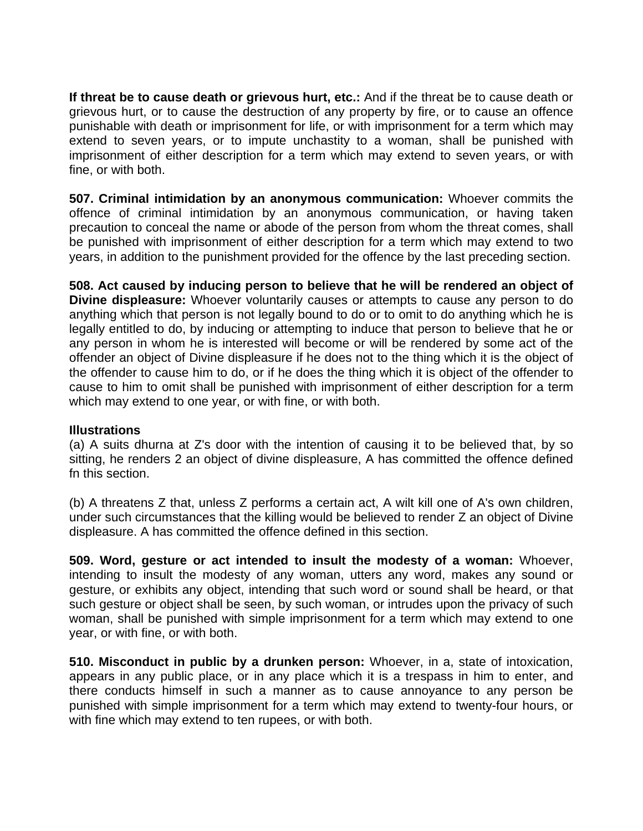**If threat be to cause death or grievous hurt, etc.:** And if the threat be to cause death or grievous hurt, or to cause the destruction of any property by fire, or to cause an offence punishable with death or imprisonment for life, or with imprisonment for a term which may extend to seven years, or to impute unchastity to a woman, shall be punished with imprisonment of either description for a term which may extend to seven years, or with fine, or with both.

**507. Criminal intimidation by an anonymous communication:** Whoever commits the offence of criminal intimidation by an anonymous communication, or having taken precaution to conceal the name or abode of the person from whom the threat comes, shall be punished with imprisonment of either description for a term which may extend to two years, in addition to the punishment provided for the offence by the last preceding section.

**508. Act caused by inducing person to believe that he will be rendered an object of Divine displeasure:** Whoever voluntarily causes or attempts to cause any person to do anything which that person is not legally bound to do or to omit to do anything which he is legally entitled to do, by inducing or attempting to induce that person to believe that he or any person in whom he is interested will become or will be rendered by some act of the offender an object of Divine displeasure if he does not to the thing which it is the object of the offender to cause him to do, or if he does the thing which it is object of the offender to cause to him to omit shall be punished with imprisonment of either description for a term which may extend to one year, or with fine, or with both.

## **Illustrations**

(a) A suits dhurna at Z's door with the intention of causing it to be believed that, by so sitting, he renders 2 an object of divine displeasure, A has committed the offence defined fn this section.

(b) A threatens Z that, unless Z performs a certain act, A wilt kill one of A's own children, under such circumstances that the killing would be believed to render Z an object of Divine displeasure. A has committed the offence defined in this section.

**509. Word, gesture or act intended to insult the modesty of a woman:** Whoever, intending to insult the modesty of any woman, utters any word, makes any sound or gesture, or exhibits any object, intending that such word or sound shall be heard, or that such gesture or object shall be seen, by such woman, or intrudes upon the privacy of such woman, shall be punished with simple imprisonment for a term which may extend to one year, or with fine, or with both.

**510. Misconduct in public by a drunken person:** Whoever, in a, state of intoxication, appears in any public place, or in any place which it is a trespass in him to enter, and there conducts himself in such a manner as to cause annoyance to any person be punished with simple imprisonment for a term which may extend to twenty-four hours, or with fine which may extend to ten rupees, or with both.